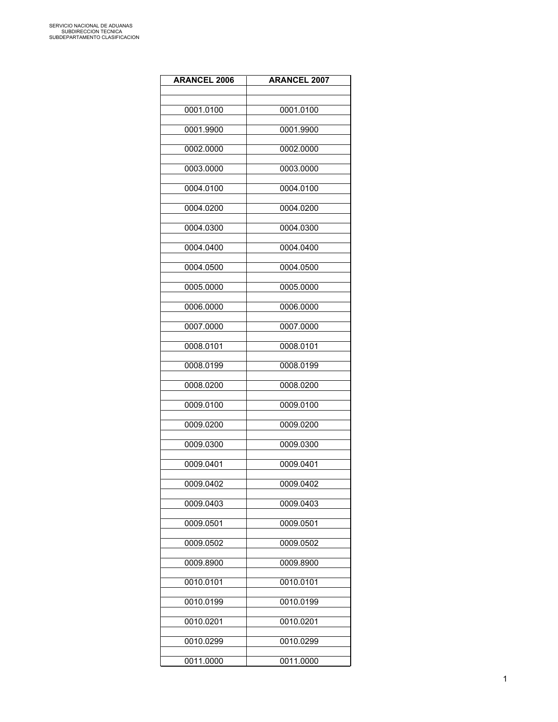| <b>ARANCEL 2006</b> | <b>ARANCEL 2007</b> |
|---------------------|---------------------|
|                     |                     |
| 0001.0100           | 0001.0100           |
| 0001.9900           | 0001.9900           |
| 0002.0000           | 0002.0000           |
| 0003.0000           | 0003.0000           |
| 0004.0100           | 0004.0100           |
| 0004.0200           | 0004.0200           |
|                     |                     |
| 0004.0300           | 0004.0300           |
| 0004.0400           | 0004.0400           |
| 0004.0500           | 0004.0500           |
| 0005.0000           | 0005.0000           |
| 0006.0000           | 0006.0000           |
| 0007.0000           | 0007.0000           |
| 0008.0101           | 0008.0101           |
| 0008.0199           | 0008.0199           |
| 0008.0200           | 0008.0200           |
| 0009.0100           | 0009.0100           |
| 0009.0200           | 0009.0200           |
| 0009.0300           | 0009.0300           |
| 0009.0401           | 0009.0401           |
| 0009.0402           | 0009.0402           |
| 0009.0403           | 0009.0403           |
| 0009.0501           | 0009.0501           |
| 0009.0502           | 0009.0502           |
| 0009.8900           | 0009.8900           |
| 0010.0101           | 0010.0101           |
| 0010.0199           | 0010.0199           |
| 0010.0201           | 0010.0201           |
| 0010.0299           | 0010.0299           |
| 0011.0000           | 0011.0000           |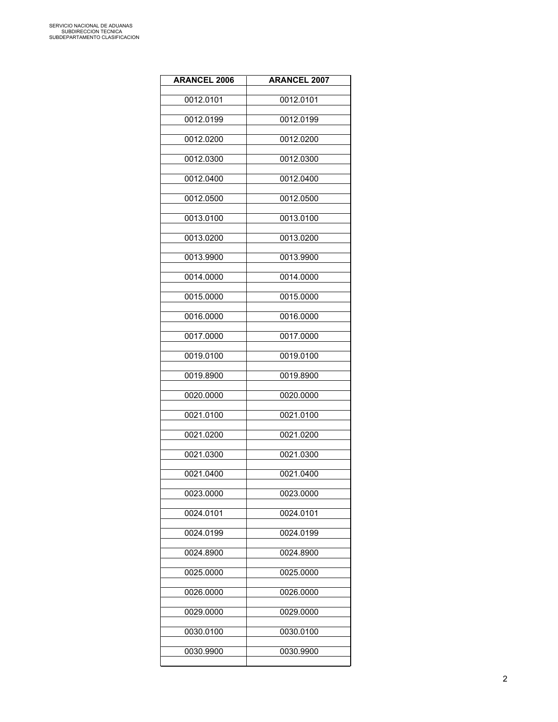| <b>ARANCEL 2006</b> | <b>ARANCEL 2007</b> |
|---------------------|---------------------|
| 0012.0101           | 0012.0101           |
| 0012.0199           | 0012.0199           |
| 0012.0200           | 0012.0200           |
| 0012.0300           | 0012.0300           |
| 0012.0400           | 0012.0400           |
| 0012.0500           | 0012.0500           |
| 0013.0100           | 0013.0100           |
| 0013.0200           | 0013.0200           |
| 0013.9900           | 0013.9900           |
| 0014.0000           | 0014.0000           |
| 0015.0000           | 0015.0000           |
| 0016.0000           | 0016.0000           |
| 0017.0000           | 0017.0000           |
| 0019.0100           | 0019.0100           |
| 0019.8900           | 0019.8900           |
| 0020.0000           | 0020.0000           |
| 0021.0100           | 0021.0100           |
| 0021.0200           | 0021.0200           |
| 0021.0300           | 0021.0300           |
| 0021.0400           | 0021.0400           |
| 0023.0000           | 0023.0000           |
| 0024.0101           | 0024.0101           |
| 0024.0199           | 0024.0199           |
| 0024.8900           | 0024.8900           |
| 0025.0000           | 0025.0000           |
| 0026.0000           | 0026.0000           |
| 0029.0000           | 0029.0000           |
| 0030.0100           | 0030.0100           |
| 0030.9900           | 0030.9900           |
|                     |                     |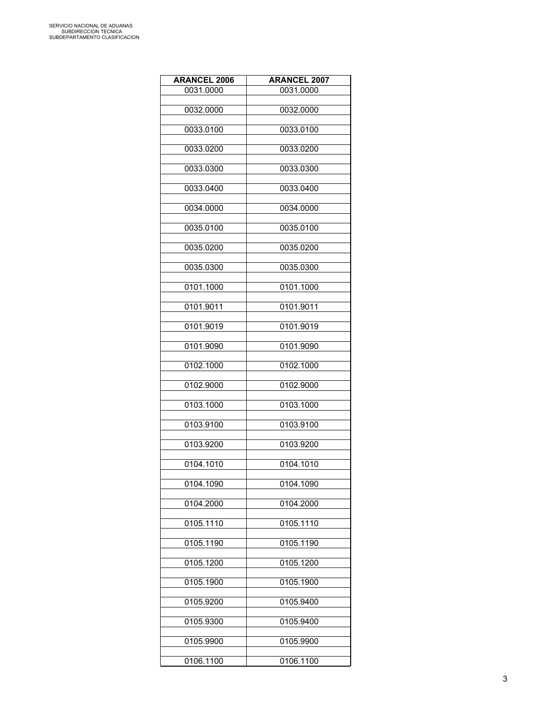| <b>ARANCEL 2006</b> | <b>ARANCEL 2007</b> |
|---------------------|---------------------|
| 0031.0000           | 0031.0000           |
|                     |                     |
| 0032.0000           | 0032.0000           |
| 0033.0100           | 0033.0100           |
|                     |                     |
| 0033.0200           | 0033.0200           |
| 0033.0300           | 0033.0300           |
|                     |                     |
| 0033.0400           | 0033.0400           |
|                     |                     |
| 0034.0000           | 0034.0000           |
| 0035.0100           | 0035.0100           |
|                     |                     |
| 0035.0200           | 0035.0200           |
| 0035.0300           | 0035.0300           |
|                     |                     |
| 0101.1000           | 0101.1000           |
| 0101.9011           | 0101.9011           |
|                     |                     |
| 0101.9019           | 0101.9019           |
|                     |                     |
| 0101.9090           | 0101.9090           |
| 0102.1000           | 0102.1000           |
|                     |                     |
| 0102.9000           | 0102.9000           |
| 0103.1000           | 0103.1000           |
|                     |                     |
| 0103.9100           | 0103.9100           |
|                     |                     |
| 0103.9200           | 0103.9200           |
| 0104.1010           | 0104.1010           |
|                     |                     |
| 0104.1090           | 0104.1090           |
| 0104.2000           | 0104.2000           |
|                     |                     |
| 0105.1110           | 0105.1110           |
| 0105.1190           | 0105.1190           |
|                     |                     |
| 0105.1200           | 0105.1200           |
|                     |                     |
| 0105.1900           | 0105.1900           |
| 0105.9200           | 0105.9400           |
|                     |                     |
| 0105.9300           | 0105.9400           |
| 0105.9900           | 0105.9900           |
|                     |                     |
| 0106.1100           | 0106.1100           |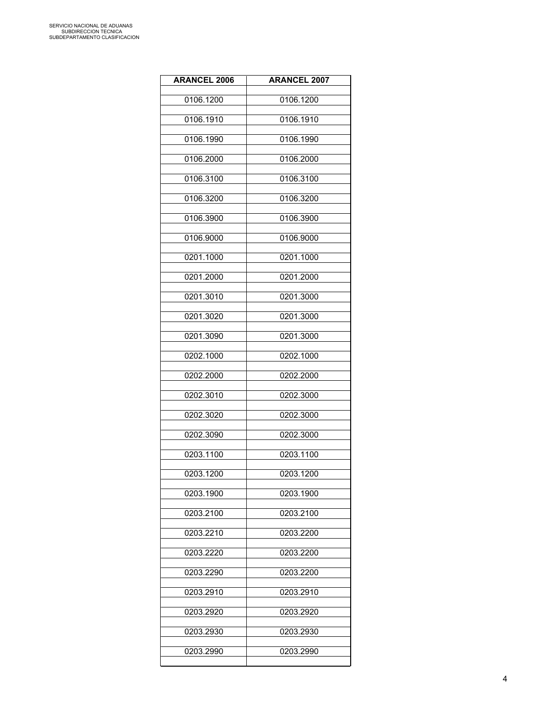| <b>ARANCEL 2006</b> | <b>ARANCEL 2007</b> |
|---------------------|---------------------|
| 0106.1200           | 0106.1200           |
| 0106.1910           | 0106.1910           |
| 0106.1990           | 0106.1990           |
| 0106.2000           | 0106.2000           |
| 0106.3100           | 0106.3100           |
| 0106.3200           | 0106.3200           |
| 0106.3900           | 0106.3900           |
| 0106.9000           | 0106.9000           |
| 0201.1000           | 0201.1000           |
| 0201.2000           | 0201.2000           |
| 0201.3010           | 0201.3000           |
| 0201.3020           | 0201.3000           |
| 0201.3090           | 0201.3000           |
| 0202.1000           | 0202.1000           |
| 0202.2000           | 0202.2000           |
| 0202.3010           | 0202.3000           |
| 0202.3020           | 0202.3000           |
| 0202.3090           | 0202.3000           |
| 0203.1100           | 0203.1100           |
| 0203.1200           | 0203.1200           |
| 0203.1900           | 0203.1900           |
| 0203.2100           | 0203.2100           |
| 0203.2210           | 0203.2200           |
| 0203.2220           | 0203.2200           |
| 0203.2290           | 0203.2200           |
| 0203.2910           | 0203.2910           |
| 0203.2920           | 0203.2920           |
| 0203.2930           | 0203.2930           |
| 0203.2990           | 0203.2990           |
|                     |                     |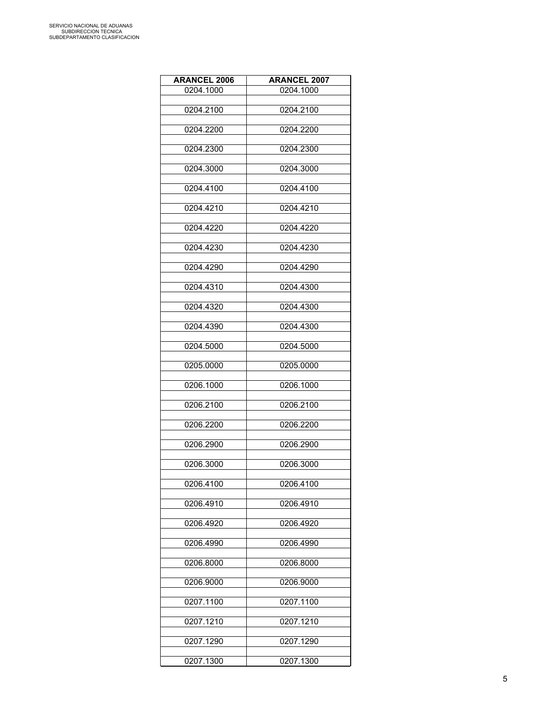| <b>ARANCEL 2006</b> | <b>ARANCEL 2007</b> |
|---------------------|---------------------|
| 0204.1000           | 0204.1000           |
|                     |                     |
| 0204.2100           | 0204.2100           |
| 0204.2200           | 0204.2200           |
|                     |                     |
| 0204.2300           | 0204.2300           |
|                     |                     |
| 0204.3000           | 0204.3000           |
| 0204.4100           | 0204.4100           |
|                     |                     |
| 0204.4210           | 0204.4210           |
|                     |                     |
| 0204.4220           | 0204.4220           |
| 0204.4230           | 0204.4230           |
|                     |                     |
| 0204.4290           | 0204.4290           |
|                     |                     |
| 0204.4310           | 0204.4300           |
| 0204.4320           | 0204.4300           |
|                     |                     |
| 0204.4390           | 0204.4300           |
|                     |                     |
| 0204.5000           | 0204.5000           |
| 0205.0000           | 0205.0000           |
|                     |                     |
| 0206.1000           | 0206.1000           |
|                     |                     |
| 0206.2100           | 0206.2100           |
| 0206.2200           | 0206.2200           |
|                     |                     |
| 0206.2900           | 0206.2900           |
| 0206.3000           | 0206.3000           |
|                     |                     |
| 0206.4100           | 0206.4100           |
|                     |                     |
| 0206.4910           | 0206.4910           |
| 0206.4920           | 0206.4920           |
|                     |                     |
| 0206.4990           | 0206.4990           |
|                     |                     |
| 0206.8000           | 0206.8000           |
| 0206.9000           | 0206.9000           |
|                     |                     |
| 0207.1100           | 0207.1100           |
|                     |                     |
| 0207.1210           | 0207.1210           |
| 0207.1290           | 0207.1290           |
|                     |                     |
| 0207.1300           | 0207.1300           |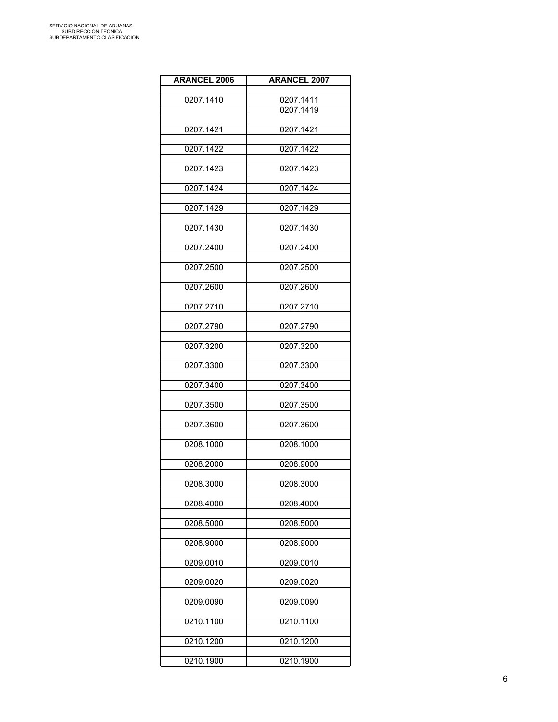| <b>ARANCEL 2006</b> | <b>ARANCEL 2007</b> |
|---------------------|---------------------|
|                     |                     |
| 0207.1410           | 0207.1411           |
|                     | 0207.1419           |
| 0207.1421           | 0207.1421           |
|                     |                     |
| 0207.1422           | 0207.1422           |
|                     |                     |
| 0207.1423           | 0207.1423           |
| 0207.1424           | 0207.1424           |
|                     |                     |
| 0207.1429           | 0207.1429           |
|                     |                     |
| 0207.1430           | 0207.1430           |
|                     |                     |
| 0207.2400           | 0207.2400           |
| 0207.2500           | 0207.2500           |
|                     |                     |
| 0207.2600           | 0207.2600           |
|                     |                     |
| 0207.2710           | 0207.2710           |
| 0207.2790           | 0207.2790           |
|                     |                     |
| 0207.3200           | 0207.3200           |
|                     |                     |
| 0207.3300           | 0207.3300           |
| 0207.3400           | 0207.3400           |
|                     |                     |
| 0207.3500           | 0207.3500           |
|                     |                     |
| 0207.3600           | 0207.3600           |
| 0208.1000           | 0208.1000           |
|                     |                     |
| 0208.2000           | 0208.9000           |
|                     |                     |
| 0208.3000           | 0208.3000           |
| 0208.4000           | 0208.4000           |
|                     |                     |
| 0208.5000           | 0208.5000           |
|                     |                     |
| 0208.9000           | 0208.9000           |
| 0209.0010           | 0209.0010           |
|                     |                     |
| 0209.0020           | 0209.0020           |
|                     |                     |
| 0209.0090           | 0209.0090           |
| 0210.1100           | 0210.1100           |
|                     |                     |
| 0210.1200           | 0210.1200           |
| 0210.1900           | 0210.1900           |
|                     |                     |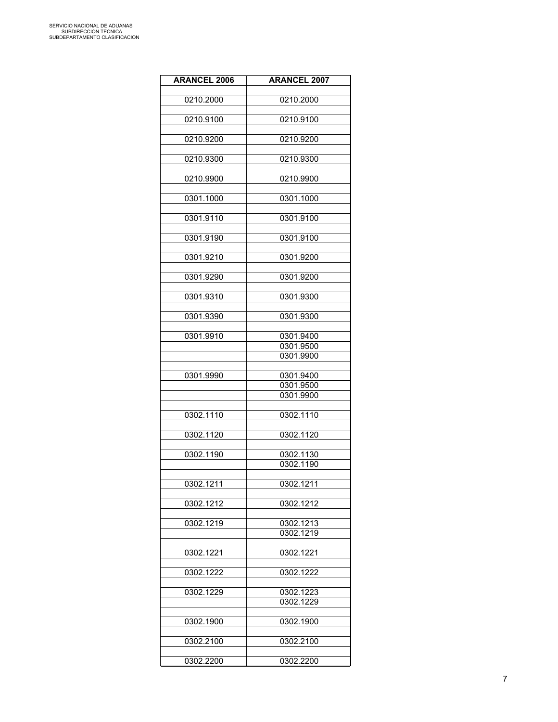| <b>ARANCEL 2006</b> | <b>ARANCEL 2007</b>    |
|---------------------|------------------------|
|                     |                        |
| 0210.2000           | 0210.2000              |
|                     |                        |
| 0210.9100           | 0210.9100              |
| 0210.9200           | 0210.9200              |
|                     |                        |
| 0210.9300           | 0210.9300              |
|                     |                        |
| 0210.9900           | 0210.9900              |
|                     |                        |
| 0301.1000           | 0301.1000              |
| 0301.9110           | 0301.9100              |
|                     |                        |
| 0301.9190           | 0301.9100              |
|                     |                        |
| 0301.9210           | 0301.9200              |
|                     |                        |
| 0301.9290           | 0301.9200              |
| 0301.9310           | 0301.9300              |
|                     |                        |
| 0301.9390           | 0301.9300              |
|                     |                        |
| 0301.9910           | 0301.9400              |
|                     | 0301.9500              |
|                     | 0301.9900              |
|                     |                        |
| 0301.9990           | 0301.9400              |
|                     | 0301.9500<br>0301.9900 |
|                     |                        |
| 0302.1110           | 0302.1110              |
|                     |                        |
| 0302.1120           | 0302.1120              |
|                     |                        |
| 0302.1190           | 0302.1130              |
|                     | 0302.1190              |
| 0302.1211           | 0302.1211              |
|                     |                        |
| 0302.1212           | 0302.1212              |
|                     |                        |
| 0302.1219           | 0302.1213              |
|                     | 0302.1219              |
|                     |                        |
| 0302.1221           | 0302.1221              |
| 0302.1222           | 0302.1222              |
|                     |                        |
| 0302.1229           | 0302.1223              |
|                     | 0302.1229              |
|                     |                        |
| 0302.1900           | 0302.1900              |
|                     |                        |
| 0302.2100           | 0302.2100              |
| 0302.2200           | 0302.2200              |
|                     |                        |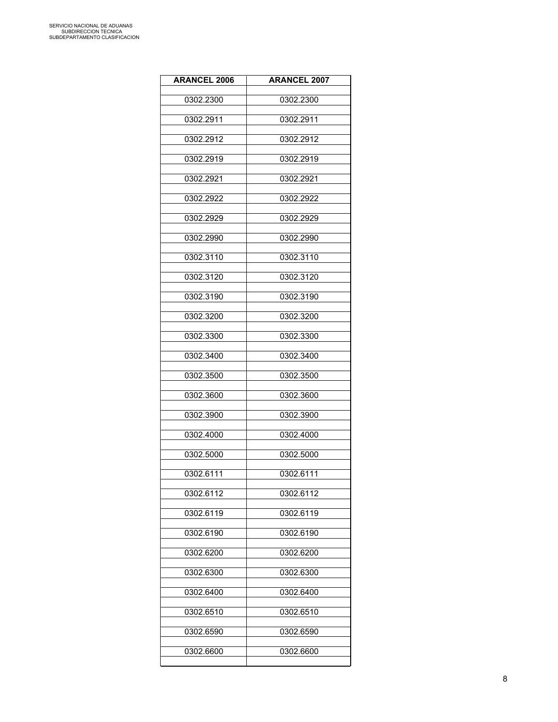| <b>ARANCEL 2006</b> | <b>ARANCEL 2007</b> |
|---------------------|---------------------|
| 0302.2300           | 0302.2300           |
| 0302.2911           | 0302.2911           |
| 0302.2912           | 0302.2912           |
| 0302.2919           | 0302.2919           |
| 0302.2921           | 0302.2921           |
| 0302.2922           | 0302.2922           |
| 0302.2929           | 0302.2929           |
| 0302.2990           | 0302.2990           |
| 0302.3110           | 0302.3110           |
| 0302.3120           | 0302.3120           |
| 0302.3190           | 0302.3190           |
| 0302.3200           | 0302.3200           |
| 0302.3300           | 0302.3300           |
| 0302.3400           | 0302.3400           |
| 0302.3500           | 0302.3500           |
| 0302.3600           | 0302.3600           |
| 0302.3900           | 0302.3900           |
| 0302.4000           | 0302.4000           |
| 0302.5000           | 0302.5000           |
| 0302.6111           | 0302.6111           |
| 0302.6112           | 0302.6112           |
| 0302.6119           | 0302.6119           |
| 0302.6190           | 0302.6190           |
| 0302.6200           | 0302.6200           |
| 0302.6300           | 0302.6300           |
| 0302.6400           | 0302.6400           |
| 0302.6510           | 0302.6510           |
| 0302.6590           | 0302.6590           |
| 0302.6600           | 0302.6600           |
|                     |                     |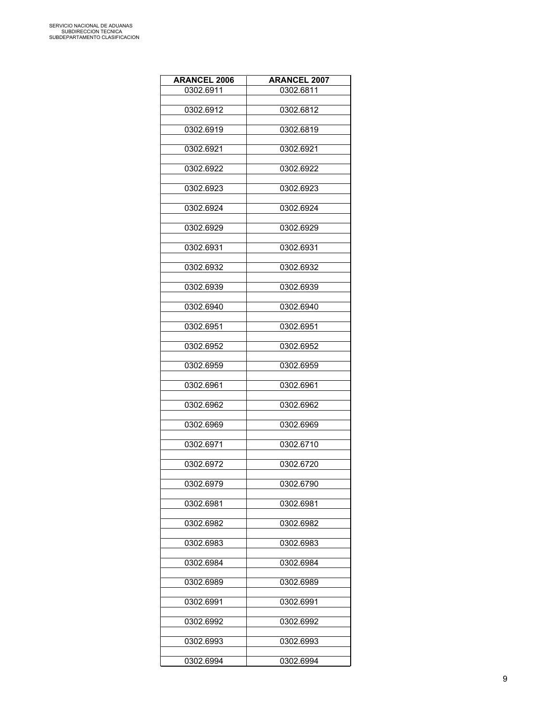| <b>ARANCEL 2006</b> | <b>ARANCEL 2007</b> |
|---------------------|---------------------|
| 0302.6911           | 0302.6811           |
|                     |                     |
| 0302.6912           | 0302.6812           |
| 0302.6919           | 0302.6819           |
|                     |                     |
| 0302.6921           | 0302.6921           |
|                     |                     |
| 0302.6922           | 0302.6922           |
| 0302.6923           | 0302.6923           |
|                     |                     |
| 0302.6924           | 0302.6924           |
|                     |                     |
| 0302.6929           | 0302.6929           |
| 0302.6931           | 0302.6931           |
|                     |                     |
| 0302.6932           | 0302.6932           |
|                     |                     |
| 0302.6939           | 0302.6939           |
| 0302.6940           | 0302.6940           |
|                     |                     |
| 0302.6951           | 0302.6951           |
|                     |                     |
| 0302.6952           | 0302.6952           |
| 0302.6959           | 0302.6959           |
|                     |                     |
| 0302.6961           | 0302.6961           |
|                     |                     |
| 0302.6962           | 0302.6962           |
| 0302.6969           | 0302.6969           |
|                     |                     |
| 0302.6971           | 0302.6710           |
| 0302.6972           | 0302.6720           |
|                     |                     |
| 0302.6979           | 0302.6790           |
|                     |                     |
| 0302.6981           | 0302.6981           |
| 0302.6982           | 0302.6982           |
|                     |                     |
| 0302.6983           | 0302.6983           |
|                     |                     |
| 0302.6984           | 0302.6984           |
| 0302.6989           | 0302.6989           |
|                     |                     |
| 0302.6991           | 0302.6991           |
|                     |                     |
| 0302.6992           | 0302.6992           |
| 0302.6993           | 0302.6993           |
|                     |                     |
| 0302.6994           | 0302.6994           |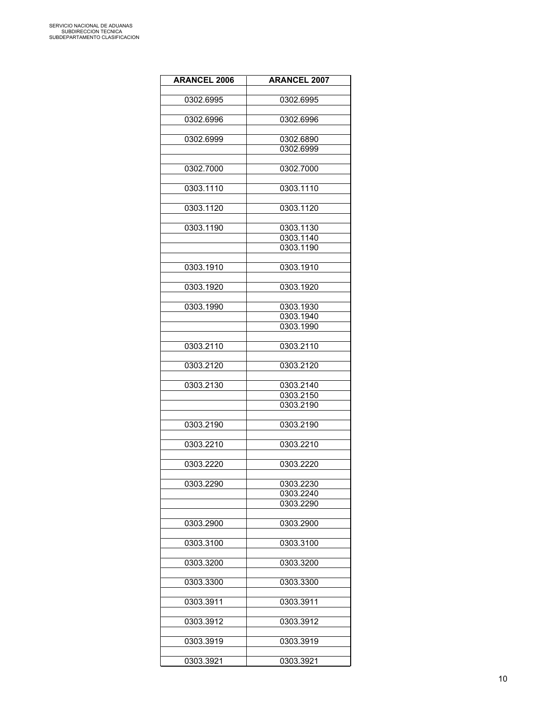| <b>ARANCEL 2006</b> | <b>ARANCEL 2007</b> |
|---------------------|---------------------|
| 0302.6995           | 0302.6995           |
| 0302.6996           | 0302.6996           |
| 0302.6999           | 0302.6890           |
|                     | 0302.6999           |
| 0302.7000           | 0302.7000           |
| 0303.1110           | 0303.1110           |
| 0303.1120           | 0303.1120           |
| 0303.1190           | 0303.1130           |
|                     | 0303.1140           |
|                     | 0303.1190           |
| 0303.1910           | 0303.1910           |
| 0303.1920           | 0303.1920           |
| 0303.1990           | 0303.1930           |
|                     | 0303.1940           |
|                     | 0303.1990           |
| 0303.2110           | 0303.2110           |
| 0303.2120           | 0303.2120           |
| 0303.2130           | 0303.2140           |
|                     | 0303.2150           |
|                     | 0303.2190           |
| 0303.2190           | 0303.2190           |
| 0303.2210           | 0303.2210           |
| 0303.2220           | 0303.2220           |
| 0303.2290           | 0303.2230           |
|                     | 0303.2240           |
|                     | 0303.2290           |
| 0303.2900           | 0303.2900           |
|                     |                     |
| 0303.3100           | 0303.3100           |
| 0303.3200           | 0303.3200           |
| 0303.3300           | 0303.3300           |
| 0303.3911           | 0303.3911           |
| 0303.3912           | 0303.3912           |
| 0303.3919           | 0303.3919           |
| 0303.3921           | 0303.3921           |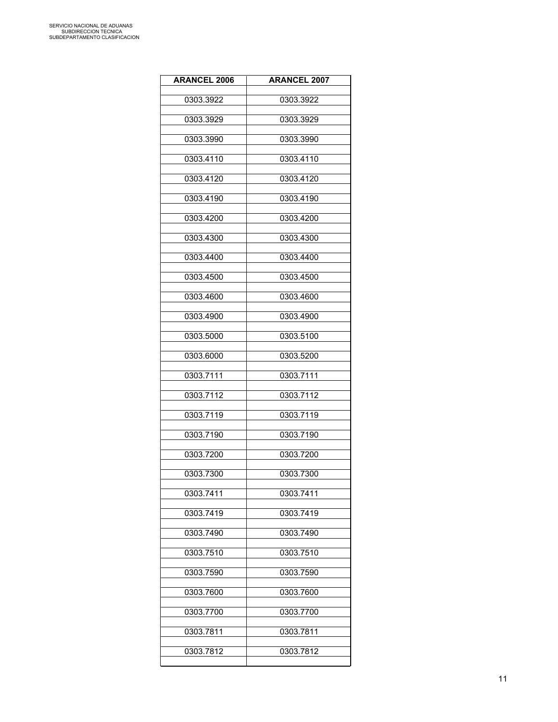| <b>ARANCEL 2006</b> | <b>ARANCEL 2007</b> |
|---------------------|---------------------|
| 0303.3922           | 0303.3922           |
| 0303.3929           | 0303.3929           |
| 0303.3990           | 0303.3990           |
| 0303.4110           | 0303.4110           |
| 0303.4120           | 0303.4120           |
| 0303.4190           | 0303.4190           |
| 0303.4200           | 0303.4200           |
| 0303.4300           | 0303.4300           |
| 0303.4400           | 0303.4400           |
| 0303.4500           | 0303.4500           |
| 0303.4600           | 0303.4600           |
| 0303.4900           | 0303.4900           |
| 0303.5000           | 0303.5100           |
| 0303.6000           | 0303.5200           |
| 0303.7111           | 0303.7111           |
| 0303.7112           | 0303.7112           |
| 0303.7119           | 0303.7119           |
| 0303.7190           | 0303.7190           |
| 0303.7200           | 0303.7200           |
| 0303.7300           | 0303.7300           |
| 0303.7411           | 0303.7411           |
| 0303.7419           | 0303.7419           |
| 0303.7490           | 0303.7490           |
| 0303.7510           | 0303.7510           |
| 0303.7590           | 0303.7590           |
| 0303.7600           | 0303.7600           |
| 0303.7700           | 0303.7700           |
| 0303.7811           | 0303.7811           |
| 0303.7812           | 0303.7812           |
|                     |                     |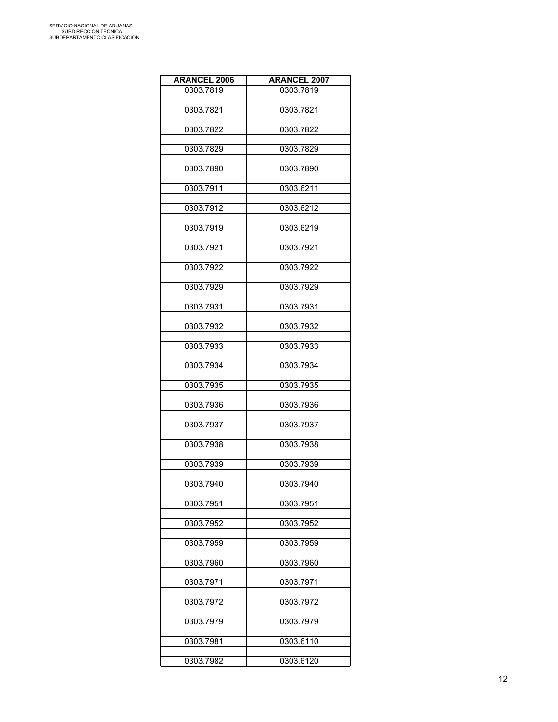| <b>ARANCEL 2006</b> | <b>ARANCEL 2007</b> |
|---------------------|---------------------|
| 0303.7819           | 0303.7819           |
|                     |                     |
| 0303.7821           | 0303.7821           |
| 0303.7822           | 0303.7822           |
|                     |                     |
| 0303.7829           | 0303.7829           |
|                     |                     |
| 0303.7890           | 0303.7890           |
| 0303.7911           | 0303.6211           |
|                     |                     |
| 0303.7912           | 0303.6212           |
|                     |                     |
| 0303.7919           | 0303.6219           |
| 0303.7921           | 0303.7921           |
|                     |                     |
| 0303.7922           | 0303.7922           |
|                     |                     |
| 0303.7929           | 0303.7929           |
| 0303.7931           | 0303.7931           |
|                     |                     |
| 0303.7932           | 0303.7932           |
| 0303.7933           | 0303.7933           |
|                     |                     |
| 0303.7934           | 0303.7934           |
|                     |                     |
| 0303.7935           | 0303.7935           |
| 0303.7936           | 0303.7936           |
|                     |                     |
| 0303.7937           | 0303.7937           |
|                     |                     |
| 0303.7938           | 0303.7938           |
| 0303.7939           | 0303.7939           |
|                     |                     |
| 0303.7940           | 0303.7940           |
| 0303.7951           | 0303.7951           |
|                     |                     |
| 0303.7952           | 0303.7952           |
|                     |                     |
| 0303.7959           | 0303.7959           |
| 0303.7960           | 0303.7960           |
|                     |                     |
| 0303.7971           | 0303.7971           |
|                     |                     |
| 0303.7972           | 0303.7972           |
| 0303.7979           | 0303.7979           |
|                     |                     |
| 0303.7981           | 0303.6110           |
| 0303.7982           | 0303.6120           |
|                     |                     |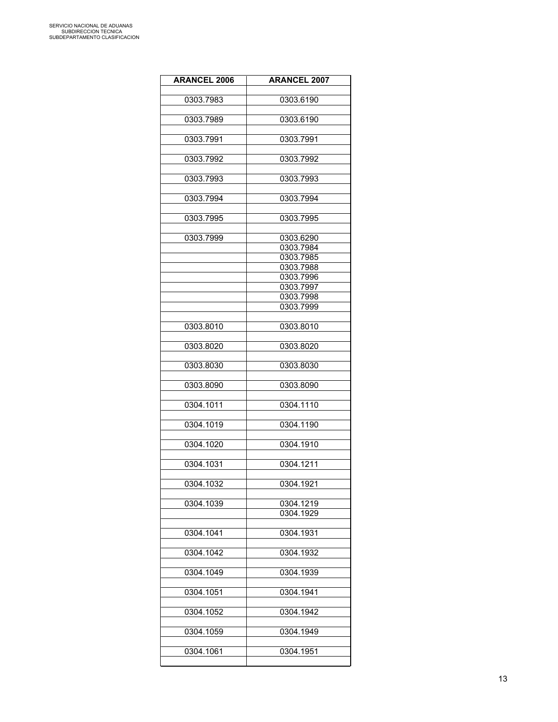| <b>ARANCEL 2006</b> | <b>ARANCEL 2007</b> |
|---------------------|---------------------|
|                     |                     |
| 0303.7983           | 0303.6190           |
| 0303.7989           | 0303.6190           |
|                     |                     |
| 0303.7991           | 0303.7991           |
|                     |                     |
| 0303.7992           | 0303.7992           |
| 0303.7993           | 0303.7993           |
|                     |                     |
| 0303.7994           | 0303.7994           |
| 0303.7995           | 0303.7995           |
|                     |                     |
| 0303.7999           | 0303.6290           |
|                     | 0303.7984           |
|                     | 0303.7985           |
|                     | 0303.7988           |
|                     | 0303.7996           |
|                     | 0303.7997           |
|                     | 0303.7998           |
|                     | 0303.7999           |
|                     |                     |
| 0303.8010           | 0303.8010           |
|                     |                     |
| 0303.8020           | 0303.8020           |
|                     |                     |
| 0303.8030           | 0303.8030           |
| 0303.8090           | 0303.8090           |
|                     |                     |
| 0304.1011           | 0304.1110           |
|                     |                     |
| 0304.1019           | 0304.1190           |
|                     |                     |
| 0304.1020           | 0304.1910           |
| 0304.1031           | 0304.1211           |
|                     |                     |
| 0304.1032           | 0304.1921           |
|                     |                     |
| 0304.1039           | 0304.1219           |
|                     | 0304.1929           |
|                     |                     |
| 0304.1041           | 0304.1931           |
|                     |                     |
| 0304.1042           | 0304.1932           |
| 0304.1049           | 0304.1939           |
|                     |                     |
| 0304.1051           | 0304.1941           |
|                     |                     |
| 0304.1052           | 0304.1942           |
|                     |                     |
| 0304.1059           | 0304.1949           |
|                     |                     |
| 0304.1061           | 0304.1951           |
|                     |                     |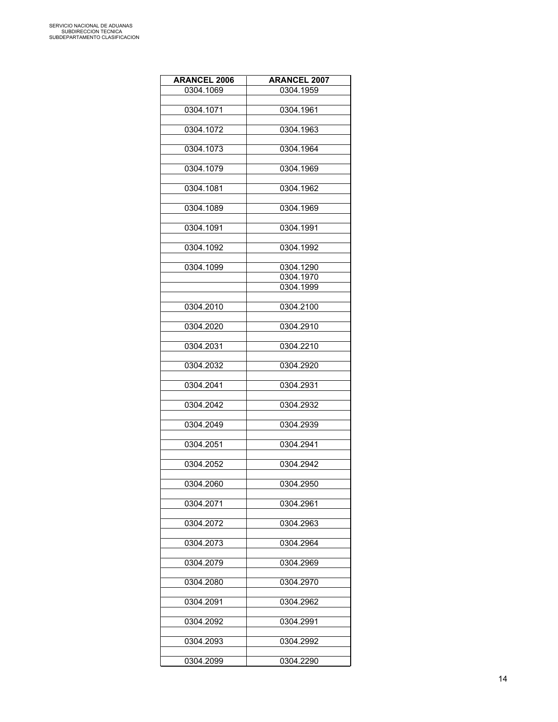| <b>ARANCEL 2006</b> | <b>ARANCEL 2007</b> |
|---------------------|---------------------|
| 0304.1069           | 0304.1959           |
|                     |                     |
| 0304.1071           | 0304.1961           |
|                     |                     |
| 0304.1072           | 0304.1963           |
|                     |                     |
| 0304.1073           | 0304.1964           |
|                     |                     |
| 0304.1079           | 0304.1969           |
|                     |                     |
| 0304.1081           | 0304.1962           |
|                     |                     |
|                     |                     |
| 0304.1089           | 0304.1969           |
|                     |                     |
| 0304.1091           | 0304.1991           |
|                     |                     |
| 0304.1092           | 0304.1992           |
|                     |                     |
| 0304.1099           | 0304.1290           |
|                     | 0304.1970           |
|                     | 0304.1999           |
|                     |                     |
| 0304.2010           | 0304.2100           |
|                     |                     |
| 0304.2020           | 0304.2910           |
|                     |                     |
| 0304.2031           | 0304.2210           |
|                     |                     |
| 0304.2032           | 0304.2920           |
|                     |                     |
|                     | 0304.2931           |
| 0304.2041           |                     |
|                     |                     |
| 0304.2042           | 0304.2932           |
|                     |                     |
| 0304.2049           | 0304.2939           |
|                     |                     |
| 0304.2051           | 0304.2941           |
|                     |                     |
| 0304.2052           | 0304.2942           |
|                     |                     |
| 0304.2060           | 0304.2950           |
|                     |                     |
| 0304.2071           | 0304.2961           |
|                     |                     |
| 0304.2072           | 0304.2963           |
|                     |                     |
| 0304.2073           | 0304.2964           |
|                     |                     |
| 0304.2079           | 0304.2969           |
|                     |                     |
|                     |                     |
| 0304.2080           | 0304.2970           |
|                     |                     |
| 0304.2091           | 0304.2962           |
|                     |                     |
| 0304.2092           | 0304.2991           |
|                     |                     |
| 0304.2093           | 0304.2992           |
|                     |                     |
| 0304.2099           | 0304.2290           |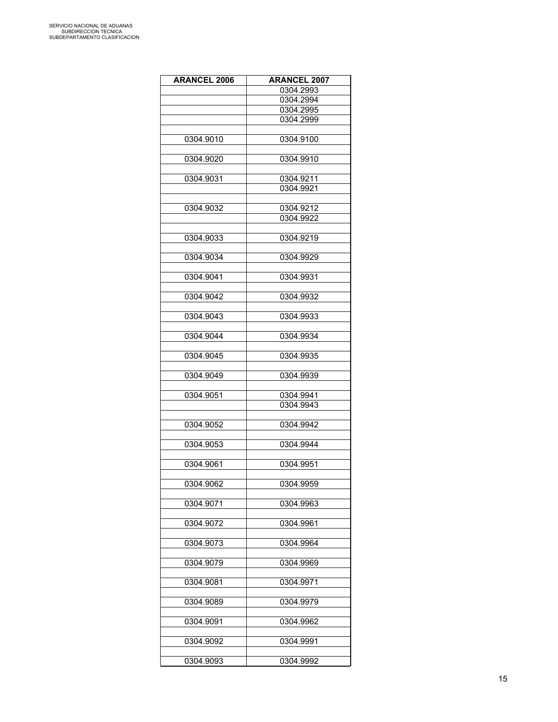| <b>ARANCEL 2006</b> | <b>ARANCEL 2007</b> |
|---------------------|---------------------|
|                     | 0304.2993           |
|                     | 0304.2994           |
|                     | 0304.2995           |
|                     | 0304.2999           |
|                     |                     |
| 0304.9010           | 0304.9100           |
|                     |                     |
| 0304.9020           | 0304.9910           |
|                     |                     |
| 0304.9031           | 0304.9211           |
|                     | 0304.9921           |
|                     |                     |
| 0304.9032           | 0304.9212           |
|                     | 0304.9922           |
|                     |                     |
| 0304.9033           | 0304.9219           |
| 0304.9034           | 0304.9929           |
|                     |                     |
| 0304.9041           | 0304.9931           |
|                     |                     |
| 0304.9042           | 0304.9932           |
|                     |                     |
| 0304.9043           | 0304.9933           |
|                     |                     |
| 0304.9044           | 0304.9934           |
|                     |                     |
| 0304.9045           | 0304.9935           |
|                     |                     |
| 0304.9049           | 0304.9939           |
|                     |                     |
| 0304.9051           | 0304.9941           |
|                     | 0304.9943           |
|                     |                     |
| 0304.9052           | 0304.9942           |
|                     |                     |
| 0304.9053           | 0304.9944           |
| 0304.9061           |                     |
|                     | 0304.9951           |
| 0304.9062           | 0304.9959           |
|                     |                     |
| 0304.9071           | 0304.9963           |
|                     |                     |
| 0304.9072           | 0304.9961           |
|                     |                     |
| 0304.9073           | 0304.9964           |
|                     |                     |
| 0304.9079           | 0304.9969           |
|                     |                     |
| 0304.9081           | 0304.9971           |
|                     |                     |
| 0304.9089           | 0304.9979           |
|                     |                     |
| 0304.9091           | 0304.9962           |
|                     |                     |
| 0304.9092           | 0304.9991           |
|                     |                     |
| 0304.9093           | 0304.9992           |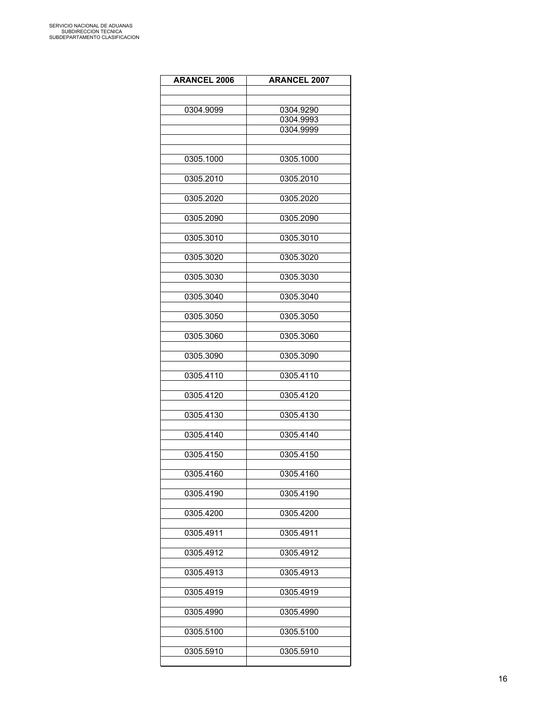| <b>ARANCEL 2006</b> | <b>ARANCEL 2007</b> |
|---------------------|---------------------|
|                     |                     |
| 0304.9099           | 0304.9290           |
|                     | 0304.9993           |
|                     | 0304.9999           |
|                     |                     |
| 0305.1000           | 0305.1000           |
| 0305.2010           | 0305.2010           |
| 0305.2020           | 0305.2020           |
|                     |                     |
| 0305.2090           | 0305.2090           |
| 0305.3010           | 0305.3010           |
| 0305.3020           | 0305.3020           |
| 0305.3030           | 0305.3030           |
|                     |                     |
| 0305.3040           | 0305.3040           |
| 0305.3050           | 0305.3050           |
| 0305.3060           | 0305.3060           |
| 0305.3090           | 0305.3090           |
| 0305.4110           | 0305.4110           |
| 0305.4120           | 0305.4120           |
| 0305.4130           | 0305.4130           |
| 0305.4140           | 0305.4140           |
| 0305.4150           | 0305.4150           |
| 0305.4160           | 0305.4160           |
| 0305.4190           | 0305.4190           |
|                     |                     |
| 0305.4200           | 0305.4200           |
| 0305.4911           | 0305.4911           |
| 0305.4912           | 0305.4912           |
| 0305.4913           | 0305.4913           |
| 0305.4919           | 0305.4919           |
| 0305.4990           | 0305.4990           |
| 0305.5100           | 0305.5100           |
| 0305.5910           | 0305.5910           |
|                     |                     |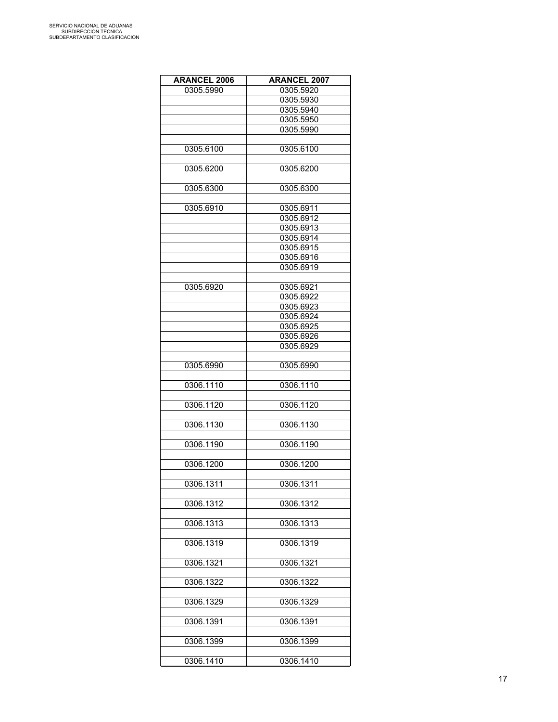| <b>ARANCEL 2006</b> | <b>ARANCEL 2007</b> |
|---------------------|---------------------|
| 0305.5990           | 0305.5920           |
|                     | 0305.5930           |
|                     | 0305.5940           |
|                     | 0305.5950           |
|                     | 0305.5990           |
|                     |                     |
| 0305.6100           | 0305.6100           |
|                     |                     |
| 0305.6200           | 0305.6200           |
|                     |                     |
|                     |                     |
| 0305.6300           | 0305.6300           |
|                     |                     |
| 0305.6910           | 0305.6911           |
|                     | 0305.6912           |
|                     | 0305.6913           |
|                     | 0305.6914           |
|                     | 0305.6915           |
|                     | 0305.6916           |
|                     | 0305.6919           |
|                     |                     |
| 0305.6920           | 0305.6921           |
|                     | 0305.6922           |
|                     | 0305.6923           |
|                     | 0305.6924           |
|                     | 0305.6925           |
|                     | 0305.6926           |
|                     | 0305.6929           |
|                     |                     |
| 0305.6990           | 0305.6990           |
|                     |                     |
| 0306.1110           | 0306.1110           |
|                     |                     |
| 0306.1120           | 0306.1120           |
|                     |                     |
| 0306.1130           | 0306.1130           |
|                     |                     |
| 0306.1190           | 0306.1190           |
|                     |                     |
| 0306.1200           | 0306.1200           |
|                     |                     |
| 0306.1311           | 0306.1311           |
|                     |                     |
| 0306.1312           | 0306.1312           |
|                     |                     |
|                     |                     |
| 0306.1313           | 0306.1313           |
|                     |                     |
| 0306.1319           | 0306.1319           |
|                     |                     |
| 0306.1321           | 0306.1321           |
|                     |                     |
| 0306.1322           | 0306.1322           |
|                     |                     |
| 0306.1329           | 0306.1329           |
|                     |                     |
| 0306.1391           | 0306.1391           |
|                     |                     |
| 0306.1399           | 0306.1399           |
|                     |                     |
| 0306.1410           | 0306.1410           |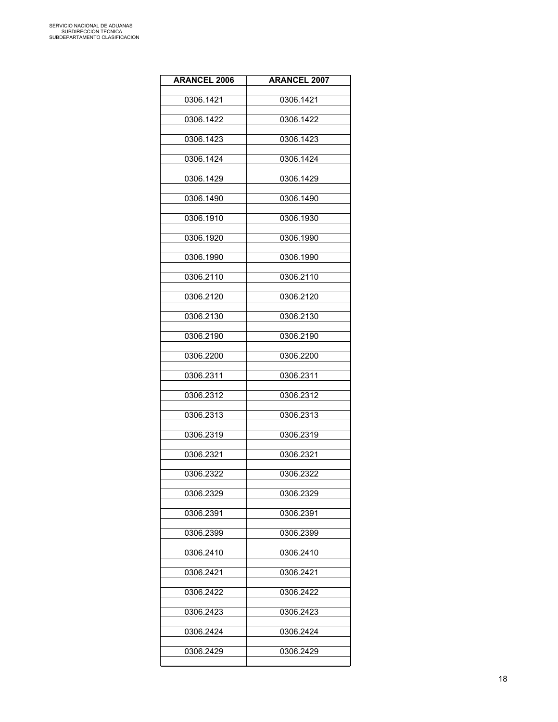| <b>ARANCEL 2006</b> | <b>ARANCEL 2007</b> |
|---------------------|---------------------|
| 0306.1421           | 0306.1421           |
| 0306.1422           | 0306.1422           |
| 0306.1423           | 0306.1423           |
| 0306.1424           | 0306.1424           |
| 0306.1429           | 0306.1429           |
| 0306.1490           | 0306.1490           |
| 0306.1910           | 0306.1930           |
| 0306.1920           | 0306.1990           |
| 0306.1990           | 0306.1990           |
| 0306.2110           | 0306.2110           |
| 0306.2120           | 0306.2120           |
| 0306.2130           | 0306.2130           |
| 0306.2190           | 0306.2190           |
| 0306.2200           | 0306.2200           |
| 0306.2311           | 0306.2311           |
| 0306.2312           | 0306.2312           |
| 0306.2313           | 0306.2313           |
| 0306.2319           | 0306.2319           |
| 0306.2321           | 0306.2321           |
| 0306.2322           | 0306.2322           |
| 0306.2329           | 0306.2329           |
| 0306.2391           | 0306.2391           |
| 0306.2399           | 0306.2399           |
| 0306.2410           | 0306.2410           |
| 0306.2421           | 0306.2421           |
| 0306.2422           | 0306.2422           |
| 0306.2423           | 0306.2423           |
| 0306.2424           | 0306.2424           |
| 0306.2429           | 0306.2429           |
|                     |                     |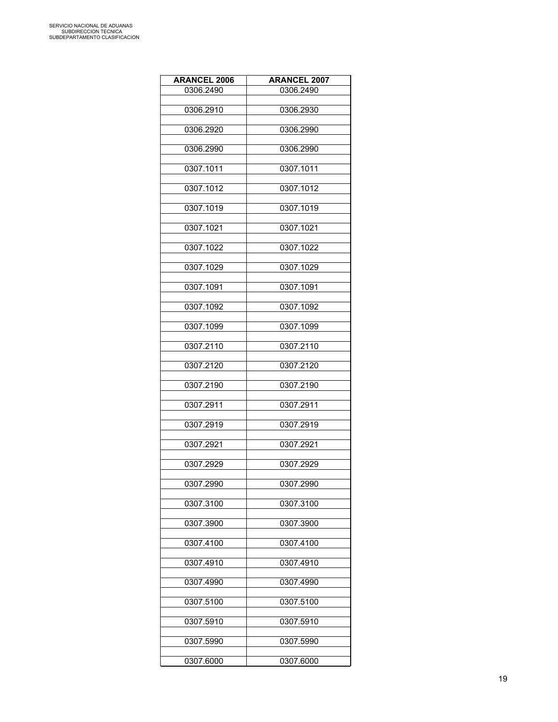| <b>ARANCEL 2006</b> | <b>ARANCEL 2007</b> |
|---------------------|---------------------|
| 0306.2490           | 0306.2490           |
|                     |                     |
| 0306.2910           | 0306.2930           |
| 0306.2920           | 0306.2990           |
|                     |                     |
| 0306.2990           | 0306.2990           |
| 0307.1011           | 0307.1011           |
|                     |                     |
| 0307.1012           | 0307.1012           |
|                     |                     |
| 0307.1019           | 0307.1019           |
| 0307.1021           | 0307.1021           |
|                     |                     |
| 0307.1022           | 0307.1022           |
| 0307.1029           | 0307.1029           |
|                     |                     |
| 0307.1091           | 0307.1091           |
| 0307.1092           | 0307.1092           |
|                     |                     |
| 0307.1099           | 0307.1099           |
|                     |                     |
| 0307.2110           | 0307.2110           |
| 0307.2120           | 0307.2120           |
|                     |                     |
| 0307.2190           | 0307.2190           |
| 0307.2911           | 0307.2911           |
|                     |                     |
| 0307.2919           | 0307.2919           |
| 0307.2921           | 0307.2921           |
|                     |                     |
| 0307.2929           | 0307.2929           |
|                     |                     |
| 0307.2990           | 0307.2990           |
| 0307.3100           | 0307.3100           |
|                     |                     |
| 0307.3900           | 0307.3900           |
| 0307.4100           | 0307.4100           |
|                     |                     |
| 0307.4910           | 0307.4910           |
| 0307.4990           | 0307.4990           |
|                     |                     |
| 0307.5100           | 0307.5100           |
|                     |                     |
| 0307.5910           | 0307.5910           |
| 0307.5990           | 0307.5990           |
|                     |                     |
| 0307.6000           | 0307.6000           |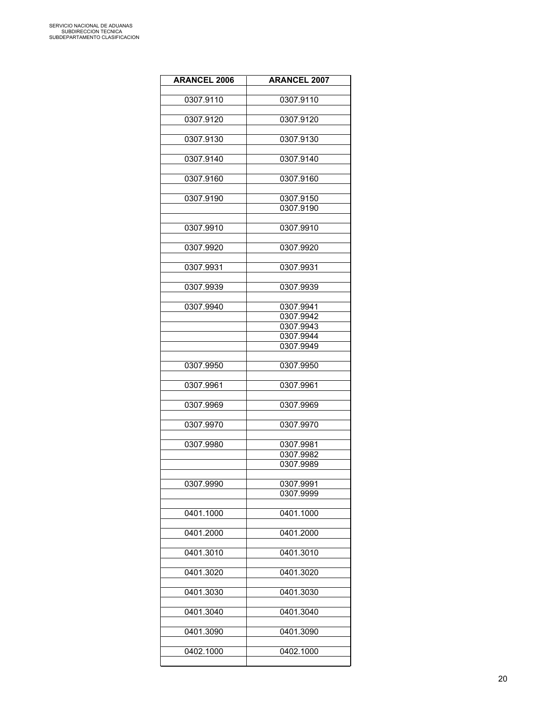| <b>ARANCEL 2006</b> | <b>ARANCEL 2007</b>    |
|---------------------|------------------------|
| 0307.9110           | 0307.9110              |
|                     |                        |
| 0307.9120           | 0307.9120              |
| 0307.9130           | 0307.9130              |
|                     |                        |
| 0307.9140           | 0307.9140              |
| 0307.9160           | 0307.9160              |
|                     |                        |
| 0307.9190           | 0307.9150<br>0307.9190 |
|                     |                        |
| 0307.9910           | 0307.9910              |
| 0307.9920           | 0307.9920              |
|                     |                        |
| 0307.9931           | 0307.9931              |
| 0307.9939           | 0307.9939              |
|                     |                        |
| 0307.9940           | 0307.9941              |
|                     | 0307.9942              |
|                     | 0307.9943              |
|                     | 0307.9944              |
|                     | 0307.9949              |
| 0307.9950           | 0307.9950              |
| 0307.9961           | 0307.9961              |
|                     |                        |
| 0307.9969           | 0307.9969              |
| 0307.9970           | 0307.9970              |
|                     |                        |
| 0307.9980           | 0307.9981              |
|                     | 0307.9982              |
|                     | 0307.9989              |
| 0307.9990           | 0307.9991              |
|                     | 0307.9999              |
|                     |                        |
| 0401.1000           | 0401.1000              |
| 0401.2000           | 0401.2000              |
|                     |                        |
| 0401.3010           | 0401.3010              |
| 0401.3020           | 0401.3020              |
| 0401.3030           | 0401.3030              |
| 0401.3040           | 0401.3040              |
| 0401.3090           | 0401.3090              |
|                     |                        |
| 0402.1000           | 0402.1000              |
|                     |                        |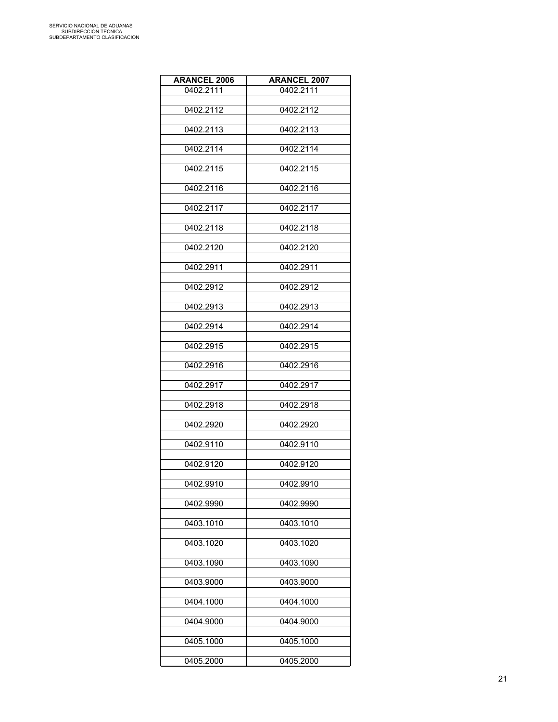| <b>ARANCEL 2006</b> | <b>ARANCEL 2007</b> |
|---------------------|---------------------|
| 0402.2111           | 0402.2111           |
|                     |                     |
| 0402.2112           | 0402.2112           |
| 0402.2113           | 0402.2113           |
|                     |                     |
| 0402.2114           | 0402.2114           |
| 0402.2115           | 0402.2115           |
|                     |                     |
| 0402.2116           | 0402.2116           |
|                     |                     |
| 0402.2117           | 0402.2117           |
| 0402.2118           | 0402.2118           |
|                     |                     |
| 0402.2120           | 0402.2120           |
| 0402.2911           | 0402.2911           |
|                     |                     |
| 0402.2912           | 0402.2912           |
|                     |                     |
| 0402.2913           | 0402.2913           |
| 0402.2914           | 0402.2914           |
|                     |                     |
| 0402.2915           | 0402.2915           |
| 0402.2916           | 0402.2916           |
|                     |                     |
| 0402.2917           | 0402.2917           |
|                     |                     |
| 0402.2918           | 0402.2918           |
| 0402.2920           | 0402.2920           |
|                     |                     |
| 0402.9110           | 0402.9110           |
| 0402.9120           | 0402.9120           |
|                     |                     |
| 0402.9910           | 0402.9910           |
| 0402.9990           | 0402.9990           |
|                     |                     |
| 0403.1010           | 0403.1010           |
|                     |                     |
| 0403.1020           | 0403.1020           |
| 0403.1090           | 0403.1090           |
|                     |                     |
| 0403.9000           | 0403.9000           |
| 0404.1000           | 0404.1000           |
|                     |                     |
| 0404.9000           | 0404.9000           |
|                     |                     |
| 0405.1000           | 0405.1000           |
| 0405.2000           | 0405.2000           |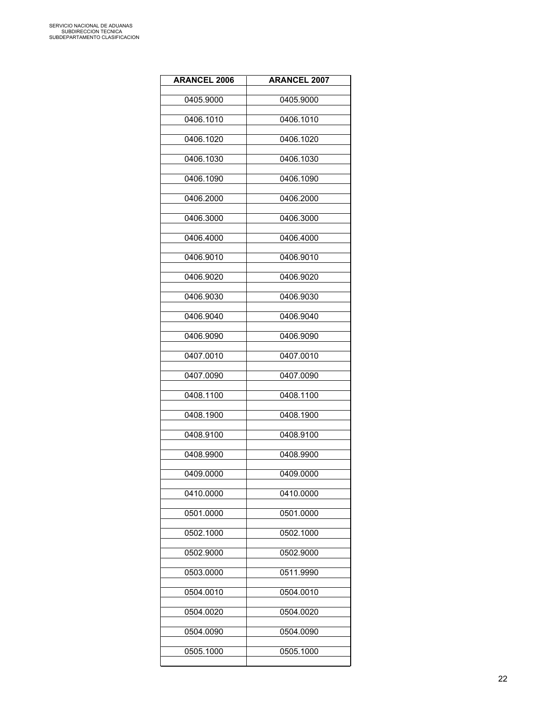| <b>ARANCEL 2006</b> | <b>ARANCEL 2007</b> |
|---------------------|---------------------|
| 0405.9000           | 0405.9000           |
| 0406.1010           | 0406.1010           |
| 0406.1020           | 0406.1020           |
| 0406.1030           | 0406.1030           |
| 0406.1090           | 0406.1090           |
| 0406.2000           | 0406.2000           |
| 0406.3000           | 0406.3000           |
| 0406.4000           | 0406.4000           |
| 0406.9010           | 0406.9010           |
| 0406.9020           | 0406.9020           |
| 0406.9030           | 0406.9030           |
| 0406.9040           | 0406.9040           |
| 0406.9090           | 0406.9090           |
| 0407.0010           | 0407.0010           |
| 0407.0090           | 0407.0090           |
| 0408.1100           | 0408.1100           |
| 0408.1900           | 0408.1900           |
| 0408.9100           | 0408.9100           |
| 0408.9900           | 0408.9900           |
| 0409.0000           | 0409.0000           |
| 0410.0000           | 0410.0000           |
| 0501.0000           | 0501.0000           |
| 0502.1000           | 0502.1000           |
| 0502.9000           | 0502.9000           |
| 0503.0000           | 0511.9990           |
| 0504.0010           | 0504.0010           |
| 0504.0020           | 0504.0020           |
| 0504.0090           | 0504.0090           |
| 0505.1000           | 0505.1000           |
|                     |                     |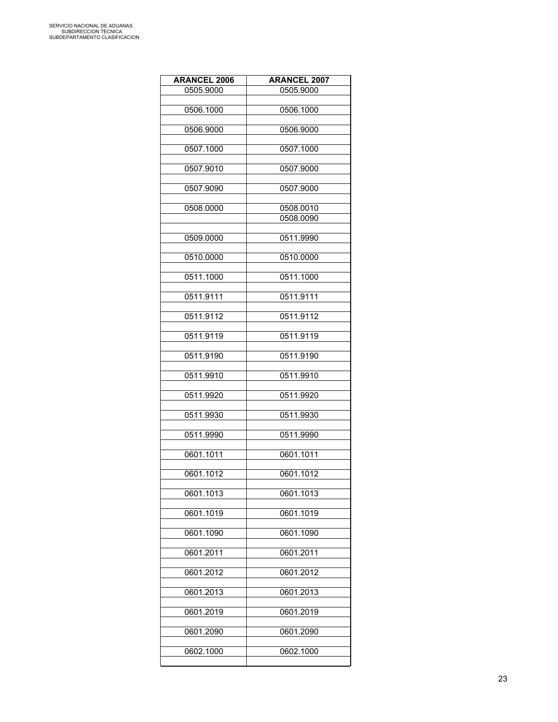| <b>ARANCEL 2006</b> | <b>ARANCEL 2007</b> |
|---------------------|---------------------|
| 0505.9000           | 0505.9000           |
|                     |                     |
| 0506.1000           | 0506.1000           |
| 0506.9000           | 0506.9000           |
|                     |                     |
| 0507.1000           | 0507.1000           |
| 0507.9010           | 0507.9000           |
|                     |                     |
| 0507.9090           | 0507.9000           |
| 0508.0000           | 0508.0010           |
|                     | 0508.0090           |
|                     |                     |
| 0509.0000           | 0511.9990           |
| 0510.0000           | 0510.0000           |
|                     |                     |
| 0511.1000           | 0511.1000           |
| 0511.9111           | 0511.9111           |
|                     |                     |
| 0511.9112           | 0511.9112           |
|                     |                     |
| 0511.9119           | 0511.9119           |
| 0511.9190           | 0511.9190           |
|                     |                     |
| 0511.9910           | 0511.9910           |
| 0511.9920           | 0511.9920           |
|                     |                     |
| 0511.9930           | 0511.9930           |
| 0511.9990           | 0511.9990           |
|                     |                     |
| 0601.1011           | 0601.1011           |
| 0601.1012           | 0601.1012           |
|                     |                     |
| 0601.1013           | 0601.1013           |
| 0601.1019           | 0601.1019           |
|                     |                     |
| 0601.1090           | 0601.1090           |
|                     |                     |
| 0601.2011           | 0601.2011           |
| 0601.2012           | 0601.2012           |
|                     |                     |
| 0601.2013           | 0601.2013           |
| 0601.2019           | 0601.2019           |
|                     |                     |
| 0601.2090           | 0601.2090           |
| 0602.1000           | 0602.1000           |
|                     |                     |

L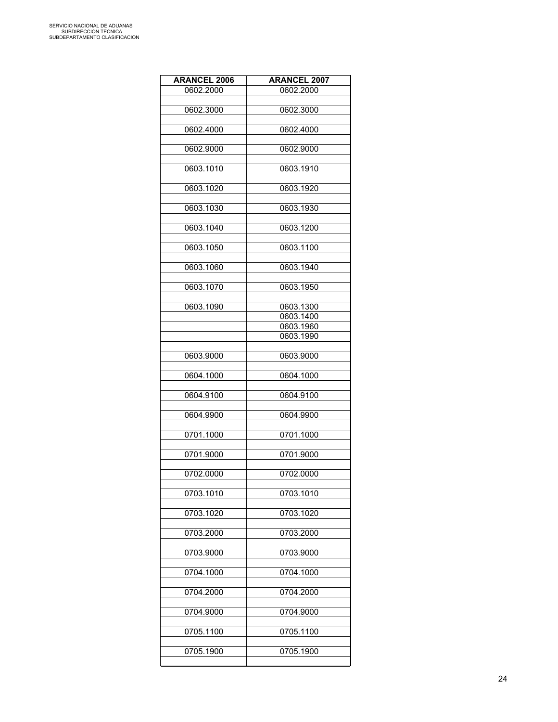| <b>ARANCEL 2006</b> | <b>ARANCEL 2007</b> |
|---------------------|---------------------|
| 0602.2000           | 0602.2000           |
|                     |                     |
| 0602.3000           | 0602.3000           |
| 0602.4000           | 0602.4000           |
|                     |                     |
| 0602.9000           | 0602.9000           |
|                     |                     |
| 0603.1010           | 0603.1910           |
| 0603.1020           | 0603.1920           |
|                     |                     |
| 0603.1030           | 0603.1930           |
| 0603.1040           | 0603.1200           |
|                     |                     |
| 0603.1050           | 0603.1100           |
|                     |                     |
| 0603.1060           | 0603.1940           |
| 0603.1070           | 0603.1950           |
|                     |                     |
| 0603.1090           | 0603.1300           |
|                     | 0603.1400           |
|                     | 0603.1960           |
|                     | 0603.1990           |
| 0603.9000           | 0603.9000           |
|                     |                     |
| 0604.1000           | 0604.1000           |
|                     |                     |
| 0604.9100           | 0604.9100           |
| 0604.9900           | 0604.9900           |
|                     |                     |
| 0701.1000           | 0701.1000           |
|                     |                     |
| 0701.9000           | 0701.9000           |
| 0702.0000           | 0702.0000           |
|                     |                     |
| 0703.1010           | 0703.1010           |
|                     |                     |
| 0703.1020           | 0703.1020           |
| 0703.2000           | 0703.2000           |
|                     |                     |
| 0703.9000           | 0703.9000           |
|                     |                     |
| 0704.1000           | 0704.1000           |
| 0704.2000           | 0704.2000           |
|                     |                     |
| 0704.9000           | 0704.9000           |
|                     |                     |
| 0705.1100           | 0705.1100           |
| 0705.1900           | 0705.1900           |
|                     |                     |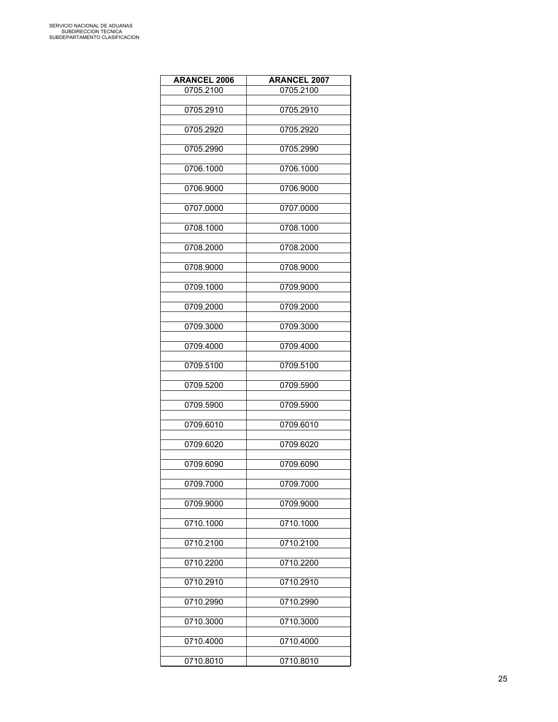| <b>ARANCEL 2006</b> | <b>ARANCEL 2007</b> |
|---------------------|---------------------|
| 0705.2100           | 0705.2100           |
|                     |                     |
| 0705.2910           | 0705.2910           |
| 0705.2920           | 0705.2920           |
|                     |                     |
| 0705.2990           | 0705.2990           |
| 0706.1000           | 0706.1000           |
|                     |                     |
| 0706.9000           | 0706.9000           |
|                     |                     |
| 0707.0000           | 0707.0000           |
| 0708.1000           | 0708.1000           |
|                     |                     |
| 0708.2000           | 0708.2000           |
| 0708.9000           | 0708.9000           |
|                     |                     |
| 0709.1000           | 0709.9000           |
|                     |                     |
| 0709.2000           | 0709.2000           |
| 0709.3000           | 0709.3000           |
|                     |                     |
| 0709.4000           | 0709.4000           |
| 0709.5100           | 0709.5100           |
|                     |                     |
| 0709.5200           | 0709.5900           |
| 0709.5900           | 0709.5900           |
|                     |                     |
| 0709.6010           | 0709.6010           |
|                     |                     |
| 0709.6020           | 0709.6020           |
| 0709.6090           | 0709.6090           |
|                     |                     |
| 0709.7000           | 0709.7000           |
| 0709.9000           | 0709.9000           |
|                     |                     |
| 0710.1000           | 0710.1000           |
|                     |                     |
| 0710.2100           | 0710.2100           |
| 0710.2200           | 0710.2200           |
|                     |                     |
| 0710.2910           | 0710.2910           |
| 0710.2990           | 0710.2990           |
|                     |                     |
| 0710.3000           | 0710.3000           |
| 0710.4000           | 0710.4000           |
|                     |                     |
| 0710.8010           | 0710.8010           |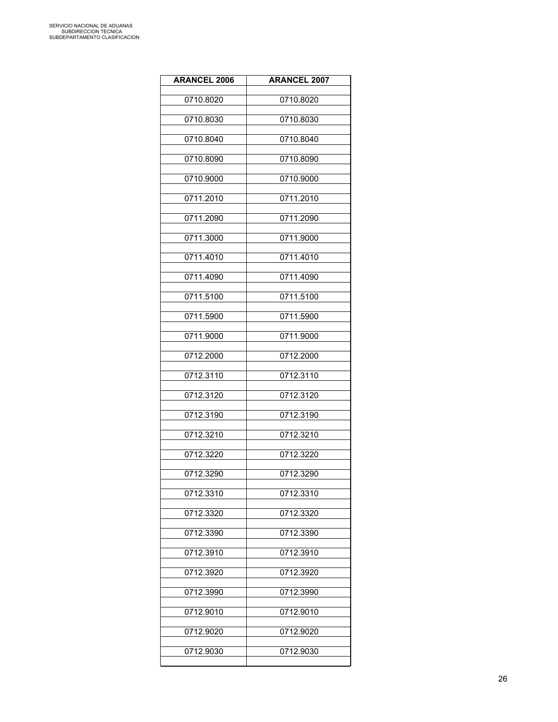| <b>ARANCEL 2006</b> | <b>ARANCEL 2007</b> |
|---------------------|---------------------|
| 0710.8020           | 0710.8020           |
| 0710.8030           | 0710.8030           |
| 0710.8040           | 0710.8040           |
| 0710.8090           | 0710.8090           |
| 0710.9000           | 0710.9000           |
| 0711.2010           | 0711.2010           |
| 0711.2090           | 0711.2090           |
| 0711.3000           | 0711.9000           |
| 0711.4010           | 0711.4010           |
| 0711.4090           | 0711.4090           |
| 0711.5100           | 0711.5100           |
| 0711.5900           | 0711.5900           |
| 0711.9000           | 0711.9000           |
| 0712.2000           | 0712.2000           |
| 0712.3110           | 0712.3110           |
| 0712.3120           | 0712.3120           |
| 0712.3190           | 0712.3190           |
| 0712.3210           | 0712.3210           |
| 0712.3220           | 0712.3220           |
| 0712.3290           | 0712.3290           |
| 0712.3310           | 0712.3310           |
| 0712.3320           | 0712.3320           |
| 0712.3390           | 0712.3390           |
| 0712.3910           | 0712.3910           |
| 0712.3920           | 0712.3920           |
| 0712.3990           | 0712.3990           |
| 0712.9010           | 0712.9010           |
| 0712.9020           | 0712.9020           |
| 0712.9030           | 0712.9030           |
|                     |                     |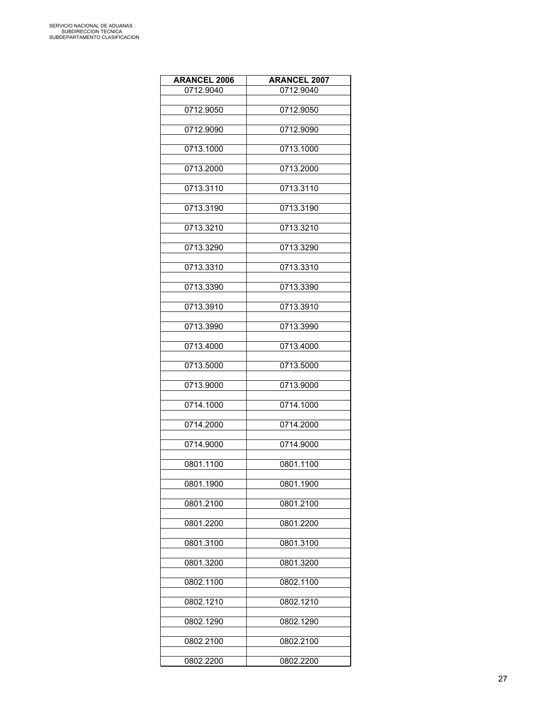| <b>ARANCEL 2006</b> | <b>ARANCEL 2007</b> |
|---------------------|---------------------|
| 0712.9040           | 0712.9040           |
|                     |                     |
| 0712.9050           | 0712.9050           |
| 0712.9090           | 0712.9090           |
|                     |                     |
| 0713.1000           | 0713.1000           |
| 0713.2000           | 0713.2000           |
| 0713.3110           | 0713.3110           |
|                     |                     |
| 0713.3190           | 0713.3190           |
| 0713.3210           | 0713.3210           |
| 0713.3290           | 0713.3290           |
|                     |                     |
| 0713.3310           | 0713.3310           |
| 0713.3390           | 0713.3390           |
| 0713.3910           | 0713.3910           |
|                     |                     |
| 0713.3990           | 0713.3990           |
| 0713.4000           | 0713.4000           |
| 0713.5000           | 0713.5000           |
| 0713.9000           | 0713.9000           |
| 0714.1000           | 0714.1000           |
| 0714.2000           | 0714.2000           |
|                     |                     |
| 0714.9000           | 0714.9000           |
| 0801.1100           | 0801.1100           |
| 0801.1900           | 0801.1900           |
| 0801.2100           | 0801.2100           |
| 0801.2200           | 0801.2200           |
|                     |                     |
| 0801.3100           | 0801.3100           |
| 0801.3200           | 0801.3200           |
| 0802.1100           | 0802.1100           |
| 0802.1210           | 0802.1210           |
| 0802.1290           | 0802.1290           |
|                     |                     |
| 0802.2100           | 0802.2100           |
| 0802.2200           | 0802.2200           |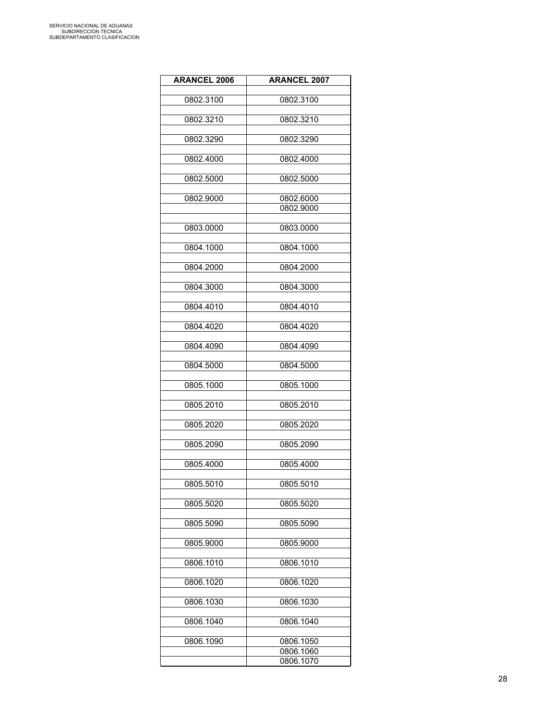| <b>ARANCEL 2006</b> | <b>ARANCEL 2007</b> |
|---------------------|---------------------|
|                     |                     |
| 0802.3100           | 0802.3100           |
|                     |                     |
| 0802.3210           | 0802.3210           |
| 0802.3290           | 0802.3290           |
|                     |                     |
| 0802.4000           | 0802.4000           |
|                     |                     |
| 0802.5000           | 0802.5000           |
| 0802.9000           | 0802.6000           |
|                     | 0802.9000           |
|                     |                     |
| 0803.0000           | 0803.0000           |
|                     |                     |
| 0804.1000           | 0804.1000           |
| 0804.2000           | 0804.2000           |
|                     |                     |
| 0804.3000           | 0804.3000           |
|                     |                     |
| 0804.4010           | 0804.4010           |
|                     |                     |
| 0804.4020           | 0804.4020           |
| 0804.4090           | 0804.4090           |
|                     |                     |
| 0804.5000           | 0804.5000           |
|                     |                     |
| 0805.1000           | 0805.1000           |
|                     |                     |
| 0805.2010           | 0805.2010           |
| 0805.2020           | 0805.2020           |
|                     |                     |
| 0805.2090           | 0805.2090           |
|                     |                     |
| 0805.4000           | 0805.4000           |
| 0805.5010           | 0805.5010           |
|                     |                     |
| 0805.5020           | 0805.5020           |
|                     |                     |
| 0805.5090           | 0805.5090           |
|                     |                     |
| 0805.9000           | 0805.9000           |
| 0806.1010           | 0806.1010           |
|                     |                     |
| 0806.1020           | 0806.1020           |
|                     |                     |
| 0806.1030           | 0806.1030           |
|                     |                     |
| 0806.1040           | 0806.1040           |
| 0806.1090           | 0806.1050           |
|                     | 0806.1060           |
|                     | 0806.1070           |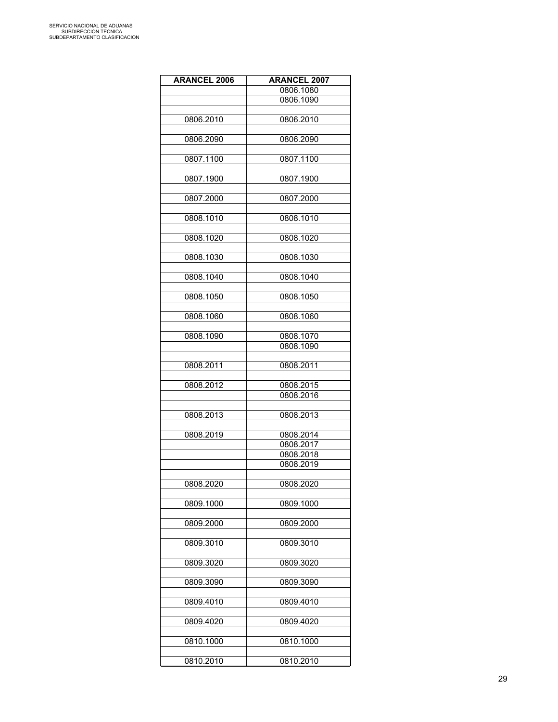| <b>ARANCEL 2006</b> | <b>ARANCEL 2007</b> |
|---------------------|---------------------|
|                     | 0806.1080           |
|                     |                     |
|                     | 0806.1090           |
|                     |                     |
| 0806.2010           | 0806.2010           |
|                     |                     |
| 0806.2090           | 0806.2090           |
|                     |                     |
| 0807.1100           | 0807.1100           |
|                     |                     |
| 0807.1900           | 0807.1900           |
|                     |                     |
| 0807.2000           | 0807.2000           |
|                     |                     |
| 0808.1010           | 0808.1010           |
|                     |                     |
| 0808.1020           | 0808.1020           |
|                     |                     |
| 0808.1030           | 0808.1030           |
|                     |                     |
| 0808.1040           | 0808.1040           |
|                     |                     |
|                     | 0808.1050           |
| 0808.1050           |                     |
|                     |                     |
| 0808.1060           | 0808.1060           |
|                     |                     |
| 0808.1090           | 0808.1070           |
|                     | 0808.1090           |
|                     |                     |
| 0808.2011           | 0808.2011           |
|                     |                     |
| 0808.2012           | 0808.2015           |
|                     | 0808.2016           |
|                     |                     |
| 0808.2013           | 0808.2013           |
|                     |                     |
| 0808.2019           | 0808.2014           |
|                     | 0808.2017           |
|                     | 0808.2018           |
|                     | 0808.2019           |
|                     |                     |
| 0808.2020           | 0808.2020           |
|                     |                     |
|                     |                     |
| 0809.1000           | 0809.1000           |
|                     |                     |
| 0809.2000           | 0809.2000           |
|                     |                     |
| 0809.3010           | 0809.3010           |
|                     |                     |
| 0809.3020           | 0809.3020           |
|                     |                     |
| 0809.3090           | 0809.3090           |
|                     |                     |
| 0809.4010           | 0809.4010           |
|                     |                     |
| 0809.4020           | 0809.4020           |
|                     |                     |
| 0810.1000           | 0810.1000           |
|                     |                     |
| 0810.2010           | 0810.2010           |
|                     |                     |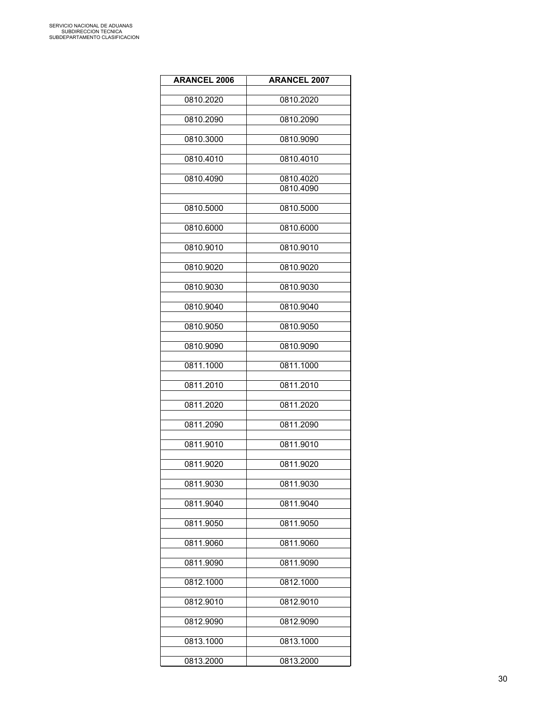| <b>ARANCEL 2006</b> | <b>ARANCEL 2007</b>    |
|---------------------|------------------------|
| 0810.2020           | 0810.2020              |
| 0810.2090           | 0810.2090              |
| 0810.3000           | 0810.9090              |
| 0810.4010           | 0810.4010              |
| 0810.4090           | 0810.4020<br>0810.4090 |
| 0810.5000           | 0810.5000              |
| 0810.6000           | 0810.6000              |
| 0810.9010           | 0810.9010              |
| 0810.9020           | 0810.9020              |
| 0810.9030           | 0810.9030              |
| 0810.9040           | 0810.9040              |
| 0810.9050           | 0810.9050              |
| 0810.9090           | 0810.9090              |
| 0811.1000           | 0811.1000              |
| 0811.2010           | 0811.2010              |
| 0811.2020           | 0811.2020              |
| 0811.2090           | 0811.2090              |
| 0811.9010           | 0811.9010              |
| 0811.9020           | 0811.9020              |
| 0811.9030           | 0811.9030              |
| 0811.9040           | 0811.9040              |
| 0811.9050           | 0811.9050              |
| 0811.9060           | 0811.9060              |
| 0811.9090           | 0811.9090              |
| 0812.1000           | 0812.1000              |
| 0812.9010           | 0812.9010              |
| 0812.9090           | 0812.9090              |
| 0813.1000           | 0813.1000              |
| 0813.2000           | 0813.2000              |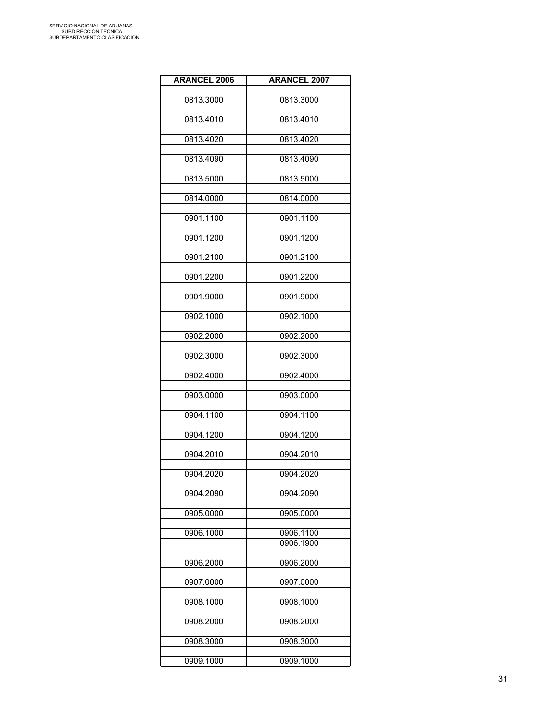| <b>ARANCEL 2006</b> | <b>ARANCEL 2007</b> |
|---------------------|---------------------|
| 0813.3000           | 0813.3000           |
| 0813.4010           | 0813.4010           |
|                     |                     |
| 0813.4020           | 0813.4020           |
| 0813.4090           | 0813.4090           |
| 0813.5000           | 0813.5000           |
| 0814.0000           | 0814.0000           |
| 0901.1100           | 0901.1100           |
| 0901.1200           | 0901.1200           |
| 0901.2100           | 0901.2100           |
| 0901.2200           | 0901.2200           |
| 0901.9000           | 0901.9000           |
| 0902.1000           | 0902.1000           |
| 0902.2000           | 0902.2000           |
| 0902.3000           | 0902.3000           |
| 0902.4000           | 0902.4000           |
| 0903.0000           | 0903.0000           |
| 0904.1100           | 0904.1100           |
| 0904.1200           | 0904.1200           |
| 0904.2010           | 0904.2010           |
| 0904.2020           | 0904.2020           |
|                     |                     |
| 0904.2090           | 0904.2090           |
| 0905.0000           | 0905.0000           |
| 0906.1000           | 0906.1100           |
|                     | 0906.1900           |
| 0906.2000           | 0906.2000           |
| 0907.0000           | 0907.0000           |
| 0908.1000           | 0908.1000           |
| 0908.2000           | 0908.2000           |
| 0908.3000           | 0908.3000           |
| 0909.1000           | 0909.1000           |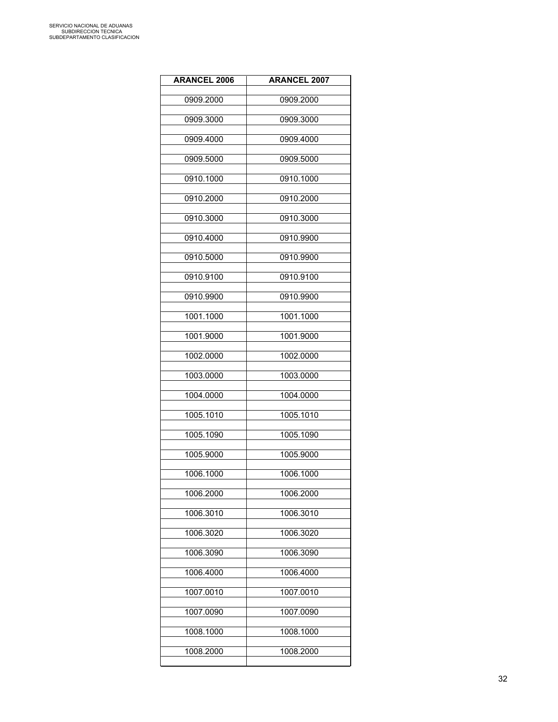| <b>ARANCEL 2006</b> | <b>ARANCEL 2007</b> |
|---------------------|---------------------|
| 0909.2000           | 0909.2000           |
| 0909.3000           | 0909.3000           |
| 0909.4000           | 0909.4000           |
| 0909.5000           | 0909.5000           |
| 0910.1000           | 0910.1000           |
| 0910.2000           | 0910.2000           |
| 0910.3000           | 0910.3000           |
| 0910.4000           | 0910.9900           |
| 0910.5000           | 0910.9900           |
| 0910.9100           | 0910.9100           |
| 0910.9900           | 0910.9900           |
| 1001.1000           | 1001.1000           |
| 1001.9000           | 1001.9000           |
| 1002.0000           | 1002.0000           |
| 1003.0000           | 1003.0000           |
| 1004.0000           | 1004.0000           |
| 1005.1010           | 1005.1010           |
| 1005.1090           | 1005.1090           |
| 1005.9000           | 1005.9000           |
| 1006.1000           | 1006.1000           |
| 1006.2000           | 1006.2000           |
| 1006.3010           | 1006.3010           |
| 1006.3020           | 1006.3020           |
| 1006.3090           | 1006.3090           |
| 1006.4000           | 1006.4000           |
| 1007.0010           | 1007.0010           |
| 1007.0090           | 1007.0090           |
| 1008.1000           | 1008.1000           |
| 1008.2000           | 1008.2000           |
|                     |                     |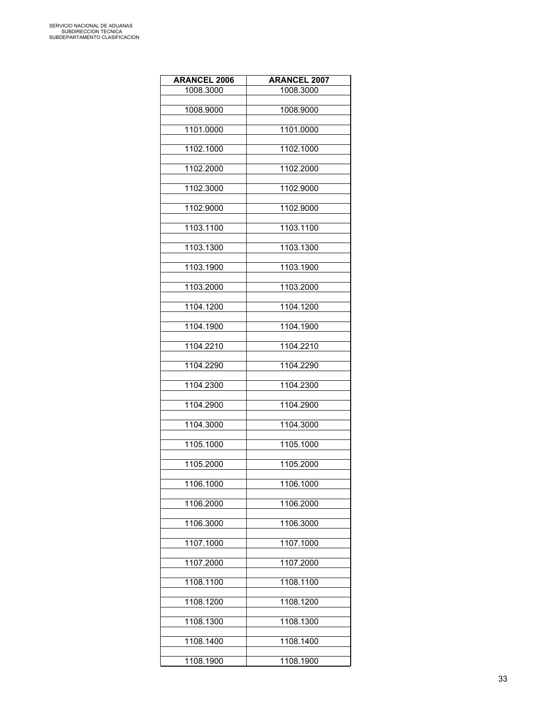| <b>ARANCEL 2006</b> | <b>ARANCEL 2007</b> |
|---------------------|---------------------|
| 1008.3000           | 1008.3000           |
| 1008.9000           | 1008.9000           |
|                     |                     |
| 1101.0000           | 1101.0000           |
| 1102.1000           | 1102.1000           |
| 1102.2000           | 1102.2000           |
| 1102.3000           | 1102.9000           |
| 1102.9000           | 1102.9000           |
| 1103.1100           | 1103.1100           |
| 1103.1300           | 1103.1300           |
| 1103.1900           | 1103.1900           |
| 1103.2000           | 1103.2000           |
| 1104.1200           | 1104.1200           |
| 1104.1900           | 1104.1900           |
| 1104.2210           | 1104.2210           |
| 1104.2290           | 1104.2290           |
| 1104.2300           | 1104.2300           |
| 1104.2900           | 1104.2900           |
| 1104.3000           | 1104.3000           |
| 1105.1000           | 1105.1000           |
| 1105.2000           | 1105.2000           |
| 1106.1000           | 1106.1000           |
| 1106.2000           | 1106.2000           |
| 1106.3000           | 1106.3000           |
| 1107.1000           | 1107.1000           |
| 1107.2000           | 1107.2000           |
| 1108.1100           | 1108.1100           |
| 1108.1200           | 1108.1200           |
| 1108.1300           | 1108.1300           |
| 1108.1400           | 1108.1400           |
| 1108.1900           | 1108.1900           |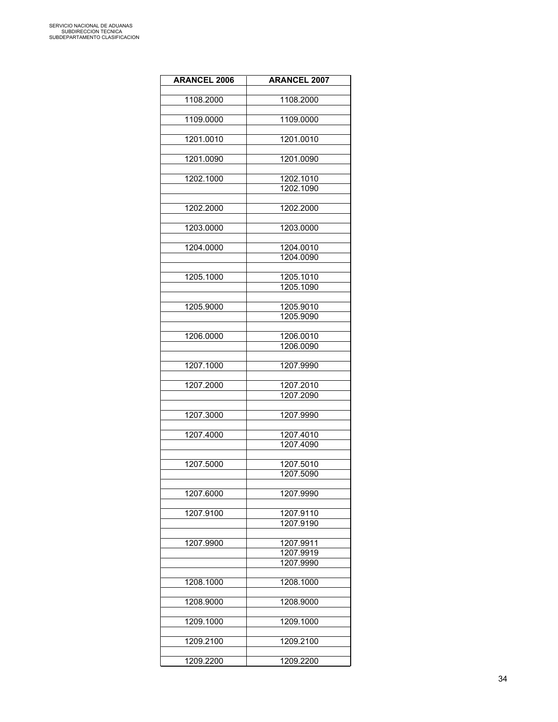| <b>ARANCEL 2006</b> | <b>ARANCEL 2007</b>    |
|---------------------|------------------------|
| 1108.2000           | 1108.2000              |
|                     |                        |
| 1109.0000           | 1109.0000              |
| 1201.0010           | 1201.0010              |
|                     |                        |
| 1201.0090           | 1201.0090              |
| 1202.1000           | 1202.1010              |
|                     | 1202.1090              |
| 1202.2000           | 1202.2000              |
|                     |                        |
| 1203.0000           | 1203.0000              |
| 1204.0000           | 1204.0010              |
|                     | 1204.0090              |
|                     |                        |
| 1205.1000           | 1205.1010              |
|                     | 1205.1090              |
| 1205.9000           | 1205.9010              |
|                     | 1205.9090              |
|                     |                        |
| 1206.0000           | 1206.0010              |
|                     | 1206.0090              |
| 1207.1000           | 1207.9990              |
|                     |                        |
| 1207.2000           | 1207.2010              |
|                     | 1207.2090              |
|                     |                        |
| 1207.3000           | 1207.9990              |
| 1207.4000           | 1207.4010              |
|                     | 1207.4090              |
|                     |                        |
| 1207.5000           | 1207.5010              |
|                     | 1207.5090              |
| 1207.6000           | 1207.9990              |
|                     |                        |
| 1207.9100           | 1207.9110              |
|                     | 1207.9190              |
|                     |                        |
| 1207.9900           | 1207.9911<br>1207.9919 |
|                     | 1207.9990              |
|                     |                        |
| 1208.1000           | 1208.1000              |
| 1208.9000           | 1208.9000              |
|                     |                        |
| 1209.1000           | 1209.1000              |
|                     |                        |
| 1209.2100           | 1209.2100              |
| 1209.2200           | 1209.2200              |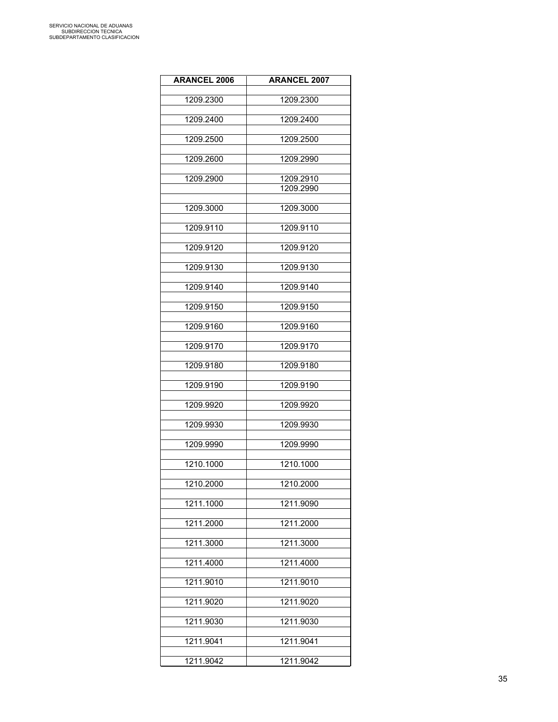| <b>ARANCEL 2006</b> | <b>ARANCEL 2007</b> |
|---------------------|---------------------|
| 1209.2300           | 1209.2300           |
| 1209.2400           | 1209.2400           |
|                     |                     |
| 1209.2500           | 1209.2500           |
| 1209.2600           | 1209.2990           |
| 1209.2900           | 1209.2910           |
|                     | 1209.2990           |
| 1209.3000           | 1209.3000           |
| 1209.9110           | 1209.9110           |
| 1209.9120           | 1209.9120           |
| 1209.9130           | 1209.9130           |
| 1209.9140           | 1209.9140           |
| 1209.9150           | 1209.9150           |
| 1209.9160           | 1209.9160           |
| 1209.9170           | 1209.9170           |
| 1209.9180           | 1209.9180           |
| 1209.9190           | 1209.9190           |
| 1209.9920           | 1209.9920           |
| 1209.9930           | 1209.9930           |
| 1209.9990           | 1209.9990           |
| 1210.1000           | 1210.1000           |
| 1210.2000           | 1210.2000           |
| 1211.1000           | 1211.9090           |
| 1211.2000           | 1211.2000           |
| 1211.3000           | 1211.3000           |
| 1211.4000           | 1211.4000           |
| 1211.9010           | 1211.9010           |
| 1211.9020           | 1211.9020           |
| 1211.9030           | 1211.9030           |
| 1211.9041           | 1211.9041           |
| 1211.9042           | 1211.9042           |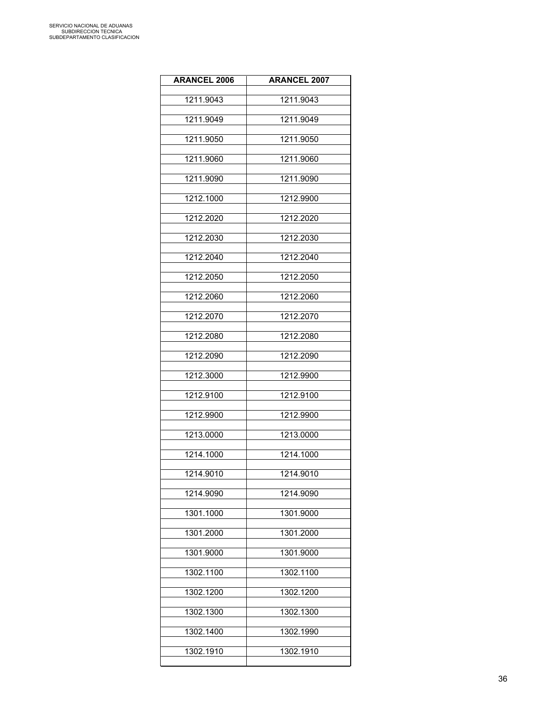| <b>ARANCEL 2006</b> | <b>ARANCEL 2007</b> |
|---------------------|---------------------|
| 1211.9043           | 1211.9043           |
| 1211.9049           | 1211.9049           |
| 1211.9050           | 1211.9050           |
| 1211.9060           | 1211.9060           |
| 1211.9090           | 1211.9090           |
| 1212.1000           | 1212.9900           |
| 1212.2020           | 1212.2020           |
| 1212.2030           | 1212.2030           |
| 1212.2040           | 1212.2040           |
| 1212.2050           | 1212.2050           |
| 1212.2060           | 1212.2060           |
| 1212.2070           | 1212.2070           |
| 1212.2080           | 1212.2080           |
| 1212.2090           | 1212.2090           |
| 1212.3000           | 1212.9900           |
| 1212.9100           | 1212.9100           |
| 1212.9900           | 1212.9900           |
| 1213.0000           | 1213.0000           |
| 1214.1000           | 1214.1000           |
| 1214.9010           | 1214.9010           |
| 1214.9090           | 1214.9090           |
| 1301.1000           | 1301.9000           |
| 1301.2000           | 1301.2000           |
| 1301.9000           | 1301.9000           |
| 1302.1100           | 1302.1100           |
| 1302.1200           | 1302.1200           |
| 1302.1300           | 1302.1300           |
| 1302.1400           | 1302.1990           |
| 1302.1910           | 1302.1910           |
|                     |                     |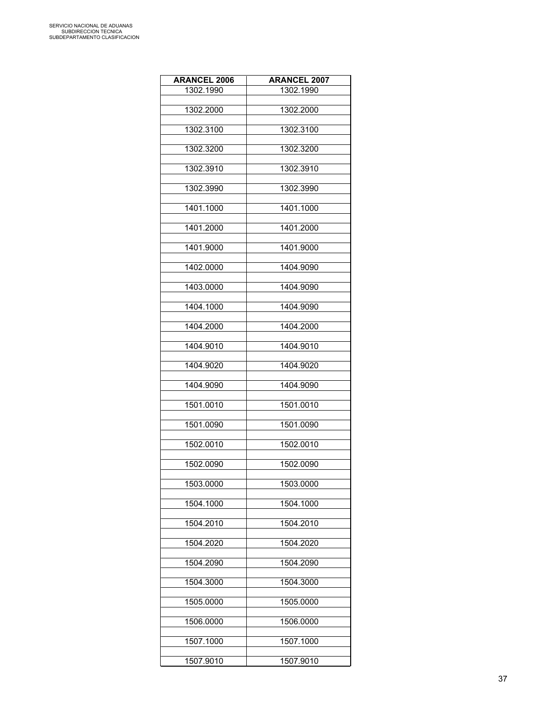| <b>ARANCEL 2006</b> | <b>ARANCEL 2007</b> |
|---------------------|---------------------|
| 1302.1990           | 1302.1990           |
|                     |                     |
| 1302.2000           | 1302.2000           |
| 1302.3100           | 1302.3100           |
|                     |                     |
| 1302.3200           | 1302.3200           |
|                     |                     |
| 1302.3910           | 1302.3910           |
| 1302.3990           | 1302.3990           |
|                     |                     |
| 1401.1000           | 1401.1000           |
|                     |                     |
| 1401.2000           | 1401.2000           |
| 1401.9000           | 1401.9000           |
|                     |                     |
| 1402.0000           | 1404.9090           |
|                     |                     |
| 1403.0000           | 1404.9090           |
| 1404.1000           | 1404.9090           |
|                     |                     |
| 1404.2000           | 1404.2000           |
|                     |                     |
| 1404.9010           | 1404.9010           |
| 1404.9020           | 1404.9020           |
|                     |                     |
| 1404.9090           | 1404.9090           |
|                     |                     |
| 1501.0010           | 1501.0010           |
| 1501.0090           | 1501.0090           |
|                     |                     |
| 1502.0010           | 1502.0010           |
|                     |                     |
| 1502.0090           | 1502.0090           |
| 1503.0000           | 1503.0000           |
|                     |                     |
| 1504.1000           | 1504.1000           |
|                     |                     |
| 1504.2010           | 1504.2010           |
| 1504.2020           | 1504.2020           |
|                     |                     |
| 1504.2090           | 1504.2090           |
|                     |                     |
| 1504.3000           | 1504.3000           |
|                     |                     |
| 1505.0000           | 1505.0000           |
| 1506.0000           | 1506.0000           |
|                     |                     |
| 1507.1000           | 1507.1000           |
|                     |                     |
| 1507.9010           | 1507.9010           |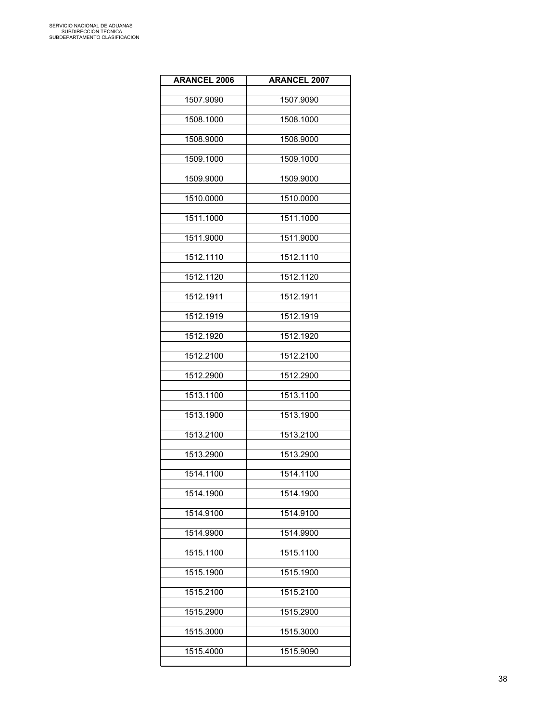| <b>ARANCEL 2006</b> | <b>ARANCEL 2007</b> |
|---------------------|---------------------|
| 1507.9090           | 1507.9090           |
| 1508.1000           | 1508.1000           |
| 1508.9000           | 1508.9000           |
| 1509.1000           | 1509.1000           |
| 1509.9000           | 1509.9000           |
| 1510.0000           | 1510.0000           |
| 1511.1000           | 1511.1000           |
| 1511.9000           | 1511.9000           |
| 1512.1110           | 1512.1110           |
| 1512.1120           | 1512.1120           |
| 1512.1911           | 1512.1911           |
| 1512.1919           | 1512.1919           |
| 1512.1920           | 1512.1920           |
| 1512.2100           | 1512.2100           |
| 1512.2900           | 1512.2900           |
| 1513.1100           | 1513.1100           |
| 1513.1900           | 1513.1900           |
| 1513.2100           | 1513.2100           |
| 1513.2900           | 1513.2900           |
| 1514.1100           | 1514.1100           |
| 1514.1900           | 1514.1900           |
| 1514.9100           | 1514.9100           |
| 1514.9900           | 1514.9900           |
| 1515.1100           | 1515.1100           |
| 1515.1900           | 1515.1900           |
| 1515.2100           | 1515.2100           |
| 1515.2900           | 1515.2900           |
| 1515.3000           | 1515.3000           |
| 1515.4000           | 1515.9090           |
|                     |                     |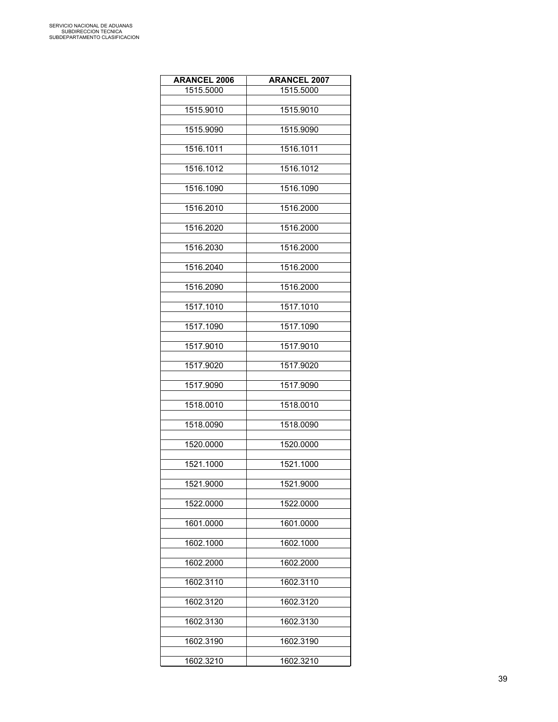| <b>ARANCEL 2006</b> | <b>ARANCEL 2007</b> |
|---------------------|---------------------|
| 1515.5000           | 1515.5000           |
|                     |                     |
| 1515.9010           | 1515.9010           |
| 1515.9090           | 1515.9090           |
|                     |                     |
| 1516.1011           | 1516.1011           |
| 1516.1012           | 1516.1012           |
|                     |                     |
| 1516.1090           | 1516.1090           |
|                     |                     |
| 1516.2010           | 1516.2000           |
| 1516.2020           | 1516.2000           |
|                     |                     |
| 1516.2030           | 1516.2000           |
| 1516.2040           | 1516.2000           |
|                     |                     |
| 1516.2090           | 1516.2000           |
|                     |                     |
| 1517.1010           | 1517.1010           |
| 1517.1090           | 1517.1090           |
|                     |                     |
| 1517.9010           | 1517.9010           |
| 1517.9020           | 1517.9020           |
|                     |                     |
| 1517.9090           | 1517.9090           |
| 1518.0010           | 1518.0010           |
|                     |                     |
| 1518.0090           | 1518.0090           |
|                     |                     |
| 1520.0000           | 1520.0000           |
| 1521.1000           | 1521.1000           |
|                     |                     |
| 1521.9000           | 1521.9000           |
| 1522.0000           | 1522.0000           |
|                     |                     |
| 1601.0000           | 1601.0000           |
|                     |                     |
| 1602.1000           | 1602.1000           |
| 1602.2000           | 1602.2000           |
|                     |                     |
| 1602.3110           | 1602.3110           |
| 1602.3120           | 1602.3120           |
|                     |                     |
| 1602.3130           | 1602.3130           |
|                     |                     |
| 1602.3190           | 1602.3190           |
| 1602.3210           | 1602.3210           |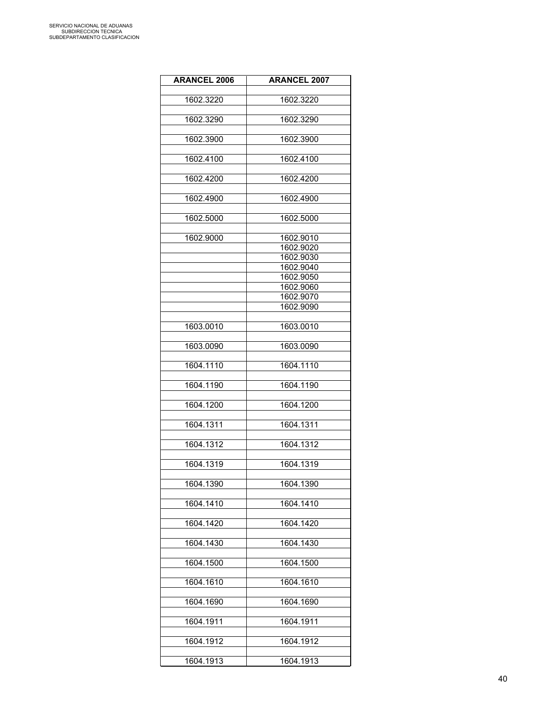| <b>ARANCEL 2006</b> | <b>ARANCEL 2007</b>    |
|---------------------|------------------------|
|                     |                        |
| 1602.3220           | 1602.3220              |
| 1602.3290           | 1602.3290              |
|                     |                        |
| 1602.3900           | 1602.3900              |
|                     |                        |
| 1602.4100           | 1602.4100              |
|                     |                        |
| 1602.4200           | 1602.4200              |
| 1602.4900           | 1602.4900              |
|                     |                        |
| 1602.5000           | 1602.5000              |
|                     |                        |
| 1602.9000           | 1602.9010<br>1602.9020 |
|                     | 1602.9030              |
|                     | 1602.9040              |
|                     | 1602.9050              |
|                     | 1602.9060              |
|                     | 1602.9070              |
|                     | 1602.9090              |
|                     |                        |
| 1603.0010           | 1603.0010              |
|                     |                        |
| 1603.0090           | 1603.0090              |
| 1604.1110           | 1604.1110              |
|                     |                        |
| 1604.1190           | 1604.1190              |
|                     |                        |
| 1604.1200           | 1604.1200              |
| 1604.1311           | 1604.1311              |
|                     |                        |
| 1604.1312           | 1604.1312              |
|                     |                        |
| 1604.1319           | 1604.1319              |
|                     |                        |
| 1604.1390           | 1604.1390              |
| 1604.1410           | 1604.1410              |
|                     |                        |
| 1604.1420           | 1604.1420              |
|                     |                        |
| 1604.1430           | 1604.1430              |
|                     |                        |
| 1604.1500           | 1604.1500              |
| 1604.1610           | 1604.1610              |
|                     |                        |
| 1604.1690           | 1604.1690              |
|                     |                        |
| 1604.1911           | 1604.1911              |
|                     |                        |
| 1604.1912           | 1604.1912              |
| 1604.1913           | 1604.1913              |
|                     |                        |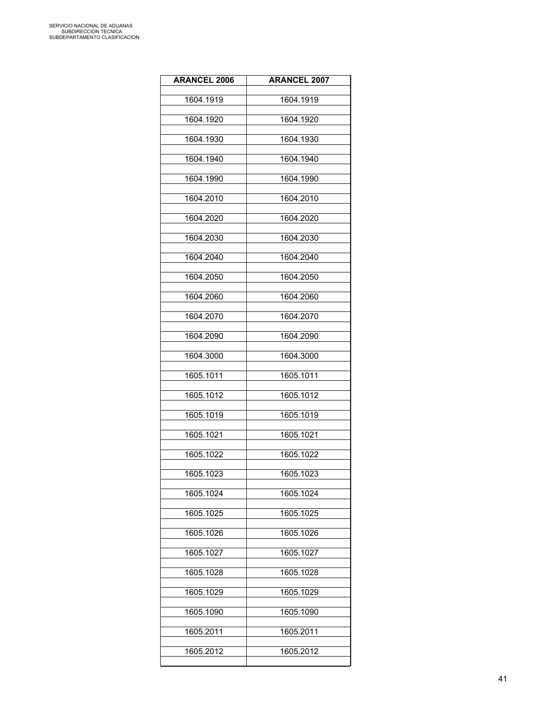| <b>ARANCEL 2006</b> | <b>ARANCEL 2007</b> |
|---------------------|---------------------|
| 1604.1919           | 1604.1919           |
| 1604.1920           | 1604.1920           |
| 1604.1930           | 1604.1930           |
| 1604.1940           | 1604.1940           |
| 1604.1990           | 1604.1990           |
| 1604.2010           | 1604.2010           |
| 1604.2020           | 1604.2020           |
| 1604.2030           | 1604.2030           |
| 1604.2040           | 1604.2040           |
| 1604.2050           | 1604.2050           |
| 1604.2060           | 1604.2060           |
| 1604.2070           | 1604.2070           |
| 1604.2090           | 1604.2090           |
| 1604.3000           | 1604.3000           |
| 1605.1011           | 1605.1011           |
| 1605.1012           | 1605.1012           |
| 1605.1019           | 1605.1019           |
| 1605.1021           | 1605.1021           |
| 1605.1022           | 1605.1022           |
| 1605.1023           | 1605.1023           |
| 1605.1024           | 1605.1024           |
| 1605.1025           | 1605.1025           |
| 1605.1026           | 1605.1026           |
| 1605.1027           | 1605.1027           |
| 1605.1028           | 1605.1028           |
| 1605.1029           | 1605.1029           |
| 1605.1090           | 1605.1090           |
| 1605.2011           | 1605.2011           |
| 1605.2012           | 1605.2012           |
|                     |                     |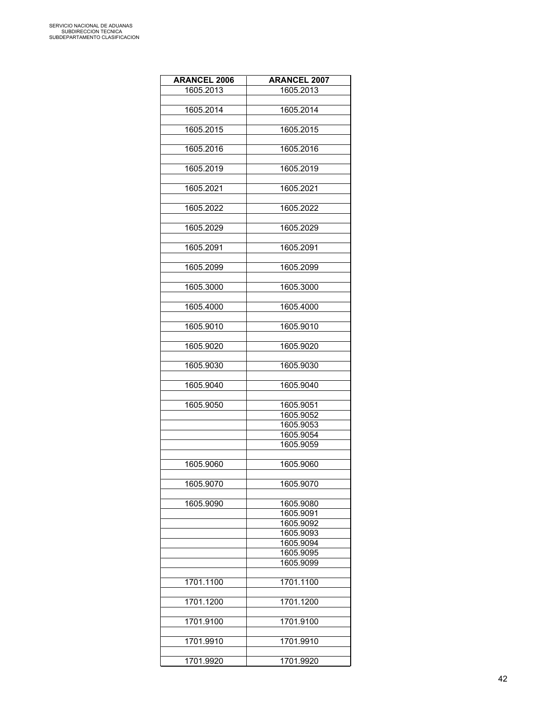| <b>ARANCEL 2006</b> | <b>ARANCEL 2007</b> |
|---------------------|---------------------|
| 1605.2013           | 1605.2013           |
|                     |                     |
| 1605.2014           | 1605.2014           |
|                     |                     |
| 1605.2015           | 1605.2015           |
|                     |                     |
| 1605.2016           | 1605.2016           |
|                     |                     |
| 1605.2019           | 1605.2019           |
|                     |                     |
| 1605.2021           | 1605.2021           |
|                     |                     |
| 1605.2022           | 1605.2022           |
|                     |                     |
| 1605.2029           | 1605.2029           |
|                     |                     |
| 1605.2091           | 1605.2091           |
|                     |                     |
| 1605.2099           | 1605.2099           |
|                     |                     |
| 1605.3000           | 1605.3000           |
|                     |                     |
| 1605.4000           | 1605.4000           |
| 1605.9010           | 1605.9010           |
|                     |                     |
| 1605.9020           | 1605.9020           |
|                     |                     |
| 1605.9030           | 1605.9030           |
|                     |                     |
| 1605.9040           | 1605.9040           |
|                     |                     |
| 1605.9050           | 1605.9051           |
|                     | 1605.9052           |
|                     | 1605.9053           |
|                     | 1605.9054           |
|                     | 1605.9059           |
|                     |                     |
| 1605.9060           | 1605.9060           |
|                     |                     |
| 1605.9070           | 1605.9070           |
|                     |                     |
| 1605.9090           | 1605.9080           |
|                     | 1605.9091           |
|                     | 1605.9092           |
|                     | 1605.9093           |
|                     | 1605.9094           |
|                     | 1605.9095           |
|                     | 1605.9099           |
|                     |                     |
| 1701.1100           | 1701.1100           |
|                     |                     |
| 1701.1200           | 1701.1200           |
|                     |                     |
| 1701.9100           | 1701.9100           |
|                     |                     |
| 1701.9910           | 1701.9910           |
|                     |                     |
| 1701.9920           | 1701.9920           |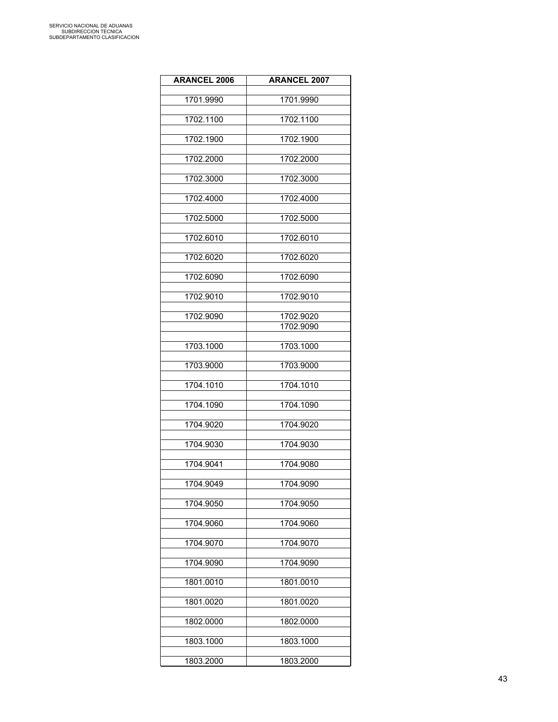| <b>ARANCEL 2006</b> | <b>ARANCEL 2007</b>    |
|---------------------|------------------------|
| 1701.9990           | 1701.9990              |
|                     |                        |
| 1702.1100           | 1702.1100              |
| 1702.1900           | 1702.1900              |
|                     |                        |
| 1702.2000           | 1702.2000              |
| 1702.3000           | 1702.3000              |
| 1702.4000           | 1702.4000              |
| 1702.5000           | 1702.5000              |
| 1702.6010           | 1702.6010              |
| 1702.6020           | 1702.6020              |
| 1702.6090           | 1702.6090              |
| 1702.9010           | 1702.9010              |
|                     |                        |
| 1702.9090           | 1702.9020<br>1702.9090 |
|                     |                        |
| 1703.1000           | 1703.1000              |
| 1703.9000           | 1703.9000              |
| 1704.1010           | 1704.1010              |
| 1704.1090           | 1704.1090              |
| 1704.9020           | 1704.9020              |
|                     |                        |
| 1704.9030           | 1704.9030              |
| 1704.9041           | 1704.9080              |
| 1704.9049           | 1704.9090              |
| 1704.9050           | 1704.9050              |
| 1704.9060           | 1704.9060              |
|                     |                        |
| 1704.9070           | 1704.9070              |
| 1704.9090           | 1704.9090              |
| 1801.0010           | 1801.0010              |
| 1801.0020           | 1801.0020              |
| 1802.0000           | 1802.0000              |
|                     |                        |
| 1803.1000           | 1803.1000              |
| 1803.2000           | 1803.2000              |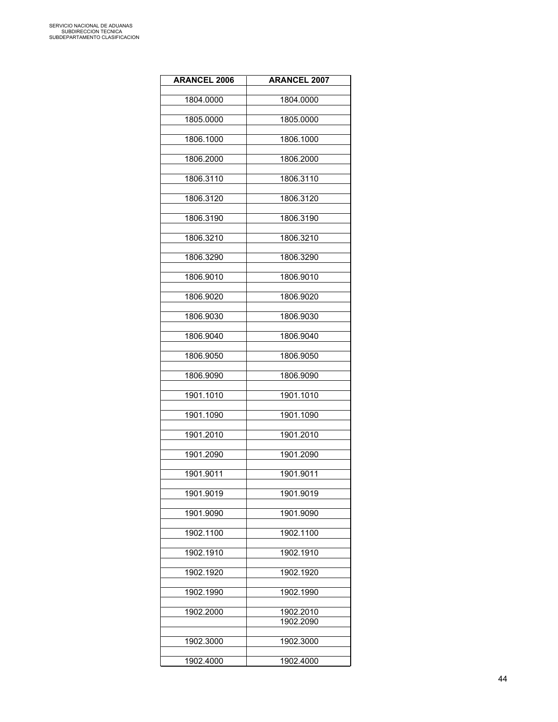| <b>ARANCEL 2006</b> | <b>ARANCEL 2007</b> |
|---------------------|---------------------|
| 1804.0000           | 1804.0000           |
|                     |                     |
| 1805.0000           | 1805.0000           |
| 1806.1000           | 1806.1000           |
| 1806.2000           | 1806.2000           |
| 1806.3110           | 1806.3110           |
| 1806.3120           | 1806.3120           |
| 1806.3190           | 1806.3190           |
| 1806.3210           | 1806.3210           |
| 1806.3290           | 1806.3290           |
| 1806.9010           | 1806.9010           |
| 1806.9020           | 1806.9020           |
| 1806.9030           | 1806.9030           |
| 1806.9040           | 1806.9040           |
| 1806.9050           | 1806.9050           |
| 1806.9090           | 1806.9090           |
| 1901.1010           | 1901.1010           |
| 1901.1090           | 1901.1090           |
| 1901.2010           | 1901.2010           |
| 1901.2090           | 1901.2090           |
| 1901.9011           | 1901.9011           |
| 1901.9019           | 1901.9019           |
| 1901.9090           | 1901.9090           |
| 1902.1100           | 1902.1100           |
| 1902.1910           | 1902.1910           |
| 1902.1920           | 1902.1920           |
| 1902.1990           | 1902.1990           |
| 1902.2000           | 1902.2010           |
|                     | 1902.2090           |
| 1902.3000           | 1902.3000           |
| 1902.4000           | 1902.4000           |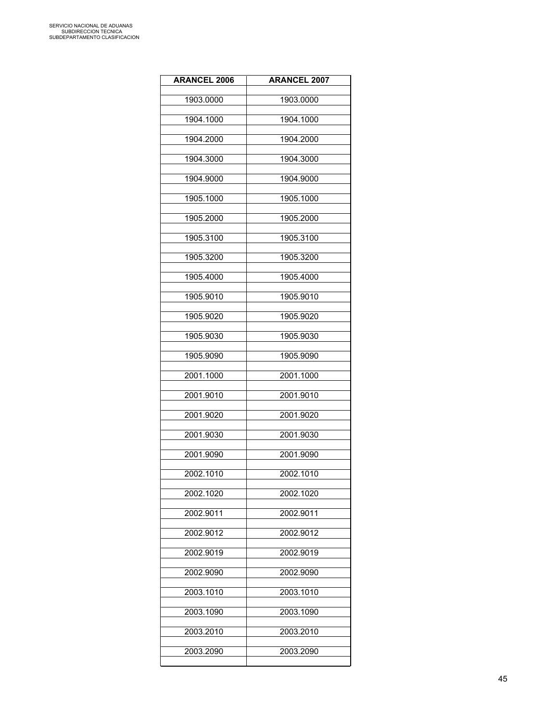| <b>ARANCEL 2006</b> | <b>ARANCEL 2007</b> |
|---------------------|---------------------|
| 1903.0000           | 1903.0000           |
| 1904.1000           | 1904.1000           |
| 1904.2000           | 1904.2000           |
| 1904.3000           | 1904.3000           |
| 1904.9000           | 1904.9000           |
| 1905.1000           | 1905.1000           |
| 1905.2000           | 1905.2000           |
| 1905.3100           | 1905.3100           |
| 1905.3200           | 1905.3200           |
| 1905.4000           | 1905.4000           |
| 1905.9010           | 1905.9010           |
| 1905.9020           | 1905.9020           |
| 1905.9030           | 1905.9030           |
| 1905.9090           | 1905.9090           |
| 2001.1000           | 2001.1000           |
| 2001.9010           | 2001.9010           |
| 2001.9020           | 2001.9020           |
| 2001.9030           | 2001.9030           |
| 2001.9090           | 2001.9090           |
| 2002.1010           | 2002.1010           |
| 2002.1020           | 2002.1020           |
| 2002.9011           | 2002.9011           |
| 2002.9012           | 2002.9012           |
| 2002.9019           | 2002.9019           |
| 2002.9090           | 2002.9090           |
| 2003.1010           | 2003.1010           |
| 2003.1090           | 2003.1090           |
| 2003.2010           | 2003.2010           |
| 2003.2090           | 2003.2090           |
|                     |                     |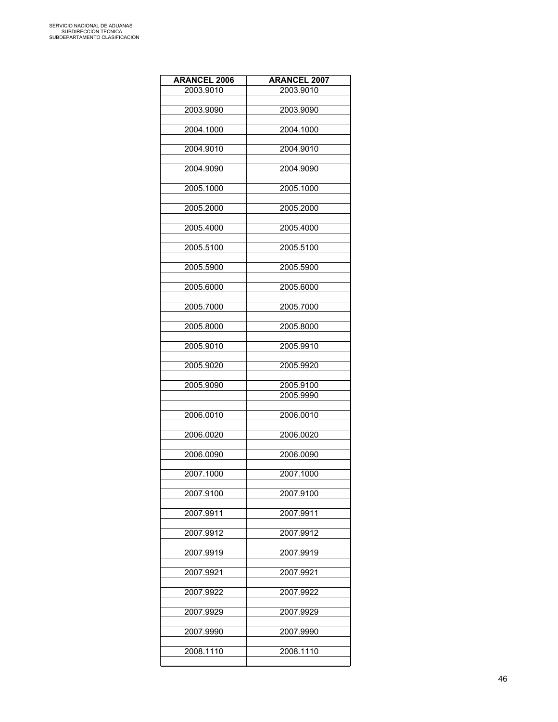| <b>ARANCEL 2006</b> | <b>ARANCEL 2007</b> |
|---------------------|---------------------|
| 2003.9010           | 2003.9010           |
|                     |                     |
| 2003.9090           | 2003.9090           |
| 2004.1000           | 2004.1000           |
|                     |                     |
| 2004.9010           | 2004.9010           |
|                     |                     |
| 2004.9090           | 2004.9090           |
| 2005.1000           | 2005.1000           |
|                     |                     |
| 2005.2000           | 2005.2000           |
|                     |                     |
| 2005.4000           | 2005.4000           |
| 2005.5100           | 2005.5100           |
|                     |                     |
| 2005.5900           | 2005.5900           |
|                     |                     |
| 2005.6000           | 2005.6000           |
| 2005.7000           | 2005.7000           |
|                     |                     |
| 2005.8000           | 2005.8000           |
|                     |                     |
| 2005.9010           | 2005.9910           |
| 2005.9020           | 2005.9920           |
|                     |                     |
| 2005.9090           | 2005.9100           |
|                     | 2005.9990           |
| 2006.0010           | 2006.0010           |
|                     |                     |
| 2006.0020           | 2006.0020           |
|                     | 2006.0090           |
| 2006.0090           |                     |
| 2007.1000           | 2007.1000           |
|                     |                     |
| 2007.9100           | 2007.9100           |
| 2007.9911           | 2007.9911           |
|                     |                     |
| 2007.9912           | 2007.9912           |
|                     |                     |
| 2007.9919           | 2007.9919           |
| 2007.9921           | 2007.9921           |
|                     |                     |
| 2007.9922           | 2007.9922           |
|                     |                     |
| 2007.9929           | 2007.9929           |
| 2007.9990           | 2007.9990           |
|                     |                     |
| 2008.1110           | 2008.1110           |
|                     |                     |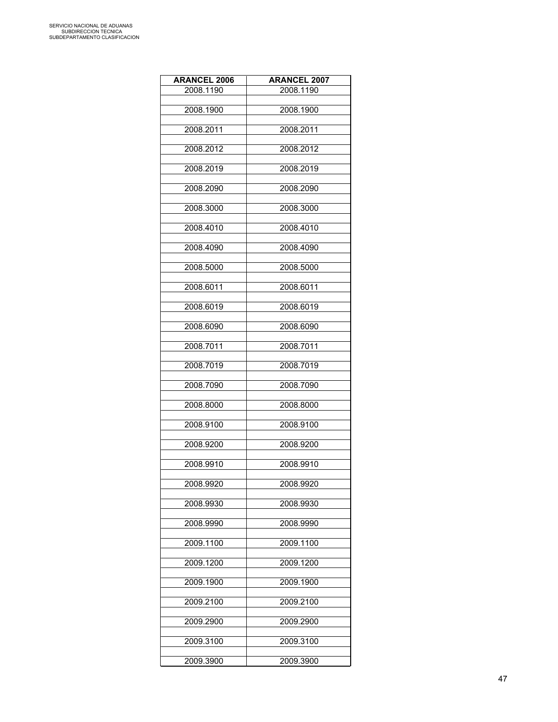| <b>ARANCEL 2006</b> | <b>ARANCEL 2007</b> |
|---------------------|---------------------|
| 2008.1190           | 2008.1190           |
|                     |                     |
| 2008.1900           | 2008.1900           |
| 2008.2011           | 2008.2011           |
|                     |                     |
| 2008.2012           | 2008.2012           |
|                     |                     |
| 2008.2019           | 2008.2019           |
| 2008.2090           | 2008.2090           |
|                     |                     |
| 2008.3000           | 2008.3000           |
|                     |                     |
| 2008.4010           | 2008.4010           |
| 2008.4090           | 2008.4090           |
|                     |                     |
| 2008.5000           | 2008.5000           |
|                     | 2008.6011           |
| 2008.6011           |                     |
| 2008.6019           | 2008.6019           |
|                     |                     |
| 2008.6090           | 2008.6090           |
| 2008.7011           | 2008.7011           |
|                     |                     |
| 2008.7019           | 2008.7019           |
|                     |                     |
| 2008.7090           | 2008.7090           |
| 2008.8000           | 2008.8000           |
|                     |                     |
| 2008.9100           | 2008.9100           |
|                     |                     |
| 2008.9200           | 2008.9200           |
| 2008.9910           | 2008.9910           |
|                     |                     |
| 2008.9920           | 2008.9920           |
|                     |                     |
| 2008.9930           | 2008.9930           |
| 2008.9990           | 2008.9990           |
|                     |                     |
| 2009.1100           | 2009.1100           |
| 2009.1200           | 2009.1200           |
|                     |                     |
| 2009.1900           | 2009.1900           |
|                     |                     |
| 2009.2100           | 2009.2100           |
| 2009.2900           | 2009.2900           |
|                     |                     |
| 2009.3100           | 2009.3100           |
|                     |                     |
| 2009.3900           | 2009.3900           |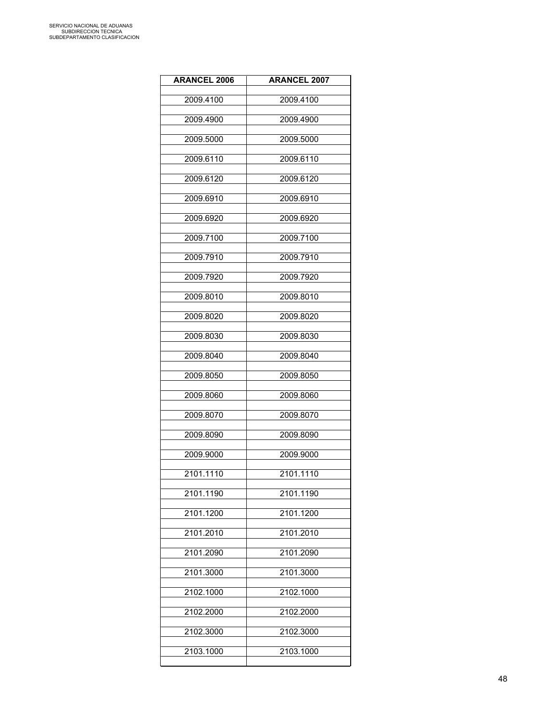| <b>ARANCEL 2006</b> | <b>ARANCEL 2007</b> |
|---------------------|---------------------|
| 2009.4100           | 2009.4100           |
| 2009.4900           | 2009.4900           |
| 2009.5000           | 2009.5000           |
| 2009.6110           | 2009.6110           |
| 2009.6120           | 2009.6120           |
| 2009.6910           | 2009.6910           |
| 2009.6920           | 2009.6920           |
| 2009.7100           | 2009.7100           |
| 2009.7910           | 2009.7910           |
| 2009.7920           | 2009.7920           |
| 2009.8010           | 2009.8010           |
| 2009.8020           | 2009.8020           |
| 2009.8030           | 2009.8030           |
| 2009.8040           | 2009.8040           |
| 2009.8050           | 2009.8050           |
| 2009.8060           | 2009.8060           |
| 2009.8070           | 2009.8070           |
| 2009.8090           | 2009.8090           |
| 2009.9000           | 2009.9000           |
| 2101.1110           | 2101.1110           |
| 2101.1190           | 2101.1190           |
| 2101.1200           | 2101.1200           |
| 2101.2010           | 2101.2010           |
| 2101.2090           | 2101.2090           |
| 2101.3000           | 2101.3000           |
| 2102.1000           | 2102.1000           |
| 2102.2000           | 2102.2000           |
| 2102.3000           | 2102.3000           |
| 2103.1000           | 2103.1000           |
|                     |                     |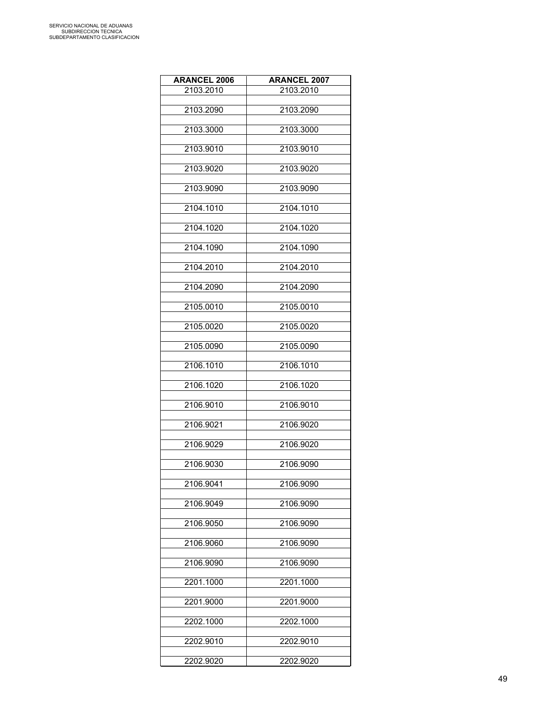| <b>ARANCEL 2006</b> | <b>ARANCEL 2007</b> |
|---------------------|---------------------|
| 2103.2010           | 2103.2010           |
|                     |                     |
| 2103.2090           | 2103.2090           |
| 2103.3000           | 2103.3000           |
|                     |                     |
| 2103.9010           | 2103.9010           |
|                     |                     |
| 2103.9020           | 2103.9020           |
| 2103.9090           | 2103.9090           |
|                     |                     |
| 2104.1010           | 2104.1010           |
|                     |                     |
| 2104.1020           | 2104.1020           |
| 2104.1090           | 2104.1090           |
|                     |                     |
| 2104.2010           | 2104.2010           |
| 2104.2090           |                     |
|                     | 2104.2090           |
| 2105.0010           | 2105.0010           |
|                     |                     |
| 2105.0020           | 2105.0020           |
| 2105.0090           | 2105.0090           |
|                     |                     |
| 2106.1010           | 2106.1010           |
|                     |                     |
| 2106.1020           | 2106.1020           |
| 2106.9010           | 2106.9010           |
|                     |                     |
| 2106.9021           | 2106.9020           |
|                     |                     |
| 2106.9029           | 2106.9020           |
| 2106.9030           | 2106.9090           |
|                     |                     |
| 2106.9041           | 2106.9090           |
| 2106.9049           |                     |
|                     | 2106.9090           |
| 2106.9050           | 2106.9090           |
|                     |                     |
| 2106.9060           | 2106.9090           |
| 2106.9090           | 2106.9090           |
|                     |                     |
| 2201.1000           | 2201.1000           |
|                     |                     |
| 2201.9000           | 2201.9000           |
| 2202.1000           | 2202.1000           |
|                     |                     |
| 2202.9010           | 2202.9010           |
|                     |                     |
| 2202.9020           | 2202.9020           |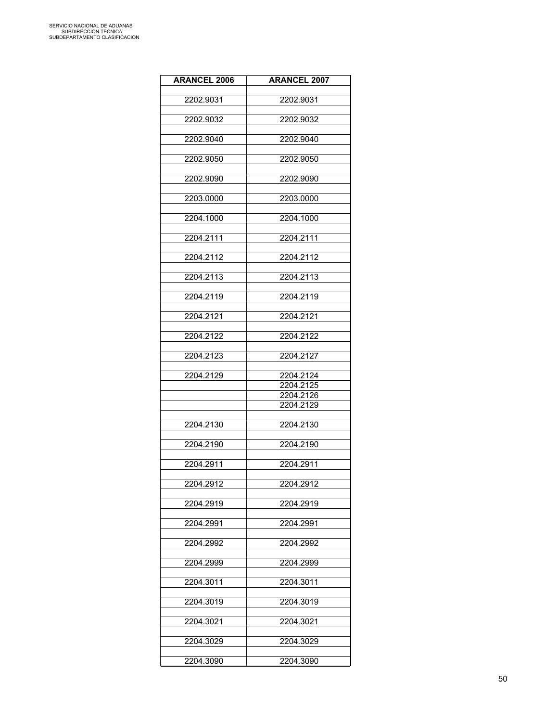| <b>ARANCEL 2006</b> | <b>ARANCEL 2007</b>    |
|---------------------|------------------------|
|                     |                        |
| 2202.9031           | 2202.9031              |
| 2202.9032           | 2202.9032              |
| 2202.9040           | 2202.9040              |
|                     |                        |
| 2202.9050           | 2202.9050              |
| 2202.9090           | 2202.9090              |
| 2203.0000           | 2203.0000              |
| 2204.1000           | 2204.1000              |
| 2204.2111           | 2204.2111              |
| 2204.2112           | 2204.2112              |
|                     |                        |
| 2204.2113           | 2204.2113              |
| 2204.2119           | 2204.2119              |
| 2204.2121           | 2204.2121              |
|                     |                        |
| 2204.2122           | 2204.2122              |
| 2204.2123           | 2204.2127              |
| 2204.2129           | 2204.2124              |
|                     | 2204.2125<br>2204.2126 |
|                     | 2204.2129              |
|                     |                        |
| 2204.2130           | 2204.2130              |
| 2204.2190           | 2204.2190              |
| 2204.2911           | 2204.2911              |
|                     |                        |
| 2204.2912           | 2204.2912              |
| 2204.2919           | 2204.2919              |
| 2204.2991           | 2204.2991              |
| 2204.2992           | 2204.2992              |
|                     |                        |
| 2204.2999           | 2204.2999              |
| 2204.3011           | 2204.3011              |
| 2204.3019           | 2204.3019              |
| 2204.3021           | 2204.3021              |
|                     |                        |
| 2204.3029           | 2204.3029              |
| 2204.3090           | 2204.3090              |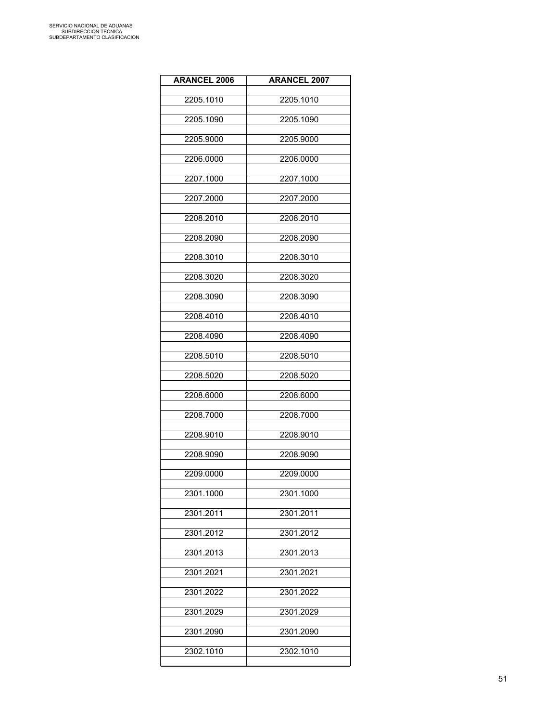| <b>ARANCEL 2006</b> | <b>ARANCEL 2007</b> |
|---------------------|---------------------|
| 2205.1010           | 2205.1010           |
| 2205.1090           | 2205.1090           |
| 2205.9000           | 2205.9000           |
| 2206.0000           | 2206.0000           |
| 2207.1000           | 2207.1000           |
| 2207.2000           | 2207.2000           |
| 2208.2010           | 2208.2010           |
| 2208.2090           | 2208.2090           |
| 2208.3010           | 2208.3010           |
| 2208.3020           | 2208.3020           |
| 2208.3090           | 2208.3090           |
| 2208.4010           | 2208.4010           |
| 2208.4090           | 2208.4090           |
| 2208.5010           | 2208.5010           |
| 2208.5020           | 2208.5020           |
| 2208.6000           | 2208.6000           |
| 2208.7000           | 2208.7000           |
| 2208.9010           | 2208.9010           |
| 2208.9090           | 2208.9090           |
| 2209.0000           | 2209.0000           |
| 2301.1000           | 2301.1000           |
| 2301.2011           | 2301.2011           |
| 2301.2012           | 2301.2012           |
| 2301.2013           | 2301.2013           |
| 2301.2021           | 2301.2021           |
| 2301.2022           | 2301.2022           |
| 2301.2029           | 2301.2029           |
| 2301.2090           | 2301.2090           |
| 2302.1010           | 2302.1010           |
|                     |                     |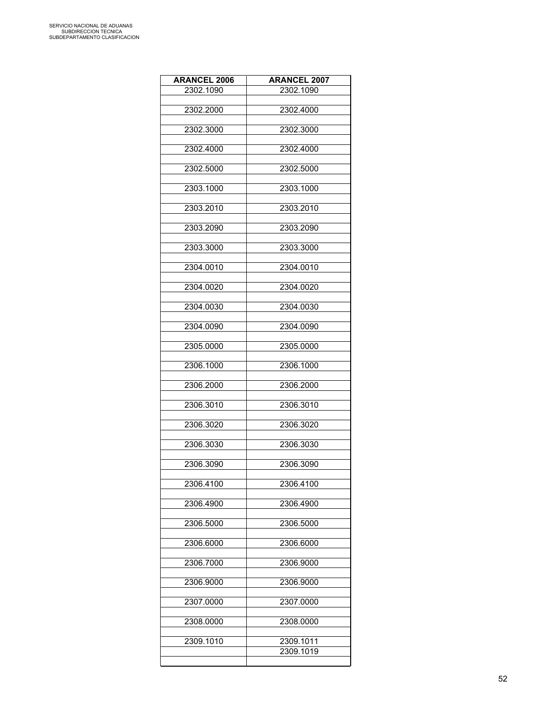| <b>ARANCEL 2006</b> | <b>ARANCEL 2007</b>    |
|---------------------|------------------------|
| 2302.1090           | 2302.1090              |
|                     |                        |
| 2302.2000           | 2302.4000              |
| 2302.3000           | 2302.3000              |
|                     |                        |
| 2302.4000           | 2302.4000              |
| 2302.5000           | 2302.5000              |
|                     |                        |
| 2303.1000           | 2303.1000              |
|                     |                        |
| 2303.2010           | 2303.2010              |
| 2303.2090           | 2303.2090              |
|                     |                        |
| 2303.3000           | 2303.3000              |
| 2304.0010           | 2304.0010              |
|                     |                        |
| 2304.0020           | 2304.0020              |
|                     |                        |
| 2304.0030           | 2304.0030              |
| 2304.0090           | 2304.0090              |
|                     |                        |
| 2305.0000           | 2305.0000              |
| 2306.1000           | 2306.1000              |
|                     |                        |
| 2306.2000           | 2306.2000              |
| 2306.3010           | 2306.3010              |
|                     |                        |
| 2306.3020           | 2306.3020              |
|                     |                        |
| 2306.3030           | 2306.3030              |
| 2306.3090           | 2306.3090              |
|                     |                        |
| 2306.4100           | 2306.4100              |
| 2306.4900           | 2306.4900              |
|                     |                        |
| 2306.5000           | 2306.5000              |
|                     |                        |
| 2306.6000           | 2306.6000              |
| 2306.7000           | 2306.9000              |
|                     |                        |
| 2306.9000           | 2306.9000              |
| 2307.0000           | 2307.0000              |
|                     |                        |
| 2308.0000           | 2308.0000              |
|                     |                        |
| 2309.1010           | 2309.1011<br>2309.1019 |
|                     |                        |
|                     |                        |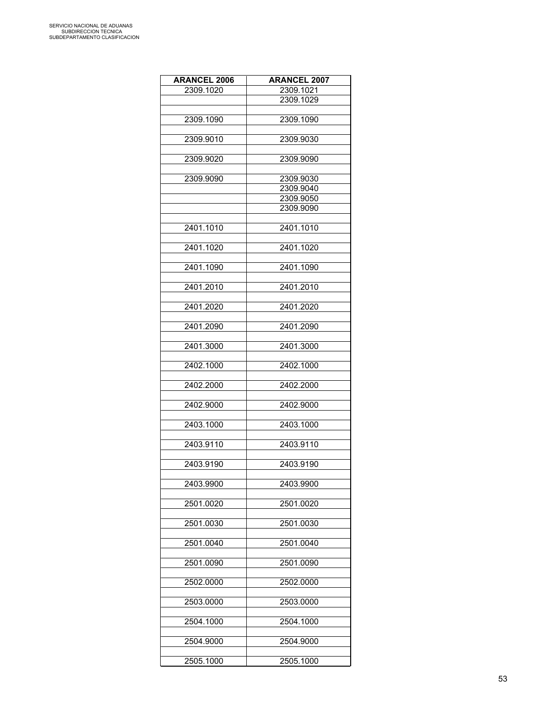| <b>ARANCEL 2006</b> | <b>ARANCEL 2007</b> |
|---------------------|---------------------|
| 2309.1020           | 2309.1021           |
|                     | 2309.1029           |
|                     |                     |
| 2309.1090           | 2309.1090           |
|                     |                     |
| 2309.9010           | 2309.9030           |
|                     |                     |
| 2309.9020           | 2309.9090           |
|                     |                     |
| 2309.9090           | 2309.9030           |
|                     | 2309.9040           |
|                     | 2309.9050           |
|                     | 2309.9090           |
|                     |                     |
| 2401.1010           | 2401.1010           |
|                     |                     |
| 2401.1020           | 2401.1020           |
|                     |                     |
| 2401.1090           | 2401.1090           |
|                     |                     |
| 2401.2010           | 2401.2010           |
|                     |                     |
| 2401.2020           | 2401.2020           |
|                     |                     |
| 2401.2090           | 2401.2090           |
|                     |                     |
| 2401.3000           | 2401.3000           |
|                     |                     |
| 2402.1000           | 2402.1000           |
|                     |                     |
| 2402.2000           | 2402.2000           |
|                     |                     |
| 2402.9000           | 2402.9000           |
|                     |                     |
| 2403.1000           | 2403.1000           |
|                     |                     |
| 2403.9110           | 2403.9110           |
|                     |                     |
| 2403.9190           | 2403.9190           |
|                     |                     |
| 2403.9900           | 2403.9900           |
|                     |                     |
| 2501.0020           | 2501.0020           |
|                     |                     |
| 2501.0030           | 2501.0030           |
|                     | 2501.0040           |
| 2501.0040           |                     |
| 2501.0090           | 2501.0090           |
|                     |                     |
| 2502.0000           | 2502.0000           |
|                     |                     |
| 2503.0000           | 2503.0000           |
|                     |                     |
| 2504.1000           | 2504.1000           |
|                     |                     |
| 2504.9000           | 2504.9000           |
|                     |                     |
| 2505.1000           | 2505.1000           |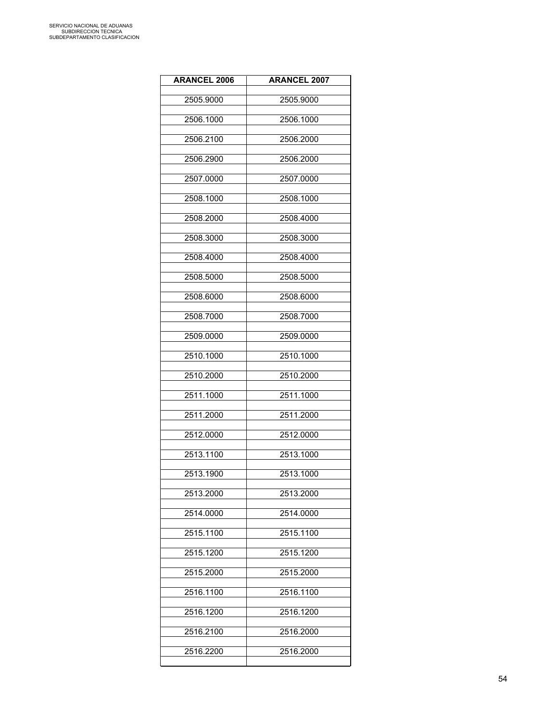| <b>ARANCEL 2006</b> | <b>ARANCEL 2007</b> |
|---------------------|---------------------|
| 2505.9000           | 2505.9000           |
| 2506.1000           | 2506.1000           |
| 2506.2100           | 2506.2000           |
| 2506.2900           | 2506.2000           |
| 2507.0000           | 2507.0000           |
| 2508.1000           | 2508.1000           |
| 2508.2000           | 2508.4000           |
| 2508.3000           | 2508.3000           |
| 2508.4000           | 2508.4000           |
| 2508.5000           | 2508.5000           |
| 2508.6000           | 2508.6000           |
| 2508.7000           | 2508.7000           |
| 2509.0000           | 2509.0000           |
| 2510.1000           | 2510.1000           |
| 2510.2000           | 2510.2000           |
| 2511.1000           | 2511.1000           |
| 2511.2000           | 2511.2000           |
| 2512.0000           | 2512.0000           |
| 2513.1100           | 2513.1000           |
| 2513.1900           | 2513.1000           |
| 2513.2000           | 2513.2000           |
| 2514.0000           | 2514.0000           |
| 2515.1100           | 2515.1100           |
| 2515.1200           | 2515.1200           |
| 2515.2000           | 2515.2000           |
| 2516.1100           | 2516.1100           |
| 2516.1200           | 2516.1200           |
| 2516.2100           | 2516.2000           |
| 2516.2200           | 2516.2000           |
|                     |                     |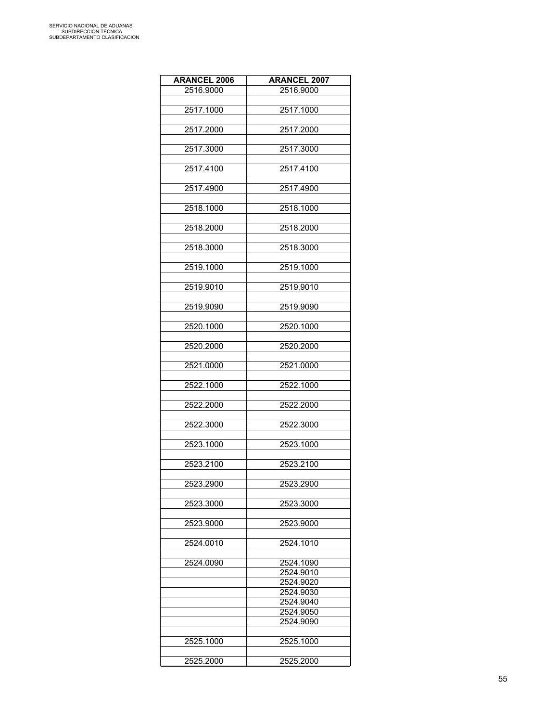| <b>ARANCEL 2006</b> | <b>ARANCEL 2007</b> |
|---------------------|---------------------|
| 2516.9000           | 2516.9000           |
|                     |                     |
| 2517.1000           | 2517.1000           |
|                     |                     |
| 2517.2000           | 2517.2000           |
|                     |                     |
| 2517.3000           | 2517.3000           |
|                     |                     |
| 2517.4100           | 2517.4100           |
|                     |                     |
| 2517.4900           | 2517.4900           |
|                     |                     |
| 2518.1000           | 2518.1000           |
|                     |                     |
| 2518.2000           | 2518.2000           |
|                     |                     |
|                     |                     |
| 2518.3000           | 2518.3000           |
|                     |                     |
| 2519.1000           | 2519.1000           |
|                     |                     |
| 2519.9010           | 2519.9010           |
|                     |                     |
| 2519.9090           | 2519.9090           |
|                     |                     |
| 2520.1000           | 2520.1000           |
|                     |                     |
| 2520.2000           | 2520.2000           |
|                     |                     |
| 2521.0000           | 2521.0000           |
|                     |                     |
| 2522.1000           | 2522.1000           |
|                     |                     |
| 2522.2000           | 2522.2000           |
|                     |                     |
| 2522.3000           | 2522.3000           |
|                     |                     |
| 2523.1000           | 2523.1000           |
|                     |                     |
| 2523.2100           | 2523.2100           |
|                     |                     |
| 2523.2900           | 2523.2900           |
|                     |                     |
| 2523.3000           | 2523.3000           |
|                     |                     |
| 2523.9000           | 2523.9000           |
|                     |                     |
| 2524.0010           | 2524.1010           |
|                     |                     |
| 2524.0090           | 2524.1090           |
|                     | 2524.9010           |
|                     | 2524.9020           |
|                     | 2524.9030           |
|                     | 2524.9040           |
|                     | 2524.9050           |
|                     |                     |
|                     | 2524.9090           |
|                     |                     |
| 2525.1000           | 2525.1000           |
|                     |                     |
| 2525.2000           | 2525.2000           |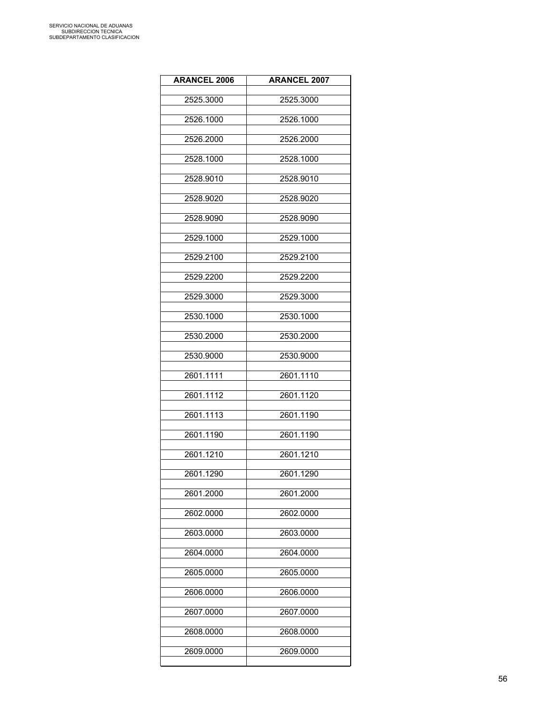| <b>ARANCEL 2006</b> | <b>ARANCEL 2007</b> |
|---------------------|---------------------|
| 2525.3000           | 2525.3000           |
| 2526.1000           | 2526.1000           |
| 2526.2000           | 2526.2000           |
| 2528.1000           | 2528.1000           |
| 2528.9010           | 2528.9010           |
| 2528.9020           | 2528.9020           |
| 2528.9090           | 2528.9090           |
| 2529.1000           | 2529.1000           |
| 2529.2100           | 2529.2100           |
| 2529.2200           | 2529.2200           |
| 2529.3000           | 2529.3000           |
| 2530.1000           | 2530.1000           |
| 2530.2000           | 2530.2000           |
| 2530.9000           | 2530.9000           |
| 2601.1111           | 2601.1110           |
| 2601.1112           | 2601.1120           |
| 2601.1113           | 2601.1190           |
| 2601.1190           | 2601.1190           |
| 2601.1210           | 2601.1210           |
| 2601.1290           | 2601.1290           |
| 2601.2000           | 2601.2000           |
| 2602.0000           | 2602.0000           |
| 2603.0000           | 2603.0000           |
| 2604.0000           | 2604.0000           |
| 2605.0000           | 2605.0000           |
| 2606.0000           | 2606.0000           |
| 2607.0000           | 2607.0000           |
| 2608.0000           | 2608.0000           |
| 2609.0000           | 2609.0000           |
|                     |                     |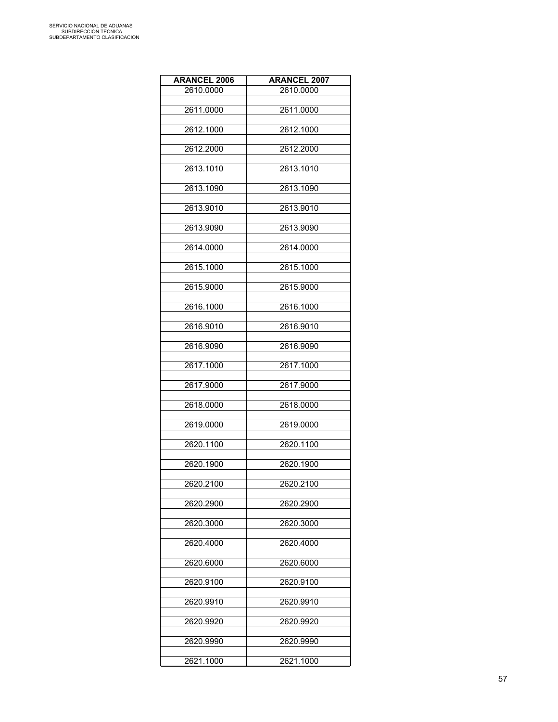| <b>ARANCEL 2006</b> | <b>ARANCEL 2007</b> |
|---------------------|---------------------|
| 2610.0000           | 2610.0000           |
|                     |                     |
| 2611.0000           | 2611.0000           |
| 2612.1000           | 2612.1000           |
| 2612.2000           | 2612.2000           |
| 2613.1010           | 2613.1010           |
| 2613.1090           | 2613.1090           |
| 2613.9010           | 2613.9010           |
| 2613.9090           | 2613.9090           |
| 2614.0000           | 2614.0000           |
| 2615.1000           | 2615.1000           |
| 2615.9000           | 2615.9000           |
| 2616.1000           | 2616.1000           |
| 2616.9010           | 2616.9010           |
| 2616.9090           | 2616.9090           |
| 2617.1000           | 2617.1000           |
| 2617.9000           | 2617.9000           |
| 2618.0000           | 2618.0000           |
| 2619.0000           | 2619.0000           |
| 2620.1100           | 2620.1100           |
| 2620.1900           | 2620.1900           |
| 2620.2100           | 2620.2100           |
| 2620.2900           | 2620.2900           |
| 2620.3000           | 2620.3000           |
| 2620.4000           | 2620.4000           |
| 2620.6000           | 2620.6000           |
| 2620.9100           | 2620.9100           |
| 2620.9910           | 2620.9910           |
| 2620.9920           | 2620.9920           |
| 2620.9990           | 2620.9990           |
| 2621.1000           | 2621.1000           |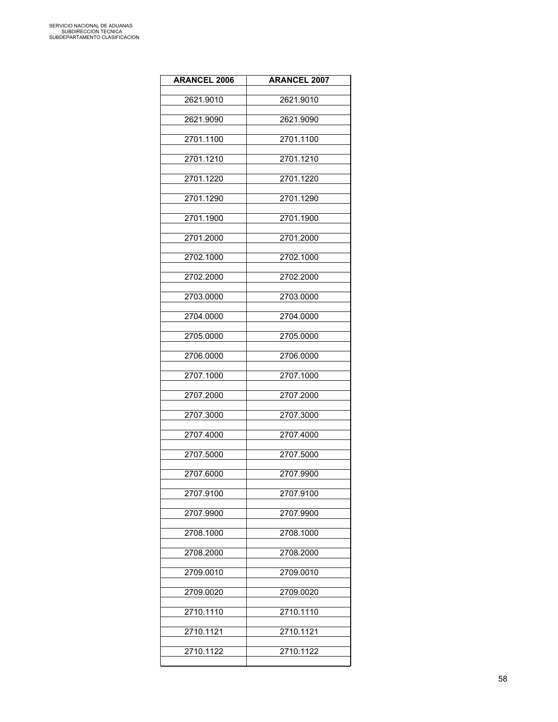| <b>ARANCEL 2006</b> | <b>ARANCEL 2007</b> |
|---------------------|---------------------|
| 2621.9010           | 2621.9010           |
| 2621.9090           | 2621.9090           |
| 2701.1100           | 2701.1100           |
| 2701.1210           | 2701.1210           |
| 2701.1220           | 2701.1220           |
| 2701.1290           | 2701.1290           |
| 2701.1900           | 2701.1900           |
| 2701.2000           | 2701.2000           |
| 2702.1000           | 2702.1000           |
| 2702.2000           | 2702.2000           |
| 2703.0000           | 2703.0000           |
| 2704.0000           | 2704.0000           |
| 2705.0000           | 2705.0000           |
| 2706.0000           | 2706.0000           |
| 2707.1000           | 2707.1000           |
| 2707.2000           | 2707.2000           |
| 2707.3000           | 2707.3000           |
| 2707.4000           | 2707.4000           |
| 2707.5000           | 2707.5000           |
| 2707.6000           | 2707.9900           |
| 2707.9100           | 2707.9100           |
| 2707.9900           | 2707.9900           |
| 2708.1000           | 2708.1000           |
| 2708.2000           | 2708.2000           |
| 2709.0010           | 2709.0010           |
| 2709.0020           | 2709.0020           |
| 2710.1110           | 2710.1110           |
| 2710.1121           | 2710.1121           |
| 2710.1122           | 2710.1122           |
|                     |                     |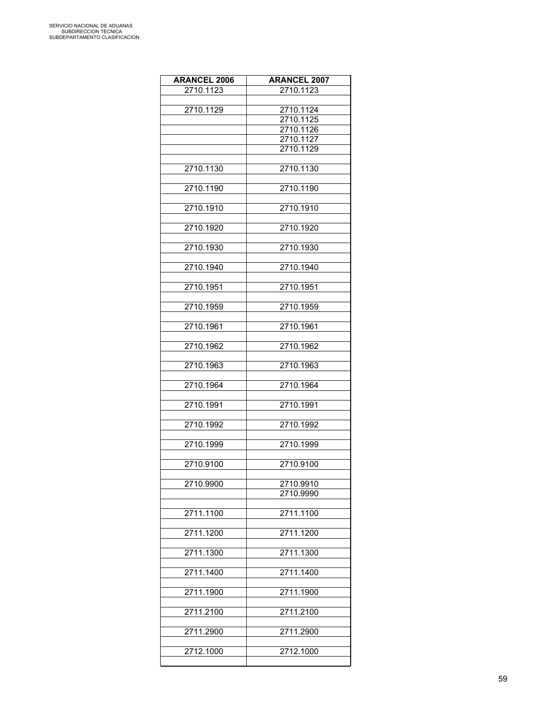| <b>ARANCEL 2006</b> | <b>ARANCEL 2007</b> |
|---------------------|---------------------|
| 2710.1123           | 2710.1123           |
|                     |                     |
| 2710.1129           | 2710.1124           |
|                     | 2710.1125           |
|                     | 2710.1126           |
|                     | 2710.1127           |
|                     | 2710.1129           |
|                     |                     |
| 2710.1130           | 2710.1130           |
|                     |                     |
| 2710.1190           | 2710.1190           |
|                     |                     |
| 2710.1910           | 2710.1910           |
|                     |                     |
| 2710.1920           | 2710.1920           |
|                     |                     |
| 2710.1930           | 2710.1930           |
|                     |                     |
| 2710.1940           | 2710.1940           |
|                     |                     |
|                     |                     |
| 2710.1951           | 2710.1951           |
|                     |                     |
| 2710.1959           | 2710.1959           |
|                     |                     |
| 2710.1961           | 2710.1961           |
|                     |                     |
| 2710.1962           | 2710.1962           |
|                     |                     |
| 2710.1963           | 2710.1963           |
|                     |                     |
| 2710.1964           | 2710.1964           |
|                     |                     |
| 2710.1991           | 2710.1991           |
|                     |                     |
| 2710.1992           | 2710.1992           |
|                     |                     |
| 2710.1999           | 2710.1999           |
|                     |                     |
| 2710.9100           | 2710.9100           |
|                     |                     |
| 2710.9900           | 2710.9910           |
|                     | 2710.9990           |
|                     |                     |
| 2711.1100           | 2711.1100           |
|                     |                     |
| 2711.1200           | 2711.1200           |
|                     |                     |
| 2711.1300           | 2711.1300           |
|                     |                     |
| 2711.1400           | 2711.1400           |
|                     |                     |
| 2711.1900           | 2711.1900           |
|                     |                     |
|                     |                     |
| 2711.2100           | 2711.2100           |
|                     |                     |
| 2711.2900           | 2711.2900           |
|                     |                     |
| 2712.1000           | 2712.1000           |
|                     |                     |

L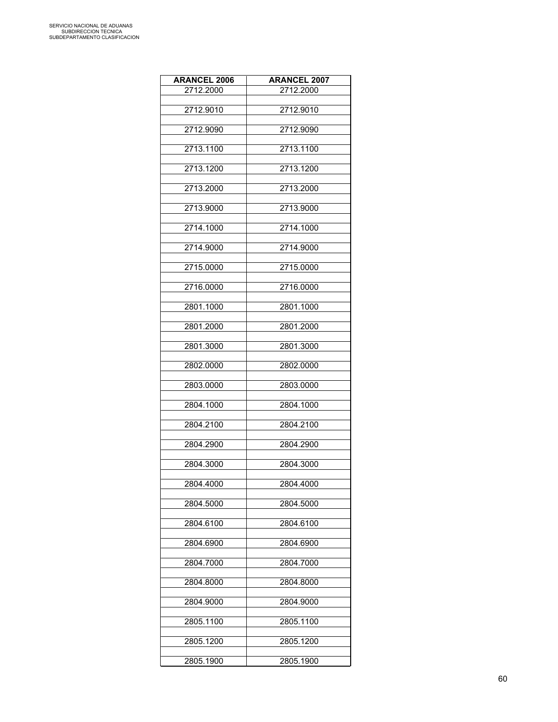| <b>ARANCEL 2006</b> | <b>ARANCEL 2007</b> |
|---------------------|---------------------|
| 2712.2000           | 2712.2000           |
|                     |                     |
| 2712.9010           | 2712.9010           |
| 2712.9090           | 2712.9090           |
|                     |                     |
| 2713.1100           | 2713.1100           |
|                     |                     |
| 2713.1200           | 2713.1200           |
| 2713.2000           | 2713.2000           |
|                     |                     |
| 2713.9000           | 2713.9000           |
|                     |                     |
| 2714.1000           | 2714.1000           |
| 2714.9000           | 2714.9000           |
|                     |                     |
| 2715.0000           | 2715.0000           |
|                     |                     |
| 2716.0000           | 2716.0000           |
| 2801.1000           | 2801.1000           |
|                     |                     |
| 2801.2000           | 2801.2000           |
|                     |                     |
| 2801.3000           | 2801.3000           |
| 2802.0000           | 2802.0000           |
|                     |                     |
| 2803.0000           | 2803.0000           |
|                     |                     |
| 2804.1000           | 2804.1000           |
| 2804.2100           | 2804.2100           |
|                     |                     |
| 2804.2900           | 2804.2900           |
|                     |                     |
| 2804.3000           | 2804.3000           |
| 2804.4000           | 2804.4000           |
|                     |                     |
| 2804.5000           | 2804.5000           |
|                     |                     |
| 2804.6100           | 2804.6100           |
| 2804.6900           | 2804.6900           |
|                     |                     |
| 2804.7000           | 2804.7000           |
|                     |                     |
| 2804.8000           | 2804.8000           |
|                     |                     |
| 2804.9000           | 2804.9000           |
| 2805.1100           | 2805.1100           |
|                     |                     |
| 2805.1200           | 2805.1200           |
|                     |                     |
| 2805.1900           | 2805.1900           |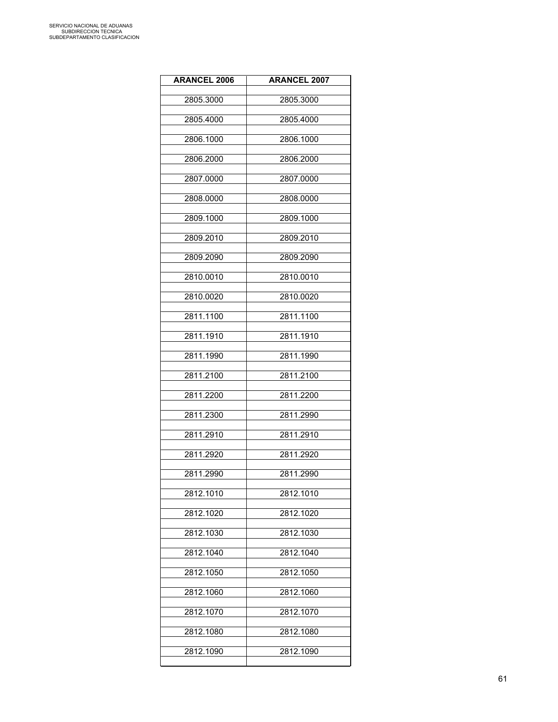| <b>ARANCEL 2006</b> | <b>ARANCEL 2007</b> |
|---------------------|---------------------|
| 2805.3000           | 2805.3000           |
| 2805.4000           | 2805.4000           |
| 2806.1000           | 2806.1000           |
| 2806.2000           | 2806.2000           |
| 2807.0000           | 2807.0000           |
| 2808.0000           | 2808.0000           |
| 2809.1000           | 2809.1000           |
| 2809.2010           | 2809.2010           |
| 2809.2090           | 2809.2090           |
| 2810.0010           | 2810.0010           |
| 2810.0020           | 2810.0020           |
| 2811.1100           | 2811.1100           |
| 2811.1910           | 2811.1910           |
| 2811.1990           | 2811.1990           |
| 2811.2100           | 2811.2100           |
| 2811.2200           | 2811.2200           |
| 2811.2300           | 2811.2990           |
| 2811.2910           | 2811.2910           |
| 2811.2920           | 2811.2920           |
| 2811.2990           | 2811.2990           |
| 2812.1010           | 2812.1010           |
| 2812.1020           | 2812.1020           |
| 2812.1030           | 2812.1030           |
| 2812.1040           | 2812.1040           |
| 2812.1050           | 2812.1050           |
| 2812.1060           | 2812.1060           |
| 2812.1070           | 2812.1070           |
| 2812.1080           | 2812.1080           |
| 2812.1090           | 2812.1090           |
|                     |                     |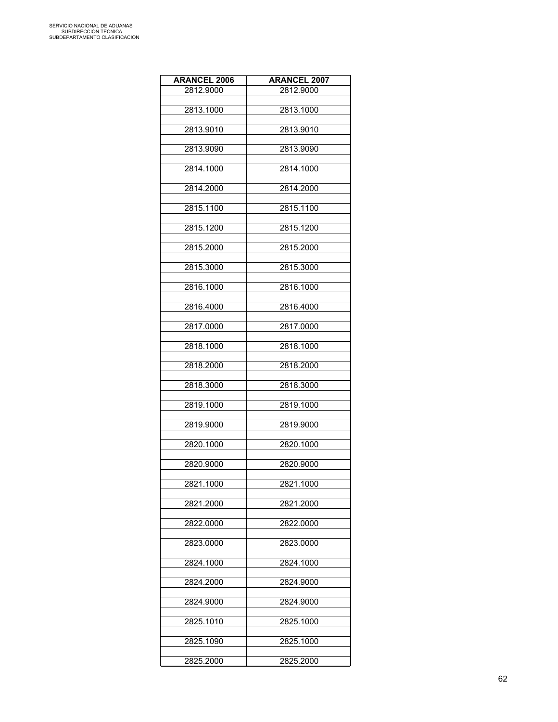| <b>ARANCEL 2006</b> | <b>ARANCEL 2007</b> |
|---------------------|---------------------|
| 2812.9000           | 2812.9000           |
|                     |                     |
| 2813.1000           | 2813.1000           |
| 2813.9010           | 2813.9010           |
|                     |                     |
| 2813.9090           | 2813.9090           |
|                     |                     |
| 2814.1000           | 2814.1000           |
| 2814.2000           | 2814.2000           |
|                     |                     |
| 2815.1100           | 2815.1100           |
|                     |                     |
| 2815.1200           | 2815.1200           |
| 2815.2000           | 2815.2000           |
|                     |                     |
| 2815.3000           | 2815.3000           |
|                     |                     |
| 2816.1000           | 2816.1000           |
| 2816.4000           | 2816.4000           |
|                     |                     |
| 2817.0000           | 2817.0000           |
|                     |                     |
| 2818.1000           | 2818.1000           |
| 2818.2000           | 2818.2000           |
|                     |                     |
| 2818.3000           | 2818.3000           |
|                     |                     |
| 2819.1000           | 2819.1000           |
| 2819.9000           | 2819.9000           |
|                     |                     |
| 2820.1000           | 2820.1000           |
|                     |                     |
| 2820.9000           | 2820.9000           |
| 2821.1000           | 2821.1000           |
|                     |                     |
| 2821.2000           | 2821.2000           |
|                     |                     |
| 2822.0000           | 2822.0000           |
| 2823.0000           | 2823.0000           |
|                     |                     |
| 2824.1000           | 2824.1000           |
|                     |                     |
| 2824.2000           | 2824.9000           |
| 2824.9000           | 2824.9000           |
|                     |                     |
| 2825.1010           | 2825.1000           |
|                     |                     |
| 2825.1090           | 2825.1000           |
|                     |                     |
| 2825.2000           | 2825.2000           |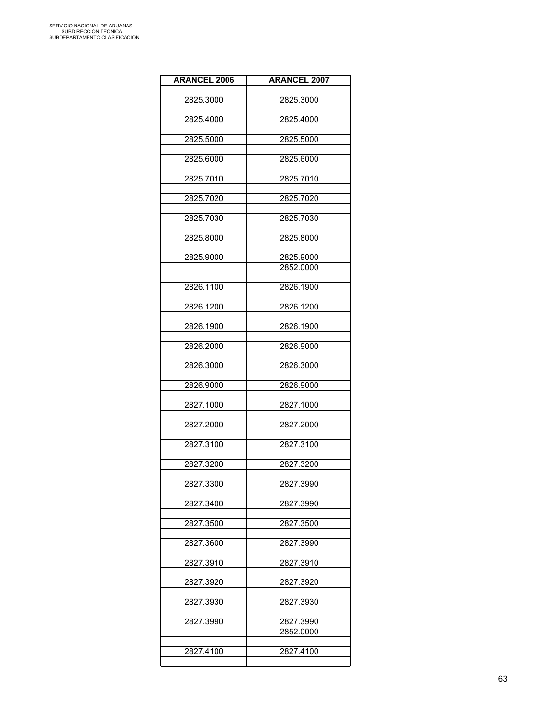| <b>ARANCEL 2006</b> | <b>ARANCEL 2007</b> |
|---------------------|---------------------|
| 2825.3000           | 2825.3000           |
|                     |                     |
| 2825.4000           | 2825.4000           |
| 2825.5000           | 2825.5000           |
| 2825.6000           | 2825.6000           |
| 2825.7010           | 2825.7010           |
| 2825.7020           | 2825.7020           |
| 2825.7030           | 2825.7030           |
| 2825.8000           | 2825.8000           |
| 2825.9000           | 2825.9000           |
|                     | 2852.0000           |
| 2826.1100           | 2826.1900           |
| 2826.1200           | 2826.1200           |
| 2826.1900           | 2826.1900           |
| 2826.2000           | 2826.9000           |
| 2826.3000           | 2826.3000           |
| 2826.9000           | 2826.9000           |
| 2827.1000           | 2827.1000           |
| 2827.2000           | 2827.2000           |
| 2827.3100           | 2827.3100           |
| 2827.3200           | 2827.3200           |
| 2827.3300           | 2827.3990           |
| 2827.3400           | 2827.3990           |
| 2827.3500           | 2827.3500           |
| 2827.3600           | 2827.3990           |
| 2827.3910           | 2827.3910           |
| 2827.3920           | 2827.3920           |
| 2827.3930           | 2827.3930           |
| 2827.3990           | 2827.3990           |
|                     | 2852.0000           |
| 2827.4100           | 2827.4100           |
|                     |                     |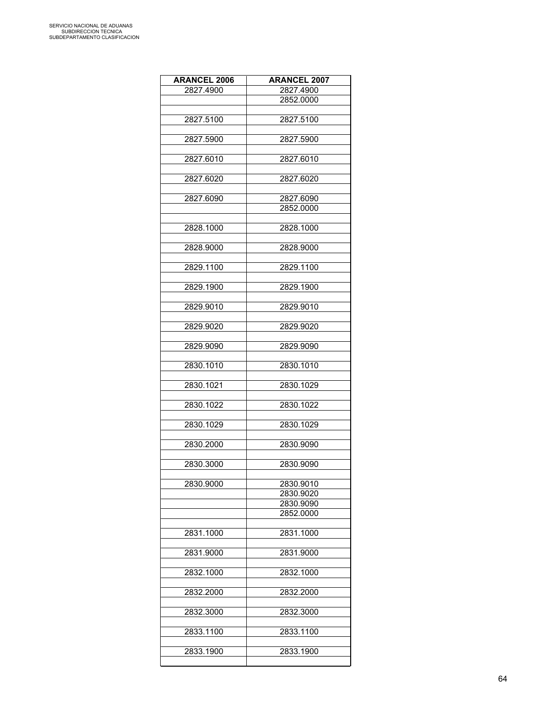| <b>ARANCEL 2006</b> | <b>ARANCEL 2007</b>    |
|---------------------|------------------------|
| 2827.4900           | 2827.4900              |
|                     | 2852.0000              |
|                     |                        |
| 2827.5100           | 2827.5100              |
|                     |                        |
| 2827.5900           | 2827.5900              |
|                     |                        |
|                     |                        |
| 2827.6010           | 2827.6010              |
|                     |                        |
| 2827.6020           | 2827.6020              |
|                     |                        |
| 2827.6090           | 2827.6090              |
|                     | 2852.0000              |
|                     |                        |
| 2828.1000           | 2828.1000              |
|                     |                        |
| 2828.9000           | 2828.9000              |
|                     |                        |
| 2829.1100           | 2829.1100              |
|                     |                        |
| 2829.1900           | 2829.1900              |
|                     |                        |
| 2829.9010           | 2829.9010              |
|                     |                        |
| 2829.9020           | 2829.9020              |
|                     |                        |
| 2829.9090           | 2829.9090              |
|                     |                        |
| 2830.1010           | 2830.1010              |
|                     |                        |
| 2830.1021           | 2830.1029              |
|                     |                        |
| 2830.1022           | 2830.1022              |
|                     |                        |
| 2830.1029           | 2830.1029              |
|                     |                        |
| 2830.2000           | 2830.9090              |
|                     |                        |
| 2830.3000           | 2830.9090              |
|                     |                        |
|                     |                        |
| 2830.9000           | 2830.9010              |
|                     | 2830.9020<br>2830.9090 |
|                     | 2852.0000              |
|                     |                        |
|                     |                        |
| 2831.1000           | 2831.1000              |
|                     |                        |
| 2831.9000           | 2831.9000              |
|                     |                        |
| 2832.1000           | 2832.1000              |
|                     |                        |
| 2832.2000           | 2832.2000              |
|                     |                        |
| 2832.3000           | 2832.3000              |
|                     |                        |
| 2833.1100           | 2833.1100              |
|                     |                        |
| 2833.1900           | 2833.1900              |
|                     |                        |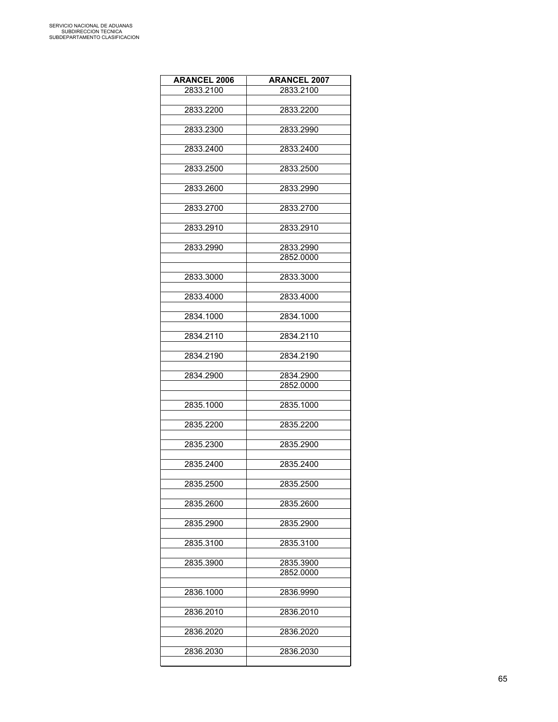| <b>ARANCEL 2006</b> | <b>ARANCEL 2007</b>    |
|---------------------|------------------------|
| 2833.2100           | 2833.2100              |
|                     |                        |
| 2833.2200           | 2833.2200              |
| 2833.2300           | 2833.2990              |
|                     |                        |
| 2833.2400           | 2833.2400              |
|                     |                        |
| 2833.2500           | 2833.2500              |
| 2833.2600           | 2833.2990              |
|                     |                        |
| 2833.2700           | 2833.2700              |
|                     |                        |
| 2833.2910           | 2833.2910              |
| 2833.2990           | 2833.2990              |
|                     | 2852.0000              |
|                     |                        |
| 2833.3000           | 2833.3000              |
| 2833.4000           | 2833.4000              |
|                     |                        |
| 2834.1000           | 2834.1000              |
|                     |                        |
| 2834.2110           | 2834.2110              |
| 2834.2190           | 2834.2190              |
|                     |                        |
| 2834.2900           | 2834.2900              |
|                     | 2852.0000              |
| 2835.1000           | 2835.1000              |
|                     |                        |
| 2835.2200           | 2835.2200              |
|                     |                        |
| 2835.2300           | 2835.2900              |
| 2835.2400           | 2835.2400              |
|                     |                        |
| 2835.2500           | 2835.2500              |
|                     |                        |
| 2835.2600           | 2835.2600              |
| 2835.2900           | 2835.2900              |
|                     |                        |
| 2835.3100           | 2835.3100              |
|                     |                        |
| 2835.3900           | 2835.3900<br>2852.0000 |
|                     |                        |
| 2836.1000           | 2836.9990              |
|                     |                        |
| 2836.2010           | 2836.2010              |
| 2836.2020           | 2836.2020              |
|                     |                        |
| 2836.2030           | 2836.2030              |
|                     |                        |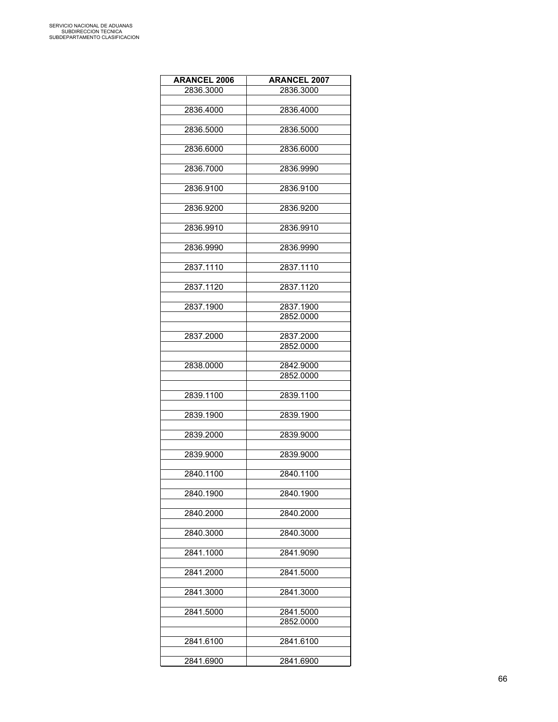| <b>ARANCEL 2007</b> |
|---------------------|
| 2836.3000           |
|                     |
| 2836.4000           |
|                     |
| 2836.5000           |
| 2836.6000           |
|                     |
| 2836.9990           |
|                     |
| 2836.9100           |
|                     |
| 2836.9200           |
|                     |
| 2836.9910           |
| 2836.9990           |
|                     |
| 2837.1110           |
|                     |
| 2837.1120           |
|                     |
| 2837.1900           |
| 2852.0000           |
|                     |
| 2837.2000           |
| 2852.0000           |
| 2842.9000           |
| 2852.0000           |
|                     |
| 2839.1100           |
|                     |
| 2839.1900           |
|                     |
| 2839.9000           |
| 2839.9000           |
|                     |
| 2840.1100           |
|                     |
| 2840.1900           |
|                     |
| 2840.2000           |
|                     |
| 2840.3000           |
| 2841.9090           |
|                     |
| 2841.5000           |
|                     |
| 2841.3000           |
|                     |
| 2841.5000           |
| 2852.0000           |
|                     |
| 2841.6100           |
| 2841.6900           |
|                     |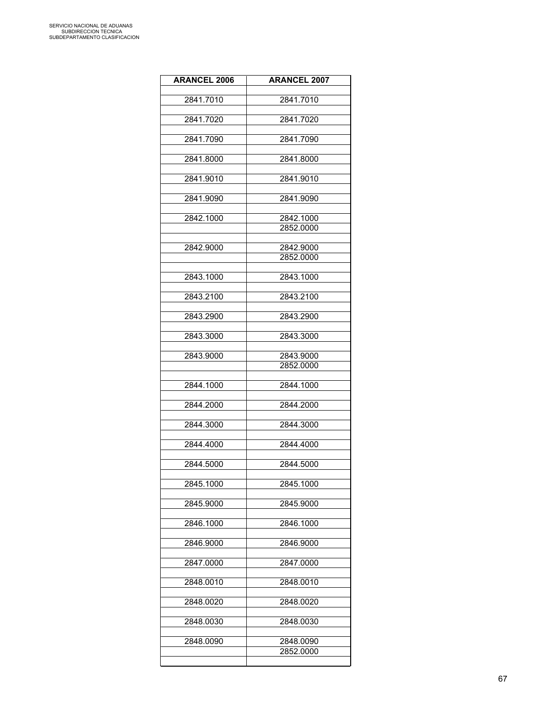| <b>ARANCEL 2006</b> | <b>ARANCEL 2007</b>    |
|---------------------|------------------------|
| 2841.7010           | 2841.7010              |
|                     |                        |
| 2841.7020           | 2841.7020              |
| 2841.7090           | 2841.7090              |
|                     |                        |
| 2841.8000           | 2841.8000              |
| 2841.9010           | 2841.9010              |
|                     |                        |
| 2841.9090           | 2841.9090              |
| 2842.1000           | 2842.1000              |
|                     | 2852.0000              |
| 2842.9000           | 2842.9000              |
|                     | 2852.0000              |
| 2843.1000           | 2843.1000              |
|                     |                        |
| 2843.2100           | 2843.2100              |
| 2843.2900           | 2843.2900              |
|                     |                        |
| 2843.3000           | 2843.3000              |
| 2843.9000           | 2843.9000              |
|                     | 2852.0000              |
| 2844.1000           | 2844.1000              |
|                     |                        |
| 2844.2000           | 2844.2000              |
| 2844.3000           | 2844.3000              |
| 2844.4000           | 2844.4000              |
|                     |                        |
| 2844.5000           | 2844.5000              |
| 2845.1000           | 2845.1000              |
|                     |                        |
| 2845.9000           | 2845.9000              |
| 2846.1000           | 2846.1000              |
|                     |                        |
| 2846.9000           | 2846.9000              |
| 2847.0000           | 2847.0000              |
| 2848.0010           | 2848.0010              |
|                     |                        |
| 2848.0020           | 2848.0020              |
| 2848.0030           | 2848.0030              |
|                     |                        |
| 2848.0090           | 2848.0090<br>2852.0000 |
|                     |                        |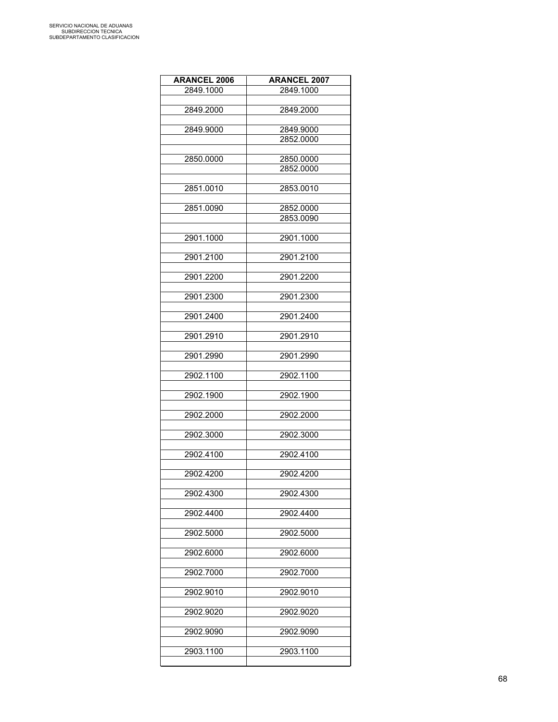| <b>ARANCEL 2006</b> | <b>ARANCEL 2007</b>    |
|---------------------|------------------------|
| 2849.1000           | 2849.1000              |
|                     |                        |
| 2849.2000           | 2849.2000              |
| 2849.9000           | 2849.9000              |
|                     | 2852.0000              |
|                     |                        |
| 2850,0000           | 2850.0000<br>2852.0000 |
|                     |                        |
| 2851.0010           | 2853.0010              |
|                     |                        |
| 2851.0090           | 2852.0000<br>2853.0090 |
|                     |                        |
| 2901.1000           | 2901.1000              |
|                     |                        |
| 2901.2100           | 2901.2100              |
| 2901.2200           | 2901.2200              |
|                     |                        |
| 2901.2300           | 2901.2300              |
| 2901.2400           | 2901.2400              |
|                     |                        |
| 2901.2910           | 2901.2910              |
|                     |                        |
| 2901.2990           | 2901.2990              |
| 2902.1100           | 2902.1100              |
|                     |                        |
| 2902.1900           | 2902.1900              |
| 2902.2000           | 2902.2000              |
|                     |                        |
| 2902.3000           | 2902.3000              |
|                     |                        |
| 2902.4100           | 2902.4100              |
| 2902.4200           | 2902.4200              |
|                     |                        |
| 2902.4300           | 2902.4300              |
| 2902.4400           | 2902.4400              |
|                     |                        |
| 2902.5000           | 2902.5000              |
| 2902.6000           | 2902.6000              |
|                     |                        |
| 2902.7000           | 2902.7000              |
|                     |                        |
| 2902.9010           | 2902.9010              |
| 2902.9020           | 2902.9020              |
|                     |                        |
| 2902.9090           | 2902.9090              |
| 2903.1100           | 2903.1100              |
|                     |                        |

L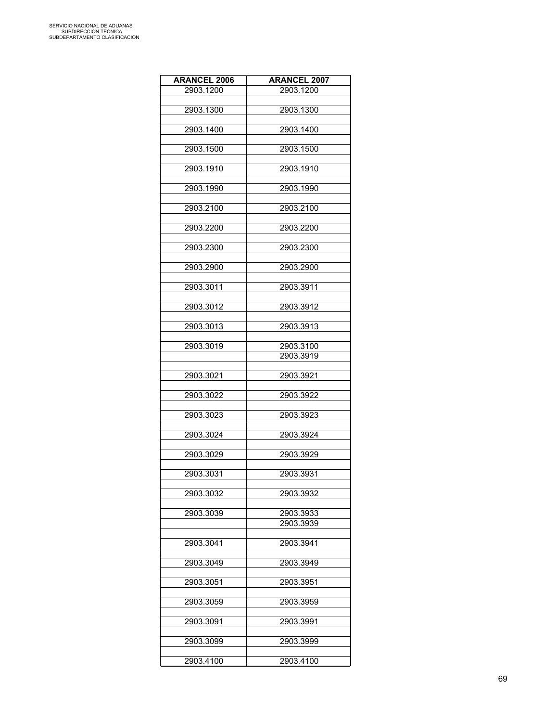| <b>ARANCEL 2006</b> | <b>ARANCEL 2007</b> |
|---------------------|---------------------|
| 2903.1200           | 2903.1200           |
|                     |                     |
| 2903.1300           | 2903.1300           |
|                     |                     |
| 2903.1400           | 2903.1400           |
|                     |                     |
| 2903.1500           | 2903.1500           |
|                     |                     |
| 2903.1910           | 2903.1910           |
|                     |                     |
| 2903.1990           | 2903.1990           |
|                     |                     |
| 2903.2100           | 2903.2100           |
|                     |                     |
| 2903.2200           | 2903.2200           |
|                     |                     |
| 2903.2300           | 2903.2300           |
|                     |                     |
| 2903.2900           | 2903.2900           |
|                     |                     |
| 2903.3011           | 2903.3911           |
|                     |                     |
| 2903.3012           | 2903.3912           |
|                     |                     |
| 2903.3013           | 2903.3913           |
|                     |                     |
| 2903.3019           | 2903.3100           |
|                     | 2903.3919           |
|                     |                     |
| 2903.3021           | 2903.3921           |
|                     |                     |
| 2903.3022           | 2903.3922           |
| 2903.3023           | 2903.3923           |
|                     |                     |
| 2903.3024           | 2903.3924           |
|                     |                     |
| 2903.3029           | 2903.3929           |
|                     |                     |
| 2903.3031           | 2903.3931           |
|                     |                     |
| 2903.3032           | 2903.3932           |
|                     |                     |
| 2903.3039           | 2903.3933           |
|                     | 2903.3939           |
|                     |                     |
| 2903.3041           | 2903.3941           |
|                     |                     |
| 2903.3049           | 2903.3949           |
|                     |                     |
| 2903.3051           | 2903.3951           |
|                     |                     |
| 2903.3059           | 2903.3959           |
|                     |                     |
| 2903.3091           | 2903.3991           |
|                     |                     |
| 2903.3099           | 2903.3999           |
|                     |                     |
| 2903.4100           | 2903.4100           |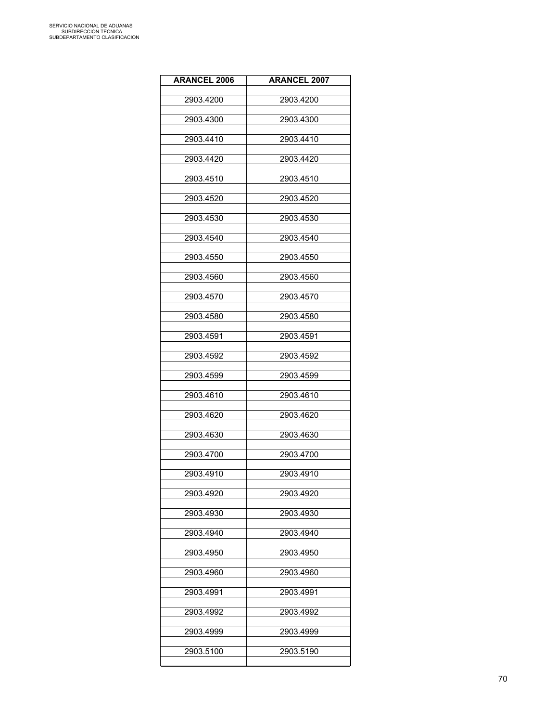| <b>ARANCEL 2006</b> | <b>ARANCEL 2007</b> |
|---------------------|---------------------|
| 2903.4200           | 2903.4200           |
| 2903.4300           | 2903.4300           |
| 2903.4410           | 2903.4410           |
| 2903.4420           | 2903.4420           |
| 2903.4510           | 2903.4510           |
| 2903.4520           | 2903.4520           |
| 2903.4530           | 2903.4530           |
| 2903.4540           | 2903.4540           |
| 2903.4550           | 2903.4550           |
| 2903.4560           | 2903.4560           |
| 2903.4570           | 2903.4570           |
| 2903.4580           | 2903.4580           |
| 2903.4591           | 2903.4591           |
| 2903.4592           | 2903.4592           |
| 2903.4599           | 2903.4599           |
| 2903.4610           | 2903.4610           |
| 2903.4620           | 2903.4620           |
| 2903.4630           | 2903.4630           |
| 2903.4700           | 2903.4700           |
| 2903.4910           | 2903.4910           |
| 2903.4920           | 2903.4920           |
| 2903.4930           | 2903.4930           |
| 2903.4940           | 2903.4940           |
| 2903.4950           | 2903.4950           |
| 2903.4960           | 2903.4960           |
| 2903.4991           | 2903.4991           |
| 2903.4992           | 2903.4992           |
| 2903.4999           | 2903.4999           |
| 2903.5100           | 2903.5190           |
|                     |                     |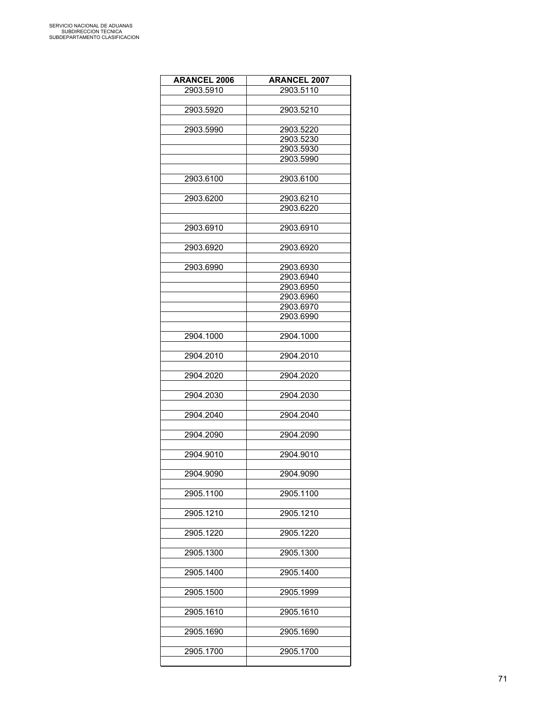| <b>ARANCEL 2006</b> | <b>ARANCEL 2007</b> |
|---------------------|---------------------|
| 2903.5910           | 2903.5110           |
|                     |                     |
| 2903.5920           | 2903.5210           |
|                     |                     |
| 2903.5990           | 2903.5220           |
|                     | 2903.5230           |
|                     | 2903.5930           |
|                     | 2903.5990           |
| 2903.6100           | 2903.6100           |
|                     |                     |
| 2903.6200           | 2903.6210           |
|                     | 2903.6220           |
|                     |                     |
| 2903.6910           | 2903.6910           |
|                     |                     |
| 2903.6920           | 2903.6920           |
|                     |                     |
| 2903.6990           | 2903.6930           |
|                     | 2903.6940           |
|                     | 2903.6950           |
|                     | 2903.6960           |
|                     | 2903.6970           |
|                     | 2903.6990           |
|                     |                     |
| 2904.1000           | 2904.1000           |
|                     |                     |
| 2904.2010           | 2904.2010           |
|                     |                     |
| 2904.2020           | 2904.2020           |
|                     |                     |
| 2904.2030           | 2904.2030           |
|                     |                     |
| 2904.2040           | 2904.2040           |
|                     |                     |
| 2904.2090           | 2904.2090           |
| 2904.9010           |                     |
|                     | 2904.9010           |
| 2904.9090           | 2904.9090           |
|                     |                     |
| 2905.1100           | 2905.1100           |
|                     |                     |
| 2905.1210           | 2905.1210           |
|                     |                     |
| 2905.1220           | 2905.1220           |
|                     |                     |
| 2905.1300           | 2905.1300           |
|                     |                     |
| 2905.1400           | 2905.1400           |
|                     |                     |
| 2905.1500           | 2905.1999           |
|                     |                     |
| 2905.1610           | 2905.1610           |
|                     |                     |
| 2905.1690           | 2905.1690           |
|                     |                     |
| 2905.1700           | 2905.1700           |
|                     |                     |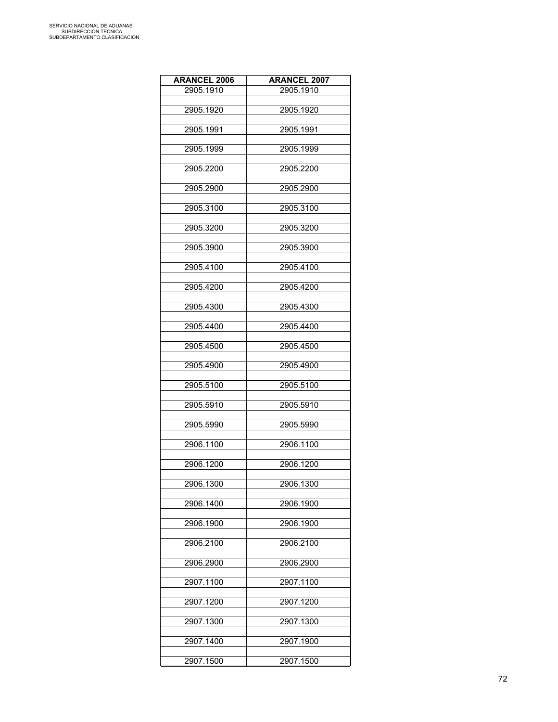| <b>ARANCEL 2006</b> | <b>ARANCEL 2007</b> |
|---------------------|---------------------|
| 2905.1910           | 2905.1910           |
|                     |                     |
| 2905.1920           | 2905.1920           |
|                     |                     |
| 2905.1991           | 2905.1991           |
| 2905.1999           | 2905.1999           |
|                     |                     |
| 2905.2200           | 2905.2200           |
|                     |                     |
| 2905.2900           | 2905.2900           |
|                     |                     |
| 2905.3100           | 2905.3100           |
| 2905.3200           | 2905.3200           |
|                     |                     |
| 2905.3900           | 2905.3900           |
|                     |                     |
| 2905.4100           | 2905.4100           |
|                     |                     |
| 2905.4200           | 2905.4200           |
| 2905.4300           | 2905.4300           |
|                     |                     |
| 2905.4400           | 2905.4400           |
|                     |                     |
| 2905.4500           | 2905.4500           |
|                     |                     |
| 2905.4900           | 2905.4900           |
|                     |                     |
| 2905.5100           | 2905.5100           |
| 2905.5910           | 2905.5910           |
|                     |                     |
| 2905.5990           | 2905.5990           |
|                     |                     |
| 2906.1100           | 2906.1100           |
| 2906.1200           |                     |
|                     | 2906.1200           |
| 2906.1300           | 2906.1300           |
|                     |                     |
| 2906.1400           | 2906.1900           |
|                     |                     |
| 2906.1900           | 2906.1900           |
|                     |                     |
| 2906.2100           | 2906.2100           |
| 2906.2900           | 2906.2900           |
|                     |                     |
| 2907.1100           | 2907.1100           |
|                     |                     |
| 2907.1200           | 2907.1200           |
|                     |                     |
| 2907.1300           | 2907.1300           |
| 2907.1400           | 2907.1900           |
|                     |                     |
| 2907.1500           | 2907.1500           |
|                     |                     |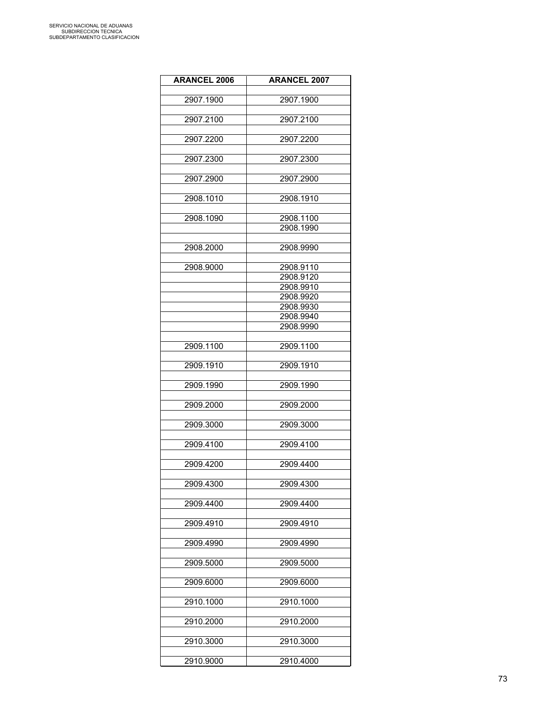| <b>ARANCEL 2006</b> | <b>ARANCEL 2007</b> |
|---------------------|---------------------|
|                     |                     |
| 2907.1900           | 2907.1900           |
|                     |                     |
| 2907.2100           | 2907.2100           |
|                     |                     |
| 2907.2200           | 2907.2200           |
| 2907.2300           | 2907.2300           |
|                     |                     |
| 2907.2900           | 2907.2900           |
|                     |                     |
| 2908.1010           | 2908.1910           |
|                     |                     |
| 2908.1090           | 2908.1100           |
|                     | 2908.1990           |
|                     |                     |
| 2908.2000           | 2908.9990           |
| 2908.9000           | 2908.9110           |
|                     | 2908.9120           |
|                     | 2908.9910           |
|                     | 2908.9920           |
|                     | 2908.9930           |
|                     | 2908.9940           |
|                     | 2908.9990           |
|                     |                     |
| 2909.1100           | 2909.1100           |
|                     |                     |
| 2909.1910           | 2909.1910           |
|                     |                     |
| 2909.1990           | 2909.1990           |
| 2909.2000           | 2909.2000           |
|                     |                     |
| 2909.3000           | 2909.3000           |
|                     |                     |
| 2909.4100           | 2909.4100           |
|                     |                     |
| 2909.4200           | 2909.4400           |
|                     |                     |
| 2909.4300           | 2909.4300           |
|                     |                     |
| 2909.4400           | 2909.4400           |
| 2909.4910           | 2909.4910           |
|                     |                     |
| 2909.4990           | 2909.4990           |
|                     |                     |
| 2909.5000           | 2909.5000           |
|                     |                     |
| 2909.6000           | 2909.6000           |
|                     |                     |
| 2910.1000           | 2910.1000           |
|                     |                     |
| 2910.2000           | 2910.2000           |
| 2910.3000           | 2910.3000           |
|                     |                     |
| 2910.9000           | 2910.4000           |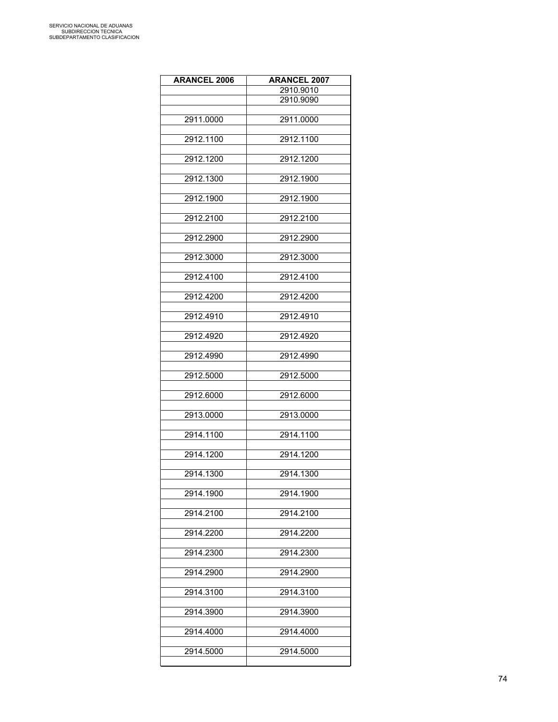| <b>ARANCEL 2006</b> | <b>ARANCEL 2007</b> |
|---------------------|---------------------|
|                     | 2910.9010           |
|                     | 2910.9090           |
| 2911.0000           | 2911.0000           |
|                     |                     |
| 2912.1100           | 2912.1100           |
|                     |                     |
| 2912.1200           | 2912.1200           |
| 2912.1300           | 2912.1900           |
|                     |                     |
| 2912.1900           | 2912.1900           |
|                     |                     |
| 2912.2100           | 2912.2100           |
| 2912.2900           | 2912.2900           |
|                     |                     |
| 2912.3000           | 2912.3000           |
| 2912.4100           | 2912.4100           |
|                     |                     |
| 2912.4200           | 2912.4200           |
|                     |                     |
| 2912.4910           | 2912.4910           |
| 2912.4920           | 2912.4920           |
|                     |                     |
| 2912.4990           | 2912.4990           |
|                     |                     |
| 2912.5000           | 2912.5000           |
| 2912.6000           | 2912.6000           |
|                     |                     |
| 2913.0000           | 2913.0000           |
|                     |                     |
| 2914.1100           | 2914.1100           |
| 2914.1200           | 2914.1200           |
|                     |                     |
| 2914.1300           | 2914.1300           |
| 2914.1900           | 2914.1900           |
|                     |                     |
| 2914.2100           | 2914.2100           |
|                     |                     |
| 2914.2200           | 2914.2200           |
| 2914.2300           | 2914.2300           |
|                     |                     |
| 2914.2900           | 2914.2900           |
|                     |                     |
| 2914.3100           | 2914.3100           |
| 2914.3900           | 2914.3900           |
|                     |                     |
| 2914.4000           | 2914.4000           |
| 2914.5000           | 2914.5000           |
|                     |                     |
|                     |                     |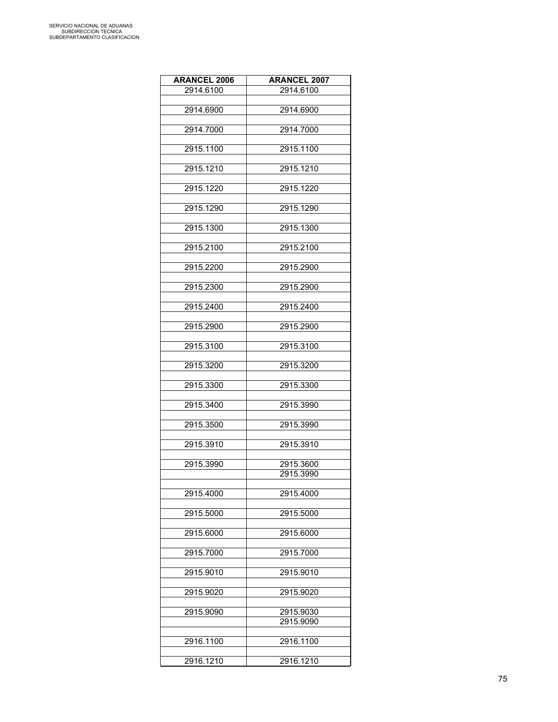| <b>ARANCEL 2006</b> | <b>ARANCEL 2007</b> |
|---------------------|---------------------|
| 2914.6100           | 2914.6100           |
|                     |                     |
| 2914.6900           | 2914.6900           |
|                     |                     |
| 2914.7000           | 2914.7000           |
|                     |                     |
| 2915.1100           | 2915.1100           |
| 2915.1210           | 2915.1210           |
|                     |                     |
| 2915.1220           | 2915.1220           |
|                     |                     |
| 2915.1290           | 2915.1290           |
|                     |                     |
| 2915.1300           | 2915.1300           |
|                     |                     |
| 2915.2100           | 2915.2100           |
|                     |                     |
| 2915.2200           | 2915.2900           |
|                     |                     |
| 2915.2300           | 2915.2900           |
| 2915.2400           | 2915.2400           |
|                     |                     |
| 2915.2900           | 2915.2900           |
|                     |                     |
| 2915.3100           | 2915.3100           |
|                     |                     |
| 2915.3200           | 2915.3200           |
|                     |                     |
| 2915.3300           | 2915.3300           |
|                     |                     |
| 2915.3400           | 2915.3990           |
| 2915.3500           | 2915.3990           |
|                     |                     |
| 2915.3910           | 2915.3910           |
|                     |                     |
| 2915.3990           | 2915.3600           |
|                     | 2915.3990           |
|                     |                     |
| 2915.4000           | 2915.4000           |
|                     |                     |
| 2915.5000           | 2915.5000           |
|                     |                     |
| 2915.6000           | 2915.6000           |
| 2915.7000           | 2915.7000           |
|                     |                     |
| 2915.9010           | 2915.9010           |
|                     |                     |
| 2915.9020           | 2915.9020           |
|                     |                     |
| 2915.9090           | 2915.9030           |
|                     | 2915.9090           |
|                     |                     |
| 2916.1100           | 2916.1100           |
|                     |                     |
| 2916.1210           | 2916.1210           |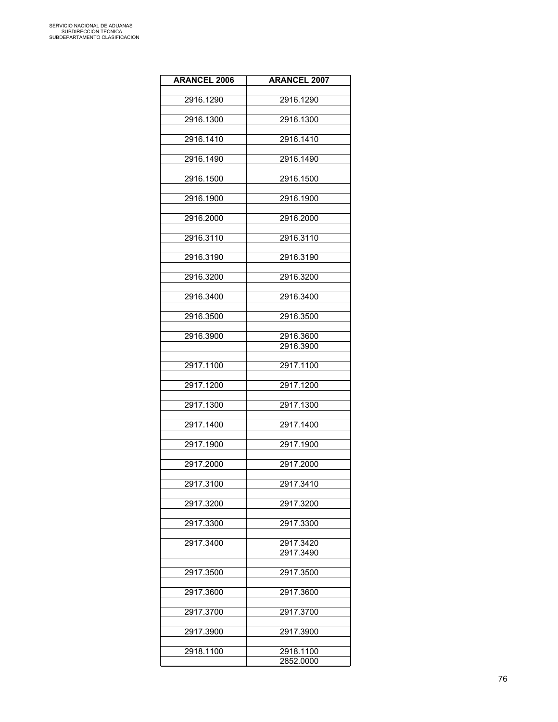| <b>ARANCEL 2006</b> | <b>ARANCEL 2007</b> |
|---------------------|---------------------|
|                     |                     |
| 2916.1290           | 2916.1290           |
|                     |                     |
| 2916.1300           | 2916.1300           |
| 2916.1410           | 2916.1410           |
|                     |                     |
| 2916.1490           | 2916.1490           |
|                     |                     |
| 2916.1500           | 2916.1500           |
|                     |                     |
| 2916.1900           | 2916.1900           |
| 2916.2000           | 2916.2000           |
|                     |                     |
| 2916.3110           | 2916.3110           |
|                     |                     |
| 2916.3190           | 2916.3190           |
|                     |                     |
| 2916.3200           | 2916.3200           |
| 2916.3400           | 2916.3400           |
|                     |                     |
| 2916.3500           | 2916.3500           |
|                     |                     |
| 2916.3900           | 2916.3600           |
|                     | 2916.3900           |
|                     |                     |
| 2917.1100           | 2917.1100           |
| 2917.1200           | 2917.1200           |
|                     |                     |
| 2917.1300           | 2917.1300           |
|                     |                     |
| 2917.1400           | 2917.1400           |
|                     |                     |
| 2917.1900           | 2917.1900           |
| 2917.2000           | 2917.2000           |
|                     |                     |
| 2917.3100           | 2917.3410           |
|                     |                     |
| 2917.3200           | 2917.3200           |
|                     |                     |
| 2917.3300           | 2917.3300           |
| 2917.3400           | 2917.3420           |
|                     | 2917.3490           |
|                     |                     |
| 2917.3500           | 2917.3500           |
|                     |                     |
| 2917.3600           | 2917.3600           |
| 2917.3700           | 2917.3700           |
|                     |                     |
| 2917.3900           | 2917.3900           |
|                     |                     |
| 2918.1100           | 2918.1100           |
|                     | 2852.0000           |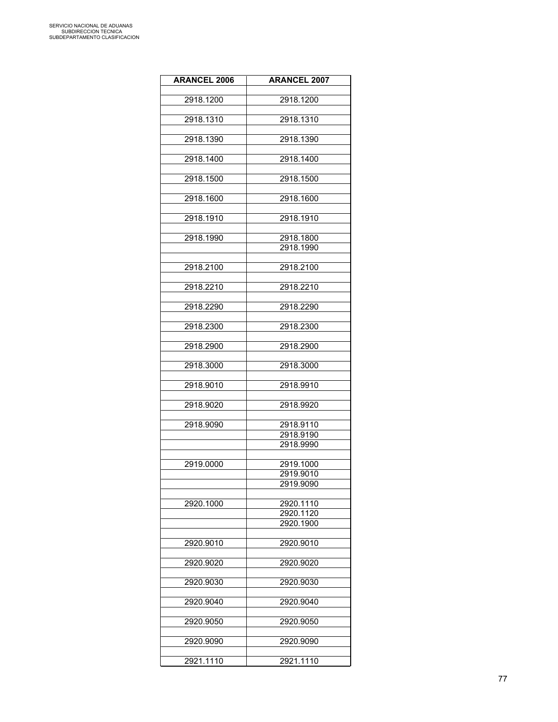| <b>ARANCEL 2006</b> | <b>ARANCEL 2007</b> |
|---------------------|---------------------|
|                     |                     |
| 2918.1200           | 2918.1200           |
|                     |                     |
| 2918.1310           | 2918.1310           |
| 2918.1390           | 2918.1390           |
|                     |                     |
| 2918.1400           | 2918.1400           |
|                     |                     |
| 2918.1500           | 2918.1500           |
|                     |                     |
| 2918.1600           | 2918.1600           |
| 2918.1910           | 2918.1910           |
|                     |                     |
| 2918.1990           | 2918.1800           |
|                     | 2918.1990           |
|                     |                     |
| 2918.2100           | 2918.2100           |
|                     |                     |
| 2918.2210           | 2918.2210           |
| 2918.2290           | 2918.2290           |
|                     |                     |
| 2918.2300           | 2918.2300           |
|                     |                     |
| 2918.2900           | 2918.2900           |
|                     |                     |
| 2918.3000           | 2918.3000           |
| 2918.9010           | 2918.9910           |
|                     |                     |
| 2918.9020           | 2918.9920           |
|                     |                     |
| 2918.9090           | 2918.9110           |
|                     | 2918.9190           |
|                     | 2918.9990           |
|                     |                     |
| 2919.0000           | 2919.1000           |
|                     | 2919.9010           |
|                     | 2919.9090           |
| 2920.1000           | 2920.1110           |
|                     | 2920.1120           |
|                     | 2920.1900           |
|                     |                     |
| 2920.9010           | 2920.9010           |
|                     |                     |
| 2920.9020           | 2920.9020           |
|                     |                     |
| 2920.9030           | 2920.9030           |
| 2920.9040           | 2920.9040           |
|                     |                     |
| 2920.9050           | 2920.9050           |
|                     |                     |
| 2920.9090           | 2920.9090           |
|                     |                     |
| 2921.1110           | 2921.1110           |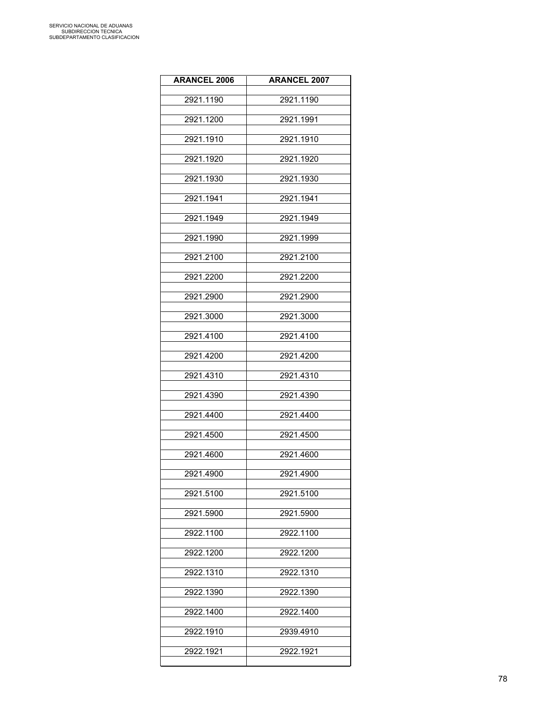| <b>ARANCEL 2006</b> | <b>ARANCEL 2007</b> |
|---------------------|---------------------|
| 2921.1190           | 2921.1190           |
| 2921.1200           | 2921.1991           |
| 2921.1910           | 2921.1910           |
| 2921.1920           | 2921.1920           |
| 2921.1930           | 2921.1930           |
| 2921.1941           | 2921.1941           |
| 2921.1949           | 2921.1949           |
| 2921.1990           | 2921.1999           |
| 2921.2100           | 2921.2100           |
| 2921.2200           | 2921.2200           |
| 2921.2900           | 2921.2900           |
| 2921.3000           | 2921.3000           |
| 2921.4100           | 2921.4100           |
| 2921.4200           | 2921.4200           |
| 2921.4310           | 2921.4310           |
| 2921.4390           | 2921.4390           |
| 2921.4400           | 2921.4400           |
| 2921.4500           | 2921.4500           |
| 2921.4600           | 2921.4600           |
| 2921.4900           | 2921.4900           |
| 2921.5100           | 2921.5100           |
| 2921.5900           | 2921.5900           |
| 2922.1100           | 2922.1100           |
| 2922.1200           | 2922.1200           |
| 2922.1310           | 2922.1310           |
| 2922.1390           |                     |
|                     | 2922.1390           |
| 2922.1400           | 2922.1400           |
| 2922.1910           | 2939.4910           |
| 2922.1921           | 2922.1921           |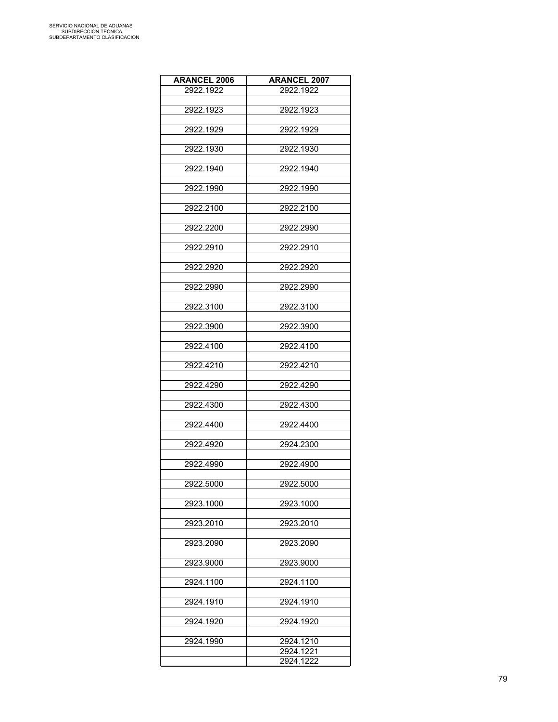| <b>ARANCEL 2006</b> | <b>ARANCEL 2007</b>    |
|---------------------|------------------------|
| 2922.1922           | 2922.1922              |
|                     |                        |
| 2922.1923           | 2922.1923              |
|                     |                        |
| 2922.1929           | 2922.1929              |
|                     |                        |
| 2922.1930           | 2922.1930              |
| 2922.1940           | 2922.1940              |
|                     |                        |
| 2922.1990           | 2922.1990              |
|                     |                        |
| 2922.2100           | 2922.2100              |
|                     |                        |
| 2922.2200           | 2922.2990              |
|                     |                        |
| 2922.2910           | 2922.2910              |
|                     |                        |
| 2922.2920           | 2922.2920              |
|                     |                        |
| 2922.2990           | 2922.2990              |
| 2922.3100           | 2922.3100              |
|                     |                        |
| 2922.3900           | 2922.3900              |
|                     |                        |
| 2922.4100           | 2922.4100              |
|                     |                        |
| 2922.4210           | 2922.4210              |
|                     |                        |
| 2922.4290           | 2922.4290              |
|                     | 2922.4300              |
| 2922.4300           |                        |
| 2922.4400           | 2922.4400              |
|                     |                        |
| 2922.4920           | 2924.2300              |
|                     |                        |
| 2922.4990           | 2922.4900              |
|                     |                        |
| 2922.5000           | 2922.5000              |
|                     |                        |
| 2923.1000           | 2923.1000              |
| 2923.2010           | 2923.2010              |
|                     |                        |
| 2923.2090           | 2923.2090              |
|                     |                        |
| 2923.9000           | 2923.9000              |
|                     |                        |
| 2924.1100           | 2924.1100              |
|                     |                        |
| 2924.1910           | 2924.1910              |
|                     |                        |
| 2924.1920           | 2924.1920              |
|                     |                        |
| 2924.1990           | 2924.1210<br>2924.1221 |
|                     | 2924.1222              |
|                     |                        |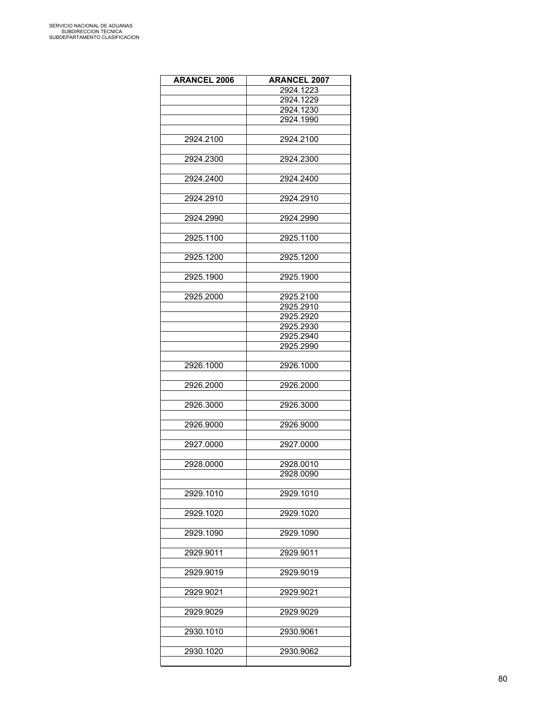| <b>ARANCEL 2006</b> | <b>ARANCEL 2007</b> |
|---------------------|---------------------|
|                     | 2924.1223           |
|                     | 2924.1229           |
|                     | 2924.1230           |
|                     | 2924.1990           |
|                     |                     |
| 2924.2100           | 2924.2100           |
|                     |                     |
| 2924.2300           | 2924.2300           |
|                     |                     |
| 2924.2400           | 2924.2400           |
|                     |                     |
| 2924.2910           | 2924.2910           |
|                     |                     |
| 2924.2990           | 2924.2990           |
|                     |                     |
| 2925.1100           | 2925.1100           |
|                     |                     |
| 2925.1200           | 2925.1200           |
|                     |                     |
| 2925.1900           | 2925.1900           |
|                     |                     |
| 2925.2000           | 2925.2100           |
|                     | 2925.2910           |
|                     | 2925.2920           |
|                     | 2925.2930           |
|                     | 2925.2940           |
|                     | 2925.2990           |
|                     |                     |
| 2926.1000           | 2926.1000           |
|                     |                     |
| 2926.2000           | 2926.2000           |
|                     |                     |
| 2926.3000           | 2926.3000           |
|                     |                     |
| 2926.9000           | 2926.9000           |
|                     |                     |
| 2927.0000           | 2927.0000           |
|                     |                     |
| 2928.0000           | 2928.0010           |
|                     | 2928.0090           |
|                     |                     |
| 2929.1010           | 2929.1010           |
|                     |                     |
| 2929.1020           | 2929.1020           |
|                     |                     |
| 2929.1090           | 2929.1090           |
|                     |                     |
| 2929.9011           | 2929.9011           |
|                     |                     |
| 2929.9019           | 2929.9019           |
|                     |                     |
| 2929.9021           | 2929.9021           |
|                     |                     |
| 2929.9029           | 2929.9029           |
|                     |                     |
| 2930.1010           | 2930.9061           |
|                     |                     |
| 2930.1020           | 2930.9062           |
|                     |                     |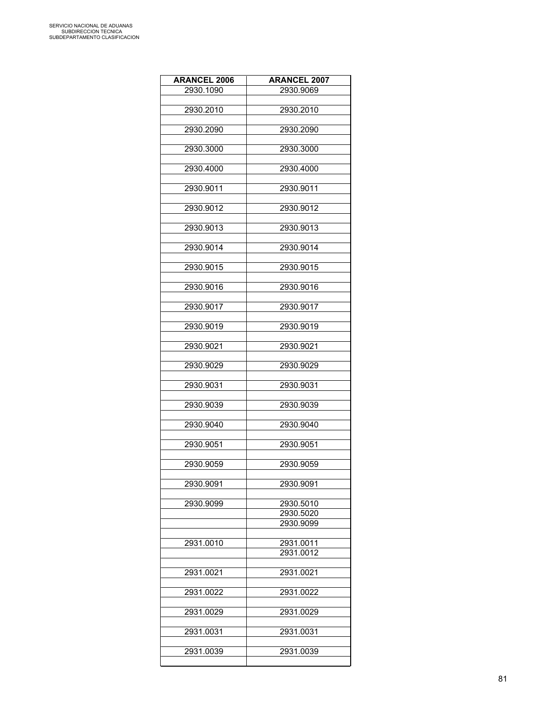| <b>ARANCEL 2006</b> | <b>ARANCEL 2007</b>    |
|---------------------|------------------------|
| 2930.1090           | 2930.9069              |
|                     |                        |
| 2930.2010           | 2930.2010              |
|                     |                        |
| 2930.2090           | 2930.2090              |
|                     |                        |
| 2930.3000           | 2930.3000              |
|                     |                        |
| 2930.4000           | 2930.4000              |
|                     |                        |
| 2930.9011           | 2930.9011              |
|                     |                        |
| 2930.9012           | 2930.9012              |
|                     |                        |
| 2930.9013           | 2930.9013              |
|                     |                        |
| 2930.9014           | 2930.9014              |
|                     |                        |
| 2930.9015           | 2930.9015              |
|                     |                        |
| 2930.9016           | 2930.9016              |
|                     |                        |
| 2930.9017           | 2930.9017              |
|                     |                        |
| 2930.9019           | 2930.9019              |
|                     |                        |
|                     |                        |
| 2930.9021           | 2930.9021              |
| 2930.9029           | 2930.9029              |
|                     |                        |
| 2930.9031           |                        |
|                     | 2930.9031              |
| 2930.9039           | 2930.9039              |
|                     |                        |
| 2930.9040           | 2930.9040              |
|                     |                        |
|                     |                        |
| 2930.9051           | 2930.9051              |
| 2930.9059           |                        |
|                     | 2930.9059              |
|                     |                        |
| 2930.9091           | 2930.9091              |
|                     |                        |
| 2930.9099           | 2930.5010<br>2930.5020 |
|                     | 2930.9099              |
|                     |                        |
| 2931.0010           | 2931.0011              |
|                     | 2931.0012              |
|                     |                        |
| 2931.0021           | 2931.0021              |
|                     |                        |
| 2931.0022           | 2931.0022              |
|                     |                        |
| 2931.0029           | 2931.0029              |
|                     |                        |
| 2931.0031           | 2931.0031              |
|                     |                        |
|                     |                        |
| 2931.0039           | 2931.0039              |
|                     |                        |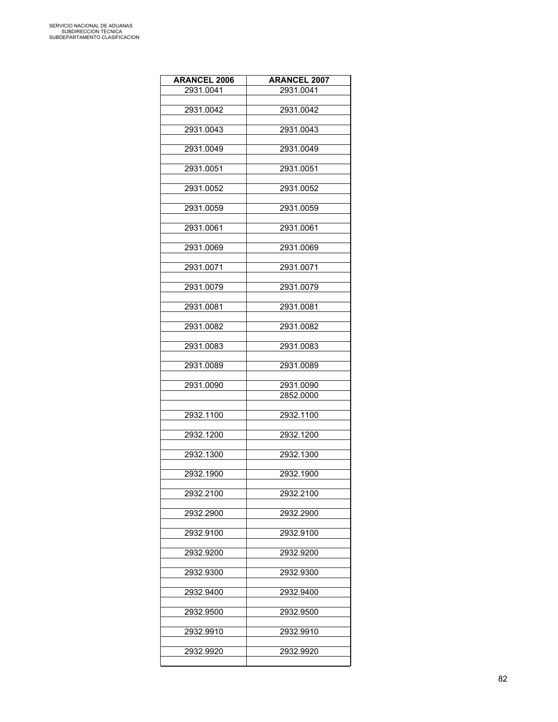| <b>ARANCEL 2006</b> | <b>ARANCEL 2007</b> |
|---------------------|---------------------|
| 2931.0041           | 2931.0041           |
|                     |                     |
| 2931.0042           | 2931.0042           |
| 2931.0043           | 2931.0043           |
|                     |                     |
| 2931.0049           | 2931.0049           |
| 2931.0051           | 2931.0051           |
|                     |                     |
| 2931.0052           | 2931.0052           |
|                     |                     |
| 2931.0059           | 2931.0059           |
| 2931.0061           | 2931.0061           |
|                     |                     |
| 2931.0069           | 2931.0069           |
|                     |                     |
| 2931.0071           | 2931.0071           |
| 2931.0079           | 2931.0079           |
|                     |                     |
| 2931.0081           | 2931.0081           |
| 2931.0082           | 2931.0082           |
|                     |                     |
| 2931.0083           | 2931.0083           |
|                     |                     |
| 2931.0089           | 2931.0089           |
| 2931.0090           | 2931.0090           |
|                     | 2852.0000           |
|                     |                     |
| 2932.1100           | 2932.1100           |
| 2932.1200           | 2932.1200           |
|                     |                     |
| 2932.1300           | 2932.1300           |
|                     |                     |
| 2932.1900           | 2932.1900           |
| 2932.2100           | 2932.2100           |
|                     |                     |
| 2932.2900           | 2932.2900           |
| 2932.9100           | 2932.9100           |
|                     |                     |
| 2932.9200           | 2932.9200           |
|                     |                     |
| 2932.9300           | 2932.9300           |
| 2932.9400           | 2932.9400           |
|                     |                     |
| 2932.9500           | 2932.9500           |
|                     |                     |
| 2932.9910           | 2932.9910           |
| 2932.9920           | 2932.9920           |
|                     |                     |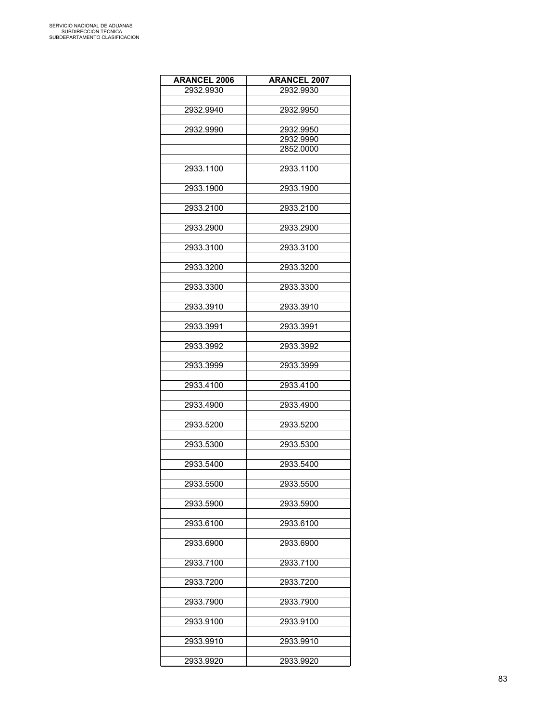| <b>ARANCEL 2006</b> | <b>ARANCEL 2007</b> |
|---------------------|---------------------|
| 2932.9930           | 2932.9930           |
|                     |                     |
| 2932.9940           | 2932.9950           |
|                     |                     |
| 2932.9990           | 2932.9950           |
|                     | 2932.9990           |
|                     | 2852.0000           |
|                     |                     |
| 2933.1100           | 2933.1100           |
|                     |                     |
| 2933.1900           | 2933.1900           |
|                     |                     |
| 2933.2100           | 2933.2100           |
|                     |                     |
| 2933.2900           | 2933.2900           |
|                     |                     |
| 2933.3100           | 2933.3100           |
|                     |                     |
| 2933.3200           | 2933.3200           |
|                     |                     |
| 2933.3300           | 2933.3300           |
|                     |                     |
| 2933.3910           | 2933.3910           |
|                     |                     |
| 2933.3991           | 2933.3991           |
|                     |                     |
| 2933.3992           | 2933.3992           |
|                     |                     |
| 2933.3999           | 2933.3999           |
|                     |                     |
| 2933.4100           | 2933.4100           |
|                     |                     |
| 2933.4900           | 2933.4900           |
|                     |                     |
| 2933.5200           | 2933.5200           |
|                     |                     |
| 2933.5300           | 2933.5300           |
|                     |                     |
| 2933.5400           | 2933.5400           |
|                     |                     |
| 2933.5500           | 2933.5500           |
|                     |                     |
| 2933.5900           | 2933.5900           |
|                     |                     |
| 2933.6100           | 2933.6100           |
|                     |                     |
| 2933.6900           | 2933.6900           |
|                     |                     |
| 2933.7100           | 2933.7100           |
|                     |                     |
| 2933.7200           | 2933.7200           |
|                     |                     |
| 2933.7900           | 2933.7900           |
|                     |                     |
| 2933.9100           | 2933.9100           |
|                     |                     |
| 2933.9910           | 2933.9910           |
|                     |                     |
| 2933.9920           | 2933.9920           |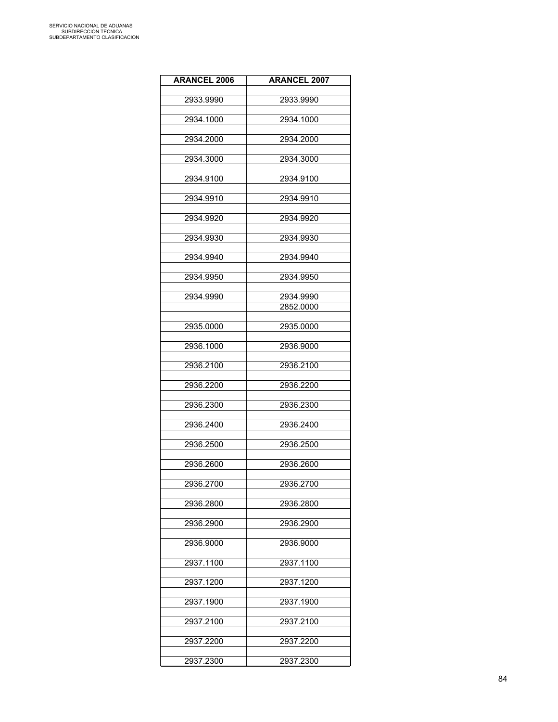| <b>ARANCEL 2006</b> | <b>ARANCEL 2007</b> |
|---------------------|---------------------|
|                     |                     |
| 2933.9990           | 2933.9990           |
| 2934.1000           | 2934.1000           |
|                     |                     |
| 2934.2000           | 2934.2000           |
| 2934.3000           | 2934.3000           |
|                     |                     |
| 2934.9100           | 2934.9100           |
| 2934.9910           | 2934.9910           |
|                     |                     |
| 2934.9920           | 2934.9920           |
| 2934.9930           | 2934.9930           |
|                     |                     |
| 2934.9940           | 2934.9940           |
|                     |                     |
| 2934.9950           | 2934.9950           |
| 2934.9990           | 2934.9990           |
|                     | 2852.0000           |
| 2935.0000           | 2935.0000           |
|                     |                     |
| 2936.1000           | 2936.9000           |
|                     |                     |
| 2936.2100           | 2936.2100           |
| 2936.2200           | 2936.2200           |
|                     |                     |
| 2936.2300           | 2936.2300           |
| 2936.2400           | 2936.2400           |
|                     |                     |
| 2936.2500           | 2936.2500           |
| 2936.2600           | 2936.2600           |
|                     |                     |
| 2936.2700           | 2936.2700           |
| 2936.2800           | 2936.2800           |
|                     |                     |
| 2936.2900           | 2936.2900           |
| 2936.9000           | 2936.9000           |
|                     |                     |
| 2937.1100           | 2937.1100           |
|                     |                     |
| 2937.1200           | 2937.1200           |
| 2937.1900           | 2937.1900           |
|                     |                     |
| 2937.2100           | 2937.2100           |
| 2937.2200           | 2937.2200           |
|                     |                     |
| 2937.2300           | 2937.2300           |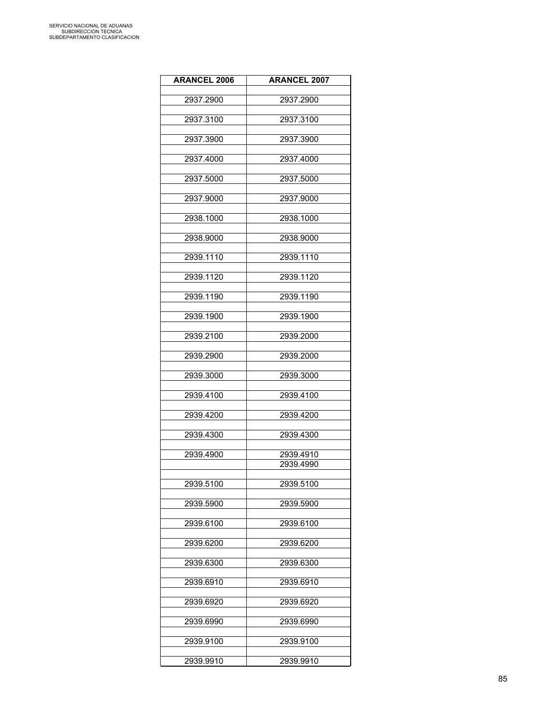| <b>ARANCEL 2006</b> | <b>ARANCEL 2007</b> |
|---------------------|---------------------|
|                     |                     |
| 2937.2900           | 2937.2900           |
| 2937.3100           | 2937.3100           |
| 2937.3900           | 2937.3900           |
|                     |                     |
| 2937.4000           | 2937.4000           |
| 2937.5000           | 2937.5000           |
| 2937.9000           | 2937.9000           |
| 2938.1000           | 2938.1000           |
| 2938.9000           | 2938.9000           |
|                     |                     |
| 2939.1110           | 2939.1110           |
| 2939.1120           | 2939.1120           |
| 2939.1190           | 2939.1190           |
|                     |                     |
| 2939.1900           | 2939.1900           |
| 2939.2100           | 2939.2000           |
| 2939.2900           | 2939.2000           |
|                     |                     |
| 2939.3000           | 2939.3000           |
| 2939.4100           | 2939.4100           |
| 2939.4200           | 2939.4200           |
|                     |                     |
| 2939.4300           | 2939.4300           |
| 2939.4900           | 2939.4910           |
|                     | 2939.4990           |
|                     |                     |
| 2939.5100           | 2939.5100           |
| 2939.5900           | 2939.5900           |
| 2939.6100           | 2939.6100           |
|                     |                     |
| 2939.6200           | 2939.6200           |
| 2939.6300           | 2939.6300           |
|                     |                     |
| 2939.6910           | 2939.6910           |
| 2939.6920           | 2939.6920           |
| 2939.6990           | 2939.6990           |
|                     |                     |
| 2939.9100           | 2939.9100           |
| 2939.9910           | 2939.9910           |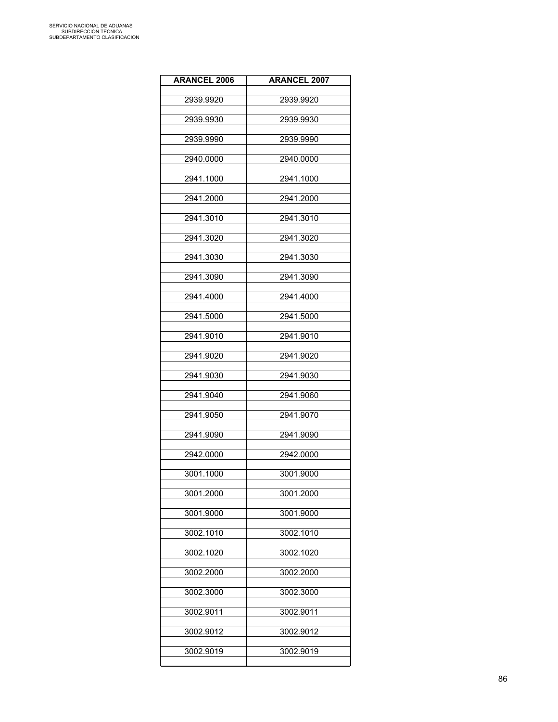| <b>ARANCEL 2006</b> | <b>ARANCEL 2007</b> |
|---------------------|---------------------|
| 2939.9920           | 2939.9920           |
| 2939.9930           | 2939.9930           |
| 2939.9990           | 2939.9990           |
| 2940.0000           | 2940.0000           |
| 2941.1000           | 2941.1000           |
| 2941.2000           | 2941.2000           |
| 2941.3010           | 2941.3010           |
| 2941.3020           | 2941.3020           |
| 2941.3030           | 2941.3030           |
| 2941.3090           | 2941.3090           |
| 2941.4000           | 2941.4000           |
| 2941.5000           | 2941.5000           |
| 2941.9010           | 2941.9010           |
| 2941.9020           | 2941.9020           |
| 2941.9030           | 2941.9030           |
| 2941.9040           | 2941.9060           |
| 2941.9050           | 2941.9070           |
| 2941.9090           | 2941.9090           |
| 2942.0000           | 2942.0000           |
| 3001.1000           | 3001.9000           |
| 3001.2000           | 3001.2000           |
| 3001.9000           | 3001.9000           |
| 3002.1010           | 3002.1010           |
| 3002.1020           | 3002.1020           |
| 3002.2000           | 3002.2000           |
| 3002.3000           | 3002.3000           |
| 3002.9011           | 3002.9011           |
| 3002.9012           | 3002.9012           |
| 3002.9019           | 3002.9019           |
|                     |                     |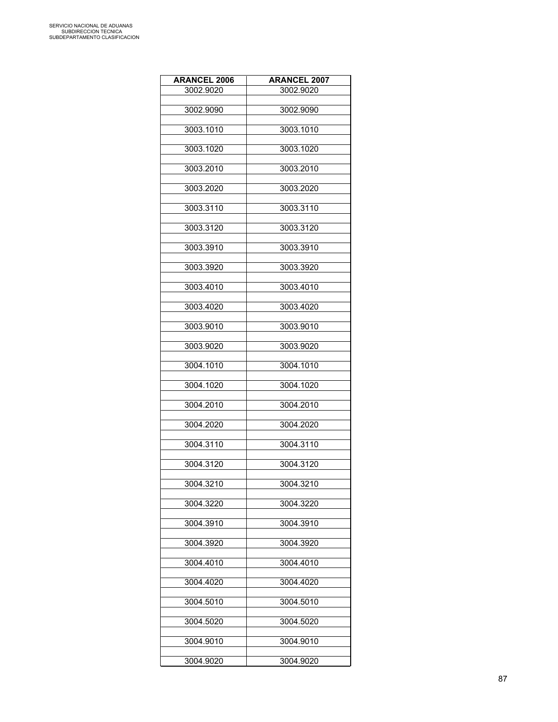| <b>ARANCEL 2006</b> | <b>ARANCEL 2007</b> |
|---------------------|---------------------|
| 3002.9020           | 3002.9020           |
|                     |                     |
| 3002.9090           | 3002.9090           |
| 3003.1010           | 3003.1010           |
|                     |                     |
| 3003.1020           | 3003.1020           |
|                     |                     |
| 3003.2010           | 3003.2010           |
| 3003.2020           | 3003.2020           |
|                     |                     |
| 3003.3110           | 3003.3110           |
| 3003.3120           | 3003.3120           |
|                     |                     |
| 3003.3910           | 3003.3910           |
|                     |                     |
| 3003.3920           | 3003.3920           |
| 3003.4010           | 3003.4010           |
|                     |                     |
| 3003.4020           | 3003.4020           |
|                     |                     |
| 3003.9010           | 3003.9010           |
| 3003.9020           | 3003.9020           |
|                     |                     |
| 3004.1010           | 3004.1010           |
| 3004.1020           | 3004.1020           |
|                     |                     |
| 3004.2010           | 3004.2010           |
|                     |                     |
| 3004.2020           | 3004.2020           |
| 3004.3110           | 3004.3110           |
|                     |                     |
| 3004.3120           | 3004.3120           |
|                     |                     |
| 3004.3210           | 3004.3210           |
| 3004.3220           | 3004.3220           |
|                     |                     |
| 3004.3910           | 3004.3910           |
| 3004.3920           | 3004.3920           |
|                     |                     |
| 3004.4010           | 3004.4010           |
|                     |                     |
| 3004.4020           | 3004.4020           |
| 3004.5010           | 3004.5010           |
|                     |                     |
| 3004.5020           | 3004.5020           |
| 3004.9010           | 3004.9010           |
|                     |                     |
| 3004.9020           | 3004.9020           |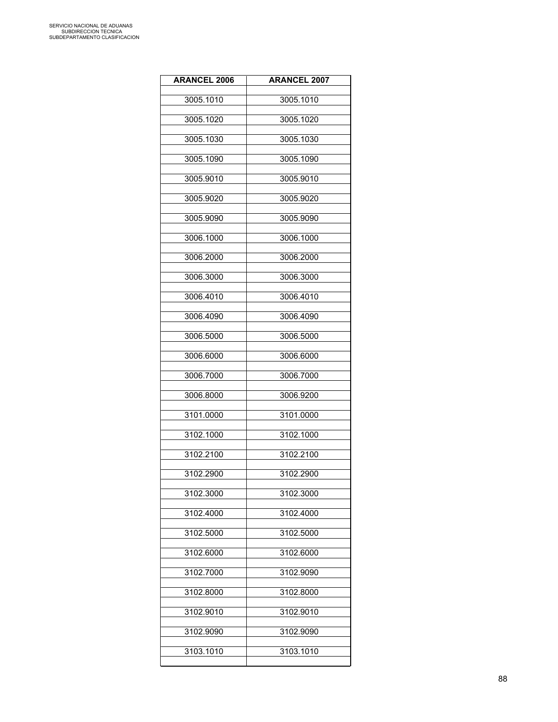| <b>ARANCEL 2006</b> | <b>ARANCEL 2007</b> |
|---------------------|---------------------|
| 3005.1010           | 3005.1010           |
| 3005.1020           | 3005.1020           |
| 3005.1030           | 3005.1030           |
| 3005.1090           | 3005.1090           |
| 3005.9010           | 3005.9010           |
| 3005.9020           | 3005.9020           |
| 3005.9090           | 3005.9090           |
| 3006.1000           | 3006.1000           |
| 3006.2000           | 3006.2000           |
| 3006.3000           | 3006.3000           |
| 3006.4010           | 3006.4010           |
| 3006.4090           | 3006.4090           |
| 3006.5000           | 3006.5000           |
| 3006.6000           | 3006.6000           |
| 3006.7000           | 3006.7000           |
| 3006.8000           | 3006.9200           |
| 3101.0000           | 3101.0000           |
| 3102.1000           | 3102.1000           |
| 3102.2100           | 3102.2100           |
| 3102.2900           | 3102.2900           |
| 3102.3000           | 3102.3000           |
| 3102.4000           | 3102.4000           |
| 3102.5000           | 3102.5000           |
| 3102.6000           | 3102.6000           |
| 3102.7000           | 3102.9090           |
| 3102.8000           | 3102.8000           |
| 3102.9010           | 3102.9010           |
| 3102.9090           | 3102.9090           |
| 3103.1010           | 3103.1010           |
|                     |                     |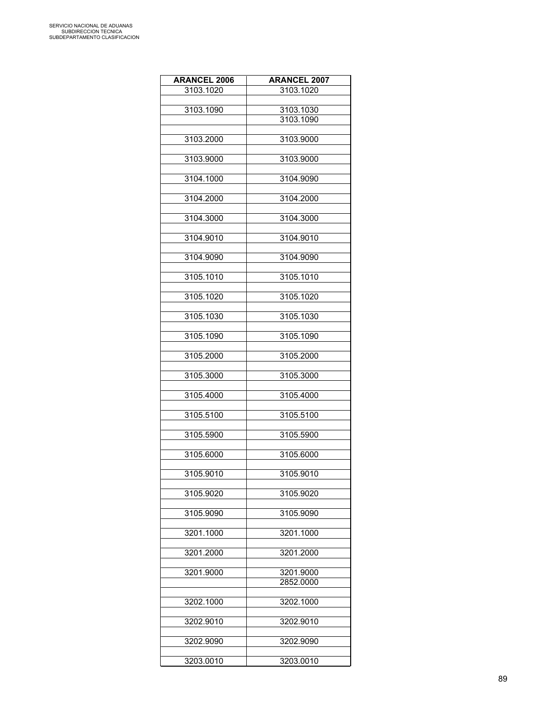| <b>ARANCEL 2006</b> | <b>ARANCEL 2007</b> |
|---------------------|---------------------|
| 3103.1020           | 3103.1020           |
|                     |                     |
| 3103.1090           | 3103.1030           |
|                     | 3103.1090           |
| 3103.2000           | 3103.9000           |
|                     |                     |
| 3103.9000           | 3103.9000           |
|                     |                     |
| 3104.1000           | 3104.9090           |
| 3104.2000           | 3104.2000           |
|                     |                     |
| 3104.3000           | 3104.3000           |
|                     |                     |
| 3104.9010           | 3104.9010           |
|                     |                     |
| 3104.9090           | 3104.9090           |
| 3105.1010           | 3105.1010           |
|                     |                     |
| 3105.1020           | 3105.1020           |
|                     |                     |
| 3105.1030           | 3105.1030           |
|                     |                     |
| 3105.1090           | 3105.1090           |
| 3105.2000           | 3105.2000           |
|                     |                     |
| 3105.3000           | 3105.3000           |
|                     |                     |
| 3105.4000           | 3105.4000           |
| 3105.5100           | 3105.5100           |
|                     |                     |
| 3105.5900           | 3105.5900           |
|                     |                     |
| 3105.6000           | 3105.6000           |
| 3105.9010           | 3105.9010           |
|                     |                     |
| 3105.9020           | 3105.9020           |
|                     |                     |
| 3105.9090           | 3105.9090           |
| 3201.1000           | 3201.1000           |
|                     |                     |
| 3201.2000           | 3201.2000           |
|                     |                     |
| 3201.9000           | 3201.9000           |
|                     | 2852.0000           |
| 3202.1000           | 3202.1000           |
|                     |                     |
| 3202.9010           | 3202.9010           |
|                     |                     |
| 3202.9090           | 3202.9090           |
|                     |                     |
| 3203.0010           | 3203.0010           |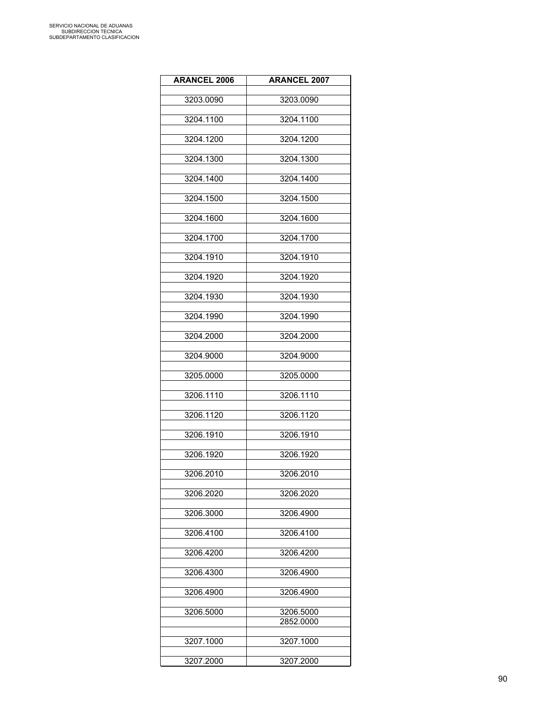| <b>ARANCEL 2006</b> | <b>ARANCEL 2007</b> |
|---------------------|---------------------|
| 3203.0090           | 3203.0090           |
|                     |                     |
| 3204.1100           | 3204.1100           |
| 3204.1200           | 3204.1200           |
|                     |                     |
| 3204.1300           | 3204.1300           |
| 3204.1400           | 3204.1400           |
| 3204.1500           | 3204.1500           |
|                     |                     |
| 3204.1600           | 3204.1600           |
| 3204.1700           | 3204.1700           |
| 3204.1910           | 3204.1910           |
|                     |                     |
| 3204.1920           | 3204.1920           |
| 3204.1930           | 3204.1930           |
|                     |                     |
| 3204.1990           | 3204.1990           |
| 3204.2000           | 3204.2000           |
| 3204.9000           | 3204.9000           |
|                     |                     |
| 3205.0000           | 3205.0000           |
| 3206.1110           | 3206.1110           |
| 3206.1120           | 3206.1120           |
|                     |                     |
| 3206.1910           | 3206.1910           |
| 3206.1920           | 3206.1920           |
|                     |                     |
| 3206.2010           | 3206.2010           |
| 3206.2020           | 3206.2020           |
| 3206.3000           | 3206.4900           |
|                     |                     |
| 3206.4100           | 3206.4100           |
| 3206.4200           | 3206.4200           |
| 3206.4300           | 3206.4900           |
|                     |                     |
| 3206.4900           | 3206.4900           |
| 3206.5000           | 3206.5000           |
|                     | 2852.0000           |
| 3207.1000           | 3207.1000           |
|                     |                     |
| 3207.2000           | 3207.2000           |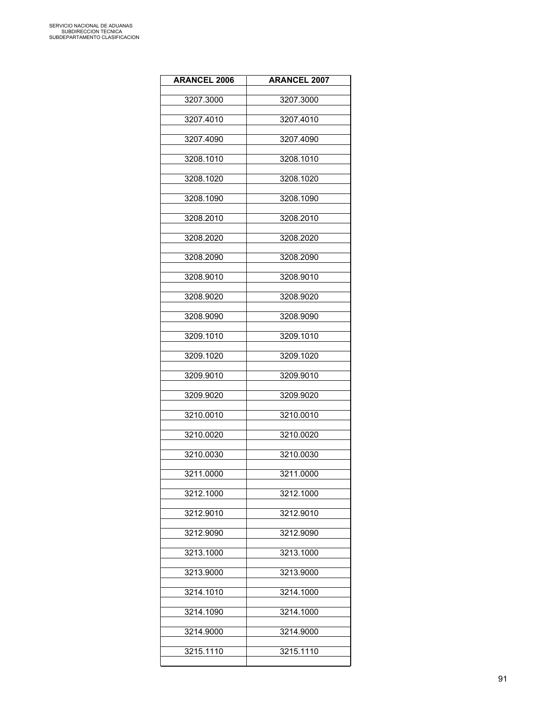| <b>ARANCEL 2006</b> | <b>ARANCEL 2007</b> |
|---------------------|---------------------|
| 3207.3000           | 3207.3000           |
| 3207.4010           | 3207.4010           |
| 3207.4090           | 3207.4090           |
| 3208.1010           | 3208.1010           |
| 3208.1020           | 3208.1020           |
| 3208.1090           | 3208.1090           |
| 3208.2010           | 3208.2010           |
| 3208.2020           | 3208.2020           |
| 3208.2090           | 3208.2090           |
| 3208.9010           | 3208.9010           |
| 3208.9020           | 3208.9020           |
| 3208.9090           | 3208.9090           |
| 3209.1010           | 3209.1010           |
| 3209.1020           | 3209.1020           |
| 3209.9010           | 3209.9010           |
| 3209.9020           | 3209.9020           |
| 3210.0010           | 3210.0010           |
| 3210.0020           | 3210.0020           |
| 3210.0030           | 3210.0030           |
| 3211.0000           | 3211.0000           |
| 3212.1000           | 3212.1000           |
| 3212.9010           | 3212.9010           |
| 3212.9090           | 3212.9090           |
| 3213.1000           | 3213.1000           |
| 3213.9000           | 3213.9000           |
| 3214.1010           | 3214.1000           |
| 3214.1090           | 3214.1000           |
| 3214.9000           | 3214.9000           |
| 3215.1110           | 3215.1110           |
|                     |                     |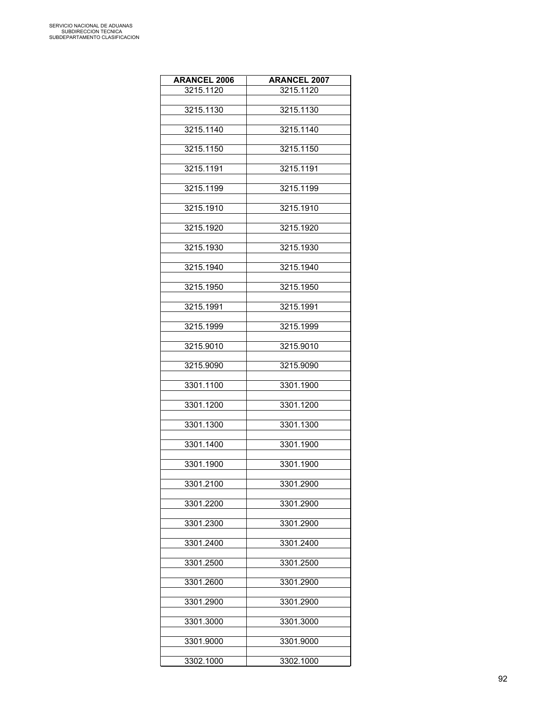| <b>ARANCEL 2006</b> | <b>ARANCEL 2007</b> |
|---------------------|---------------------|
| 3215.1120           | 3215.1120           |
|                     |                     |
| 3215.1130           | 3215.1130           |
| 3215.1140           | 3215.1140           |
|                     |                     |
| 3215.1150           | 3215.1150           |
|                     |                     |
| 3215.1191           | 3215.1191           |
| 3215.1199           | 3215.1199           |
|                     |                     |
| 3215.1910           | 3215.1910           |
|                     |                     |
| 3215.1920           | 3215.1920           |
| 3215.1930           | 3215.1930           |
|                     |                     |
| 3215.1940           | 3215.1940           |
|                     |                     |
| 3215.1950           | 3215.1950           |
| 3215.1991           | 3215.1991           |
|                     |                     |
| 3215.1999           | 3215.1999           |
|                     |                     |
| 3215.9010           | 3215.9010           |
| 3215.9090           | 3215.9090           |
|                     |                     |
| 3301.1100           | 3301.1900           |
| 3301.1200           | 3301.1200           |
|                     |                     |
| 3301.1300           | 3301.1300           |
|                     |                     |
| 3301.1400           | 3301.1900           |
| 3301.1900           | 3301.1900           |
|                     |                     |
| 3301.2100           | 3301.2900           |
|                     |                     |
| 3301.2200           | 3301.2900           |
| 3301.2300           | 3301.2900           |
|                     |                     |
| 3301.2400           | 3301.2400           |
|                     |                     |
| 3301.2500           | 3301.2500           |
| 3301.2600           | 3301.2900           |
|                     |                     |
| 3301.2900           | 3301.2900           |
|                     |                     |
| 3301.3000           | 3301.3000           |
| 3301.9000           | 3301.9000           |
|                     |                     |
| 3302.1000           | 3302.1000           |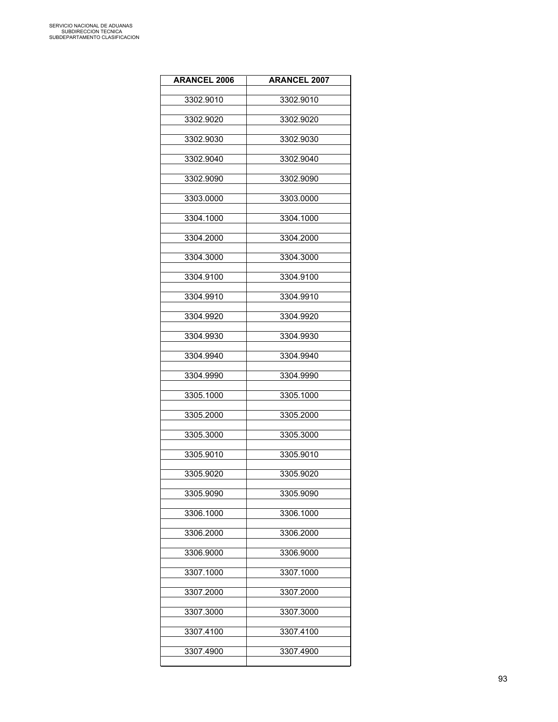| <b>ARANCEL 2006</b> | <b>ARANCEL 2007</b> |
|---------------------|---------------------|
| 3302.9010           | 3302.9010           |
| 3302.9020           | 3302.9020           |
| 3302.9030           | 3302.9030           |
| 3302.9040           | 3302.9040           |
| 3302.9090           | 3302.9090           |
| 3303.0000           | 3303.0000           |
| 3304.1000           | 3304.1000           |
| 3304.2000           | 3304.2000           |
| 3304.3000           | 3304.3000           |
| 3304.9100           | 3304.9100           |
| 3304.9910           | 3304.9910           |
| 3304.9920           | 3304.9920           |
| 3304.9930           | 3304.9930           |
| 3304.9940           | 3304.9940           |
| 3304.9990           | 3304.9990           |
| 3305.1000           | 3305.1000           |
| 3305.2000           | 3305.2000           |
| 3305.3000           | 3305.3000           |
| 3305.9010           | 3305.9010           |
| 3305.9020           | 3305.9020           |
| 3305.9090           | 3305.9090           |
| 3306.1000           | 3306.1000           |
| 3306.2000           | 3306.2000           |
| 3306.9000           | 3306.9000           |
| 3307.1000           | 3307.1000           |
| 3307.2000           | 3307.2000           |
| 3307.3000           | 3307.3000           |
| 3307.4100           | 3307.4100           |
| 3307.4900           | 3307.4900           |
|                     |                     |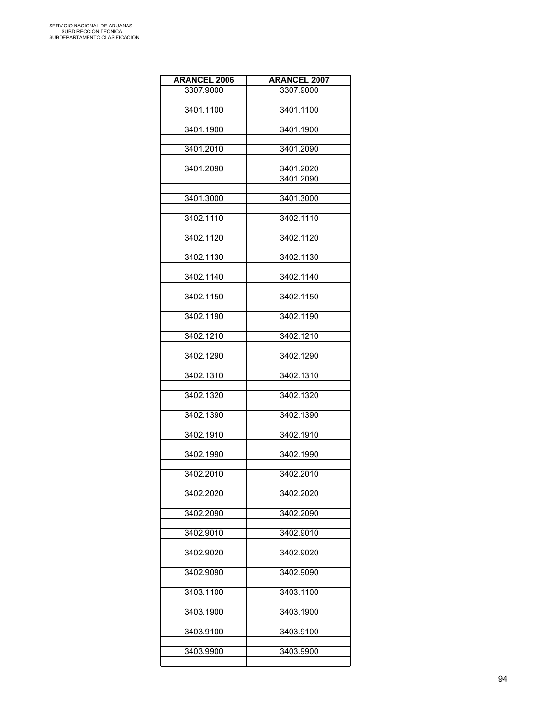| <b>ARANCEL 2006</b> | <b>ARANCEL 2007</b> |
|---------------------|---------------------|
| 3307.9000           | 3307.9000           |
| 3401.1100           | 3401.1100           |
|                     |                     |
| 3401.1900           | 3401.1900           |
|                     |                     |
| 3401.2010           | 3401.2090           |
| 3401.2090           | 3401.2020           |
|                     | 3401.2090           |
|                     |                     |
| 3401.3000           | 3401.3000           |
| 3402.1110           | 3402.1110           |
| 3402.1120           | 3402.1120           |
|                     |                     |
| 3402.1130           | 3402.1130           |
| 3402.1140           | 3402.1140           |
|                     |                     |
| 3402.1150           | 3402.1150           |
|                     |                     |
| 3402.1190           | 3402.1190           |
| 3402.1210           | 3402.1210           |
| 3402.1290           | 3402.1290           |
|                     |                     |
| 3402.1310           | 3402.1310           |
| 3402.1320           | 3402.1320           |
|                     |                     |
| 3402.1390           | 3402.1390           |
|                     | 3402.1910           |
| 3402.1910           |                     |
| 3402.1990           | 3402.1990           |
|                     |                     |
| 3402.2010           | 3402.2010           |
| 3402.2020           | 3402.2020           |
|                     |                     |
| 3402.2090           | 3402.2090           |
| 3402.9010           | 3402.9010           |
|                     |                     |
| 3402.9020           | 3402.9020           |
| 3402.9090           | 3402.9090           |
|                     |                     |
| 3403.1100           | 3403.1100           |
| 3403.1900           | 3403.1900           |
| 3403.9100           | 3403.9100           |
|                     |                     |
| 3403.9900           | 3403.9900           |
|                     |                     |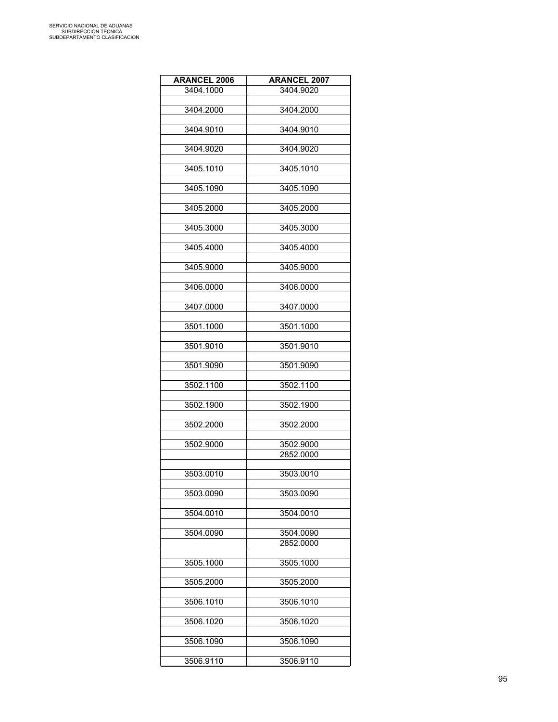| 3404.1000<br>3404.9020 |  |
|------------------------|--|
|                        |  |
| 3404.2000<br>3404.2000 |  |
|                        |  |
| 3404.9010<br>3404.9010 |  |
|                        |  |
| 3404.9020<br>3404.9020 |  |
| 3405.1010<br>3405.1010 |  |
|                        |  |
| 3405.1090<br>3405.1090 |  |
|                        |  |
| 3405.2000<br>3405.2000 |  |
|                        |  |
| 3405.3000<br>3405.3000 |  |
|                        |  |
| 3405.4000<br>3405.4000 |  |
|                        |  |
| 3405.9000<br>3405.9000 |  |
| 3406.0000<br>3406.0000 |  |
|                        |  |
| 3407.0000<br>3407.0000 |  |
|                        |  |
| 3501.1000<br>3501.1000 |  |
|                        |  |
| 3501.9010<br>3501.9010 |  |
|                        |  |
| 3501.9090<br>3501.9090 |  |
|                        |  |
| 3502.1100<br>3502.1100 |  |
| 3502.1900<br>3502.1900 |  |
|                        |  |
| 3502.2000<br>3502.2000 |  |
|                        |  |
| 3502.9000<br>3502.9000 |  |
| 2852.0000              |  |
|                        |  |
| 3503.0010<br>3503.0010 |  |
|                        |  |
| 3503.0090<br>3503.0090 |  |
| 3504.0010<br>3504.0010 |  |
|                        |  |
| 3504.0090<br>3504.0090 |  |
| 2852.0000              |  |
|                        |  |
| 3505.1000<br>3505.1000 |  |
|                        |  |
| 3505.2000<br>3505.2000 |  |
|                        |  |
| 3506.1010<br>3506.1010 |  |
| 3506.1020<br>3506.1020 |  |
|                        |  |
| 3506.1090<br>3506.1090 |  |
|                        |  |
| 3506.9110<br>3506.9110 |  |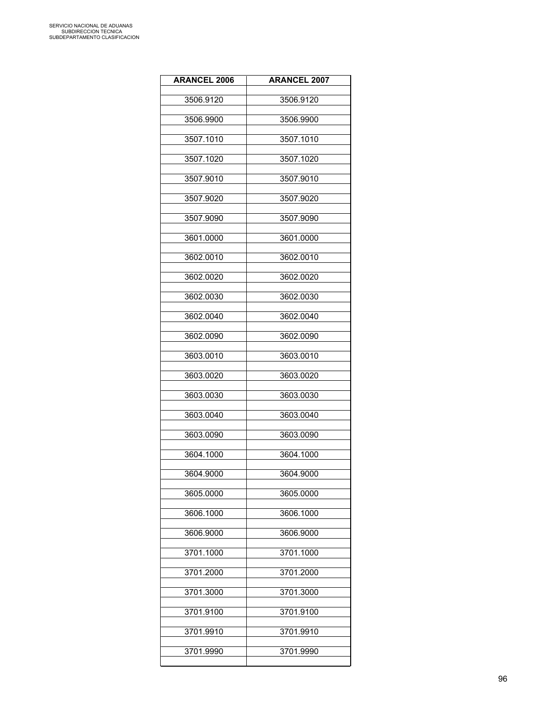| <b>ARANCEL 2006</b> | <b>ARANCEL 2007</b> |
|---------------------|---------------------|
| 3506.9120           | 3506.9120           |
| 3506.9900           | 3506.9900           |
| 3507.1010           | 3507.1010           |
| 3507.1020           | 3507.1020           |
| 3507.9010           | 3507.9010           |
| 3507.9020           | 3507.9020           |
| 3507.9090           | 3507.9090           |
| 3601.0000           | 3601.0000           |
| 3602.0010           | 3602.0010           |
| 3602.0020           | 3602.0020           |
| 3602.0030           | 3602.0030           |
| 3602.0040           | 3602.0040           |
| 3602.0090           | 3602.0090           |
| 3603.0010           | 3603.0010           |
| 3603.0020           | 3603.0020           |
| 3603.0030           | 3603.0030           |
| 3603.0040           | 3603.0040           |
| 3603.0090           | 3603.0090           |
| 3604.1000           | 3604.1000           |
| 3604.9000           | 3604.9000           |
| 3605.0000           | 3605.0000           |
| 3606.1000           | 3606.1000           |
| 3606.9000           | 3606.9000           |
| 3701.1000           | 3701.1000           |
| 3701.2000           | 3701.2000           |
| 3701.3000           | 3701.3000           |
| 3701.9100           | 3701.9100           |
| 3701.9910           | 3701.9910           |
| 3701.9990           | 3701.9990           |
|                     |                     |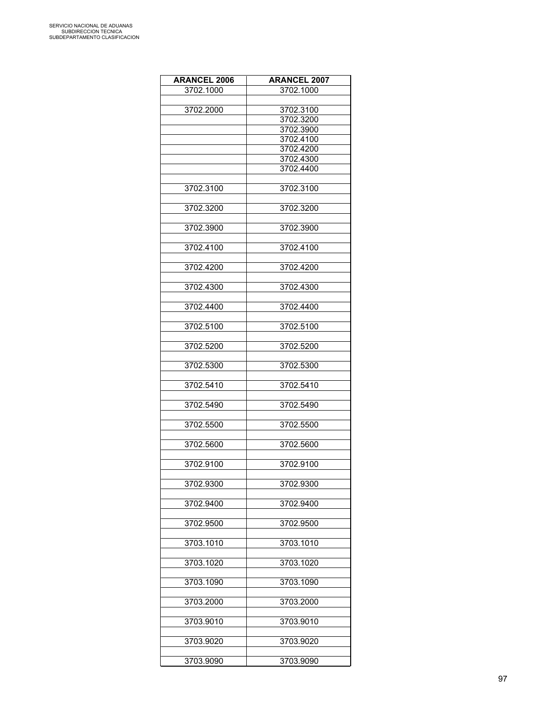| <b>ARANCEL 2006</b> | <b>ARANCEL 2007</b>    |
|---------------------|------------------------|
| 3702.1000           | 3702.1000              |
|                     |                        |
| 3702.2000           | 3702.3100              |
|                     | 3702.3200              |
|                     | 3702.3900              |
|                     | 3702.4100              |
|                     | 3702.4200              |
|                     |                        |
|                     | 3702.4300<br>3702.4400 |
|                     |                        |
|                     |                        |
| 3702.3100           | 3702.3100              |
|                     |                        |
| 3702.3200           | 3702.3200              |
|                     |                        |
| 3702.3900           | 3702.3900              |
|                     |                        |
| 3702.4100           | 3702.4100              |
|                     |                        |
| 3702.4200           | 3702.4200              |
|                     |                        |
| 3702.4300           | 3702.4300              |
|                     |                        |
| 3702.4400           | 3702.4400              |
|                     |                        |
| 3702.5100           | 3702.5100              |
|                     |                        |
| 3702.5200           | 3702.5200              |
|                     |                        |
|                     |                        |
| 3702.5300           | 3702.5300              |
|                     |                        |
| 3702.5410           | 3702.5410              |
|                     |                        |
| 3702.5490           | 3702.5490              |
|                     |                        |
| 3702.5500           | 3702.5500              |
|                     |                        |
| 3702.5600           | 3702.5600              |
|                     |                        |
| 3702.9100           | 3702.9100              |
|                     |                        |
| 3702.9300           | 3702.9300              |
|                     |                        |
| 3702.9400           | 3702.9400              |
|                     |                        |
| 3702.9500           | 3702.9500              |
|                     |                        |
| 3703.1010           | 3703.1010              |
|                     |                        |
|                     |                        |
| 3703.1020           | 3703.1020              |
|                     |                        |
| 3703.1090           | 3703.1090              |
|                     |                        |
| 3703.2000           | 3703.2000              |
|                     |                        |
| 3703.9010           | 3703.9010              |
|                     |                        |
| 3703.9020           | 3703.9020              |
|                     |                        |
| 3703.9090           | 3703.9090              |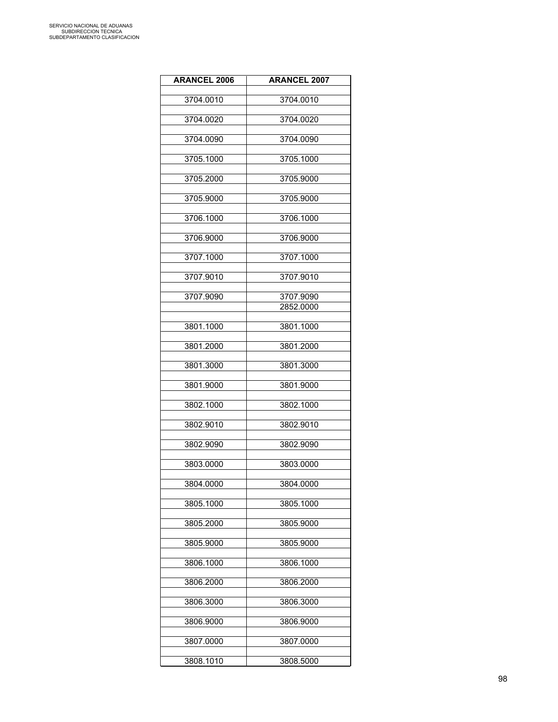| <b>ARANCEL 2006</b> | <b>ARANCEL 2007</b> |
|---------------------|---------------------|
| 3704.0010           | 3704.0010           |
|                     |                     |
| 3704.0020           | 3704.0020           |
| 3704.0090           | 3704.0090           |
| 3705.1000           | 3705.1000           |
| 3705.2000           | 3705.9000           |
| 3705.9000           | 3705.9000           |
| 3706.1000           | 3706.1000           |
| 3706.9000           | 3706.9000           |
| 3707.1000           | 3707.1000           |
| 3707.9010           | 3707.9010           |
|                     |                     |
| 3707.9090           | 3707.9090           |
|                     | 2852.0000           |
| 3801.1000           | 3801.1000           |
|                     |                     |
| 3801.2000           | 3801.2000           |
| 3801.3000           | 3801.3000           |
| 3801.9000           | 3801.9000           |
| 3802.1000           | 3802.1000           |
| 3802.9010           | 3802.9010           |
| 3802.9090           | 3802.9090           |
| 3803.0000           | 3803.0000           |
| 3804.0000           | 3804.0000           |
| 3805.1000           | 3805.1000           |
| 3805.2000           | 3805.9000           |
| 3805.9000           | 3805.9000           |
| 3806.1000           | 3806.1000           |
| 3806.2000           | 3806.2000           |
| 3806.3000           | 3806.3000           |
|                     |                     |
| 3806.9000           | 3806.9000           |
| 3807.0000           | 3807.0000           |
| 3808.1010           | 3808.5000           |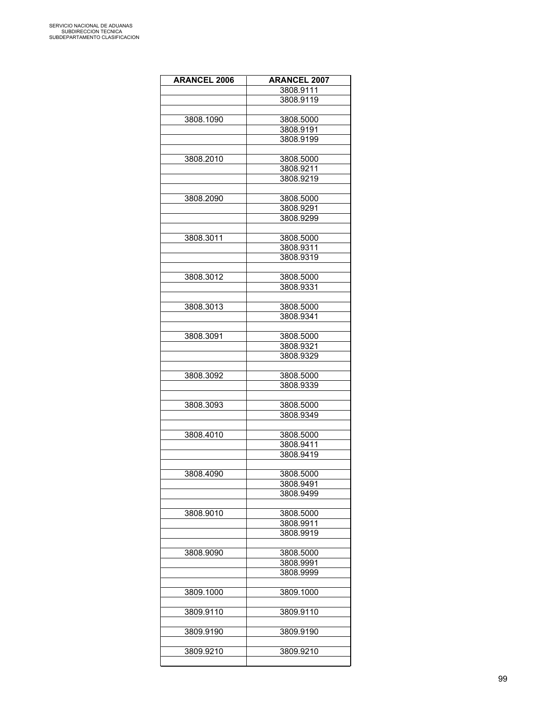| <b>ARANCEL 2006</b> | <b>ARANCEL 2007</b> |
|---------------------|---------------------|
|                     | 3808.9111           |
|                     | 3808.9119           |
|                     |                     |
| 3808.1090           | 3808.5000           |
|                     | 3808.9191           |
|                     |                     |
|                     | 3808.9199           |
|                     |                     |
| 3808.2010           | 3808.5000           |
|                     | 3808.9211           |
|                     | 3808.9219           |
|                     |                     |
| 3808.2090           | 3808.5000           |
|                     | 3808.9291           |
|                     | 3808.9299           |
|                     |                     |
| 3808.3011           | 3808.5000           |
|                     | 3808.9311           |
|                     | 3808.9319           |
|                     |                     |
| 3808.3012           | 3808.5000           |
|                     | 3808.9331           |
|                     |                     |
| 3808.3013           | 3808.5000           |
|                     | 3808.9341           |
|                     |                     |
| 3808.3091           | 3808.5000           |
|                     | 3808.9321           |
|                     | 3808.9329           |
|                     |                     |
| 3808.3092           | 3808.5000           |
|                     | 3808.9339           |
|                     |                     |
| 3808.3093           | 3808.5000           |
|                     | 3808.9349           |
|                     |                     |
| 3808.4010           | 3808.5000           |
|                     | 3808.9411           |
|                     | 3808.9419           |
|                     |                     |
|                     |                     |
| 3808.4090           | 3808.5000           |
|                     | 3808.9491           |
|                     | 3808.9499           |
|                     |                     |
| 3808.9010           | 3808.5000           |
|                     | 3808.9911           |
|                     | 3808.9919           |
|                     |                     |
| 3808.9090           | 3808.5000           |
|                     | 3808.9991           |
|                     | 3808.9999           |
|                     |                     |
| 3809.1000           | 3809.1000           |
|                     |                     |
| 3809.9110           | 3809.9110           |
|                     |                     |
| 3809.9190           | 3809.9190           |
|                     |                     |
| 3809.9210           | 3809.9210           |
|                     |                     |
|                     |                     |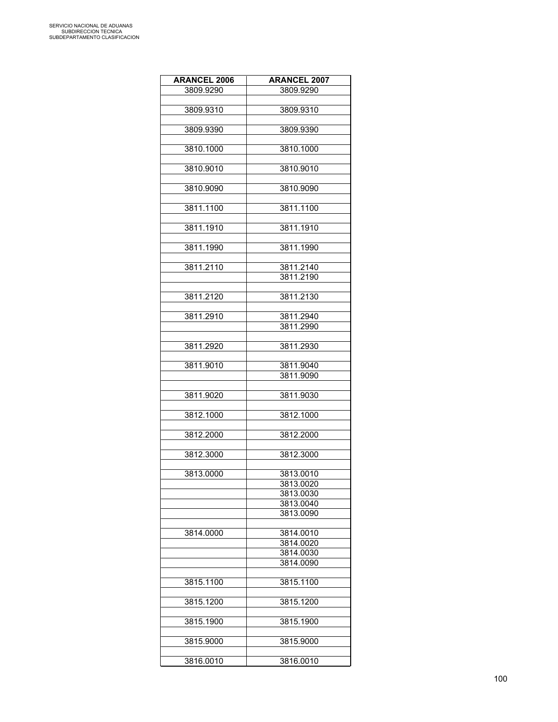| <b>ARANCEL 2006</b> | <b>ARANCEL 2007</b> |
|---------------------|---------------------|
| 3809.9290           | 3809.9290           |
|                     |                     |
| 3809.9310           | 3809.9310           |
|                     |                     |
| 3809.9390           | 3809.9390           |
|                     |                     |
| 3810.1000           | 3810.1000           |
|                     |                     |
| 3810.9010           | 3810.9010           |
|                     |                     |
| 3810.9090           | 3810.9090           |
|                     |                     |
| 3811.1100           | 3811.1100           |
|                     |                     |
| 3811.1910           | 3811.1910           |
|                     |                     |
| 3811.1990           | 3811.1990           |
|                     |                     |
| 3811.2110           | 3811.2140           |
|                     | 3811.2190           |
|                     |                     |
| 3811.2120           | 3811.2130           |
| 3811.2910           | 3811.2940           |
|                     | 3811.2990           |
|                     |                     |
| 3811.2920           | 3811.2930           |
|                     |                     |
| 3811.9010           | 3811.9040           |
|                     | 3811.9090           |
|                     |                     |
| 3811.9020           | 3811.9030           |
|                     |                     |
| 3812.1000           | 3812.1000           |
|                     |                     |
| 3812.2000           | 3812.2000           |
|                     |                     |
| 3812.3000           | 3812.3000           |
|                     |                     |
| 3813.0000           | 3813.0010           |
|                     | 3813.0020           |
|                     | 3813.0030           |
|                     | 3813.0040           |
|                     | 3813.0090           |
|                     |                     |
| 3814.0000           | 3814.0010           |
|                     | 3814.0020           |
|                     | 3814.0030           |
|                     | 3814.0090           |
|                     |                     |
| 3815.1100           | 3815.1100           |
|                     |                     |
| 3815.1200           | 3815.1200           |
|                     |                     |
| 3815.1900           | 3815.1900           |
|                     |                     |
| 3815.9000           | 3815.9000           |
| 3816.0010           | 3816.0010           |
|                     |                     |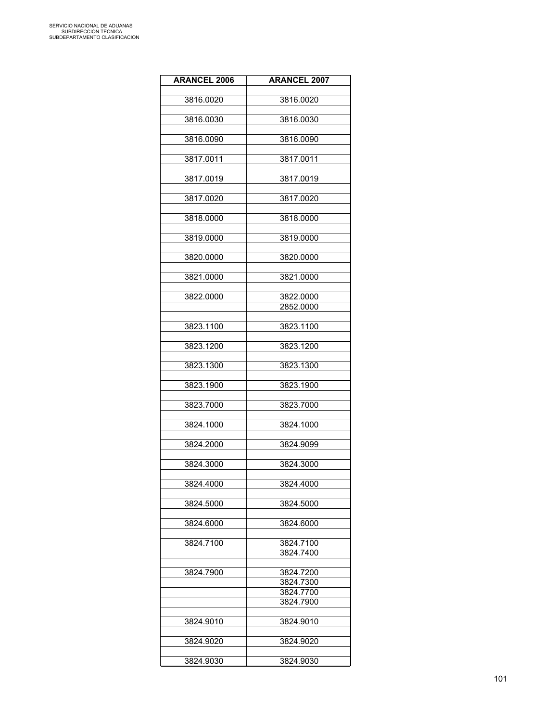| <b>ARANCEL 2006</b> | <b>ARANCEL 2007</b>    |
|---------------------|------------------------|
| 3816.0020           | 3816.0020              |
|                     |                        |
| 3816.0030           | 3816.0030              |
| 3816.0090           | 3816.0090              |
| 3817.0011           | 3817.0011              |
|                     |                        |
| 3817.0019           | 3817.0019              |
| 3817.0020           | 3817.0020              |
| 3818.0000           | 3818.0000              |
| 3819.0000           | 3819.0000              |
| 3820.0000           | 3820.0000              |
|                     |                        |
| 3821.0000           | 3821.0000              |
| 3822.0000           | 3822.0000              |
|                     | 2852.0000              |
|                     |                        |
| 3823.1100           | 3823.1100              |
| 3823.1200           | 3823.1200              |
| 3823.1300           | 3823.1300              |
| 3823.1900           | 3823.1900              |
| 3823.7000           | 3823.7000              |
|                     |                        |
| 3824.1000           | 3824.1000              |
| 3824.2000           | 3824.9099              |
| 3824.3000           | 3824.3000              |
| 3824.4000           | 3824.4000              |
|                     |                        |
| 3824.5000           | 3824.5000              |
| 3824.6000           | 3824.6000              |
| 3824.7100           | 3824.7100              |
|                     | 3824.7400              |
|                     |                        |
| 3824.7900           | 3824.7200<br>3824.7300 |
|                     | 3824.7700              |
|                     | 3824.7900              |
|                     |                        |
| 3824.9010           | 3824.9010              |
| 3824.9020           | 3824.9020              |
|                     |                        |
| 3824.9030           | 3824.9030              |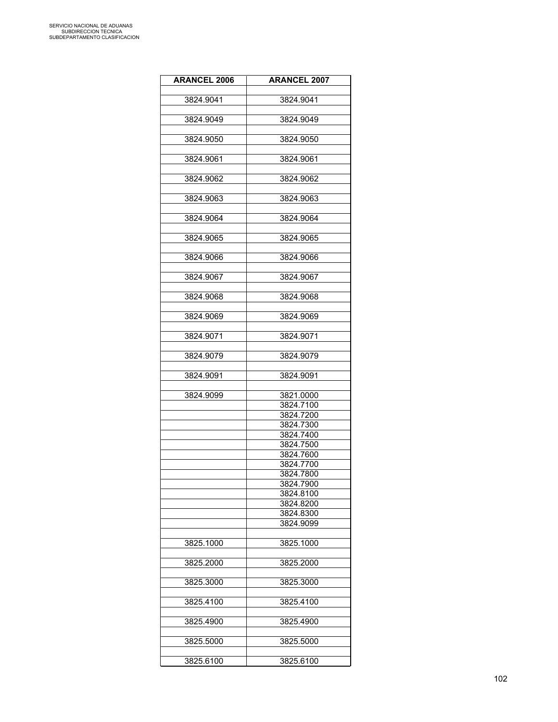| <b>ARANCEL 2006</b> | <b>ARANCEL 2007</b>    |
|---------------------|------------------------|
| 3824.9041           | 3824.9041              |
|                     |                        |
| 3824.9049           | 3824.9049              |
| 3824.9050           | 3824.9050              |
| 3824.9061           | 3824.9061              |
|                     |                        |
| 3824.9062           | 3824.9062              |
| 3824.9063           | 3824.9063              |
| 3824.9064           | 3824.9064              |
| 3824.9065           | 3824.9065              |
|                     |                        |
| 3824.9066           | 3824.9066              |
| 3824.9067           | 3824.9067              |
| 3824.9068           | 3824.9068              |
|                     |                        |
| 3824.9069           | 3824.9069              |
| 3824.9071           | 3824.9071              |
| 3824.9079           | 3824.9079              |
|                     |                        |
| 3824.9091           | 3824.9091              |
| 3824.9099           | 3821.0000              |
|                     | 3824.7100              |
|                     | 3824.7200              |
|                     | 3824.7300              |
|                     | 3824.7400              |
|                     | 3824.7500              |
|                     | 3824.7600              |
|                     | 3824.7700              |
|                     | 3824.7800              |
|                     | 3824.7900              |
|                     | 3824.8100              |
|                     | 3824.8200<br>3824.8300 |
|                     |                        |
|                     | 3824.9099              |
| 3825.1000           | 3825.1000              |
| 3825.2000           | 3825.2000              |
|                     |                        |
| 3825.3000           | 3825.3000              |
| 3825.4100           | 3825.4100              |
| 3825.4900           | 3825.4900              |
|                     |                        |
| 3825.5000           | 3825.5000              |
| 3825.6100           | 3825.6100              |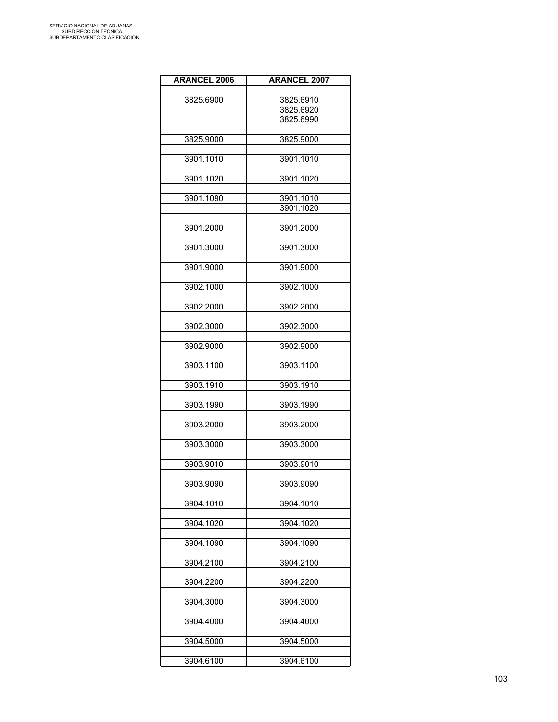| <b>ARANCEL 2006</b> | <b>ARANCEL 2007</b> |
|---------------------|---------------------|
|                     |                     |
| 3825.6900           | 3825.6910           |
|                     | 3825.6920           |
|                     | 3825.6990           |
|                     |                     |
| 3825.9000           | 3825.9000           |
| 3901.1010           | 3901.1010           |
|                     |                     |
| 3901.1020           | 3901.1020           |
| 3901.1090           | 3901.1010           |
|                     | 3901.1020           |
|                     |                     |
| 3901.2000           | 3901.2000           |
| 3901.3000           | 3901.3000           |
|                     |                     |
| 3901.9000           | 3901.9000           |
|                     |                     |
| 3902.1000           | 3902.1000           |
| 3902.2000           | 3902.2000           |
|                     |                     |
| 3902.3000           | 3902.3000           |
| 3902.9000           | 3902.9000           |
|                     |                     |
| 3903.1100           | 3903.1100           |
| 3903.1910           | 3903.1910           |
|                     |                     |
| 3903.1990           | 3903.1990           |
| 3903.2000           | 3903.2000           |
|                     |                     |
| 3903.3000           | 3903.3000           |
|                     |                     |
| 3903.9010           | 3903.9010           |
| 3903.9090           | 3903.9090           |
|                     |                     |
| 3904.1010           | 3904.1010           |
| 3904.1020           | 3904.1020           |
|                     |                     |
| 3904.1090           | 3904.1090           |
|                     |                     |
| 3904.2100           | 3904.2100           |
| 3904.2200           | 3904.2200           |
|                     |                     |
| 3904.3000           | 3904.3000           |
| 3904.4000           | 3904.4000           |
|                     |                     |
| 3904.5000           | 3904.5000           |
|                     |                     |
| 3904.6100           | 3904.6100           |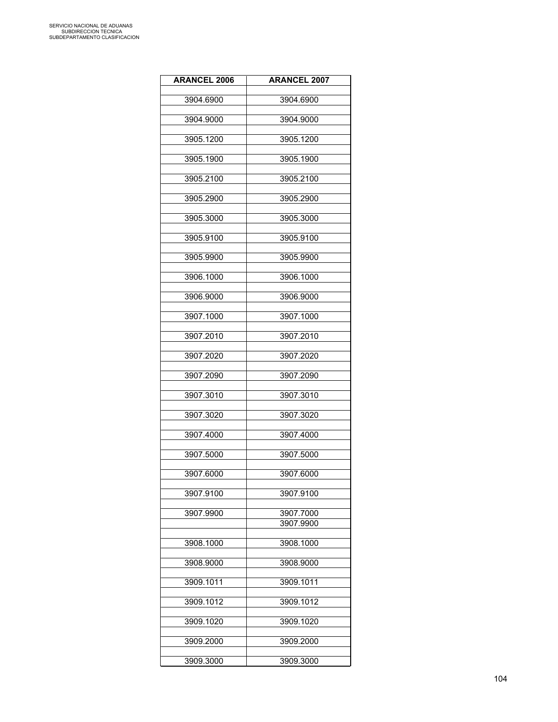| <b>ARANCEL 2006</b> | <b>ARANCEL 2007</b> |
|---------------------|---------------------|
| 3904.6900           | 3904.6900           |
|                     |                     |
| 3904.9000           | 3904.9000           |
| 3905.1200           | 3905.1200           |
| 3905.1900           | 3905.1900           |
| 3905.2100           | 3905.2100           |
| 3905.2900           | 3905.2900           |
| 3905.3000           | 3905.3000           |
| 3905.9100           | 3905.9100           |
| 3905.9900           | 3905.9900           |
| 3906.1000           | 3906.1000           |
| 3906.9000           | 3906.9000           |
| 3907.1000           | 3907.1000           |
| 3907.2010           | 3907.2010           |
| 3907.2020           | 3907.2020           |
| 3907.2090           | 3907.2090           |
| 3907.3010           | 3907.3010           |
| 3907.3020           | 3907.3020           |
| 3907.4000           | 3907.4000           |
| 3907.5000           | 3907.5000           |
| 3907.6000           | 3907.6000           |
|                     |                     |
| 3907.9100           | 3907.9100           |
| 3907.9900           | 3907.7000           |
|                     | 3907.9900           |
| 3908.1000           | 3908.1000           |
| 3908.9000           | 3908.9000           |
| 3909.1011           | 3909.1011           |
| 3909.1012           | 3909.1012           |
| 3909.1020           | 3909.1020           |
| 3909.2000           | 3909.2000           |
| 3909.3000           | 3909.3000           |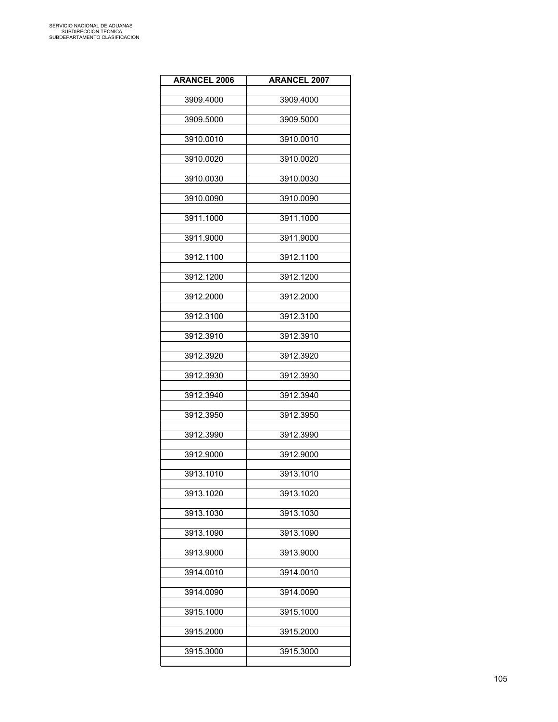| <b>ARANCEL 2006</b> | <b>ARANCEL 2007</b> |
|---------------------|---------------------|
| 3909.4000           | 3909.4000           |
| 3909.5000           | 3909.5000           |
| 3910.0010           | 3910.0010           |
| 3910.0020           | 3910.0020           |
| 3910.0030           | 3910.0030           |
| 3910.0090           | 3910.0090           |
| 3911.1000           | 3911.1000           |
| 3911.9000           | 3911.9000           |
| 3912.1100           | 3912.1100           |
| 3912.1200           | 3912.1200           |
| 3912.2000           | 3912.2000           |
| 3912.3100           | 3912.3100           |
| 3912.3910           | 3912.3910           |
| 3912.3920           | 3912.3920           |
| 3912.3930           | 3912.3930           |
| 3912.3940           | 3912.3940           |
| 3912.3950           | 3912.3950           |
| 3912.3990           | 3912.3990           |
| 3912.9000           | 3912.9000           |
| 3913.1010           | 3913.1010           |
| 3913.1020           | 3913.1020           |
| 3913.1030           | 3913.1030           |
| 3913.1090           | 3913.1090           |
| 3913.9000           | 3913.9000           |
| 3914.0010           | 3914.0010           |
| 3914.0090           | 3914.0090           |
| 3915.1000           | 3915.1000           |
| 3915.2000           | 3915.2000           |
| 3915.3000           | 3915.3000           |
|                     |                     |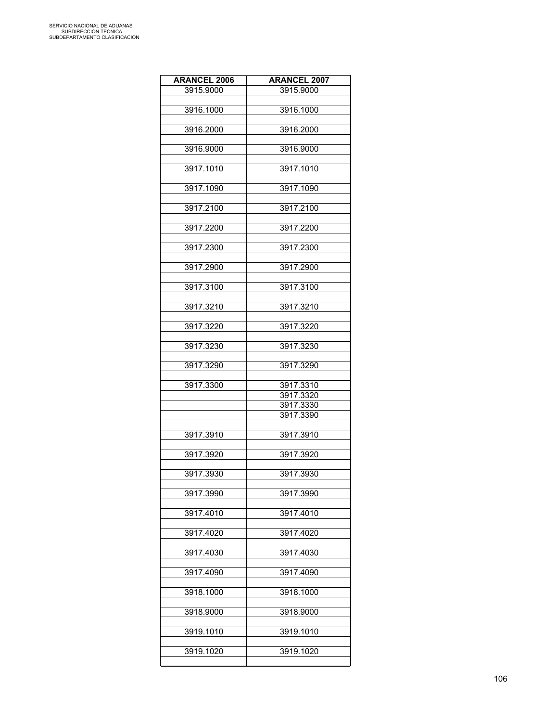| <b>ARANCEL 2006</b> | <b>ARANCEL 2007</b> |
|---------------------|---------------------|
| 3915.9000           | 3915.9000           |
|                     |                     |
| 3916.1000           | 3916.1000           |
|                     |                     |
| 3916.2000           | 3916.2000           |
|                     |                     |
| 3916.9000           | 3916.9000           |
| 3917.1010           | 3917.1010           |
|                     |                     |
| 3917.1090           | 3917.1090           |
|                     |                     |
| 3917.2100           | 3917.2100           |
|                     |                     |
| 3917.2200           | 3917.2200           |
|                     |                     |
| 3917.2300           | 3917.2300           |
|                     |                     |
| 3917.2900           | 3917.2900           |
|                     |                     |
| 3917.3100           | 3917.3100           |
|                     |                     |
| 3917.3210           | 3917.3210           |
| 3917.3220           | 3917.3220           |
|                     |                     |
| 3917.3230           | 3917.3230           |
|                     |                     |
| 3917.3290           | 3917.3290           |
|                     |                     |
| 3917.3300           | 3917.3310           |
|                     | 3917.3320           |
|                     | 3917.3330           |
|                     | 3917.3390           |
|                     |                     |
| 3917.3910           | 3917.3910           |
| 3917.3920           | 3917.3920           |
|                     |                     |
| 3917.3930           | 3917.3930           |
|                     |                     |
| 3917.3990           | 3917.3990           |
|                     |                     |
| 3917.4010           | 3917.4010           |
|                     |                     |
| 3917.4020           | 3917.4020           |
|                     |                     |
| 3917.4030           | 3917.4030           |
|                     |                     |
| 3917.4090           | 3917.4090           |
|                     |                     |
| 3918.1000           | 3918.1000           |
| 3918.9000           | 3918.9000           |
|                     |                     |
| 3919.1010           | 3919.1010           |
|                     |                     |
| 3919.1020           | 3919.1020           |
|                     |                     |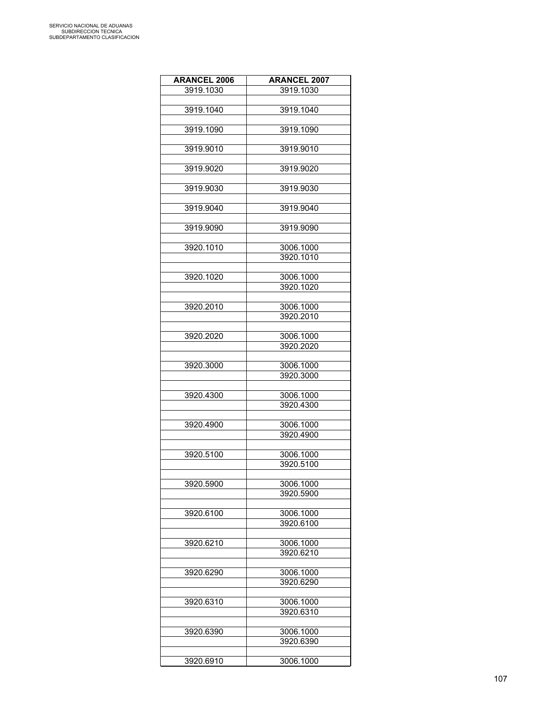| <b>ARANCEL 2006</b> | <b>ARANCEL 2007</b>    |
|---------------------|------------------------|
| 3919.1030           | 3919.1030              |
|                     |                        |
| 3919.1040           | 3919.1040              |
|                     |                        |
| 3919.1090           | 3919.1090              |
|                     |                        |
| 3919.9010           | 3919.9010              |
|                     |                        |
| 3919.9020           | 3919.9020              |
|                     |                        |
| 3919.9030           | 3919.9030              |
|                     |                        |
| 3919.9040           | 3919.9040              |
|                     |                        |
| 3919.9090           | 3919.9090              |
|                     |                        |
| 3920.1010           | 3006.1000              |
|                     | 3920.1010              |
|                     |                        |
| 3920.1020           | 3006.1000              |
|                     | 3920.1020              |
|                     |                        |
|                     |                        |
| 3920.2010           | 3006.1000<br>3920.2010 |
|                     |                        |
|                     |                        |
| 3920.2020           | 3006.1000              |
|                     | 3920.2020              |
|                     |                        |
| 3920.3000           | 3006.1000              |
|                     | 3920.3000              |
|                     |                        |
| 3920.4300           | 3006.1000              |
|                     | 3920.4300              |
|                     |                        |
| 3920.4900           | 3006.1000              |
|                     | 3920.4900              |
|                     |                        |
| 3920.5100           | 3006.1000<br>3920.5100 |
|                     |                        |
|                     |                        |
| 3920.5900           | 3006.1000              |
|                     | 3920.5900              |
|                     |                        |
| 3920.6100           | 3006.1000              |
|                     | 3920.6100              |
|                     |                        |
| 3920.6210           | 3006.1000              |
|                     | 3920.6210              |
|                     |                        |
| 3920.6290           | 3006.1000              |
|                     | 3920.6290              |
|                     |                        |
| 3920.6310           | 3006.1000              |
|                     | 3920.6310              |
|                     |                        |
| 3920.6390           | 3006.1000              |
|                     | 3920.6390              |
|                     |                        |
| 3920.6910           | 3006.1000              |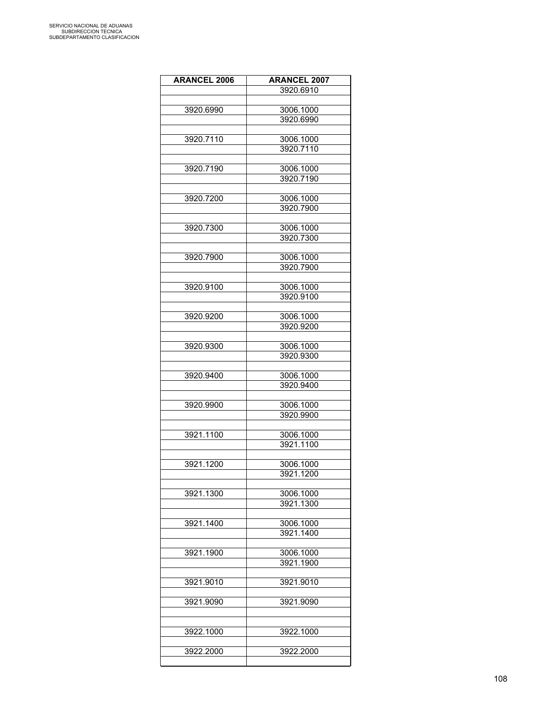| <b>ARANCEL 2006</b> | <b>ARANCEL 2007</b>    |
|---------------------|------------------------|
|                     | 3920.6910              |
|                     |                        |
| 3920.6990           | 3006.1000              |
|                     | 3920.6990              |
|                     |                        |
| 3920.7110           | 3006.1000              |
|                     | 3920.7110              |
|                     |                        |
| 3920.7190           | 3006.1000              |
|                     | 3920.7190              |
|                     |                        |
| 3920.7200           | 3006.1000              |
|                     | 3920.7900              |
|                     |                        |
| 3920.7300           | 3006.1000              |
|                     | 3920.7300              |
|                     |                        |
| 3920.7900           | 3006.1000              |
|                     | 3920.7900              |
|                     |                        |
| 3920.9100           | 3006.1000              |
|                     | 3920.9100              |
|                     |                        |
| 3920.9200           | 3006.1000              |
|                     | 3920.9200              |
|                     |                        |
| 3920.9300           | 3006.1000<br>3920.9300 |
|                     |                        |
| 3920.9400           | 3006.1000              |
|                     | 3920.9400              |
|                     |                        |
| 3920.9900           | 3006.1000              |
|                     | 3920.9900              |
|                     |                        |
| 3921.1100           | 3006.1000              |
|                     | 3921.1100              |
|                     |                        |
| 3921.1200           | 3006.1000              |
|                     | 3921.1200              |
|                     |                        |
| 3921.1300           | 3006.1000              |
|                     | 3921.1300              |
|                     |                        |
| 3921.1400           | 3006.1000              |
|                     | 3921.1400              |
|                     |                        |
| 3921.1900           | 3006.1000              |
|                     | 3921.1900              |
|                     |                        |
| 3921.9010           | 3921.9010              |
|                     |                        |
| 3921.9090           | 3921.9090              |
|                     |                        |
|                     |                        |
| 3922.1000           | 3922.1000              |
|                     |                        |
| 3922.2000           | 3922.2000              |
|                     |                        |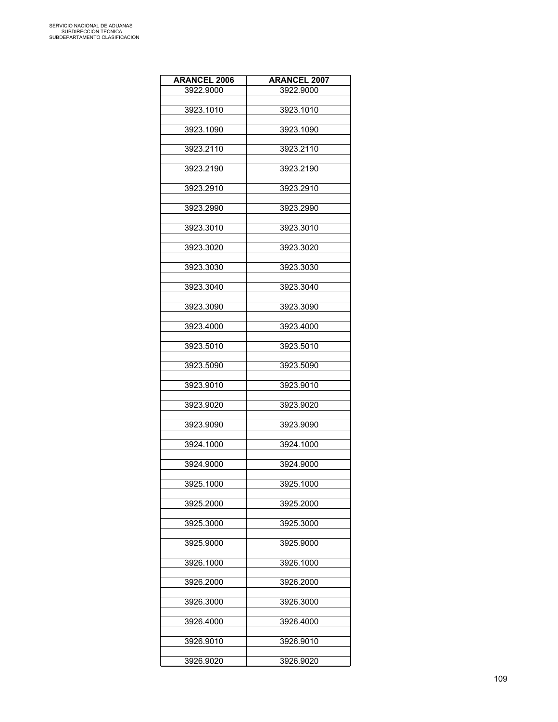| <b>ARANCEL 2006</b> | <b>ARANCEL 2007</b> |
|---------------------|---------------------|
| 3922.9000           | 3922.9000           |
|                     |                     |
| 3923.1010           | 3923.1010           |
| 3923.1090           | 3923.1090           |
| 3923.2110           | 3923.2110           |
| 3923.2190           | 3923.2190           |
| 3923.2910           | 3923.2910           |
| 3923.2990           | 3923.2990           |
| 3923.3010           | 3923.3010           |
| 3923.3020           | 3923.3020           |
| 3923.3030           | 3923.3030           |
| 3923.3040           | 3923.3040           |
| 3923.3090           | 3923.3090           |
| 3923.4000           | 3923.4000           |
| 3923.5010           | 3923.5010           |
| 3923.5090           | 3923.5090           |
| 3923.9010           | 3923.9010           |
| 3923.9020           | 3923.9020           |
| 3923.9090           | 3923.9090           |
| 3924.1000           | 3924.1000           |
| 3924.9000           | 3924.9000           |
| 3925.1000           | 3925.1000           |
| 3925.2000           | 3925.2000           |
| 3925.3000           | 3925.3000           |
| 3925.9000           | 3925.9000           |
| 3926.1000           | 3926.1000           |
| 3926.2000           | 3926.2000           |
| 3926.3000           | 3926.3000           |
| 3926.4000           | 3926.4000           |
| 3926.9010           | 3926.9010           |
| 3926.9020           | 3926.9020           |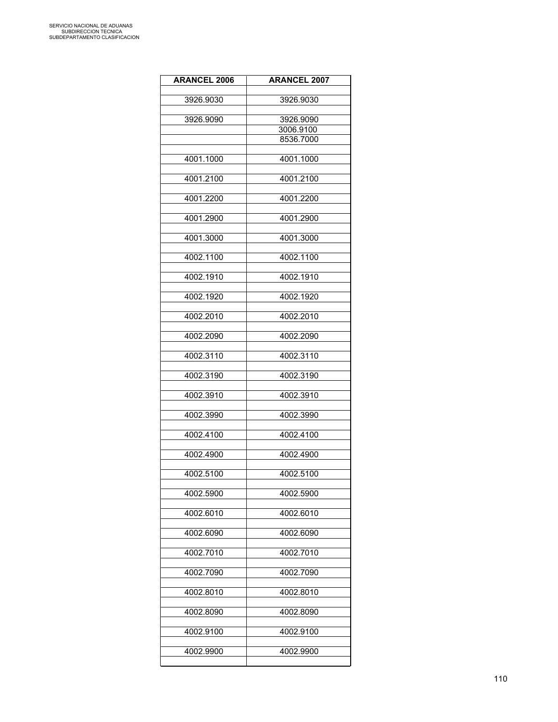| <b>ARANCEL 2006</b> | <b>ARANCEL 2007</b> |
|---------------------|---------------------|
| 3926.9030           | 3926.9030           |
|                     |                     |
| 3926.9090           | 3926.9090           |
|                     | 3006.9100           |
|                     | 8536.7000           |
| 4001.1000           | 4001.1000           |
|                     |                     |
| 4001.2100           | 4001.2100           |
| 4001.2200           | 4001.2200           |
| 4001.2900           | 4001.2900           |
|                     |                     |
| 4001.3000           | 4001.3000           |
| 4002.1100           | 4002.1100           |
|                     |                     |
| 4002.1910           | 4002.1910           |
| 4002.1920           | 4002.1920           |
| 4002.2010           | 4002.2010           |
|                     |                     |
| 4002.2090           | 4002.2090           |
| 4002.3110           | 4002.3110           |
| 4002.3190           | 4002.3190           |
|                     |                     |
| 4002.3910           | 4002.3910           |
| 4002.3990           | 4002.3990           |
|                     |                     |
| 4002.4100           | 4002.4100           |
| 4002.4900           | 4002.4900           |
| 4002.5100           | 4002.5100           |
|                     |                     |
| 4002.5900           | 4002.5900           |
| 4002.6010           | 4002.6010           |
| 4002.6090           | 4002.6090           |
|                     |                     |
| 4002.7010           | 4002.7010           |
| 4002.7090           | 4002.7090           |
| 4002.8010           | 4002.8010           |
| 4002.8090           | 4002.8090           |
| 4002.9100           |                     |
|                     | 4002.9100           |
| 4002.9900           | 4002.9900           |
|                     |                     |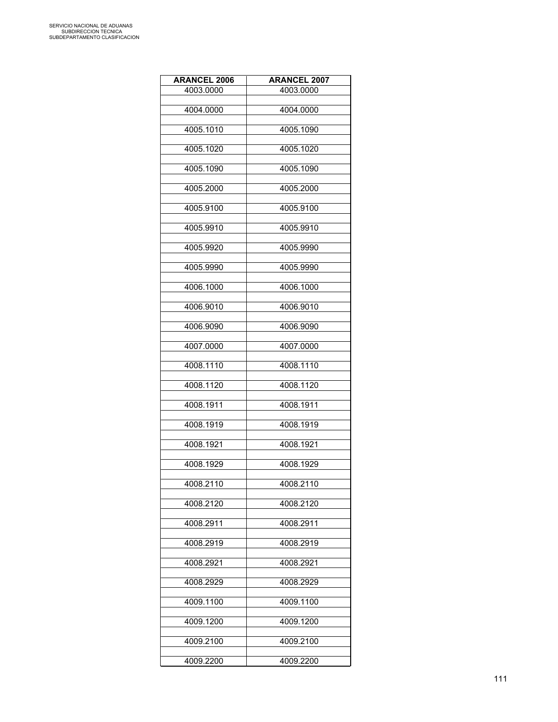| <b>ARANCEL 2006</b> | <b>ARANCEL 2007</b> |
|---------------------|---------------------|
| 4003.0000           | 4003.0000           |
|                     |                     |
| 4004.0000           | 4004.0000           |
| 4005.1010           | 4005.1090           |
|                     |                     |
| 4005.1020           | 4005.1020           |
| 4005.1090           | 4005.1090           |
|                     |                     |
| 4005.2000           | 4005.2000           |
|                     |                     |
| 4005.9100           | 4005.9100           |
| 4005.9910           | 4005.9910           |
|                     |                     |
| 4005.9920           | 4005.9990           |
| 4005.9990           | 4005.9990           |
|                     |                     |
| 4006.1000           | 4006.1000           |
|                     |                     |
| 4006.9010           | 4006.9010           |
| 4006.9090           | 4006.9090           |
|                     |                     |
| 4007.0000           | 4007.0000           |
| 4008.1110           | 4008.1110           |
|                     |                     |
| 4008.1120           | 4008.1120           |
|                     |                     |
| 4008.1911           | 4008.1911           |
| 4008.1919           | 4008.1919           |
|                     |                     |
| 4008.1921           | 4008.1921           |
| 4008.1929           | 4008.1929           |
|                     |                     |
| 4008.2110           | 4008.2110           |
| 4008.2120           | 4008.2120           |
|                     |                     |
| 4008.2911           | 4008.2911           |
|                     |                     |
| 4008.2919           | 4008.2919           |
| 4008.2921           | 4008.2921           |
|                     |                     |
| 4008.2929           | 4008.2929           |
| 4009.1100           | 4009.1100           |
|                     |                     |
| 4009.1200           | 4009.1200           |
|                     |                     |
| 4009.2100           | 4009.2100           |
| 4009.2200           | 4009.2200           |
|                     |                     |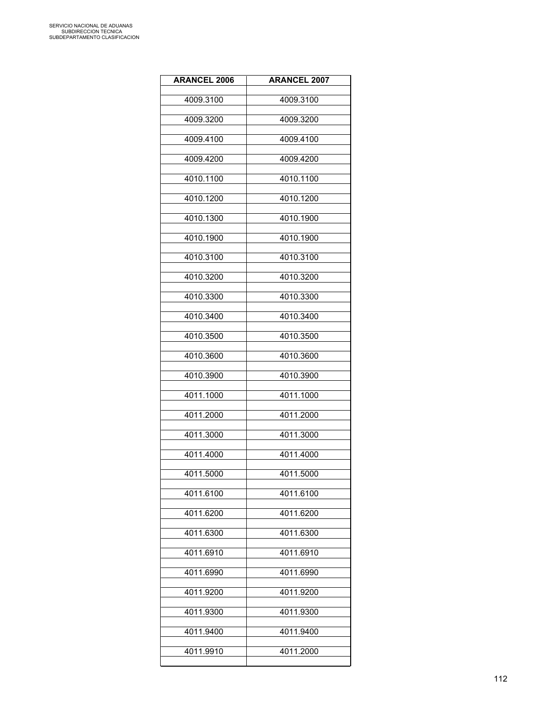| <b>ARANCEL 2006</b> | <b>ARANCEL 2007</b> |
|---------------------|---------------------|
| 4009.3100           | 4009.3100           |
| 4009.3200           | 4009.3200           |
| 4009.4100           | 4009.4100           |
| 4009.4200           | 4009.4200           |
| 4010.1100           | 4010.1100           |
| 4010.1200           | 4010.1200           |
| 4010.1300           | 4010.1900           |
| 4010.1900           | 4010.1900           |
| 4010.3100           | 4010.3100           |
| 4010.3200           | 4010.3200           |
| 4010.3300           | 4010.3300           |
| 4010.3400           | 4010.3400           |
| 4010.3500           | 4010.3500           |
| 4010.3600           | 4010.3600           |
| 4010.3900           | 4010.3900           |
| 4011.1000           | 4011.1000           |
| 4011.2000           | 4011.2000           |
| 4011.3000           | 4011.3000           |
| 4011.4000           | 4011.4000           |
| 4011.5000           | 4011.5000           |
| 4011.6100           | 4011.6100           |
| 4011.6200           | 4011.6200           |
| 4011.6300           | 4011.6300           |
| 4011.6910           | 4011.6910           |
| 4011.6990           | 4011.6990           |
| 4011.9200           | 4011.9200           |
| 4011.9300           | 4011.9300           |
| 4011.9400           | 4011.9400           |
| 4011.9910           | 4011.2000           |
|                     |                     |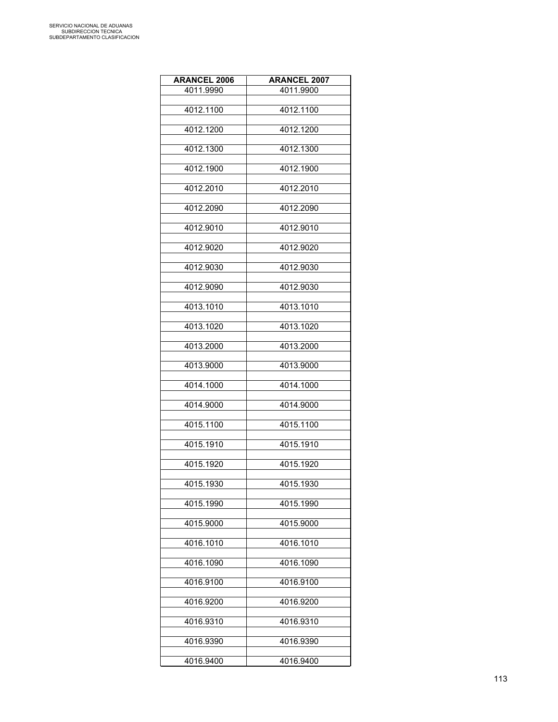| <b>ARANCEL 2006</b> | <b>ARANCEL 2007</b> |
|---------------------|---------------------|
| 4011.9990           | 4011.9900           |
| 4012.1100           | 4012.1100           |
|                     |                     |
| 4012.1200           | 4012.1200           |
| 4012.1300           | 4012.1300           |
| 4012.1900           | 4012.1900           |
| 4012.2010           | 4012.2010           |
| 4012.2090           | 4012.2090           |
| 4012.9010           | 4012.9010           |
| 4012.9020           | 4012.9020           |
| 4012.9030           | 4012.9030           |
| 4012.9090           | 4012.9030           |
| 4013.1010           | 4013.1010           |
| 4013.1020           | 4013.1020           |
| 4013.2000           | 4013.2000           |
| 4013.9000           | 4013.9000           |
| 4014.1000           | 4014.1000           |
| 4014.9000           | 4014.9000           |
| 4015.1100           | 4015.1100           |
| 4015.1910           | 4015.1910           |
| 4015.1920           | 4015.1920           |
| 4015.1930           | 4015.1930           |
| 4015.1990           | 4015.1990           |
| 4015.9000           | 4015.9000           |
| 4016.1010           | 4016.1010           |
| 4016.1090           | 4016.1090           |
| 4016.9100           | 4016.9100           |
| 4016.9200           | 4016.9200           |
| 4016.9310           | 4016.9310           |
| 4016.9390           | 4016.9390           |
| 4016.9400           | 4016.9400           |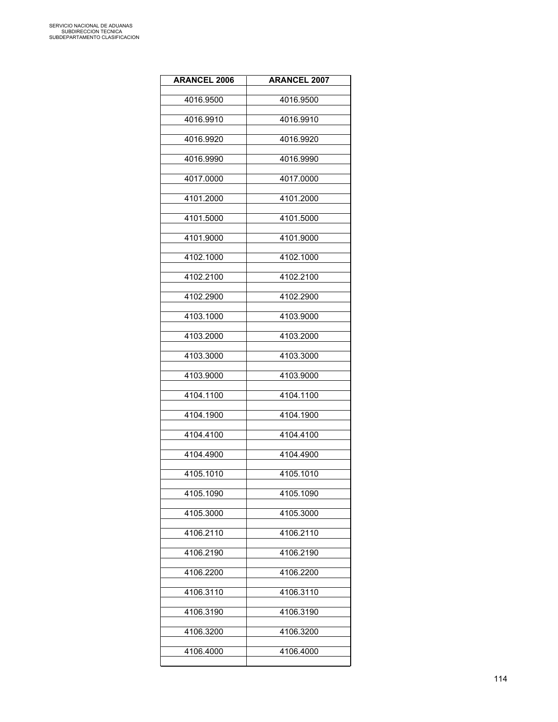| <b>ARANCEL 2006</b> | <b>ARANCEL 2007</b> |
|---------------------|---------------------|
| 4016.9500           | 4016.9500           |
| 4016.9910           | 4016.9910           |
| 4016.9920           | 4016.9920           |
| 4016.9990           | 4016.9990           |
| 4017.0000           | 4017.0000           |
| 4101.2000           | 4101.2000           |
| 4101.5000           | 4101.5000           |
| 4101.9000           | 4101.9000           |
| 4102.1000           | 4102.1000           |
| 4102.2100           | 4102.2100           |
| 4102.2900           | 4102.2900           |
| 4103.1000           | 4103.9000           |
| 4103.2000           | 4103.2000           |
| 4103.3000           | 4103.3000           |
| 4103.9000           | 4103.9000           |
| 4104.1100           | 4104.1100           |
| 4104.1900           | 4104.1900           |
| 4104.4100           | 4104.4100           |
| 4104.4900           | 4104.4900           |
| 4105.1010           | 4105.1010           |
| 4105.1090           | 4105.1090           |
| 4105.3000           | 4105.3000           |
| 4106.2110           | 4106.2110           |
| 4106.2190           | 4106.2190           |
| 4106.2200           | 4106.2200           |
| 4106.3110           | 4106.3110           |
| 4106.3190           | 4106.3190           |
| 4106.3200           | 4106.3200           |
| 4106.4000           | 4106.4000           |
|                     |                     |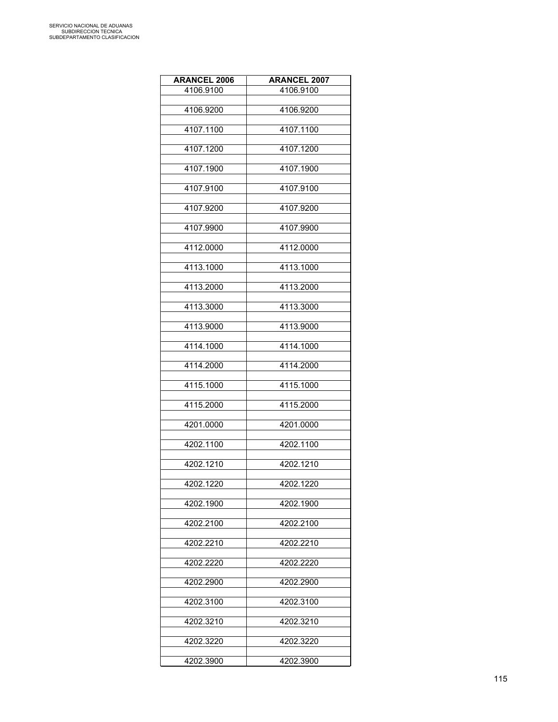| <b>ARANCEL 2006</b> | <b>ARANCEL 2007</b> |
|---------------------|---------------------|
| 4106.9100           | 4106.9100           |
| 4106.9200           | 4106.9200           |
|                     |                     |
| 4107.1100           | 4107.1100           |
| 4107.1200           | 4107.1200           |
| 4107.1900           | 4107.1900           |
| 4107.9100           | 4107.9100           |
| 4107.9200           | 4107.9200           |
| 4107.9900           | 4107.9900           |
| 4112.0000           | 4112.0000           |
| 4113.1000           | 4113.1000           |
| 4113.2000           | 4113.2000           |
| 4113.3000           | 4113.3000           |
| 4113.9000           | 4113.9000           |
| 4114.1000           | 4114.1000           |
| 4114.2000           | 4114.2000           |
| 4115.1000           | 4115.1000           |
| 4115.2000           | 4115.2000           |
| 4201.0000           | 4201.0000           |
| 4202.1100           | 4202.1100           |
| 4202.1210           | 4202.1210           |
| 4202.1220           | 4202.1220           |
| 4202.1900           | 4202.1900           |
| 4202.2100           | 4202.2100           |
| 4202.2210           | 4202.2210           |
| 4202.2220           | 4202.2220           |
| 4202.2900           | 4202.2900           |
| 4202.3100           | 4202.3100           |
| 4202.3210           | 4202.3210           |
| 4202.3220           | 4202.3220           |
| 4202.3900           | 4202.3900           |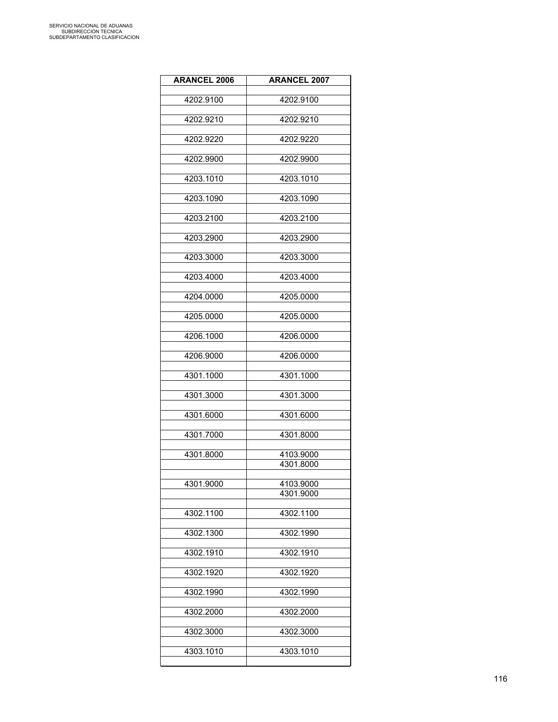| <b>ARANCEL 2006</b> | <b>ARANCEL 2007</b> |
|---------------------|---------------------|
|                     |                     |
| 4202.9100           | 4202.9100           |
| 4202.9210           | 4202.9210           |
|                     |                     |
| 4202.9220           | 4202.9220           |
|                     |                     |
| 4202.9900           | 4202.9900           |
|                     |                     |
| 4203.1010           | 4203.1010           |
| 4203.1090           | 4203.1090           |
|                     |                     |
| 4203.2100           | 4203.2100           |
|                     |                     |
| 4203.2900           | 4203.2900           |
| 4203.3000           | 4203.3000           |
|                     |                     |
| 4203.4000           | 4203.4000           |
|                     |                     |
| 4204.0000           | 4205.0000           |
|                     | 4205.0000           |
| 4205.0000           |                     |
| 4206.1000           | 4206.0000           |
|                     |                     |
| 4206.9000           | 4206.0000           |
|                     |                     |
| 4301.1000           | 4301.1000           |
| 4301.3000           | 4301.3000           |
|                     |                     |
| 4301.6000           | 4301.6000           |
|                     |                     |
| 4301.7000           | 4301.8000           |
| 4301.8000           | 4103.9000           |
|                     | 4301.8000           |
|                     |                     |
| 4301.9000           | 4103.9000           |
|                     | 4301.9000           |
| 4302.1100           | 4302.1100           |
|                     |                     |
| 4302.1300           | 4302.1990           |
|                     |                     |
| 4302.1910           | 4302.1910           |
|                     |                     |
| 4302.1920           | 4302.1920           |
| 4302.1990           | 4302.1990           |
|                     |                     |
| 4302.2000           | 4302.2000           |
|                     |                     |
| 4302.3000           | 4302.3000           |
| 4303.1010           | 4303.1010           |
|                     |                     |
|                     |                     |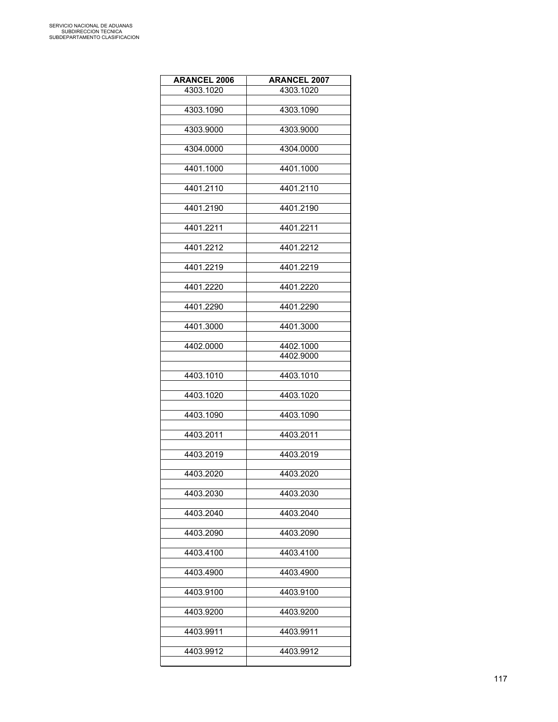| <b>ARANCEL 2006</b> | <b>ARANCEL 2007</b> |
|---------------------|---------------------|
| 4303.1020           | 4303.1020           |
|                     |                     |
| 4303.1090           | 4303.1090           |
| 4303.9000           | 4303.9000           |
|                     |                     |
| 4304.0000           | 4304.0000           |
| 4401.1000           | 4401.1000           |
|                     |                     |
| 4401.2110           | 4401.2110           |
|                     |                     |
| 4401.2190           | 4401.2190           |
| 4401.2211           | 4401.2211           |
|                     |                     |
| 4401.2212           | 4401.2212           |
|                     |                     |
| 4401.2219           | 4401.2219           |
| 4401.2220           | 4401.2220           |
|                     |                     |
| 4401.2290           | 4401.2290           |
|                     |                     |
| 4401.3000           | 4401.3000           |
| 4402.0000           | 4402.1000           |
|                     | 4402.9000           |
|                     |                     |
| 4403.1010           | 4403.1010           |
| 4403.1020           | 4403.1020           |
|                     |                     |
| 4403.1090           | 4403.1090           |
|                     |                     |
| 4403.2011           | 4403.2011           |
| 4403.2019           | 4403.2019           |
|                     |                     |
| 4403.2020           | 4403.2020           |
|                     |                     |
| 4403.2030           | 4403.2030           |
| 4403.2040           | 4403.2040           |
|                     |                     |
| 4403.2090           | 4403.2090           |
| 4403.4100           | 4403.4100           |
|                     |                     |
| 4403.4900           | 4403.4900           |
|                     |                     |
| 4403.9100           | 4403.9100           |
| 4403.9200           | 4403.9200           |
|                     |                     |
| 4403.9911           | 4403.9911           |
|                     |                     |
| 4403.9912           | 4403.9912           |
|                     |                     |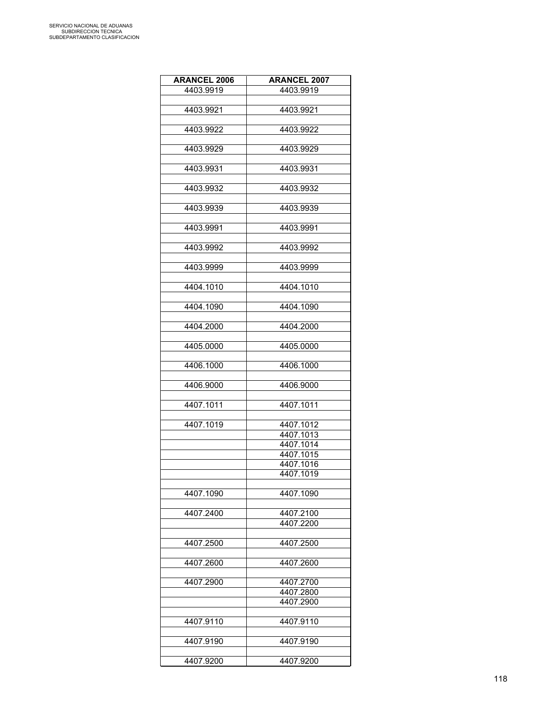| <b>ARANCEL 2006</b> | <b>ARANCEL 2007</b> |
|---------------------|---------------------|
| 4403.9919           | 4403.9919           |
|                     |                     |
| 4403.9921           | 4403.9921           |
|                     |                     |
| 4403.9922           | 4403.9922           |
|                     |                     |
| 4403.9929           | 4403.9929           |
|                     |                     |
| 4403.9931           | 4403.9931           |
|                     |                     |
| 4403.9932           | 4403.9932           |
|                     |                     |
| 4403.9939           | 4403.9939           |
|                     |                     |
| 4403.9991           | 4403.9991           |
|                     |                     |
| 4403.9992           | 4403.9992           |
|                     |                     |
| 4403.9999           | 4403.9999           |
|                     |                     |
| 4404.1010           | 4404.1010           |
|                     |                     |
| 4404.1090           | 4404.1090           |
|                     |                     |
| 4404.2000           | 4404.2000           |
|                     |                     |
| 4405.0000           | 4405.0000           |
|                     |                     |
| 4406.1000           | 4406.1000           |
|                     |                     |
|                     |                     |
| 4406.9000           | 4406.9000           |
|                     |                     |
| 4407.1011           | 4407.1011           |
|                     |                     |
| 4407.1019           | 4407.1012           |
|                     | 4407.1013           |
|                     | 4407.1014           |
|                     | 4407.1015           |
|                     | 4407.1016           |
|                     | 4407.1019           |
|                     |                     |
| 4407.1090           | 4407.1090           |
|                     |                     |
| 4407.2400           | 4407.2100           |
|                     | 4407.2200           |
|                     |                     |
| 4407.2500           | 4407.2500           |
|                     |                     |
| 4407.2600           | 4407.2600           |
|                     |                     |
| 4407.2900           | 4407.2700           |
|                     | 4407.2800           |
|                     | 4407.2900           |
|                     |                     |
| 4407.9110           | 4407.9110           |
|                     |                     |
| 4407.9190           | 4407.9190           |
|                     |                     |
| 4407.9200           | 4407.9200           |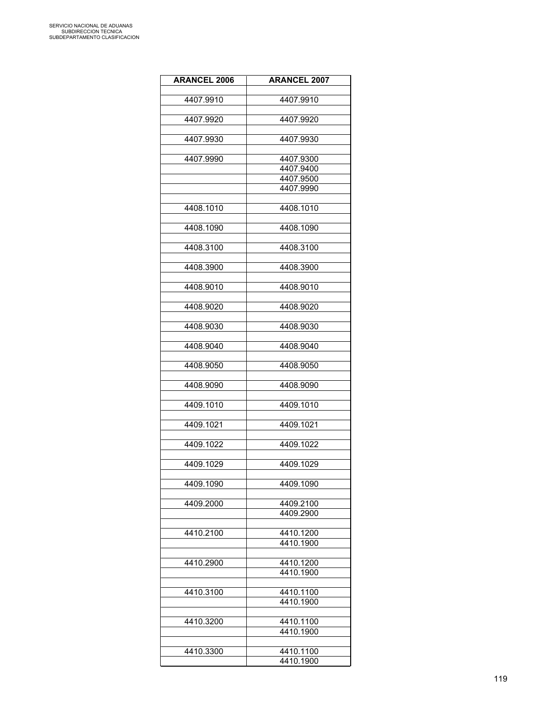| <b>ARANCEL 2006</b> | <b>ARANCEL 2007</b>    |
|---------------------|------------------------|
|                     |                        |
| 4407.9910           | 4407.9910              |
| 4407.9920           | 4407.9920              |
|                     |                        |
| 4407.9930           | 4407.9930              |
|                     |                        |
| 4407.9990           | 4407.9300<br>4407.9400 |
|                     | 4407.9500              |
|                     | 4407.9990              |
|                     |                        |
| 4408.1010           | 4408.1010              |
| 4408.1090           | 4408.1090              |
|                     |                        |
| 4408.3100           | 4408.3100              |
|                     |                        |
| 4408.3900           | 4408.3900              |
| 4408.9010           | 4408.9010              |
|                     |                        |
| 4408.9020           | 4408.9020              |
|                     |                        |
| 4408.9030           | 4408.9030              |
|                     |                        |
| 4408.9040           | 4408.9040              |
| 4408.9050           | 4408.9050              |
|                     |                        |
| 4408.9090           | 4408.9090              |
| 4409.1010           | 4409.1010              |
|                     |                        |
| 4409.1021           | 4409.1021              |
|                     |                        |
| 4409.1022           | 4409.1022              |
| 4409.1029           | 4409.1029              |
|                     |                        |
| 4409.1090           | 4409.1090              |
|                     |                        |
| 4409.2000           | 4409.2100              |
|                     | 4409.2900              |
| 4410.2100           | 4410.1200              |
|                     | 4410.1900              |
|                     |                        |
| 4410.2900           | 4410.1200              |
|                     | 4410.1900              |
| 4410.3100           | 4410.1100              |
|                     | 4410.1900              |
|                     |                        |
| 4410.3200           | 4410.1100              |
|                     | 4410.1900              |
| 4410.3300           | 4410.1100              |
|                     | 4410.1900              |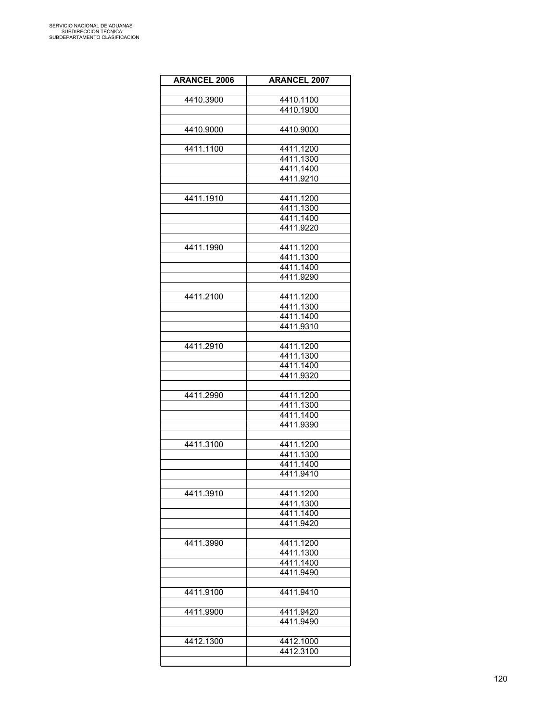| <b>ARANCEL 2006</b> | <b>ARANCEL 2007</b>    |
|---------------------|------------------------|
|                     |                        |
| 4410.3900           | 4410.1100<br>4410.1900 |
|                     |                        |
| 4410.9000           | 4410.9000              |
|                     |                        |
| 4411.1100           | 4411.1200              |
|                     | 4411.1300              |
|                     | 4411.1400              |
|                     | 4411.9210              |
|                     |                        |
| 4411.1910           | 4411.1200<br>4411.1300 |
|                     | 4411.1400              |
|                     | 4411.9220              |
|                     |                        |
| 4411.1990           | 4411.1200              |
|                     | 4411.1300              |
|                     | 4411.1400              |
|                     | 4411.9290              |
| 4411.2100           | 4411.1200              |
|                     | 4411.1300              |
|                     | 4411.1400              |
|                     | 4411.9310              |
|                     |                        |
| 4411.2910           | 4411.1200              |
|                     | 4411.1300              |
|                     | 4411.1400              |
|                     | 4411.9320              |
| 4411.2990           | 4411.1200              |
|                     | 4411.1300              |
|                     | 4411.1400              |
|                     | 4411.9390              |
|                     |                        |
| 4411.3100           | 4411.1200              |
|                     | 4411.1300              |
|                     | 4411.1400<br>4411.9410 |
|                     |                        |
| 4411.3910           | 4411.1200              |
|                     | 4411.1300              |
|                     | 4411.1400              |
|                     | 4411.9420              |
|                     |                        |
| 4411.3990           | 4411.1200              |
|                     | 4411.1300<br>4411.1400 |
|                     | 4411.9490              |
|                     |                        |
| 4411.9100           | 4411.9410              |
|                     |                        |
| 4411.9900           | 4411.9420              |
|                     | 4411.9490              |
|                     |                        |
| 4412.1300           | 4412.1000<br>4412.3100 |
|                     |                        |
|                     |                        |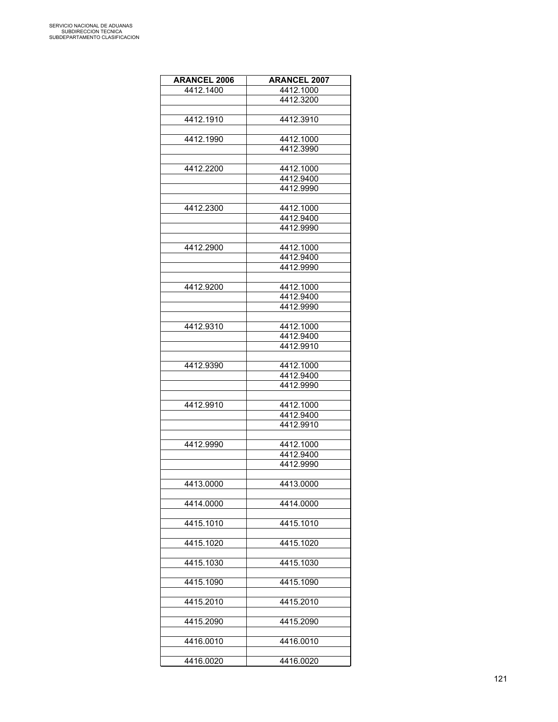| <b>ARANCEL 2006</b> | <b>ARANCEL 2007</b> |
|---------------------|---------------------|
| 4412.1400           | 4412.1000           |
|                     | 4412.3200           |
|                     |                     |
| 4412.1910           | 4412.3910           |
|                     |                     |
| 4412.1990           | 4412.1000           |
|                     | 4412.3990           |
|                     |                     |
| 4412.2200           | 4412.1000           |
|                     | 4412.9400           |
|                     | 4412.9990           |
|                     |                     |
| 4412.2300           | 4412.1000           |
|                     | 4412.9400           |
|                     | 4412.9990           |
|                     |                     |
| 4412.2900           | 4412.1000           |
|                     | 4412.9400           |
|                     | 4412.9990           |
|                     |                     |
| 4412.9200           | 4412.1000           |
|                     | 4412.9400           |
|                     | 4412.9990           |
|                     |                     |
| 4412.9310           | 4412.1000           |
|                     | 4412.9400           |
|                     | 4412.9910           |
|                     |                     |
| 4412.9390           | 4412.1000           |
|                     | 4412.9400           |
|                     | 4412.9990           |
|                     |                     |
| 4412.9910           | 4412.1000           |
|                     | 4412.9400           |
|                     | 4412.9910           |
|                     |                     |
| 4412.9990           | 4412.1000           |
|                     | 4412.9400           |
|                     | 4412.9990           |
|                     |                     |
| 4413.0000           | 4413.0000           |
|                     |                     |
| 4414.0000           | 4414.0000           |
|                     |                     |
| 4415.1010           | 4415.1010           |
|                     |                     |
| 4415.1020           | 4415.1020           |
|                     |                     |
| 4415.1030           | 4415.1030           |
|                     |                     |
| 4415.1090           | 4415.1090           |
|                     |                     |
| 4415.2010           | 4415.2010           |
|                     |                     |
| 4415.2090           | 4415.2090           |
|                     |                     |
| 4416.0010           | 4416.0010           |
|                     |                     |
| 4416.0020           | 4416.0020           |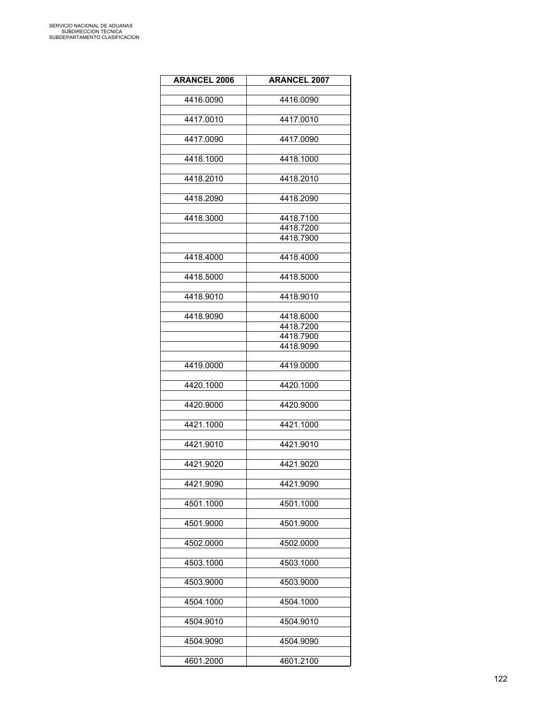| <b>ARANCEL 2006</b> | <b>ARANCEL 2007</b>    |
|---------------------|------------------------|
|                     |                        |
| 4416.0090           | 4416.0090              |
|                     |                        |
| 4417.0010           | 4417.0010              |
| 4417.0090           | 4417.0090              |
|                     |                        |
| 4418.1000           | 4418.1000              |
|                     |                        |
| 4418.2010           | 4418.2010              |
|                     |                        |
| 4418.2090           | 4418.2090              |
|                     |                        |
| 4418.3000           | 4418.7100<br>4418.7200 |
|                     | 4418.7900              |
|                     |                        |
| 4418.4000           | 4418.4000              |
|                     |                        |
| 4418.5000           | 4418.5000              |
|                     |                        |
| 4418.9010           | 4418.9010              |
|                     |                        |
| 4418.9090           | 4418.6000              |
|                     | 4418.7200              |
|                     | 4418.7900              |
|                     | 4418.9090              |
|                     |                        |
| 4419.0000           | 4419.0000              |
|                     |                        |
| 4420.1000           | 4420.1000              |
| 4420.9000           | 4420.9000              |
|                     |                        |
| 4421.1000           | 4421.1000              |
|                     |                        |
| 4421.9010           | 4421.9010              |
|                     |                        |
| 4421.9020           | 4421.9020              |
|                     |                        |
| 4421.9090           | 4421.9090              |
|                     |                        |
| 4501.1000           | 4501.1000              |
| 4501.9000           | 4501.9000              |
|                     |                        |
| 4502.0000           | 4502.0000              |
|                     |                        |
| 4503.1000           | 4503.1000              |
|                     |                        |
| 4503.9000           | 4503.9000              |
|                     |                        |
| 4504.1000           | 4504.1000              |
|                     |                        |
| 4504.9010           | 4504.9010              |
|                     |                        |
| 4504.9090           | 4504.9090              |
| 4601.2000           | 4601.2100              |
|                     |                        |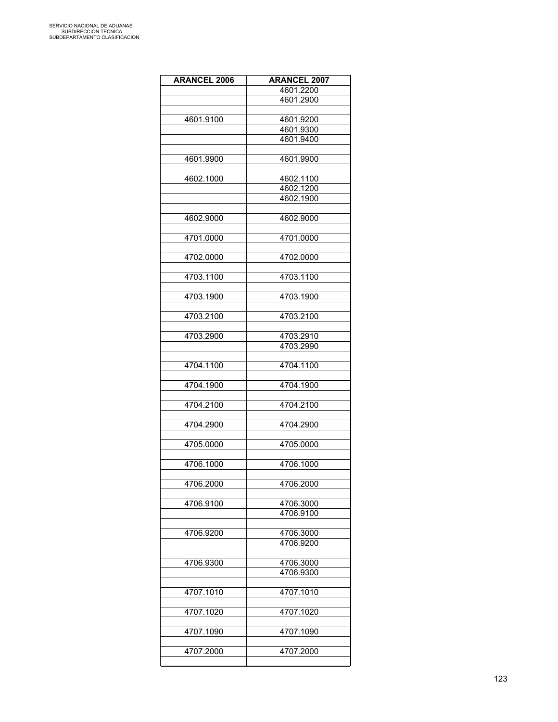| <b>ARANCEL 2006</b> | <b>ARANCEL 2007</b> |
|---------------------|---------------------|
|                     | 4601.2200           |
|                     | 4601.2900           |
|                     |                     |
| 4601.9100           | 4601.9200           |
|                     | 4601.9300           |
|                     | 4601.9400           |
|                     |                     |
|                     |                     |
| 4601.9900           | 4601.9900           |
|                     |                     |
| 4602.1000           | 4602.1100           |
|                     | 4602.1200           |
|                     | 4602.1900           |
|                     |                     |
| 4602.9000           | 4602.9000           |
|                     |                     |
| 4701.0000           | 4701.0000           |
|                     |                     |
| 4702.0000           | 4702.0000           |
|                     |                     |
| 4703.1100           | 4703.1100           |
|                     |                     |
| 4703.1900           | 4703.1900           |
|                     |                     |
| 4703.2100           | 4703.2100           |
|                     |                     |
| 4703.2900           | 4703.2910           |
|                     | 4703.2990           |
|                     |                     |
| 4704.1100           | 4704.1100           |
|                     |                     |
| 4704.1900           | 4704.1900           |
|                     |                     |
| 4704.2100           | 4704.2100           |
|                     |                     |
| 4704.2900           | 4704.2900           |
|                     |                     |
| 4705.0000           | 4705.0000           |
|                     |                     |
| 4706.1000           | 4706.1000           |
|                     |                     |
| 4706.2000           | 4706.2000           |
|                     |                     |
| 4706.9100           | 4706.3000           |
|                     | 4706.9100           |
|                     |                     |
| 4706.9200           | 4706.3000           |
|                     | 4706.9200           |
|                     |                     |
| 4706.9300           | 4706.3000           |
|                     | 4706.9300           |
|                     |                     |
|                     | 4707.1010           |
| 4707.1010           |                     |
|                     |                     |
| 4707.1020           | 4707.1020           |
|                     |                     |
| 4707.1090           | 4707.1090           |
|                     |                     |
| 4707.2000           | 4707.2000           |
|                     |                     |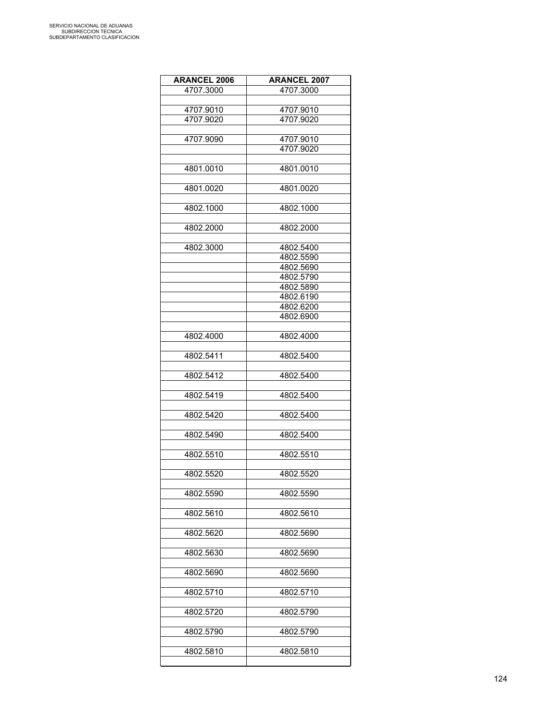| <b>ARANCEL 2006</b> | <b>ARANCEL 2007</b> |
|---------------------|---------------------|
| 4707.3000           | 4707.3000           |
|                     |                     |
| 4707.9010           | 4707.9010           |
| 4707.9020           | 4707.9020           |
|                     |                     |
| 4707.9090           | 4707.9010           |
|                     | 4707.9020           |
| 4801.0010           | 4801.0010           |
|                     |                     |
| 4801.0020           | 4801.0020           |
|                     |                     |
| 4802.1000           | 4802.1000           |
| 4802.2000           | 4802.2000           |
|                     |                     |
| 4802.3000           | 4802.5400           |
|                     | 4802.5590           |
|                     | 4802.5690           |
|                     | 4802.5790           |
|                     | 4802.5890           |
|                     | 4802.6190           |
|                     | 4802.6200           |
|                     | 4802.6900           |
|                     |                     |
| 4802.4000           | 4802.4000           |
| 4802.5411           | 4802.5400           |
| 4802.5412           | 4802.5400           |
|                     |                     |
| 4802.5419           | 4802.5400           |
|                     |                     |
| 4802.5420           | 4802.5400           |
|                     |                     |
| 4802.5490           | 4802.5400           |
|                     |                     |
| 4802.5510           | 4802.5510           |
| 4802.5520           | 4802.5520           |
|                     |                     |
| 4802.5590           | 4802.5590           |
|                     |                     |
| 4802.5610           | 4802.5610           |
| 4802.5620           | 4802.5690           |
|                     |                     |
| 4802.5630           | 4802.5690           |
|                     |                     |
| 4802.5690           | 4802.5690           |
|                     |                     |
| 4802.5710           | 4802.5710           |
|                     |                     |
| 4802.5720           | 4802.5790           |
| 4802.5790           | 4802.5790           |
|                     |                     |
| 4802.5810           | 4802.5810           |
|                     |                     |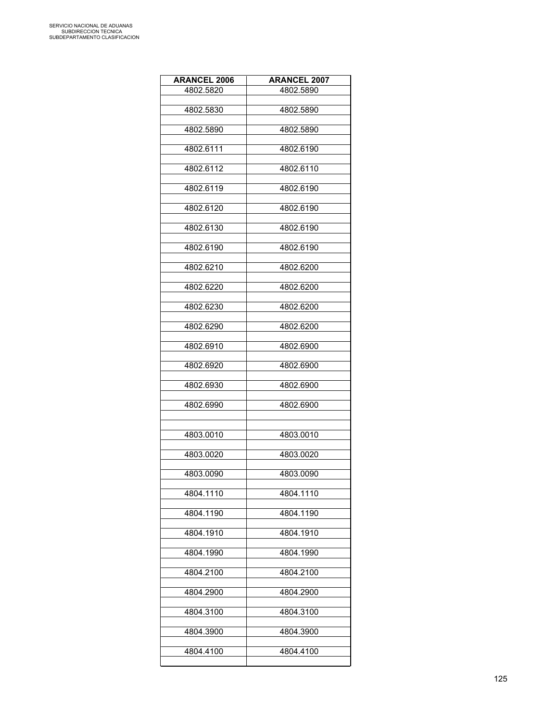| <b>ARANCEL 2006</b> | <b>ARANCEL 2007</b> |
|---------------------|---------------------|
| 4802.5820           | 4802.5890           |
|                     |                     |
| 4802.5830           | 4802.5890           |
| 4802.5890           | 4802.5890           |
|                     |                     |
| 4802.6111           | 4802.6190           |
|                     |                     |
| 4802.6112           | 4802.6110           |
| 4802.6119           | 4802.6190           |
|                     |                     |
| 4802.6120           | 4802.6190           |
| 4802.6130           | 4802.6190           |
|                     |                     |
| 4802.6190           | 4802.6190           |
|                     |                     |
| 4802.6210           | 4802.6200           |
|                     |                     |
| 4802.6220           | 4802.6200           |
| 4802.6230           | 4802.6200           |
|                     |                     |
| 4802.6290           | 4802.6200           |
|                     |                     |
| 4802.6910           | 4802.6900           |
| 4802.6920           | 4802.6900           |
|                     |                     |
| 4802.6930           | 4802.6900           |
|                     |                     |
| 4802.6990           | 4802.6900           |
|                     |                     |
| 4803.0010           | 4803.0010           |
|                     |                     |
| 4803.0020           | 4803.0020           |
| 4803.0090           | 4803.0090           |
|                     |                     |
| 4804.1110           | 4804.1110           |
|                     |                     |
| 4804.1190           | 4804.1190           |
| 4804.1910           | 4804.1910           |
|                     |                     |
| 4804.1990           | 4804.1990           |
|                     |                     |
| 4804.2100           | 4804.2100           |
| 4804.2900           | 4804.2900           |
|                     |                     |
| 4804.3100           | 4804.3100           |
|                     |                     |
| 4804.3900           | 4804.3900           |
| 4804.4100           | 4804.4100           |
|                     |                     |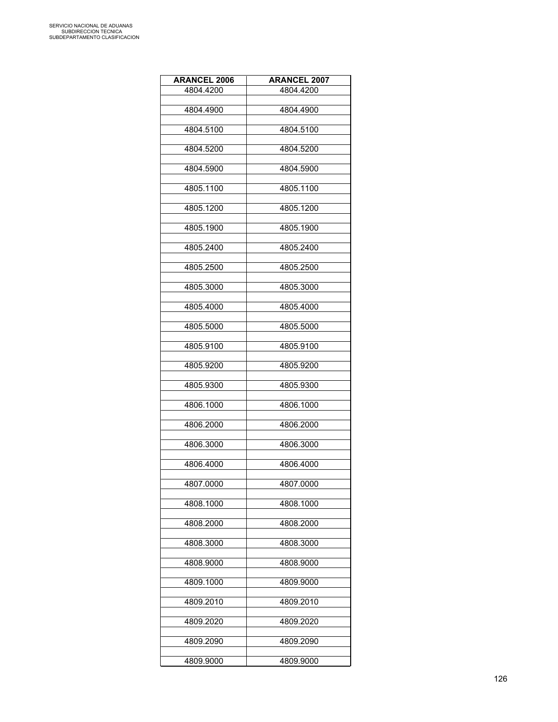| <b>ARANCEL 2006</b> | <b>ARANCEL 2007</b> |
|---------------------|---------------------|
| 4804.4200           | 4804.4200           |
|                     |                     |
| 4804.4900           | 4804.4900           |
| 4804.5100           | 4804.5100           |
|                     |                     |
| 4804.5200           | 4804.5200           |
| 4804.5900           | 4804.5900           |
|                     |                     |
| 4805.1100           | 4805.1100           |
|                     |                     |
| 4805.1200           | 4805.1200           |
| 4805.1900           | 4805.1900           |
|                     |                     |
| 4805.2400           | 4805.2400           |
|                     |                     |
| 4805.2500           | 4805.2500           |
| 4805.3000           | 4805.3000           |
|                     |                     |
| 4805.4000           | 4805.4000           |
| 4805.5000           | 4805.5000           |
|                     |                     |
| 4805.9100           | 4805.9100           |
|                     |                     |
| 4805.9200           | 4805.9200           |
| 4805.9300           | 4805.9300           |
|                     |                     |
| 4806.1000           | 4806.1000           |
|                     |                     |
| 4806.2000           | 4806.2000           |
| 4806.3000           | 4806.3000           |
|                     |                     |
| 4806.4000           | 4806.4000           |
| 4807.0000           | 4807.0000           |
|                     |                     |
| 4808.1000           | 4808.1000           |
|                     |                     |
| 4808.2000           | 4808.2000           |
| 4808.3000           | 4808.3000           |
|                     |                     |
| 4808.9000           | 4808.9000           |
| 4809.1000           |                     |
|                     | 4809.9000           |
| 4809.2010           | 4809.2010           |
|                     |                     |
| 4809.2020           | 4809.2020           |
| 4809.2090           | 4809.2090           |
|                     |                     |
| 4809.9000           | 4809.9000           |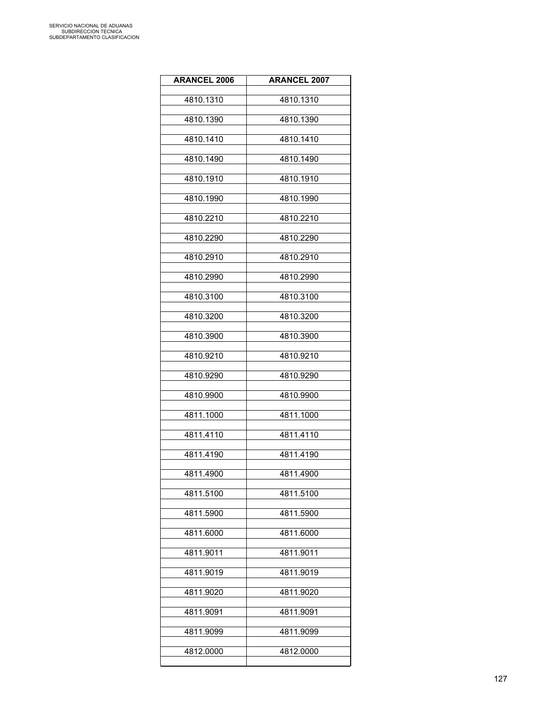| <b>ARANCEL 2006</b> | <b>ARANCEL 2007</b> |
|---------------------|---------------------|
| 4810.1310           | 4810.1310           |
| 4810.1390           | 4810.1390           |
| 4810.1410           | 4810.1410           |
| 4810.1490           | 4810.1490           |
| 4810.1910           | 4810.1910           |
| 4810.1990           | 4810.1990           |
| 4810.2210           | 4810.2210           |
| 4810.2290           | 4810.2290           |
| 4810.2910           | 4810.2910           |
| 4810.2990           | 4810.2990           |
| 4810.3100           | 4810.3100           |
| 4810.3200           | 4810.3200           |
| 4810.3900           | 4810.3900           |
| 4810.9210           | 4810.9210           |
| 4810.9290           | 4810.9290           |
| 4810.9900           | 4810.9900           |
| 4811.1000           | 4811.1000           |
| 4811.4110           | 4811.4110           |
| 4811.4190           | 4811.4190           |
| 4811.4900           | 4811.4900           |
| 4811.5100           | 4811.5100           |
| 4811.5900           | 4811.5900           |
| 4811.6000           | 4811.6000           |
| 4811.9011           | 4811.9011           |
| 4811.9019           | 4811.9019           |
| 4811.9020           | 4811.9020           |
| 4811.9091           | 4811.9091           |
| 4811.9099           | 4811.9099           |
| 4812.0000           | 4812.0000           |
|                     |                     |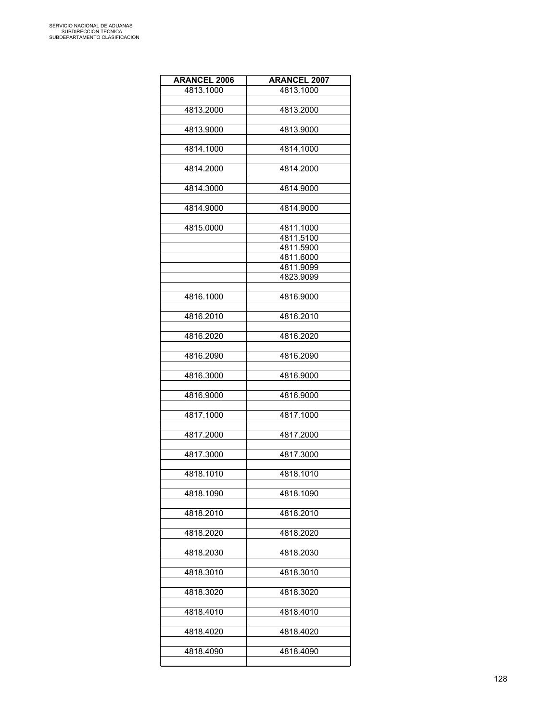| <b>ARANCEL 2006</b> | <b>ARANCEL 2007</b>    |
|---------------------|------------------------|
| 4813.1000           | 4813.1000              |
|                     |                        |
| 4813.2000           | 4813.2000              |
| 4813.9000           | 4813.9000              |
|                     |                        |
| 4814.1000           | 4814.1000              |
|                     |                        |
| 4814.2000           | 4814.2000              |
|                     |                        |
| 4814.3000           | 4814.9000              |
| 4814.9000           | 4814.9000              |
|                     |                        |
| 4815.0000           | 4811.1000              |
|                     | 4811.5100              |
|                     | 4811.5900              |
|                     | 4811.6000              |
|                     | 4811.9099<br>4823.9099 |
|                     |                        |
| 4816.1000           | 4816.9000              |
|                     |                        |
| 4816.2010           | 4816.2010              |
|                     |                        |
| 4816.2020           | 4816.2020              |
| 4816.2090           | 4816.2090              |
|                     |                        |
| 4816.3000           | 4816.9000              |
|                     |                        |
| 4816.9000           | 4816.9000              |
|                     |                        |
| 4817.1000           | 4817.1000              |
| 4817.2000           | 4817.2000              |
|                     |                        |
| 4817.3000           | 4817.3000              |
|                     |                        |
| 4818.1010           | 4818.1010              |
| 4818.1090           | 4818.1090              |
|                     |                        |
| 4818.2010           | 4818.2010              |
|                     |                        |
| 4818.2020           | 4818.2020              |
|                     |                        |
| 4818.2030           | 4818.2030              |
| 4818.3010           | 4818.3010              |
|                     |                        |
| 4818.3020           | 4818.3020              |
|                     |                        |
| 4818.4010           | 4818.4010              |
|                     |                        |
| 4818.4020           | 4818.4020              |
| 4818.4090           | 4818.4090              |
|                     |                        |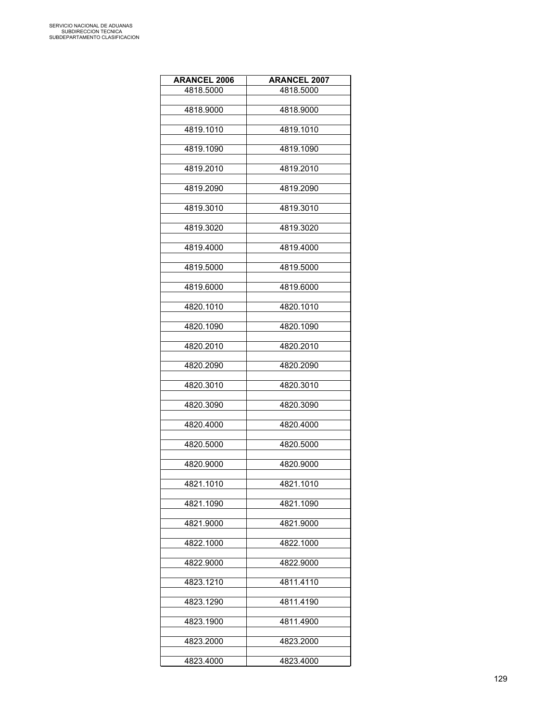| <b>ARANCEL 2006</b> | <b>ARANCEL 2007</b> |
|---------------------|---------------------|
| 4818.5000           | 4818.5000           |
|                     |                     |
| 4818.9000           | 4818.9000           |
| 4819.1010           | 4819.1010           |
|                     |                     |
| 4819.1090           | 4819.1090           |
|                     |                     |
| 4819.2010           | 4819.2010           |
| 4819.2090           | 4819.2090           |
|                     |                     |
| 4819.3010           | 4819.3010           |
|                     |                     |
| 4819.3020           | 4819.3020           |
| 4819.4000           | 4819.4000           |
|                     |                     |
| 4819.5000           | 4819.5000           |
|                     |                     |
| 4819.6000           | 4819.6000           |
| 4820.1010           | 4820.1010           |
|                     |                     |
| 4820.1090           | 4820.1090           |
| 4820.2010           | 4820.2010           |
|                     |                     |
| 4820.2090           | 4820.2090           |
|                     |                     |
| 4820.3010           | 4820.3010           |
| 4820.3090           | 4820.3090           |
|                     |                     |
| 4820.4000           | 4820.4000           |
|                     |                     |
| 4820.5000           | 4820.5000           |
| 4820.9000           | 4820.9000           |
|                     |                     |
| 4821.1010           | 4821.1010           |
|                     |                     |
| 4821.1090           | 4821.1090           |
| 4821.9000           | 4821.9000           |
|                     |                     |
| 4822.1000           | 4822.1000           |
| 4822.9000           |                     |
|                     | 4822.9000           |
| 4823.1210           | 4811.4110           |
|                     |                     |
| 4823.1290           | 4811.4190           |
| 4823.1900           | 4811.4900           |
|                     |                     |
| 4823.2000           | 4823.2000           |
|                     |                     |
| 4823.4000           | 4823.4000           |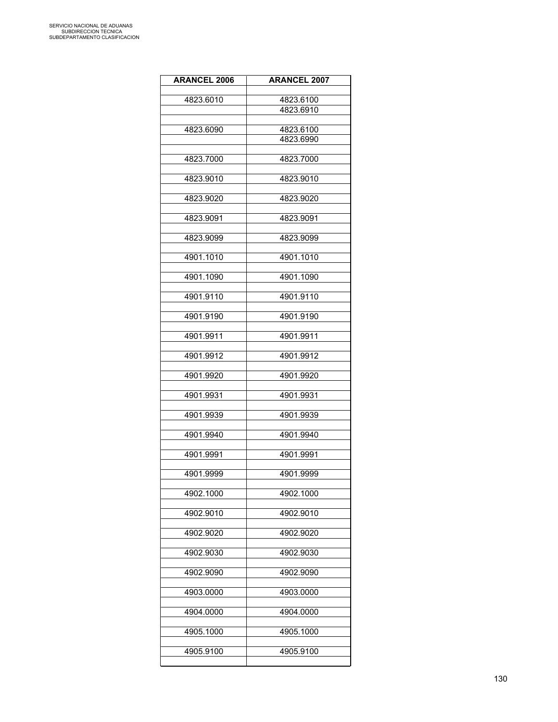| <b>ARANCEL 2006</b> | <b>ARANCEL 2007</b> |
|---------------------|---------------------|
|                     |                     |
| 4823.6010           | 4823.6100           |
|                     | 4823.6910           |
| 4823.6090           | 4823.6100           |
|                     | 4823.6990           |
|                     |                     |
| 4823.7000           | 4823.7000           |
|                     |                     |
| 4823.9010           | 4823.9010           |
| 4823.9020           | 4823.9020           |
|                     |                     |
| 4823.9091           | 4823.9091           |
|                     |                     |
| 4823.9099           | 4823.9099           |
| 4901.1010           | 4901.1010           |
|                     |                     |
| 4901.1090           | 4901.1090           |
|                     |                     |
| 4901.9110           | 4901.9110           |
|                     |                     |
| 4901.9190           | 4901.9190           |
| 4901.9911           | 4901.9911           |
|                     |                     |
| 4901.9912           | 4901.9912           |
|                     |                     |
| 4901.9920           | 4901.9920           |
|                     |                     |
| 4901.9931           | 4901.9931           |
| 4901.9939           | 4901.9939           |
|                     |                     |
| 4901.9940           | 4901.9940           |
|                     |                     |
| 4901.9991           | 4901.9991           |
| 4901.9999           | 4901.9999           |
|                     |                     |
| 4902.1000           | 4902.1000           |
|                     |                     |
| 4902.9010           | 4902.9010           |
| 4902.9020           | 4902.9020           |
|                     |                     |
| 4902.9030           | 4902.9030           |
|                     |                     |
| 4902.9090           | 4902.9090           |
|                     |                     |
| 4903.0000           | 4903.0000           |
| 4904.0000           | 4904.0000           |
|                     |                     |
| 4905.1000           | 4905.1000           |
|                     |                     |
| 4905.9100           | 4905.9100           |
|                     |                     |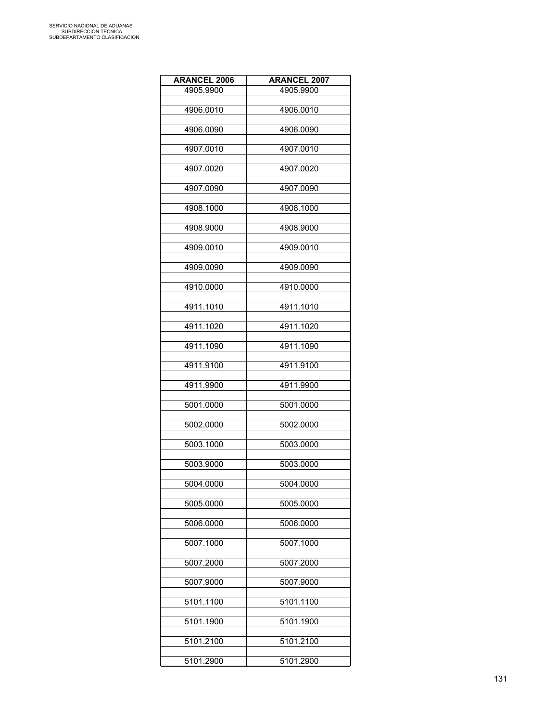| <b>ARANCEL 2006</b> | <b>ARANCEL 2007</b> |
|---------------------|---------------------|
| 4905.9900           | 4905.9900           |
|                     |                     |
| 4906.0010           | 4906.0010           |
| 4906.0090           | 4906.0090           |
|                     |                     |
| 4907.0010           | 4907.0010           |
| 4907.0020           | 4907.0020           |
|                     |                     |
| 4907.0090           | 4907.0090           |
|                     |                     |
| 4908.1000           | 4908.1000           |
| 4908.9000           | 4908.9000           |
|                     |                     |
| 4909.0010           | 4909.0010           |
|                     |                     |
| 4909.0090           | 4909.0090           |
| 4910.0000           | 4910.0000           |
|                     |                     |
| 4911.1010           | 4911.1010           |
| 4911.1020           | 4911.1020           |
|                     |                     |
| 4911.1090           | 4911.1090           |
|                     |                     |
| 4911.9100           | 4911.9100           |
| 4911.9900           | 4911.9900           |
|                     |                     |
| 5001.0000           | 5001.0000           |
|                     |                     |
| 5002.0000           | 5002.0000           |
| 5003.1000           | 5003.0000           |
|                     |                     |
| 5003.9000           | 5003.0000           |
| 5004.0000           |                     |
|                     | 5004.0000           |
| 5005.0000           | 5005.0000           |
|                     |                     |
| 5006.0000           | 5006.0000           |
| 5007.1000           | 5007.1000           |
|                     |                     |
| 5007.2000           | 5007.2000           |
|                     |                     |
| 5007.9000           | 5007.9000           |
| 5101.1100           | 5101.1100           |
|                     |                     |
| 5101.1900           | 5101.1900           |
|                     |                     |
| 5101.2100           | 5101.2100           |
| 5101.2900           | 5101.2900           |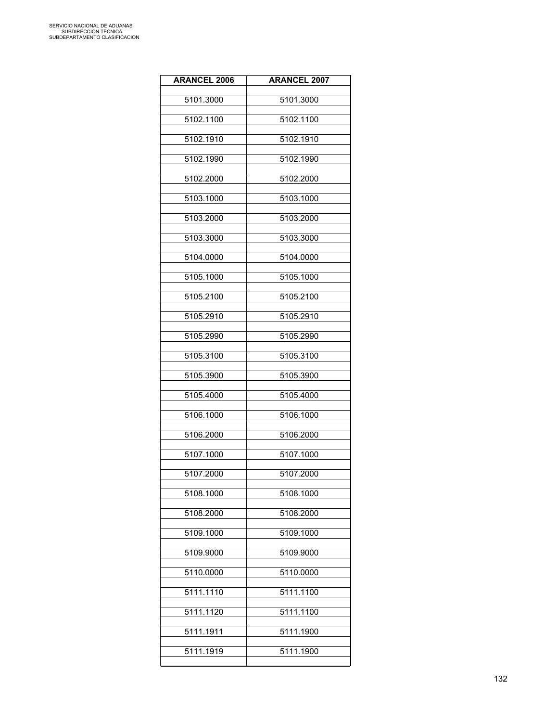| <b>ARANCEL 2006</b> | <b>ARANCEL 2007</b> |
|---------------------|---------------------|
| 5101.3000           | 5101.3000           |
| 5102.1100           | 5102.1100           |
| 5102.1910           | 5102.1910           |
| 5102.1990           | 5102.1990           |
| 5102.2000           | 5102.2000           |
| 5103.1000           | 5103.1000           |
| 5103.2000           | 5103.2000           |
| 5103.3000           | 5103.3000           |
| 5104.0000           | 5104.0000           |
| 5105.1000           | 5105.1000           |
| 5105.2100           | 5105.2100           |
| 5105.2910           | 5105.2910           |
| 5105.2990           | 5105.2990           |
| 5105.3100           | 5105.3100           |
| 5105.3900           | 5105.3900           |
| 5105.4000           | 5105.4000           |
| 5106.1000           | 5106.1000           |
| 5106.2000           | 5106.2000           |
| 5107.1000           | 5107.1000           |
| 5107.2000           | 5107.2000           |
| 5108.1000           | 5108.1000           |
| 5108.2000           | 5108.2000           |
| 5109.1000           | 5109.1000           |
| 5109.9000           | 5109.9000           |
| 5110.0000           | 5110.0000           |
| 5111.1110           | 5111.1100           |
| 5111.1120           | 5111.1100           |
| 5111.1911           | 5111.1900           |
| 5111.1919           | 5111.1900           |
|                     |                     |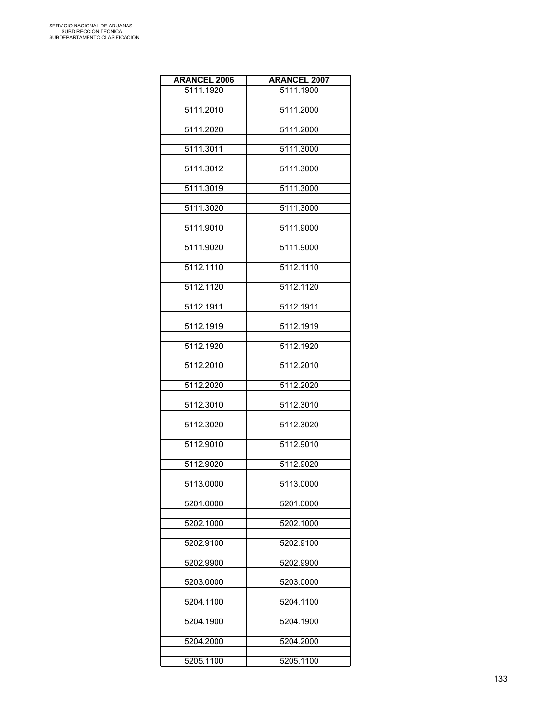| <b>ARANCEL 2006</b> | <b>ARANCEL 2007</b> |
|---------------------|---------------------|
| 5111.1920           | 5111.1900           |
| 5111.2010           | 5111.2000           |
|                     |                     |
| 5111.2020           | 5111.2000           |
| 5111.3011           | 5111.3000           |
| 5111.3012           | 5111.3000           |
| 5111.3019           | 5111.3000           |
| 5111.3020           | 5111.3000           |
| 5111.9010           | 5111.9000           |
| 5111.9020           | 5111.9000           |
| 5112.1110           | 5112.1110           |
| 5112.1120           | 5112.1120           |
| 5112.1911           | 5112.1911           |
| 5112.1919           | 5112.1919           |
| 5112.1920           | 5112.1920           |
| 5112.2010           | 5112.2010           |
| 5112.2020           | 5112.2020           |
| 5112.3010           | 5112.3010           |
| 5112.3020           | 5112.3020           |
| 5112.9010           | 5112.9010           |
| 5112.9020           | 5112.9020           |
| 5113.0000           | 5113.0000           |
| 5201.0000           | 5201.0000           |
| 5202.1000           | 5202.1000           |
| 5202.9100           | 5202.9100           |
| 5202.9900           | 5202.9900           |
| 5203.0000           | 5203.0000           |
| 5204.1100           | 5204.1100           |
| 5204.1900           | 5204.1900           |
| 5204.2000           | 5204.2000           |
| 5205.1100           | 5205.1100           |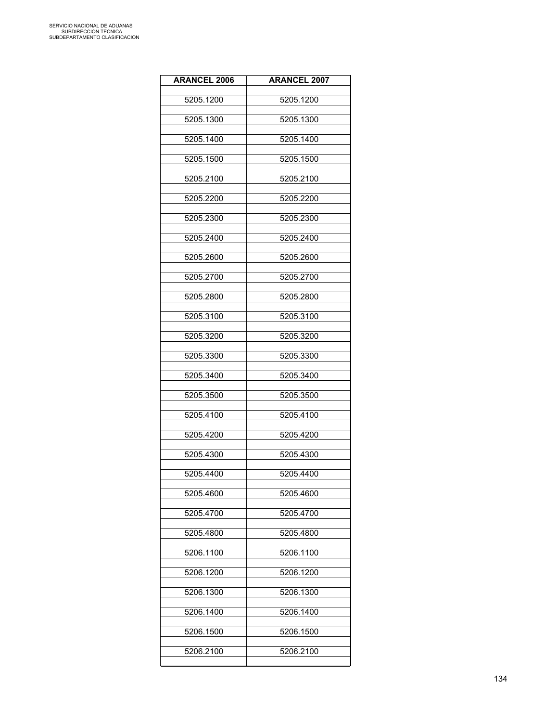| <b>ARANCEL 2006</b> | <b>ARANCEL 2007</b> |
|---------------------|---------------------|
| 5205.1200           | 5205.1200           |
| 5205.1300           | 5205.1300           |
| 5205.1400           | 5205.1400           |
| 5205.1500           | 5205.1500           |
| 5205.2100           | 5205.2100           |
| 5205.2200           | 5205.2200           |
| 5205.2300           | 5205.2300           |
| 5205.2400           | 5205.2400           |
| 5205.2600           | 5205.2600           |
| 5205.2700           | 5205.2700           |
| 5205.2800           | 5205.2800           |
| 5205.3100           | 5205.3100           |
| 5205.3200           | 5205.3200           |
| 5205.3300           | 5205.3300           |
| 5205.3400           | 5205.3400           |
| 5205.3500           | 5205.3500           |
| 5205.4100           | 5205.4100           |
| 5205.4200           | 5205.4200           |
| 5205.4300           | 5205.4300           |
| 5205.4400           | 5205.4400           |
| 5205.4600           | 5205.4600           |
| 5205.4700           | 5205.4700           |
| 5205.4800           | 5205.4800           |
| 5206.1100           | 5206.1100           |
| 5206.1200           | 5206.1200           |
| 5206.1300           | 5206.1300           |
| 5206.1400           | 5206.1400           |
| 5206.1500           | 5206.1500           |
| 5206.2100           | 5206.2100           |
|                     |                     |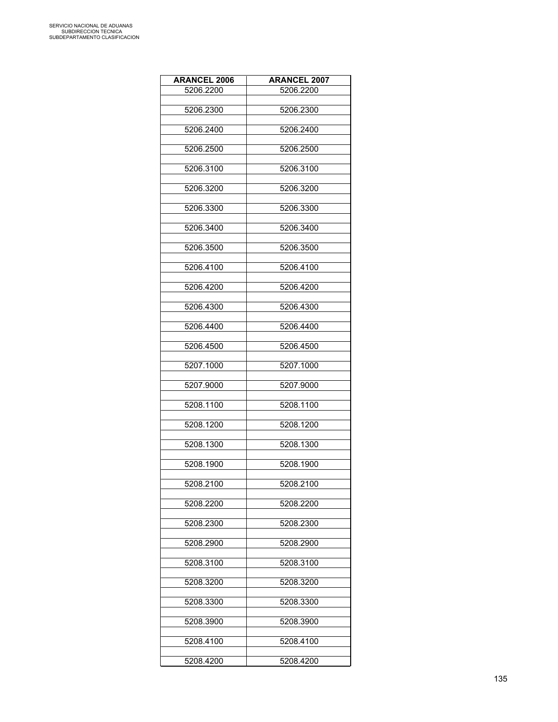| <b>ARANCEL 2006</b> | <b>ARANCEL 2007</b> |
|---------------------|---------------------|
| 5206.2200           | 5206.2200           |
|                     |                     |
| 5206.2300           | 5206.2300           |
| 5206.2400           | 5206.2400           |
|                     |                     |
| 5206.2500           | 5206.2500           |
|                     |                     |
| 5206.3100           | 5206.3100           |
| 5206.3200           | 5206.3200           |
|                     |                     |
| 5206.3300           | 5206.3300           |
|                     |                     |
| 5206.3400           | 5206.3400           |
| 5206.3500           | 5206.3500           |
|                     |                     |
| 5206.4100           | 5206.4100           |
|                     |                     |
| 5206.4200           | 5206.4200           |
| 5206.4300           | 5206.4300           |
|                     |                     |
| 5206.4400           | 5206.4400           |
|                     |                     |
| 5206.4500           | 5206.4500           |
| 5207.1000           | 5207.1000           |
|                     |                     |
| 5207.9000           | 5207.9000           |
|                     |                     |
| 5208.1100           | 5208.1100           |
| 5208.1200           | 5208.1200           |
|                     |                     |
| 5208.1300           | 5208.1300           |
|                     |                     |
| 5208.1900           | 5208.1900           |
| 5208.2100           | 5208.2100           |
|                     |                     |
| 5208.2200           | 5208.2200           |
|                     |                     |
| 5208.2300           | 5208.2300           |
| 5208.2900           | 5208.2900           |
|                     |                     |
| 5208.3100           | 5208.3100           |
| 5208.3200           |                     |
|                     | 5208.3200           |
| 5208.3300           | 5208.3300           |
|                     |                     |
| 5208.3900           | 5208.3900           |
| 5208.4100           | 5208.4100           |
|                     |                     |
| 5208.4200           | 5208.4200           |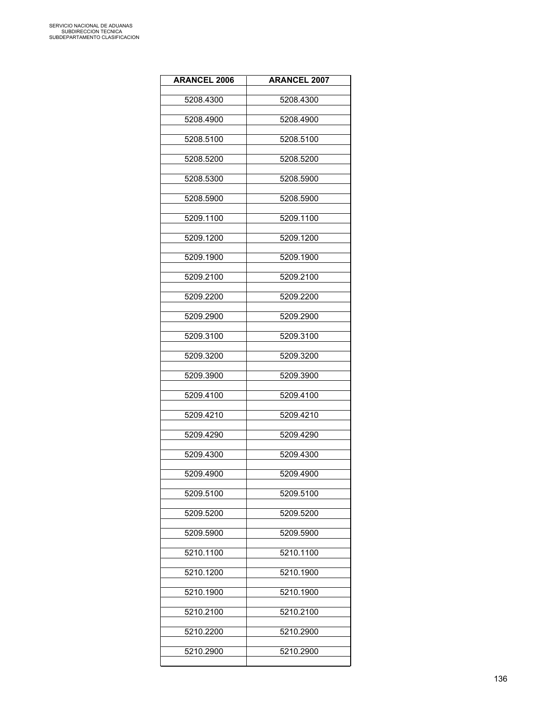| <b>ARANCEL 2006</b> | <b>ARANCEL 2007</b> |
|---------------------|---------------------|
| 5208.4300           | 5208.4300           |
| 5208.4900           | 5208.4900           |
| 5208.5100           | 5208.5100           |
| 5208.5200           | 5208.5200           |
| 5208.5300           | 5208.5900           |
| 5208.5900           | 5208.5900           |
| 5209.1100           | 5209.1100           |
| 5209.1200           | 5209.1200           |
| 5209.1900           | 5209.1900           |
| 5209.2100           | 5209.2100           |
| 5209.2200           | 5209.2200           |
| 5209.2900           | 5209.2900           |
| 5209.3100           | 5209.3100           |
| 5209.3200           | 5209.3200           |
| 5209.3900           | 5209.3900           |
| 5209.4100           | 5209.4100           |
| 5209.4210           | 5209.4210           |
| 5209.4290           | 5209.4290           |
| 5209.4300           | 5209.4300           |
| 5209.4900           | 5209.4900           |
| 5209.5100           | 5209.5100           |
| 5209.5200           | 5209.5200           |
| 5209.5900           | 5209.5900           |
| 5210.1100           | 5210.1100           |
| 5210.1200           | 5210.1900           |
| 5210.1900           | 5210.1900           |
| 5210.2100           | 5210.2100           |
| 5210.2200           | 5210.2900           |
| 5210.2900           | 5210.2900           |
|                     |                     |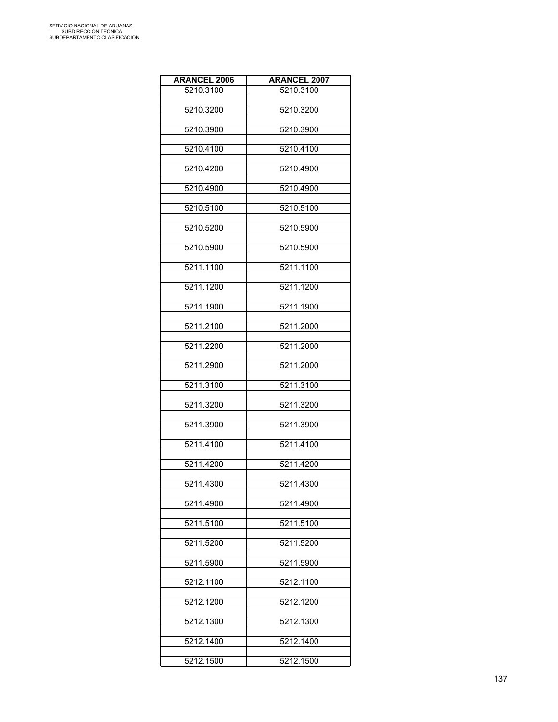| <b>ARANCEL 2006</b> | <b>ARANCEL 2007</b> |
|---------------------|---------------------|
| 5210.3100           | 5210.3100           |
|                     |                     |
| 5210.3200           | 5210.3200           |
| 5210.3900           | 5210.3900           |
|                     |                     |
| 5210.4100           | 5210.4100           |
| 5210.4200           | 5210.4900           |
|                     |                     |
| 5210.4900           | 5210.4900           |
|                     |                     |
| 5210.5100           | 5210.5100           |
| 5210.5200           | 5210.5900           |
|                     |                     |
| 5210.5900           | 5210.5900           |
|                     |                     |
| 5211.1100           | 5211.1100           |
| 5211.1200           | 5211.1200           |
|                     |                     |
| 5211.1900           | 5211.1900           |
| 5211.2100           | 5211.2000           |
|                     |                     |
| 5211.2200           | 5211.2000           |
|                     |                     |
| 5211.2900           | 5211.2000           |
| 5211.3100           | 5211.3100           |
|                     |                     |
| 5211.3200           | 5211.3200           |
|                     |                     |
| 5211.3900           | 5211.3900           |
| 5211.4100           | 5211.4100           |
|                     |                     |
| 5211.4200           | 5211.4200           |
| 5211.4300           | 5211.4300           |
|                     |                     |
| 5211.4900           | 5211.4900           |
|                     |                     |
| 5211.5100           | 5211.5100           |
| 5211.5200           | 5211.5200           |
|                     |                     |
| 5211.5900           | 5211.5900           |
|                     |                     |
| 5212.1100           | 5212.1100           |
| 5212.1200           | 5212.1200           |
|                     |                     |
| 5212.1300           | 5212.1300           |
| 5212.1400           | 5212.1400           |
|                     |                     |
| 5212.1500           | 5212.1500           |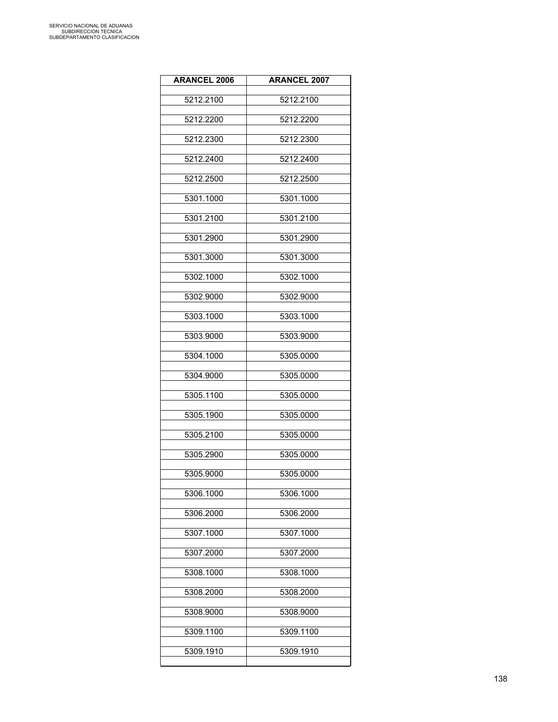| <b>ARANCEL 2006</b> | <b>ARANCEL 2007</b> |
|---------------------|---------------------|
| 5212.2100           | 5212.2100           |
| 5212.2200           | 5212.2200           |
| 5212.2300           | 5212.2300           |
| 5212.2400           | 5212.2400           |
| 5212.2500           | 5212.2500           |
| 5301.1000           | 5301.1000           |
| 5301.2100           | 5301.2100           |
| 5301.2900           | 5301.2900           |
| 5301.3000           | 5301.3000           |
| 5302.1000           | 5302.1000           |
| 5302.9000           | 5302.9000           |
| 5303.1000           | 5303.1000           |
| 5303.9000           | 5303.9000           |
| 5304.1000           | 5305.0000           |
| 5304.9000           | 5305.0000           |
| 5305.1100           | 5305.0000           |
| 5305.1900           | 5305.0000           |
| 5305.2100           | 5305.0000           |
| 5305.2900           | 5305.0000           |
| 5305.9000           | 5305.0000           |
| 5306.1000           | 5306.1000           |
| 5306.2000           | 5306.2000           |
| 5307.1000           | 5307.1000           |
| 5307.2000           | 5307.2000           |
| 5308.1000           | 5308.1000           |
| 5308.2000           | 5308.2000           |
| 5308.9000           | 5308.9000           |
| 5309.1100           | 5309.1100           |
| 5309.1910           | 5309.1910           |
|                     |                     |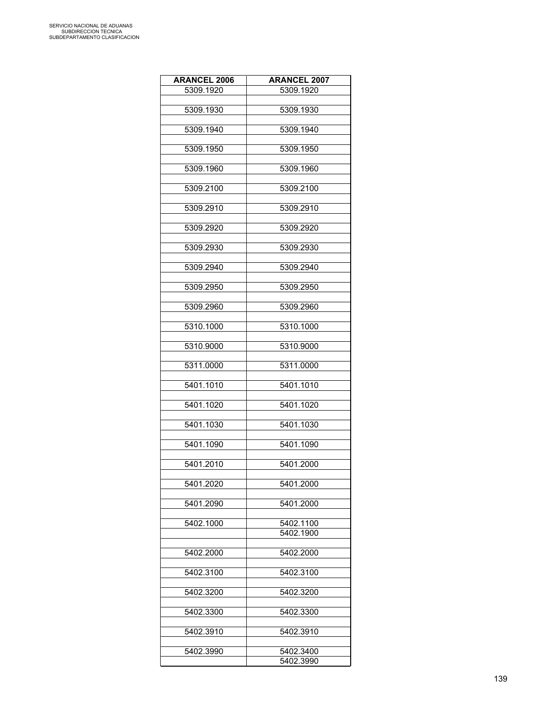| <b>ARANCEL 2006</b> | <b>ARANCEL 2007</b> |
|---------------------|---------------------|
| 5309.1920           | 5309.1920           |
|                     |                     |
| 5309.1930           | 5309.1930           |
|                     |                     |
| 5309.1940           | 5309.1940           |
|                     |                     |
| 5309.1950           | 5309.1950           |
|                     |                     |
| 5309.1960           | 5309.1960           |
|                     |                     |
| 5309.2100           | 5309.2100           |
|                     |                     |
| 5309.2910           | 5309.2910           |
|                     |                     |
| 5309.2920           | 5309.2920           |
|                     |                     |
| 5309.2930           | 5309.2930           |
| 5309.2940           | 5309.2940           |
|                     |                     |
| 5309.2950           | 5309.2950           |
|                     |                     |
| 5309.2960           | 5309.2960           |
|                     |                     |
| 5310.1000           | 5310.1000           |
|                     |                     |
| 5310.9000           | 5310.9000           |
|                     |                     |
| 5311.0000           | 5311.0000           |
|                     |                     |
| 5401.1010           | 5401.1010           |
|                     |                     |
| 5401.1020           | 5401.1020           |
|                     |                     |
| 5401.1030           | 5401.1030           |
|                     |                     |
| 5401.1090           | 5401.1090           |
|                     |                     |
| 5401.2010           | 5401.2000           |
|                     |                     |
| 5401.2020           | 5401.2000           |
|                     |                     |
| 5401.2090           | 5401.2000           |
| 5402.1000           | 5402.1100           |
|                     | 5402.1900           |
|                     |                     |
| 5402.2000           | 5402.2000           |
|                     |                     |
| 5402.3100           | 5402.3100           |
|                     |                     |
| 5402.3200           | 5402.3200           |
|                     |                     |
| 5402.3300           | 5402.3300           |
|                     |                     |
| 5402.3910           | 5402.3910           |
|                     |                     |
| 5402.3990           | 5402.3400           |
|                     | 5402.3990           |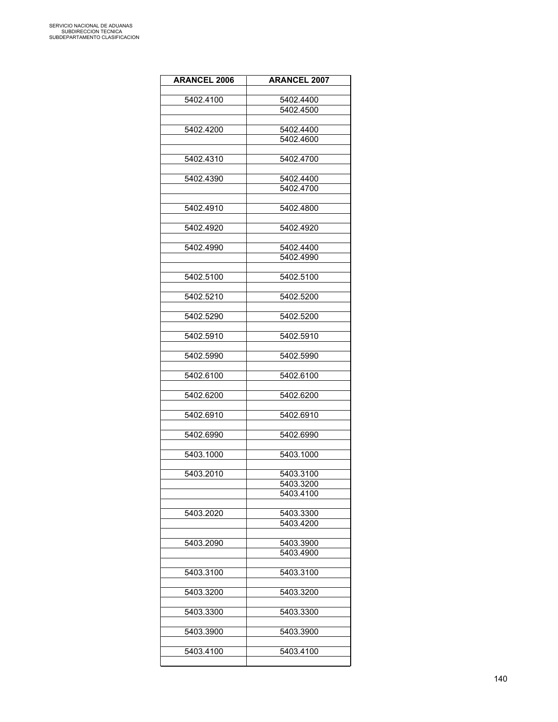| <b>ARANCEL 2006</b> | <b>ARANCEL 2007</b> |
|---------------------|---------------------|
|                     |                     |
| 5402.4100           | 5402.4400           |
|                     | 5402.4500           |
|                     |                     |
| 5402.4200           | 5402.4400           |
|                     | 5402.4600           |
| 5402.4310           | 5402.4700           |
|                     |                     |
| 5402.4390           | 5402.4400           |
|                     | 5402.4700           |
|                     |                     |
| 5402.4910           | 5402.4800           |
| 5402.4920           | 5402.4920           |
|                     |                     |
| 5402.4990           | 5402.4400           |
|                     | 5402.4990           |
|                     |                     |
| 5402.5100           | 5402.5100           |
|                     |                     |
| 5402.5210           | 5402.5200           |
| 5402.5290           | 5402.5200           |
|                     |                     |
| 5402.5910           | 5402.5910           |
|                     |                     |
| 5402.5990           | 5402.5990           |
|                     |                     |
| 5402.6100           | 5402.6100           |
| 5402.6200           | 5402.6200           |
|                     |                     |
| 5402.6910           | 5402.6910           |
|                     |                     |
| 5402.6990           | 5402.6990           |
| 5403.1000           | 5403.1000           |
|                     |                     |
| 5403.2010           | 5403.3100           |
|                     | 5403.3200           |
|                     | 5403.4100           |
|                     |                     |
| 5403.2020           | 5403.3300           |
|                     | 5403.4200           |
| 5403.2090           | 5403.3900           |
|                     | 5403.4900           |
|                     |                     |
| 5403.3100           | 5403.3100           |
|                     |                     |
| 5403.3200           | 5403.3200           |
|                     |                     |
| 5403.3300           | 5403.3300           |
| 5403.3900           | 5403.3900           |
|                     |                     |
| 5403.4100           | 5403.4100           |
|                     |                     |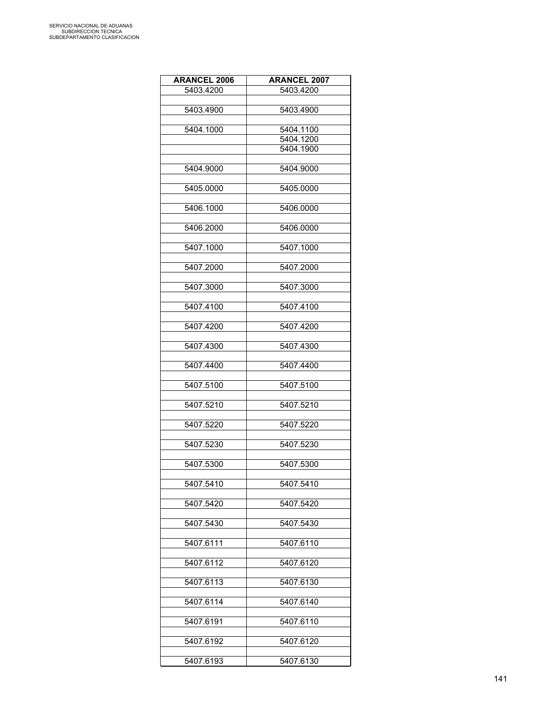| <b>ARANCEL 2006</b> | <b>ARANCEL 2007</b> |
|---------------------|---------------------|
| 5403.4200           | 5403.4200           |
|                     |                     |
| 5403.4900           | 5403.4900           |
|                     |                     |
| 5404.1000           | 5404.1100           |
|                     | 5404.1200           |
|                     | 5404.1900           |
|                     |                     |
| 5404.9000           | 5404.9000           |
|                     |                     |
| 5405.0000           | 5405.0000           |
|                     |                     |
| 5406.1000           | 5406.0000           |
|                     |                     |
| 5406.2000           | 5406.0000           |
|                     |                     |
| 5407.1000           | 5407.1000           |
|                     |                     |
| 5407.2000           | 5407.2000           |
|                     |                     |
| 5407.3000           | 5407.3000           |
| 5407.4100           |                     |
|                     | 5407.4100           |
| 5407.4200           | 5407.4200           |
|                     |                     |
| 5407.4300           | 5407.4300           |
|                     |                     |
| 5407.4400           | 5407.4400           |
|                     |                     |
| 5407.5100           | 5407.5100           |
|                     |                     |
| 5407.5210           | 5407.5210           |
|                     |                     |
| 5407.5220           | 5407.5220           |
|                     |                     |
| 5407.5230           | 5407.5230           |
|                     |                     |
| 5407.5300           | 5407.5300           |
|                     |                     |
| 5407.5410           | 5407.5410           |
|                     |                     |
| 5407.5420           | 5407.5420           |
|                     |                     |
| 5407.5430           | 5407.5430           |
|                     |                     |
| 5407.6111           | 5407.6110           |
|                     |                     |
| 5407.6112           | 5407.6120           |
|                     |                     |
| 5407.6113           | 5407.6130           |
|                     |                     |
| 5407.6114           | 5407.6140           |
| 5407.6191           | 5407.6110           |
|                     |                     |
| 5407.6192           | 5407.6120           |
|                     |                     |
| 5407.6193           | 5407.6130           |
|                     |                     |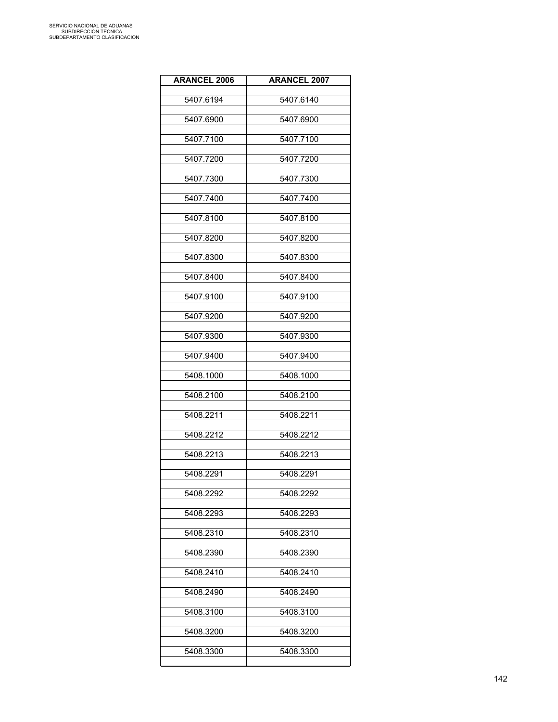| <b>ARANCEL 2006</b> | <b>ARANCEL 2007</b> |
|---------------------|---------------------|
| 5407.6194           | 5407.6140           |
| 5407.6900           | 5407.6900           |
| 5407.7100           | 5407.7100           |
| 5407.7200           | 5407.7200           |
| 5407.7300           | 5407.7300           |
| 5407.7400           | 5407.7400           |
| 5407.8100           | 5407.8100           |
| 5407.8200           | 5407.8200           |
| 5407.8300           | 5407.8300           |
| 5407.8400           | 5407.8400           |
| 5407.9100           | 5407.9100           |
| 5407.9200           | 5407.9200           |
| 5407.9300           | 5407.9300           |
| 5407.9400           | 5407.9400           |
| 5408.1000           | 5408.1000           |
| 5408.2100           | 5408.2100           |
| 5408.2211           | 5408.2211           |
| 5408.2212           | 5408.2212           |
| 5408.2213           | 5408.2213           |
| 5408.2291           | 5408.2291           |
| 5408.2292           | 5408.2292           |
| 5408.2293           | 5408.2293           |
| 5408.2310           | 5408.2310           |
| 5408.2390           | 5408.2390           |
| 5408.2410           | 5408.2410           |
| 5408.2490           | 5408.2490           |
| 5408.3100           | 5408.3100           |
| 5408.3200           | 5408.3200           |
| 5408.3300           | 5408.3300           |
|                     |                     |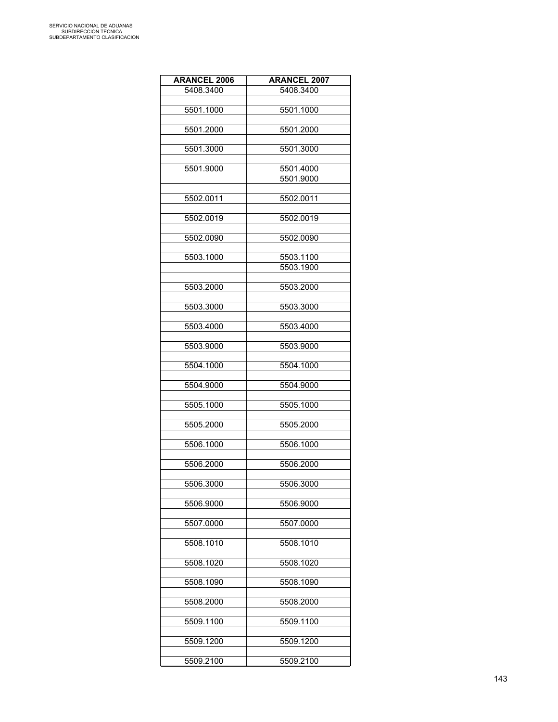| <b>ARANCEL 2006</b> | <b>ARANCEL 2007</b> |
|---------------------|---------------------|
| 5408.3400           | 5408.3400           |
|                     |                     |
| 5501.1000           | 5501.1000           |
|                     |                     |
| 5501.2000           | 5501.2000           |
|                     |                     |
| 5501.3000           | 5501.3000           |
|                     |                     |
| 5501.9000           | 5501.4000           |
|                     | 5501.9000           |
|                     |                     |
| 5502.0011           | 5502.0011           |
|                     |                     |
| 5502.0019           | 5502.0019           |
| 5502.0090           | 5502.0090           |
|                     |                     |
| 5503.1000           | 5503.1100           |
|                     | 5503.1900           |
|                     |                     |
| 5503.2000           | 5503.2000           |
|                     |                     |
| 5503.3000           | 5503.3000           |
|                     |                     |
| 5503.4000           | 5503.4000           |
|                     |                     |
| 5503.9000           | 5503.9000           |
|                     |                     |
| 5504.1000           | 5504.1000           |
|                     |                     |
| 5504.9000           | 5504.9000           |
|                     |                     |
| 5505.1000           | 5505.1000           |
|                     |                     |
| 5505.2000           | 5505.2000           |
| 5506.1000           | 5506.1000           |
|                     |                     |
| 5506.2000           | 5506.2000           |
|                     |                     |
| 5506.3000           | 5506.3000           |
|                     |                     |
| 5506.9000           | 5506.9000           |
|                     |                     |
| 5507.0000           | 5507.0000           |
|                     |                     |
| 5508.1010           | 5508.1010           |
|                     |                     |
| 5508.1020           | 5508.1020           |
|                     |                     |
| 5508.1090           | 5508.1090           |
|                     |                     |
| 5508.2000           | 5508.2000           |
| 5509.1100           | 5509.1100           |
|                     |                     |
| 5509.1200           | 5509.1200           |
|                     |                     |
| 5509.2100           | 5509.2100           |
|                     |                     |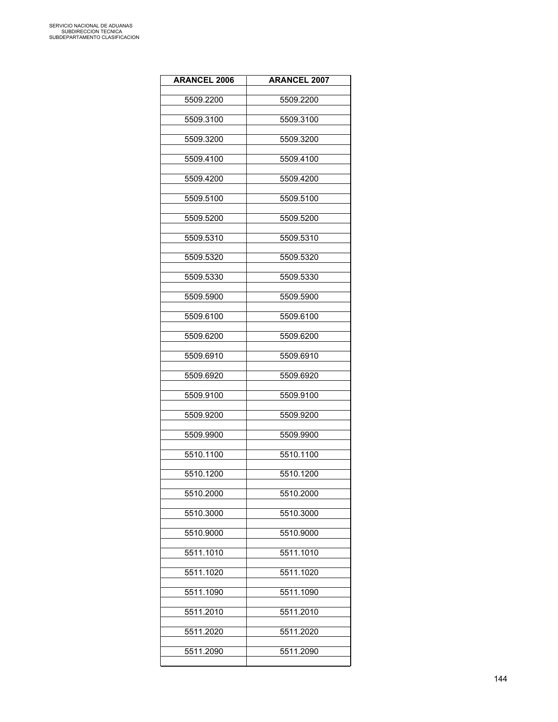| <b>ARANCEL 2006</b> | <b>ARANCEL 2007</b> |
|---------------------|---------------------|
| 5509.2200           | 5509.2200           |
| 5509.3100           | 5509.3100           |
| 5509.3200           | 5509.3200           |
| 5509.4100           | 5509.4100           |
| 5509.4200           | 5509.4200           |
| 5509.5100           | 5509.5100           |
| 5509.5200           | 5509.5200           |
| 5509.5310           | 5509.5310           |
| 5509.5320           | 5509.5320           |
| 5509.5330           | 5509.5330           |
| 5509.5900           | 5509.5900           |
| 5509.6100           | 5509.6100           |
| 5509.6200           | 5509.6200           |
| 5509.6910           | 5509.6910           |
| 5509.6920           | 5509.6920           |
| 5509.9100           | 5509.9100           |
| 5509.9200           | 5509.9200           |
| 5509.9900           | 5509.9900           |
| 5510.1100           | 5510.1100           |
| 5510.1200           | 5510.1200           |
| 5510.2000           | 5510.2000           |
| 5510.3000           | 5510.3000           |
| 5510.9000           | 5510.9000           |
| 5511.1010           | 5511.1010           |
| 5511.1020           | 5511.1020           |
| 5511.1090           | 5511.1090           |
| 5511.2010           | 5511.2010           |
| 5511.2020           | 5511.2020           |
| 5511.2090           | 5511.2090           |
|                     |                     |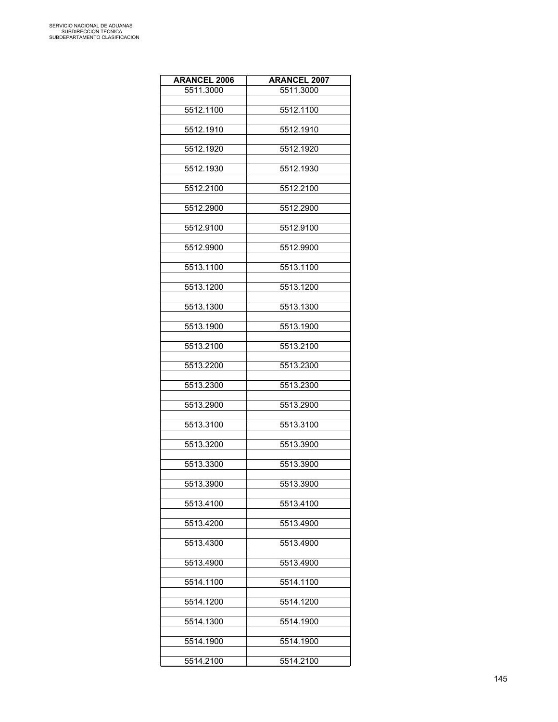| <b>ARANCEL 2006</b> | <b>ARANCEL 2007</b> |
|---------------------|---------------------|
| 5511.3000           | 5511.3000           |
| 5512.1100           | 5512.1100           |
|                     |                     |
| 5512.1910           | 5512.1910           |
| 5512.1920           | 5512.1920           |
|                     |                     |
| 5512.1930           | 5512.1930           |
| 5512.2100           | 5512.2100           |
|                     |                     |
| 5512.2900           | 5512.2900           |
| 5512.9100           | 5512.9100           |
| 5512.9900           | 5512.9900           |
| 5513.1100           | 5513.1100           |
|                     |                     |
| 5513.1200           | 5513.1200           |
| 5513.1300           | 5513.1300           |
| 5513.1900           | 5513.1900           |
|                     |                     |
| 5513.2100           | 5513.2100           |
| 5513.2200           | 5513.2300           |
| 5513.2300           | 5513.2300           |
| 5513.2900           | 5513.2900           |
| 5513.3100           | 5513.3100           |
|                     |                     |
| 5513.3200           | 5513.3900           |
| 5513.3300           | 5513.3900           |
| 5513.3900           | 5513.3900           |
| 5513.4100           | 5513.4100           |
| 5513.4200           | 5513.4900           |
|                     |                     |
| 5513.4300           | 5513.4900           |
| 5513.4900           | 5513.4900           |
| 5514.1100           | 5514.1100           |
| 5514.1200           | 5514.1200           |
| 5514.1300           | 5514.1900           |
|                     |                     |
| 5514.1900           | 5514.1900           |
| 5514.2100           | 5514.2100           |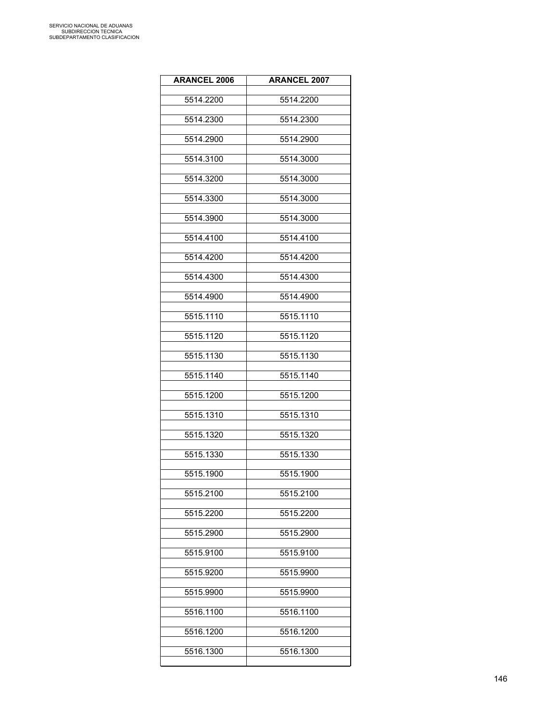| <b>ARANCEL 2006</b> | <b>ARANCEL 2007</b> |
|---------------------|---------------------|
| 5514.2200           | 5514.2200           |
| 5514.2300           | 5514.2300           |
| 5514.2900           | 5514.2900           |
| 5514.3100           | 5514.3000           |
| 5514.3200           | 5514.3000           |
| 5514.3300           | 5514.3000           |
| 5514.3900           | 5514.3000           |
| 5514.4100           | 5514.4100           |
| 5514.4200           | 5514.4200           |
| 5514.4300           | 5514.4300           |
| 5514.4900           | 5514.4900           |
| 5515.1110           | 5515.1110           |
| 5515.1120           | 5515.1120           |
| 5515.1130           | 5515.1130           |
| 5515.1140           | 5515.1140           |
| 5515.1200           | 5515.1200           |
| 5515.1310           | 5515.1310           |
| 5515.1320           | 5515.1320           |
| 5515.1330           | 5515.1330           |
| 5515.1900           | 5515.1900           |
| 5515.2100           | 5515.2100           |
| 5515.2200           | 5515.2200           |
| 5515.2900           | 5515.2900           |
| 5515.9100           | 5515.9100           |
| 5515.9200           | 5515.9900           |
|                     | 5515.9900           |
| 5515.9900           |                     |
| 5516.1100           | 5516.1100           |
| 5516.1200           | 5516.1200           |
| 5516.1300           | 5516.1300           |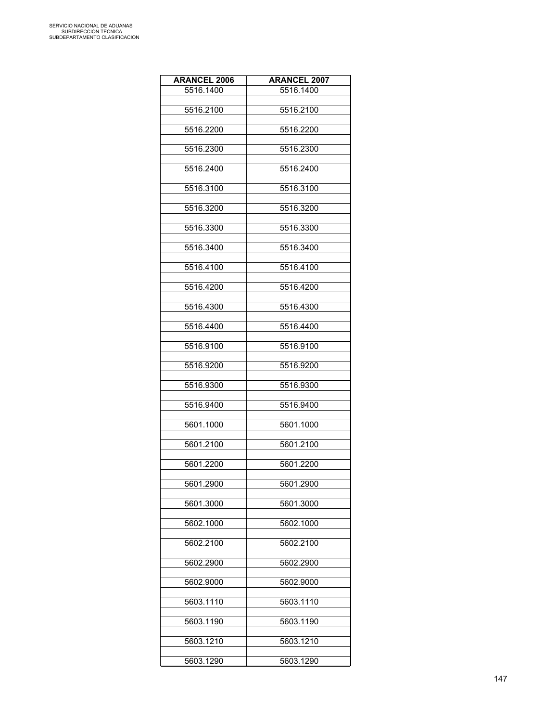| <b>ARANCEL 2006</b> | <b>ARANCEL 2007</b> |
|---------------------|---------------------|
| 5516.1400           | 5516.1400           |
|                     |                     |
| 5516.2100           | 5516.2100           |
| 5516.2200           | 5516.2200           |
|                     |                     |
| 5516.2300           | 5516.2300           |
| 5516.2400           | 5516.2400           |
|                     |                     |
| 5516.3100           | 5516.3100           |
| 5516.3200           | 5516.3200           |
|                     |                     |
| 5516.3300           | 5516.3300           |
|                     |                     |
| 5516.3400           | 5516.3400           |
| 5516.4100           | 5516.4100           |
|                     |                     |
| 5516.4200           | 5516.4200           |
| 5516.4300           | 5516.4300           |
|                     |                     |
| 5516.4400           | 5516.4400           |
| 5516.9100           | 5516.9100           |
|                     |                     |
| 5516.9200           | 5516.9200           |
|                     |                     |
| 5516.9300           | 5516.9300           |
| 5516.9400           | 5516.9400           |
|                     |                     |
| 5601.1000           | 5601.1000           |
| 5601.2100           | 5601.2100           |
|                     |                     |
| 5601.2200           | 5601.2200           |
| 5601.2900           | 5601.2900           |
|                     |                     |
| 5601.3000           | 5601.3000           |
| 5602.1000           | 5602.1000           |
|                     |                     |
| 5602.2100           | 5602.2100           |
|                     |                     |
| 5602.2900           | 5602.2900           |
| 5602.9000           | 5602.9000           |
|                     |                     |
| 5603.1110           | 5603.1110           |
| 5603.1190           | 5603.1190           |
|                     |                     |
| 5603.1210           | 5603.1210           |
| 5603.1290           | 5603.1290           |
|                     |                     |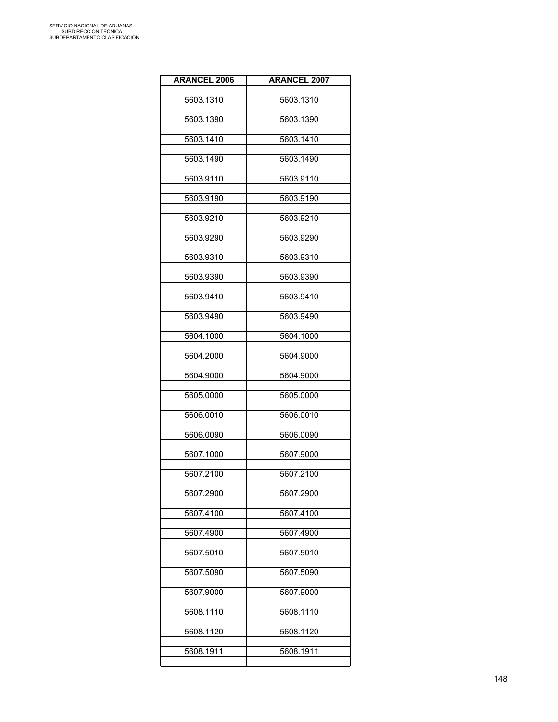| <b>ARANCEL 2006</b> | <b>ARANCEL 2007</b> |
|---------------------|---------------------|
| 5603.1310           | 5603.1310           |
| 5603.1390           | 5603.1390           |
| 5603.1410           | 5603.1410           |
| 5603.1490           | 5603.1490           |
| 5603.9110           | 5603.9110           |
| 5603.9190           | 5603.9190           |
| 5603.9210           | 5603.9210           |
| 5603.9290           | 5603.9290           |
| 5603.9310           | 5603.9310           |
| 5603.9390           | 5603.9390           |
| 5603.9410           | 5603.9410           |
| 5603.9490           | 5603.9490           |
| 5604.1000           | 5604.1000           |
| 5604.2000           | 5604.9000           |
| 5604.9000           | 5604.9000           |
| 5605.0000           | 5605.0000           |
| 5606.0010           | 5606.0010           |
| 5606.0090           | 5606.0090           |
| 5607.1000           | 5607.9000           |
| 5607.2100           | 5607.2100           |
| 5607.2900           | 5607.2900           |
| 5607.4100           | 5607.4100           |
| 5607.4900           | 5607.4900           |
| 5607.5010           | 5607.5010           |
| 5607.5090           | 5607.5090           |
| 5607.9000           | 5607.9000           |
| 5608.1110           | 5608.1110           |
| 5608.1120           | 5608.1120           |
| 5608.1911           | 5608.1911           |
|                     |                     |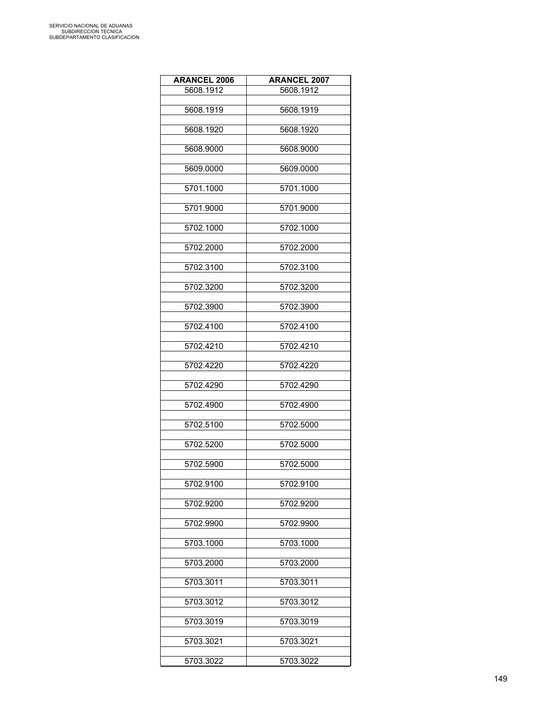| <b>ARANCEL 2006</b> | <b>ARANCEL 2007</b> |
|---------------------|---------------------|
| 5608.1912           | 5608.1912           |
|                     |                     |
| 5608.1919           | 5608.1919           |
| 5608.1920           | 5608.1920           |
|                     |                     |
| 5608.9000           | 5608.9000           |
| 5609.0000           | 5609.0000           |
|                     |                     |
| 5701.1000           | 5701.1000           |
|                     |                     |
| 5701.9000           | 5701.9000           |
| 5702.1000           | 5702.1000           |
|                     |                     |
| 5702.2000           | 5702.2000           |
|                     |                     |
| 5702.3100           | 5702.3100           |
| 5702.3200           | 5702.3200           |
|                     |                     |
| 5702.3900           | 5702.3900           |
| 5702.4100           | 5702.4100           |
|                     |                     |
| 5702.4210           | 5702.4210           |
|                     |                     |
| 5702.4220           | 5702.4220           |
| 5702.4290           | 5702.4290           |
|                     |                     |
| 5702.4900           | 5702.4900           |
|                     |                     |
| 5702.5100           | 5702.5000           |
| 5702.5200           | 5702.5000           |
|                     |                     |
| 5702.5900           | 5702.5000           |
| 5702.9100           | 5702.9100           |
|                     |                     |
| 5702.9200           | 5702.9200           |
|                     |                     |
| 5702.9900           | 5702.9900           |
| 5703.1000           | 5703.1000           |
|                     |                     |
| 5703.2000           | 5703.2000           |
| 5703.3011           | 5703.3011           |
|                     |                     |
| 5703.3012           | 5703.3012           |
|                     |                     |
| 5703.3019           | 5703.3019           |
| 5703.3021           | 5703.3021           |
|                     |                     |
| 5703.3022           | 5703.3022           |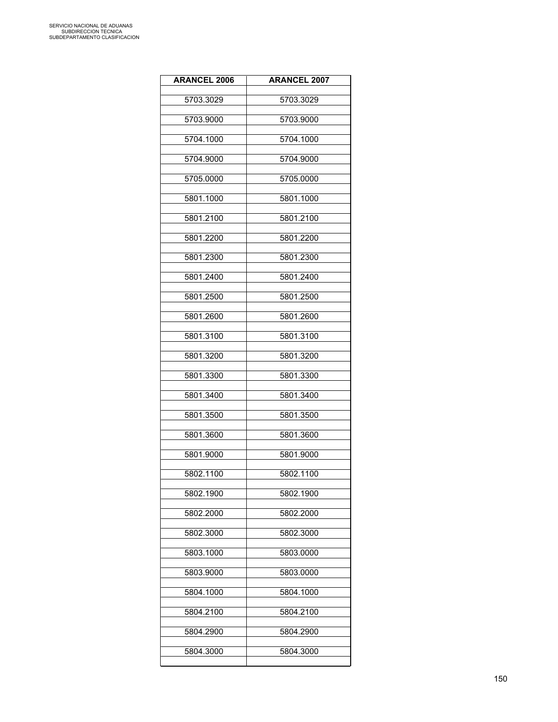| <b>ARANCEL 2006</b> | <b>ARANCEL 2007</b> |
|---------------------|---------------------|
| 5703.3029           | 5703.3029           |
| 5703.9000           | 5703.9000           |
| 5704.1000           | 5704.1000           |
| 5704.9000           | 5704.9000           |
| 5705.0000           | 5705.0000           |
| 5801.1000           | 5801.1000           |
| 5801.2100           | 5801.2100           |
| 5801.2200           | 5801.2200           |
| 5801.2300           | 5801.2300           |
| 5801.2400           | 5801.2400           |
| 5801.2500           | 5801.2500           |
| 5801.2600           | 5801.2600           |
| 5801.3100           | 5801.3100           |
| 5801.3200           | 5801.3200           |
| 5801.3300           | 5801.3300           |
| 5801.3400           | 5801.3400           |
| 5801.3500           | 5801.3500           |
| 5801.3600           | 5801.3600           |
| 5801.9000           | 5801.9000           |
| 5802.1100           | 5802.1100           |
| 5802.1900           | 5802.1900           |
| 5802.2000           | 5802.2000           |
| 5802.3000           | 5802.3000           |
| 5803.1000           | 5803.0000           |
| 5803.9000           | 5803.0000           |
| 5804.1000           | 5804.1000           |
| 5804.2100           | 5804.2100           |
| 5804.2900           | 5804.2900           |
| 5804.3000           | 5804.3000           |
|                     |                     |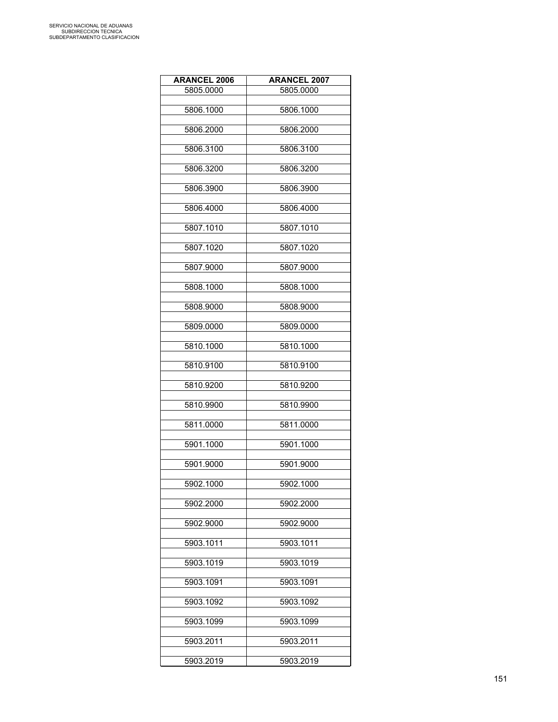| <b>ARANCEL 2006</b> | <b>ARANCEL 2007</b> |
|---------------------|---------------------|
| 5805.0000           | 5805.0000           |
|                     |                     |
| 5806.1000           | 5806.1000           |
| 5806.2000           | 5806.2000           |
|                     |                     |
| 5806.3100           | 5806.3100           |
| 5806.3200           | 5806.3200           |
|                     |                     |
| 5806.3900           | 5806.3900           |
|                     |                     |
| 5806.4000           | 5806.4000           |
| 5807.1010           | 5807.1010           |
|                     |                     |
| 5807.1020           | 5807.1020           |
|                     |                     |
| 5807.9000           | 5807.9000           |
| 5808.1000           | 5808.1000           |
|                     |                     |
| 5808.9000           | 5808.9000           |
| 5809.0000           | 5809.0000           |
|                     |                     |
| 5810.1000           | 5810.1000           |
|                     |                     |
| 5810.9100           | 5810.9100           |
| 5810.9200           | 5810.9200           |
|                     |                     |
| 5810.9900           | 5810.9900           |
|                     |                     |
| 5811.0000           | 5811.0000           |
| 5901.1000           | 5901.1000           |
|                     |                     |
| 5901.9000           | 5901.9000           |
| 5902.1000           | 5902.1000           |
|                     |                     |
| 5902.2000           | 5902.2000           |
|                     |                     |
| 5902.9000           | 5902.9000           |
| 5903.1011           | 5903.1011           |
|                     |                     |
| 5903.1019           | 5903.1019           |
|                     |                     |
| 5903.1091           | 5903.1091           |
| 5903.1092           | 5903.1092           |
|                     |                     |
| 5903.1099           | 5903.1099           |
| 5903.2011           | 5903.2011           |
|                     |                     |
| 5903.2019           | 5903.2019           |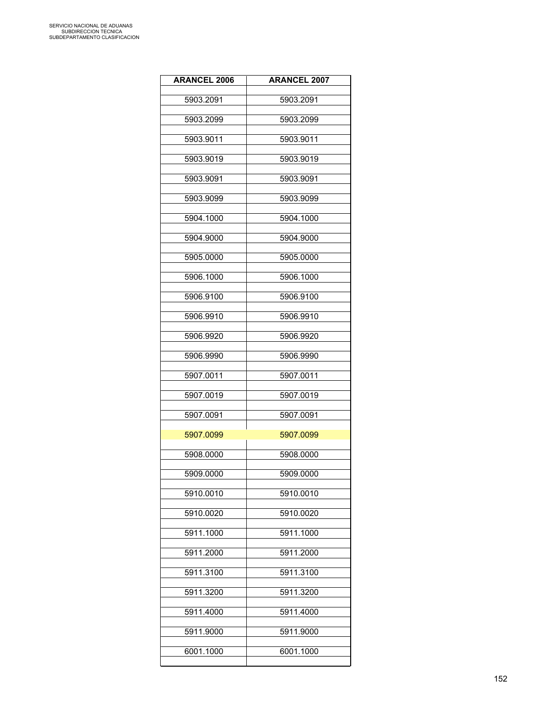| <b>ARANCEL 2006</b> | <b>ARANCEL 2007</b> |
|---------------------|---------------------|
| 5903.2091           | 5903.2091           |
| 5903.2099           | 5903.2099           |
| 5903.9011           | 5903.9011           |
| 5903.9019           | 5903.9019           |
| 5903.9091           | 5903.9091           |
| 5903.9099           | 5903.9099           |
| 5904.1000           | 5904.1000           |
| 5904.9000           | 5904.9000           |
| 5905.0000           | 5905.0000           |
| 5906.1000           | 5906.1000           |
| 5906.9100           | 5906.9100           |
| 5906.9910           | 5906.9910           |
| 5906.9920           | 5906.9920           |
| 5906.9990           | 5906.9990           |
| 5907.0011           | 5907.0011           |
| 5907.0019           | 5907.0019           |
| 5907.0091           | 5907.0091           |
| 5907.0099           | 5907.0099           |
| 5908.0000           | 5908.0000           |
| 5909.0000           | 5909.0000           |
| 5910.0010           | 5910.0010           |
| 5910.0020           | 5910.0020           |
| 5911.1000           | 5911.1000           |
| 5911.2000           | 5911.2000           |
| 5911.3100           | 5911.3100           |
| 5911.3200           | 5911.3200           |
| 5911.4000           | 5911.4000           |
| 5911.9000           | 5911.9000           |
| 6001.1000           | 6001.1000           |
|                     |                     |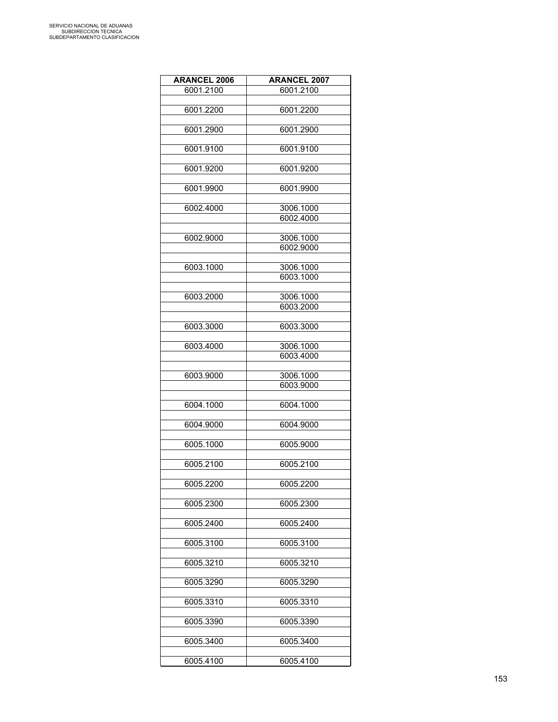| <b>ARANCEL 2006</b> | <b>ARANCEL 2007</b> |
|---------------------|---------------------|
| 6001.2100           | 6001.2100           |
|                     |                     |
| 6001.2200           | 6001.2200           |
|                     |                     |
| 6001.2900           | 6001.2900           |
| 6001.9100           | 6001.9100           |
|                     |                     |
| 6001.9200           | 6001.9200           |
|                     |                     |
| 6001.9900           | 6001.9900           |
| 6002.4000           | 3006.1000           |
|                     | 6002.4000           |
|                     |                     |
| 6002.9000           | 3006.1000           |
|                     | 6002.9000           |
|                     |                     |
| 6003.1000           | 3006.1000           |
|                     | 6003.1000           |
| 6003.2000           | 3006.1000           |
|                     | 6003.2000           |
|                     |                     |
| 6003.3000           | 6003.3000           |
|                     |                     |
| 6003.4000           | 3006.1000           |
|                     | 6003.4000           |
| 6003.9000           | 3006.1000           |
|                     | 6003.9000           |
|                     |                     |
| 6004.1000           | 6004.1000           |
|                     |                     |
| 6004.9000           | 6004.9000           |
| 6005.1000           | 6005.9000           |
|                     |                     |
| 6005.2100           | 6005.2100           |
|                     |                     |
| 6005.2200           | 6005.2200           |
|                     |                     |
| 6005.2300           | 6005.2300           |
| 6005.2400           | 6005.2400           |
|                     |                     |
| 6005.3100           | 6005.3100           |
|                     |                     |
| 6005.3210           | 6005.3210           |
|                     |                     |
| 6005.3290           | 6005.3290           |
| 6005.3310           | 6005.3310           |
|                     |                     |
| 6005.3390           | 6005.3390           |
|                     |                     |
| 6005.3400           | 6005.3400           |
|                     |                     |
| 6005.4100           | 6005.4100           |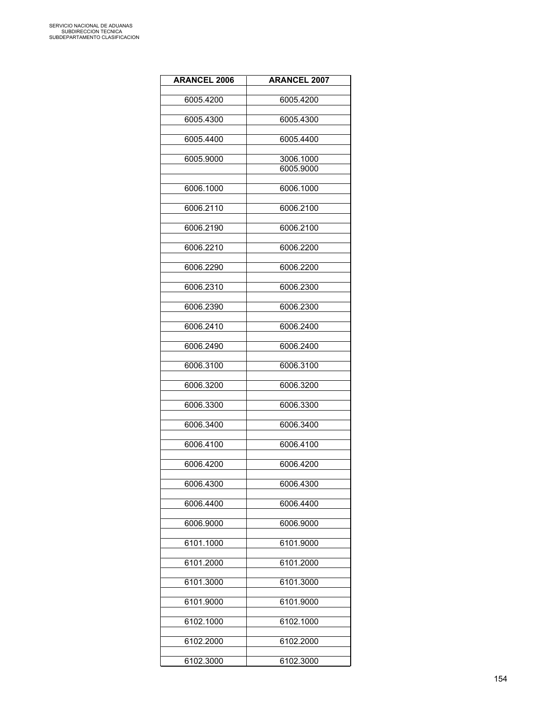| <b>ARANCEL 2006</b> | <b>ARANCEL 2007</b>    |
|---------------------|------------------------|
| 6005.4200           | 6005.4200              |
| 6005.4300           | 6005.4300              |
| 6005.4400           | 6005.4400              |
| 6005.9000           | 3006.1000<br>6005.9000 |
| 6006.1000           | 6006.1000              |
| 6006.2110           | 6006.2100              |
| 6006.2190           | 6006.2100              |
| 6006.2210           | 6006.2200              |
| 6006.2290           | 6006.2200              |
| 6006.2310           | 6006.2300              |
| 6006.2390           | 6006.2300              |
| 6006.2410           | 6006.2400              |
| 6006.2490           | 6006.2400              |
| 6006.3100           | 6006.3100              |
| 6006.3200           | 6006.3200              |
| 6006.3300           | 6006.3300              |
| 6006.3400           | 6006.3400              |
| 6006.4100           | 6006.4100              |
| 6006.4200           | 6006.4200              |
| 6006.4300           | 6006.4300              |
| 6006.4400           | 6006.4400              |
| 6006.9000           | 6006.9000              |
| 6101.1000           | 6101.9000              |
| 6101.2000           | 6101.2000              |
| 6101.3000           | 6101.3000              |
| 6101.9000           | 6101.9000              |
| 6102.1000           | 6102.1000              |
| 6102.2000           | 6102.2000              |
| 6102.3000           | 6102.3000              |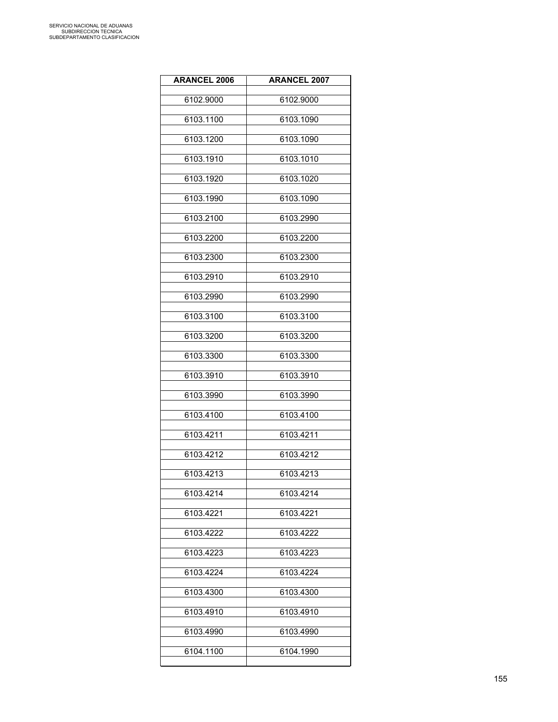| <b>ARANCEL 2006</b> | <b>ARANCEL 2007</b> |
|---------------------|---------------------|
| 6102.9000           | 6102.9000           |
| 6103.1100           | 6103.1090           |
| 6103.1200           | 6103.1090           |
| 6103.1910           | 6103.1010           |
| 6103.1920           | 6103.1020           |
| 6103.1990           | 6103.1090           |
| 6103.2100           | 6103.2990           |
| 6103.2200           | 6103.2200           |
| 6103.2300           | 6103.2300           |
| 6103.2910           | 6103.2910           |
| 6103.2990           | 6103.2990           |
| 6103.3100           | 6103.3100           |
| 6103.3200           | 6103.3200           |
| 6103.3300           | 6103.3300           |
| 6103.3910           | 6103.3910           |
| 6103.3990           | 6103.3990           |
| 6103.4100           | 6103.4100           |
| 6103.4211           | 6103.4211           |
| 6103.4212           | 6103.4212           |
| 6103.4213           | 6103.4213           |
| 6103.4214           | 6103.4214           |
| 6103.4221           | 6103.4221           |
| 6103.4222           | 6103.4222           |
| 6103.4223           | 6103.4223           |
| 6103.4224           | 6103.4224           |
| 6103.4300           | 6103.4300           |
| 6103.4910           | 6103.4910           |
| 6103.4990           | 6103.4990           |
| 6104.1100           | 6104.1990           |
|                     |                     |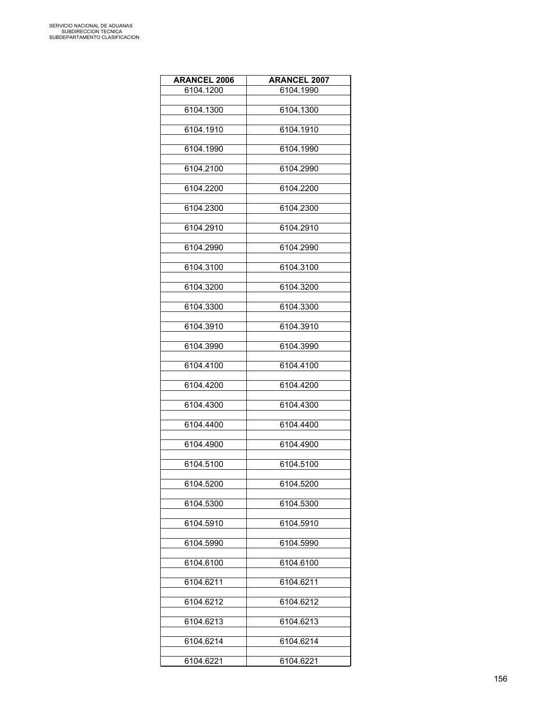| <b>ARANCEL 2006</b> | <b>ARANCEL 2007</b> |
|---------------------|---------------------|
| 6104.1200           | 6104.1990           |
|                     |                     |
| 6104.1300           | 6104.1300           |
| 6104.1910           | 6104.1910           |
|                     |                     |
| 6104.1990           | 6104.1990           |
|                     |                     |
| 6104.2100           | 6104.2990           |
| 6104.2200           | 6104.2200           |
|                     |                     |
| 6104.2300           | 6104.2300           |
|                     |                     |
| 6104.2910           | 6104.2910           |
| 6104.2990           | 6104.2990           |
|                     |                     |
| 6104.3100           | 6104.3100           |
|                     |                     |
| 6104.3200           | 6104.3200           |
| 6104.3300           | 6104.3300           |
|                     |                     |
| 6104.3910           | 6104.3910           |
| 6104.3990           | 6104.3990           |
|                     |                     |
| 6104.4100           | 6104.4100           |
|                     |                     |
| 6104.4200           | 6104.4200           |
| 6104.4300           | 6104.4300           |
|                     |                     |
| 6104.4400           | 6104.4400           |
|                     |                     |
| 6104.4900           | 6104.4900           |
| 6104.5100           | 6104.5100           |
|                     |                     |
| 6104.5200           | 6104.5200           |
|                     |                     |
| 6104.5300           | 6104.5300           |
| 6104.5910           | 6104.5910           |
|                     |                     |
| 6104.5990           | 6104.5990           |
| 6104.6100           | 6104.6100           |
|                     |                     |
| 6104.6211           | 6104.6211           |
|                     |                     |
| 6104.6212           | 6104.6212           |
| 6104.6213           | 6104.6213           |
|                     |                     |
| 6104.6214           | 6104.6214           |
|                     |                     |
| 6104.6221           | 6104.6221           |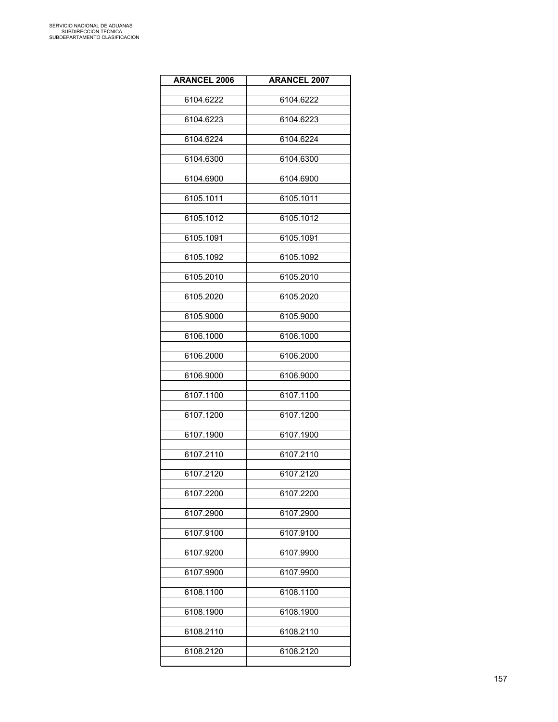| <b>ARANCEL 2006</b> | <b>ARANCEL 2007</b> |
|---------------------|---------------------|
| 6104.6222           | 6104.6222           |
| 6104.6223           | 6104.6223           |
| 6104.6224           | 6104.6224           |
| 6104.6300           | 6104.6300           |
| 6104.6900           | 6104.6900           |
| 6105.1011           | 6105.1011           |
| 6105.1012           | 6105.1012           |
| 6105.1091           | 6105.1091           |
| 6105.1092           | 6105.1092           |
| 6105.2010           | 6105.2010           |
| 6105.2020           | 6105.2020           |
| 6105.9000           | 6105.9000           |
| 6106.1000           | 6106.1000           |
| 6106.2000           | 6106.2000           |
| 6106.9000           | 6106.9000           |
| 6107.1100           | 6107.1100           |
| 6107.1200           | 6107.1200           |
| 6107.1900           | 6107.1900           |
| 6107.2110           | 6107.2110           |
| 6107.2120           | 6107.2120           |
| 6107.2200           | 6107.2200           |
| 6107.2900           | 6107.2900           |
| 6107.9100           | 6107.9100           |
| 6107.9200           | 6107.9900           |
| 6107.9900           | 6107.9900           |
| 6108.1100           | 6108.1100           |
| 6108.1900           | 6108.1900           |
| 6108.2110           | 6108.2110           |
| 6108.2120           | 6108.2120           |
|                     |                     |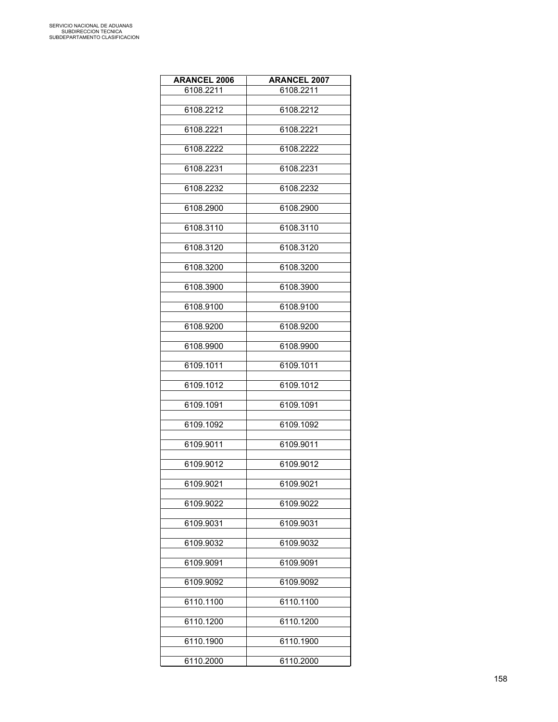| <b>ARANCEL 2006</b> | <b>ARANCEL 2007</b> |
|---------------------|---------------------|
| 6108.2211           | 6108.2211           |
| 6108.2212           | 6108.2212           |
|                     |                     |
| 6108.2221           | 6108.2221           |
|                     |                     |
| 6108.2222           | 6108.2222           |
| 6108.2231           | 6108.2231           |
| 6108.2232           | 6108.2232           |
|                     |                     |
| 6108.2900           | 6108.2900           |
| 6108.3110           | 6108.3110           |
| 6108.3120           | 6108.3120           |
|                     |                     |
| 6108.3200           | 6108.3200           |
| 6108.3900           | 6108.3900           |
|                     |                     |
| 6108.9100           | 6108.9100           |
| 6108.9200           | 6108.9200           |
|                     |                     |
| 6108.9900           | 6108.9900           |
| 6109.1011           | 6109.1011           |
| 6109.1012           | 6109.1012           |
| 6109.1091           | 6109.1091           |
|                     |                     |
| 6109.1092           | 6109.1092           |
| 6109.9011           | 6109.9011           |
|                     |                     |
| 6109.9012           | 6109.9012           |
| 6109.9021           | 6109.9021           |
| 6109.9022           | 6109.9022           |
| 6109.9031           | 6109.9031           |
|                     |                     |
| 6109.9032           | 6109.9032           |
| 6109.9091           | 6109.9091           |
| 6109.9092           | 6109.9092           |
| 6110.1100           | 6110.1100           |
|                     |                     |
| 6110.1200           | 6110.1200           |
| 6110.1900           | 6110.1900           |
| 6110.2000           | 6110.2000           |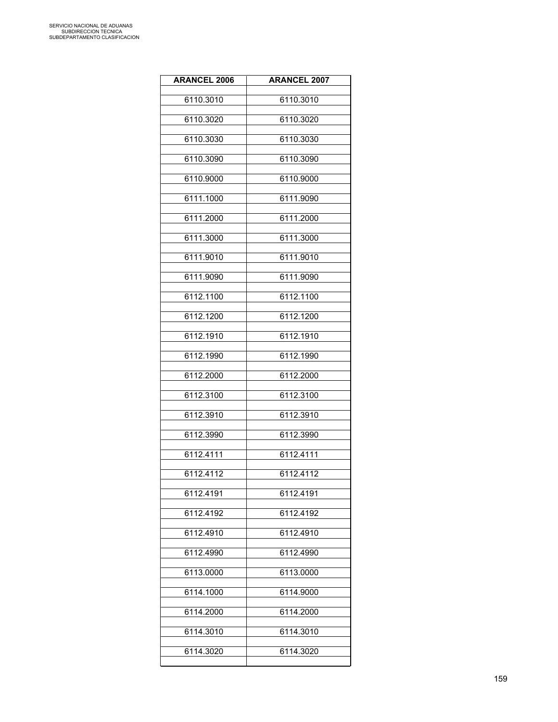| <b>ARANCEL 2006</b> | <b>ARANCEL 2007</b> |
|---------------------|---------------------|
| 6110.3010           | 6110.3010           |
| 6110.3020           | 6110.3020           |
| 6110.3030           | 6110.3030           |
| 6110.3090           | 6110.3090           |
| 6110.9000           | 6110.9000           |
| 6111.1000           | 6111.9090           |
| 6111.2000           | 6111.2000           |
| 6111.3000           | 6111.3000           |
| 6111.9010           | 6111.9010           |
| 6111.9090           | 6111.9090           |
| 6112.1100           | 6112.1100           |
| 6112.1200           | 6112.1200           |
| 6112.1910           | 6112.1910           |
| 6112.1990           | 6112.1990           |
| 6112.2000           | 6112.2000           |
| 6112.3100           | 6112.3100           |
| 6112.3910           | 6112.3910           |
| 6112.3990           | 6112.3990           |
| 6112.4111           | 6112.4111           |
| 6112.4112           | 6112.4112           |
| 6112.4191           | 6112.4191           |
| 6112.4192           | 6112.4192           |
| 6112.4910           | 6112.4910           |
| 6112.4990           | 6112.4990           |
| 6113.0000           | 6113.0000           |
| 6114.1000           | 6114.9000           |
| 6114.2000           | 6114.2000           |
| 6114.3010           | 6114.3010           |
| 6114.3020           | 6114.3020           |
|                     |                     |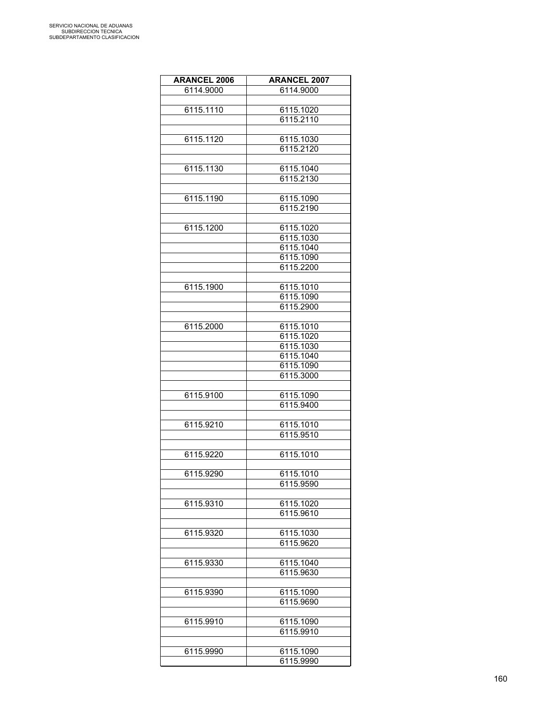| <b>ARANCEL 2006</b> | <b>ARANCEL 2007</b> |
|---------------------|---------------------|
| 6114.9000           | 6114.9000           |
|                     |                     |
| 6115.1110           | 6115.1020           |
|                     | 6115.2110           |
|                     |                     |
| 6115.1120           | 6115.1030           |
|                     |                     |
|                     | 6115.2120           |
|                     |                     |
| 6115.1130           | 6115.1040           |
|                     | 6115.2130           |
|                     |                     |
| 6115.1190           | 6115.1090           |
|                     | 6115.2190           |
|                     |                     |
| 6115.1200           | 6115.1020           |
|                     | 6115.1030           |
|                     | 6115.1040           |
|                     | 6115.1090           |
|                     | 6115.2200           |
|                     |                     |
| 6115.1900           | 6115.1010           |
|                     | 6115.1090           |
|                     | 6115.2900           |
|                     |                     |
| 6115.2000           | 6115.1010           |
|                     | 6115.1020           |
|                     | 6115.1030           |
|                     | 6115.1040           |
|                     |                     |
|                     | 6115.1090           |
|                     | 6115.3000           |
|                     |                     |
| 6115.9100           | 6115.1090           |
|                     | 6115.9400           |
|                     |                     |
| 6115.9210           | 6115.1010           |
|                     | 6115.9510           |
|                     |                     |
| 6115.9220           | 6115.1010           |
|                     |                     |
| 6115.9290           | 6115.1010           |
|                     | 6115.9590           |
|                     |                     |
| 6115.9310           | 6115.1020           |
|                     | 6115.9610           |
|                     |                     |
| 6115.9320           | 6115.1030           |
|                     | 6115.9620           |
|                     |                     |
| 6115.9330           | 6115.1040           |
|                     | 6115.9630           |
|                     |                     |
|                     |                     |
| 6115.9390           | 6115.1090           |
|                     | 6115.9690           |
|                     |                     |
| 6115.9910           | 6115.1090           |
|                     | 6115.9910           |
|                     |                     |
| 6115.9990           | 6115.1090           |
|                     | 6115.9990           |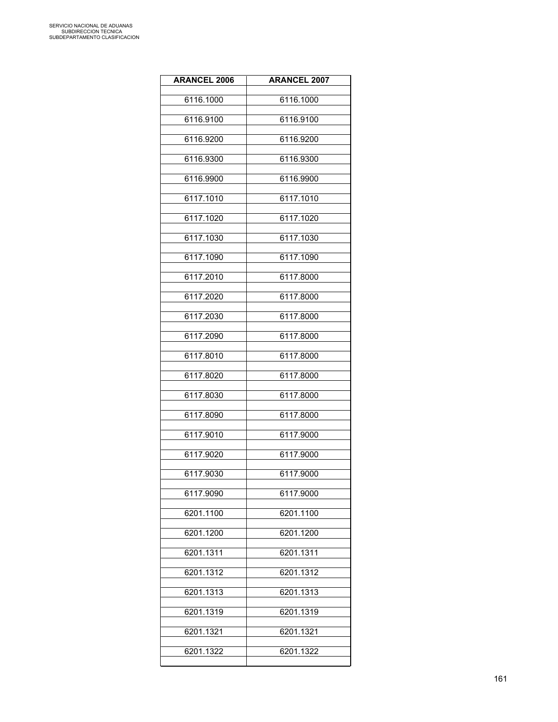| <b>ARANCEL 2006</b> | <b>ARANCEL 2007</b> |
|---------------------|---------------------|
| 6116.1000           | 6116.1000           |
| 6116.9100           | 6116.9100           |
| 6116.9200           | 6116.9200           |
| 6116.9300           | 6116.9300           |
| 6116.9900           | 6116.9900           |
| 6117.1010           | 6117.1010           |
| 6117.1020           | 6117.1020           |
| 6117.1030           | 6117.1030           |
| 6117.1090           | 6117.1090           |
| 6117.2010           | 6117.8000           |
| 6117.2020           | 6117.8000           |
| 6117.2030           | 6117.8000           |
| 6117.2090           | 6117.8000           |
| 6117.8010           | 6117.8000           |
| 6117.8020           | 6117.8000           |
| 6117.8030           | 6117.8000           |
| 6117.8090           | 6117.8000           |
| 6117.9010           | 6117.9000           |
| 6117.9020           | 6117.9000           |
| 6117.9030           | 6117.9000           |
| 6117.9090           | 6117.9000           |
| 6201.1100           | 6201.1100           |
| 6201.1200           | 6201.1200           |
| 6201.1311           | 6201.1311           |
| 6201.1312           | 6201.1312           |
| 6201.1313           | 6201.1313           |
| 6201.1319           | 6201.1319           |
| 6201.1321           | 6201.1321           |
| 6201.1322           | 6201.1322           |
|                     |                     |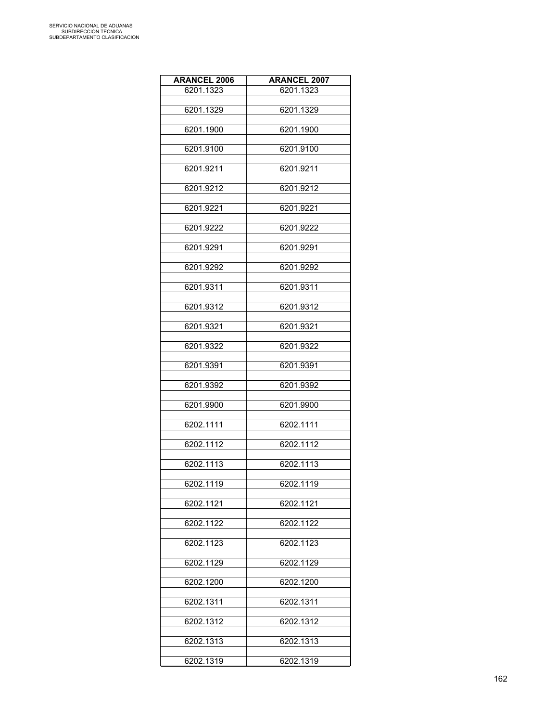| <b>ARANCEL 2006</b> | <b>ARANCEL 2007</b> |
|---------------------|---------------------|
| 6201.1323           | 6201.1323           |
| 6201.1329           | 6201.1329           |
|                     |                     |
| 6201.1900           | 6201.1900           |
| 6201.9100           | 6201.9100           |
|                     |                     |
| 6201.9211           | 6201.9211           |
| 6201.9212           | 6201.9212           |
| 6201.9221           | 6201.9221           |
| 6201.9222           | 6201.9222           |
| 6201.9291           | 6201.9291           |
| 6201.9292           | 6201.9292           |
| 6201.9311           | 6201.9311           |
| 6201.9312           | 6201.9312           |
|                     |                     |
| 6201.9321           | 6201.9321           |
| 6201.9322           | 6201.9322           |
| 6201.9391           | 6201.9391           |
| 6201.9392           | 6201.9392           |
| 6201.9900           | 6201.9900           |
| 6202.1111           | 6202.1111           |
| 6202.1112           | 6202.1112           |
| 6202.1113           | 6202.1113           |
| 6202.1119           | 6202.1119           |
| 6202.1121           | 6202.1121           |
| 6202.1122           | 6202.1122           |
| 6202.1123           | 6202.1123           |
| 6202.1129           | 6202.1129           |
| 6202.1200           | 6202.1200           |
| 6202.1311           | 6202.1311           |
| 6202.1312           | 6202.1312           |
| 6202.1313           | 6202.1313           |
|                     |                     |
| 6202.1319           | 6202.1319           |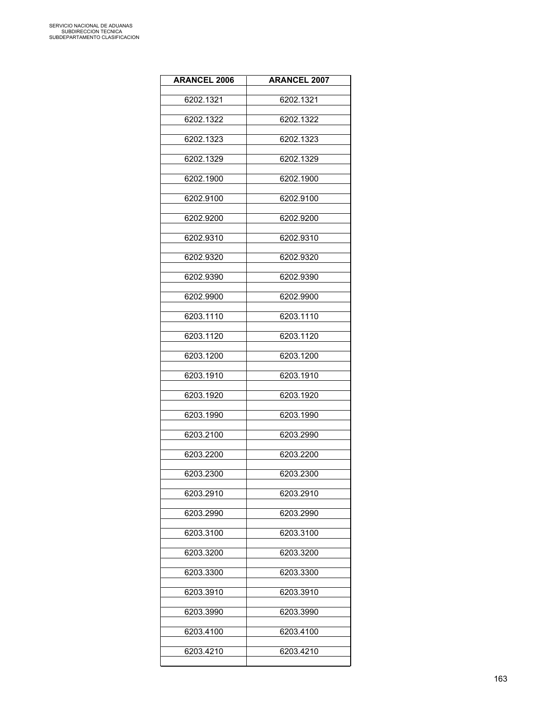| <b>ARANCEL 2006</b> | <b>ARANCEL 2007</b> |
|---------------------|---------------------|
| 6202.1321           | 6202.1321           |
| 6202.1322           | 6202.1322           |
| 6202.1323           | 6202.1323           |
| 6202.1329           | 6202.1329           |
| 6202.1900           | 6202.1900           |
| 6202.9100           | 6202.9100           |
| 6202.9200           | 6202.9200           |
| 6202.9310           | 6202.9310           |
| 6202.9320           | 6202.9320           |
| 6202.9390           | 6202.9390           |
| 6202.9900           | 6202.9900           |
| 6203.1110           | 6203.1110           |
| 6203.1120           | 6203.1120           |
| 6203.1200           | 6203.1200           |
| 6203.1910           | 6203.1910           |
| 6203.1920           | 6203.1920           |
| 6203.1990           | 6203.1990           |
| 6203.2100           | 6203.2990           |
| 6203.2200           | 6203.2200           |
| 6203.2300           | 6203.2300           |
| 6203.2910           | 6203.2910           |
| 6203.2990           | 6203.2990           |
| 6203.3100           | 6203.3100           |
| 6203.3200           | 6203.3200           |
| 6203.3300           | 6203.3300           |
| 6203.3910           | 6203.3910           |
| 6203.3990           | 6203.3990           |
| 6203.4100           | 6203.4100           |
| 6203.4210           | 6203.4210           |
|                     |                     |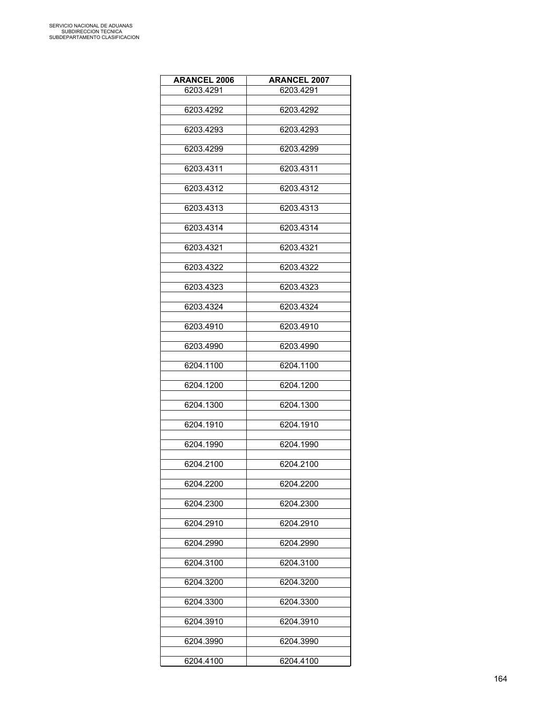| <b>ARANCEL 2006</b> | <b>ARANCEL 2007</b> |
|---------------------|---------------------|
| 6203.4291           | 6203.4291           |
|                     |                     |
| 6203.4292           | 6203.4292           |
| 6203.4293           | 6203.4293           |
|                     |                     |
| 6203.4299           | 6203.4299           |
| 6203.4311           | 6203.4311           |
|                     |                     |
| 6203.4312           | 6203.4312           |
|                     |                     |
| 6203.4313           | 6203.4313           |
| 6203.4314           | 6203.4314           |
|                     |                     |
| 6203.4321           | 6203.4321           |
| 6203.4322           | 6203.4322           |
|                     |                     |
| 6203.4323           | 6203.4323           |
|                     |                     |
| 6203.4324           | 6203.4324           |
| 6203.4910           | 6203.4910           |
|                     |                     |
| 6203.4990           | 6203.4990           |
| 6204.1100           | 6204.1100           |
|                     |                     |
| 6204.1200           | 6204.1200           |
|                     |                     |
| 6204.1300           | 6204.1300           |
| 6204.1910           | 6204.1910           |
|                     |                     |
| 6204.1990           | 6204.1990           |
| 6204.2100           | 6204.2100           |
|                     |                     |
| 6204.2200           | 6204.2200           |
|                     |                     |
| 6204.2300           | 6204.2300           |
| 6204.2910           | 6204.2910           |
|                     |                     |
| 6204.2990           | 6204.2990           |
| 6204.3100           | 6204.3100           |
|                     |                     |
| 6204.3200           | 6204.3200           |
|                     |                     |
| 6204.3300           | 6204.3300           |
| 6204.3910           | 6204.3910           |
|                     |                     |
| 6204.3990           | 6204.3990           |
|                     |                     |
| 6204.4100           | 6204.4100           |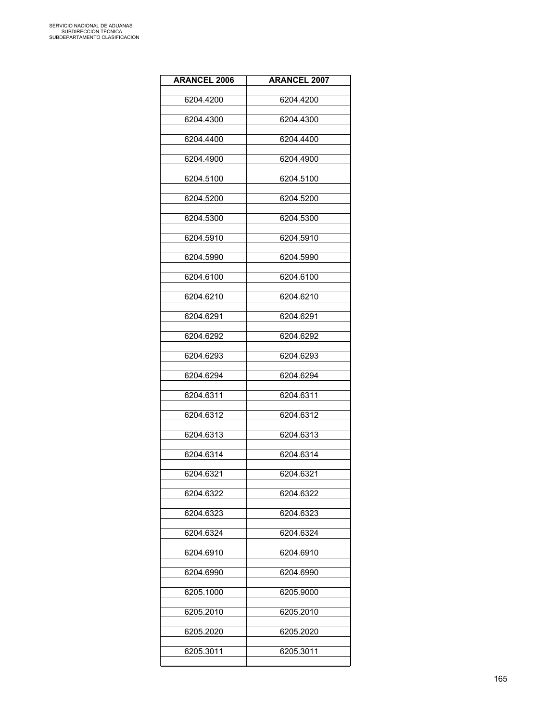| <b>ARANCEL 2006</b> | <b>ARANCEL 2007</b> |
|---------------------|---------------------|
| 6204.4200           | 6204.4200           |
| 6204.4300           | 6204.4300           |
| 6204.4400           | 6204.4400           |
| 6204.4900           | 6204.4900           |
| 6204.5100           | 6204.5100           |
| 6204.5200           | 6204.5200           |
| 6204.5300           | 6204.5300           |
| 6204.5910           | 6204.5910           |
| 6204.5990           | 6204.5990           |
| 6204.6100           | 6204.6100           |
| 6204.6210           | 6204.6210           |
| 6204.6291           | 6204.6291           |
| 6204.6292           | 6204.6292           |
| 6204.6293           | 6204.6293           |
| 6204.6294           | 6204.6294           |
| 6204.6311           | 6204.6311           |
| 6204.6312           | 6204.6312           |
| 6204.6313           | 6204.6313           |
| 6204.6314           | 6204.6314           |
| 6204.6321           | 6204.6321           |
| 6204.6322           | 6204.6322           |
| 6204.6323           | 6204.6323           |
| 6204.6324           | 6204.6324           |
| 6204.6910           | 6204.6910           |
| 6204.6990           | 6204.6990           |
| 6205.1000           | 6205.9000           |
| 6205.2010           | 6205.2010           |
| 6205.2020           | 6205.2020           |
| 6205.3011           | 6205.3011           |
|                     |                     |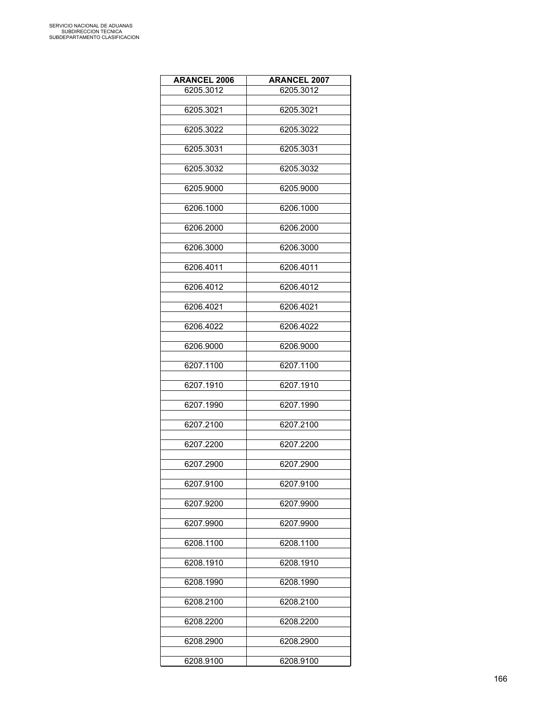| <b>ARANCEL 2006</b> | <b>ARANCEL 2007</b> |
|---------------------|---------------------|
| 6205.3012           | 6205.3012           |
|                     |                     |
| 6205.3021           | 6205.3021           |
| 6205.3022           | 6205.3022           |
|                     |                     |
| 6205.3031           | 6205.3031           |
|                     |                     |
| 6205.3032           | 6205.3032           |
| 6205.9000           | 6205.9000           |
|                     |                     |
| 6206.1000           | 6206.1000           |
| 6206.2000           | 6206.2000           |
|                     |                     |
| 6206.3000           | 6206.3000           |
|                     |                     |
| 6206.4011           | 6206.4011           |
| 6206.4012           | 6206.4012           |
|                     |                     |
| 6206.4021           | 6206.4021           |
|                     |                     |
| 6206.4022           | 6206.4022           |
| 6206.9000           | 6206.9000           |
|                     |                     |
| 6207.1100           | 6207.1100           |
| 6207.1910           | 6207.1910           |
|                     |                     |
| 6207.1990           | 6207.1990           |
|                     |                     |
| 6207.2100           | 6207.2100           |
| 6207.2200           | 6207.2200           |
|                     |                     |
| 6207.2900           | 6207.2900           |
|                     |                     |
| 6207.9100           | 6207.9100           |
| 6207.9200           | 6207.9900           |
|                     |                     |
| 6207.9900           | 6207.9900           |
| 6208.1100           | 6208.1100           |
|                     |                     |
| 6208.1910           | 6208.1910           |
|                     |                     |
| 6208.1990           | 6208.1990           |
| 6208.2100           | 6208.2100           |
|                     |                     |
| 6208.2200           | 6208.2200           |
|                     |                     |
| 6208.2900           | 6208.2900           |
| 6208.9100           | 6208.9100           |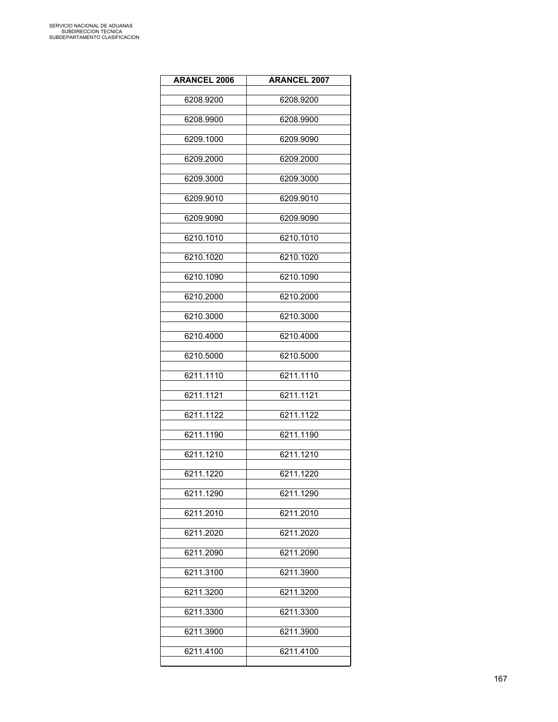| <b>ARANCEL 2006</b> | <b>ARANCEL 2007</b> |
|---------------------|---------------------|
| 6208.9200           | 6208.9200           |
| 6208.9900           | 6208.9900           |
| 6209.1000           | 6209.9090           |
| 6209.2000           | 6209.2000           |
| 6209.3000           | 6209.3000           |
| 6209.9010           | 6209.9010           |
| 6209.9090           | 6209.9090           |
| 6210.1010           | 6210.1010           |
| 6210.1020           | 6210.1020           |
| 6210.1090           | 6210.1090           |
| 6210.2000           | 6210.2000           |
| 6210.3000           | 6210.3000           |
| 6210.4000           | 6210.4000           |
| 6210.5000           | 6210.5000           |
| 6211.1110           | 6211.1110           |
| 6211.1121           | 6211.1121           |
| 6211.1122           | 6211.1122           |
| 6211.1190           | 6211.1190           |
| 6211.1210           | 6211.1210           |
| 6211.1220           | 6211.1220           |
| 6211.1290           | 6211.1290           |
| 6211.2010           | 6211.2010           |
| 6211.2020           | 6211.2020           |
| 6211.2090           | 6211.2090           |
| 6211.3100           | 6211.3900           |
| 6211.3200           | 6211.3200           |
| 6211.3300           | 6211.3300           |
| 6211.3900           | 6211.3900           |
| 6211.4100           | 6211.4100           |
|                     |                     |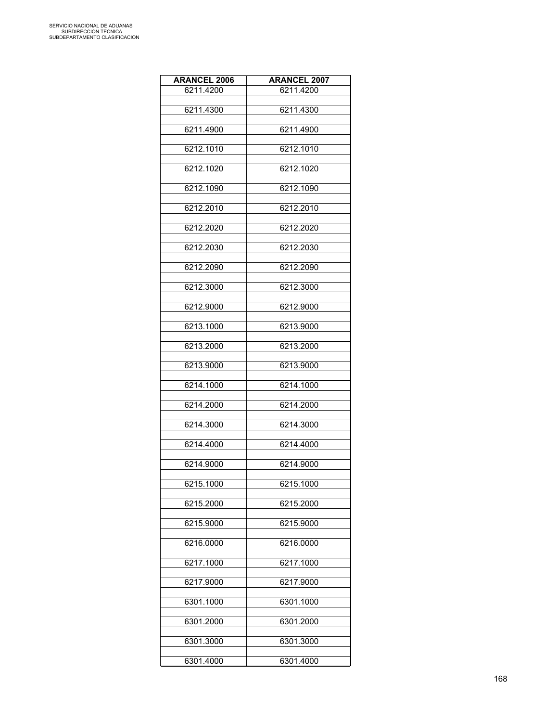| <b>ARANCEL 2006</b> | <b>ARANCEL 2007</b> |
|---------------------|---------------------|
| 6211.4200           | 6211.4200           |
|                     |                     |
| 6211.4300           | 6211.4300           |
| 6211.4900           | 6211.4900           |
| 6212.1010           | 6212.1010           |
| 6212.1020           | 6212.1020           |
| 6212.1090           | 6212.1090           |
| 6212.2010           | 6212.2010           |
| 6212.2020           | 6212.2020           |
| 6212.2030           | 6212.2030           |
| 6212.2090           | 6212.2090           |
| 6212.3000           | 6212.3000           |
| 6212.9000           | 6212.9000           |
| 6213.1000           | 6213.9000           |
| 6213.2000           | 6213.2000           |
| 6213.9000           | 6213.9000           |
| 6214.1000           | 6214.1000           |
| 6214.2000           | 6214.2000           |
| 6214.3000           | 6214.3000           |
| 6214.4000           | 6214.4000           |
| 6214.9000           | 6214.9000           |
| 6215.1000           | 6215.1000           |
| 6215.2000           | 6215.2000           |
| 6215.9000           | 6215.9000           |
| 6216.0000           | 6216.0000           |
| 6217.1000           | 6217.1000           |
| 6217.9000           | 6217.9000           |
| 6301.1000           | 6301.1000           |
| 6301.2000           | 6301.2000           |
| 6301.3000           | 6301.3000           |
| 6301.4000           | 6301.4000           |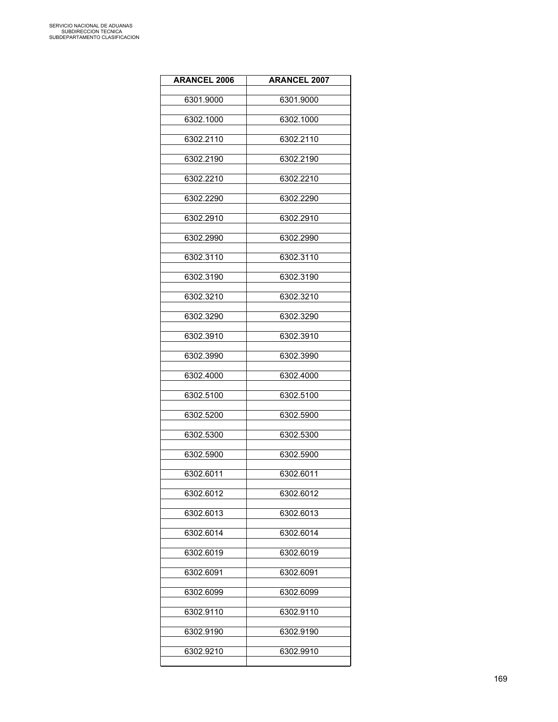| <b>ARANCEL 2006</b> | <b>ARANCEL 2007</b> |
|---------------------|---------------------|
| 6301.9000           | 6301.9000           |
| 6302.1000           | 6302.1000           |
| 6302.2110           | 6302.2110           |
| 6302.2190           | 6302.2190           |
| 6302.2210           | 6302.2210           |
| 6302.2290           | 6302.2290           |
| 6302.2910           | 6302.2910           |
| 6302.2990           | 6302.2990           |
| 6302.3110           | 6302.3110           |
| 6302.3190           | 6302.3190           |
| 6302.3210           | 6302.3210           |
| 6302.3290           | 6302.3290           |
| 6302.3910           | 6302.3910           |
| 6302.3990           | 6302.3990           |
| 6302.4000           | 6302.4000           |
| 6302.5100           | 6302.5100           |
| 6302.5200           | 6302.5900           |
| 6302.5300           | 6302.5300           |
| 6302.5900           | 6302.5900           |
| 6302.6011           | 6302.6011           |
| 6302.6012           | 6302.6012           |
| 6302.6013           | 6302.6013           |
| 6302.6014           | 6302.6014           |
| 6302.6019           | 6302.6019           |
| 6302.6091           | 6302.6091           |
| 6302.6099           | 6302.6099           |
| 6302.9110           | 6302.9110           |
| 6302.9190           | 6302.9190           |
| 6302.9210           | 6302.9910           |
|                     |                     |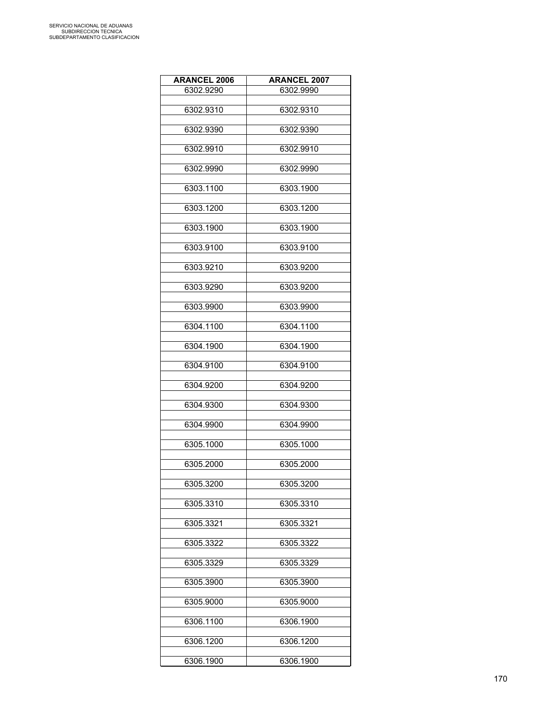| <b>ARANCEL 2006</b> | <b>ARANCEL 2007</b> |
|---------------------|---------------------|
| 6302.9290           | 6302.9990           |
|                     |                     |
| 6302.9310           | 6302.9310           |
| 6302.9390           | 6302.9390           |
|                     |                     |
| 6302.9910           | 6302.9910           |
| 6302.9990           | 6302.9990           |
|                     |                     |
| 6303.1100           | 6303.1900           |
|                     |                     |
| 6303.1200           | 6303.1200           |
| 6303.1900           | 6303.1900           |
|                     |                     |
| 6303.9100           | 6303.9100           |
|                     |                     |
| 6303.9210           | 6303.9200           |
| 6303.9290           | 6303.9200           |
|                     |                     |
| 6303.9900           | 6303.9900           |
| 6304.1100           | 6304.1100           |
|                     |                     |
| 6304.1900           | 6304.1900           |
|                     |                     |
| 6304.9100           | 6304.9100           |
| 6304.9200           | 6304.9200           |
|                     |                     |
| 6304.9300           | 6304.9300           |
|                     |                     |
| 6304.9900           | 6304.9900           |
| 6305.1000           | 6305.1000           |
|                     |                     |
| 6305.2000           | 6305.2000           |
| 6305.3200           | 6305.3200           |
|                     |                     |
| 6305.3310           | 6305.3310           |
|                     |                     |
| 6305.3321           | 6305.3321           |
| 6305.3322           | 6305.3322           |
|                     |                     |
| 6305.3329           | 6305.3329           |
|                     |                     |
| 6305.3900           | 6305.3900           |
| 6305.9000           | 6305.9000           |
|                     |                     |
| 6306.1100           | 6306.1900           |
| 6306.1200           | 6306.1200           |
|                     |                     |
| 6306.1900           | 6306.1900           |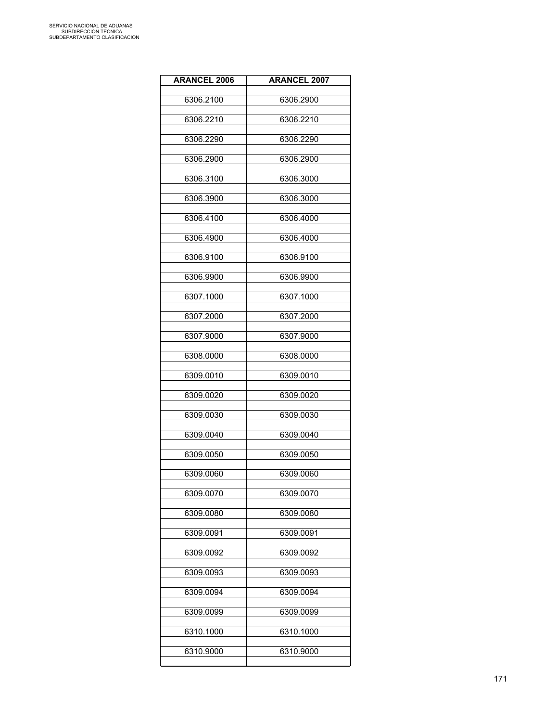| <b>ARANCEL 2006</b> | <b>ARANCEL 2007</b> |
|---------------------|---------------------|
| 6306.2100           | 6306.2900           |
| 6306.2210           | 6306.2210           |
| 6306.2290           | 6306.2290           |
| 6306.2900           | 6306.2900           |
| 6306.3100           | 6306.3000           |
| 6306.3900           | 6306.3000           |
| 6306.4100           | 6306.4000           |
| 6306.4900           | 6306.4000           |
| 6306.9100           | 6306.9100           |
| 6306.9900           | 6306.9900           |
| 6307.1000           | 6307.1000           |
| 6307.2000           | 6307.2000           |
| 6307.9000           | 6307.9000           |
| 6308.0000           | 6308.0000           |
| 6309.0010           | 6309.0010           |
| 6309.0020           | 6309.0020           |
| 6309.0030           | 6309.0030           |
| 6309.0040           | 6309.0040           |
| 6309.0050           | 6309.0050           |
| 6309.0060           | 6309.0060           |
| 6309.0070           | 6309.0070           |
| 6309.0080           | 6309.0080           |
| 6309.0091           | 6309.0091           |
| 6309.0092           | 6309.0092           |
| 6309.0093           | 6309.0093           |
| 6309.0094           | 6309.0094           |
| 6309.0099           | 6309.0099           |
| 6310.1000           | 6310.1000           |
| 6310.9000           | 6310.9000           |
|                     |                     |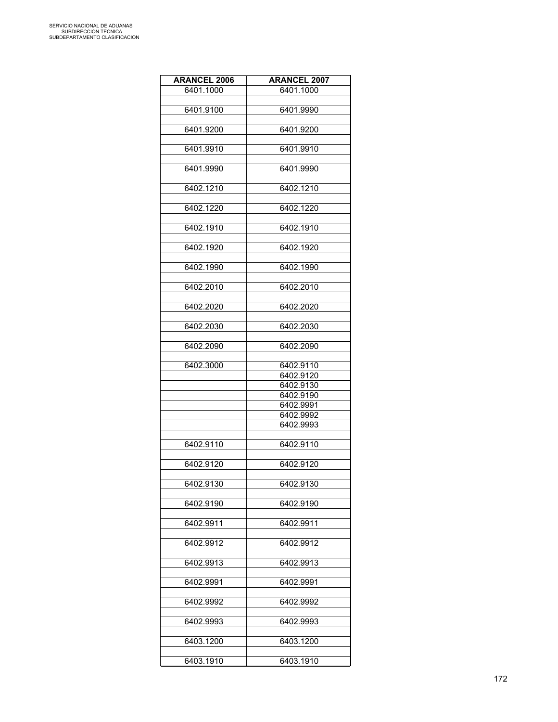| <b>ARANCEL 2006</b> | <b>ARANCEL 2007</b> |
|---------------------|---------------------|
| 6401.1000           | 6401.1000           |
|                     |                     |
| 6401.9100           | 6401.9990           |
|                     |                     |
| 6401.9200           | 6401.9200           |
|                     |                     |
| 6401.9910           | 6401.9910           |
| 6401.9990           | 6401.9990           |
|                     |                     |
| 6402.1210           | 6402.1210           |
|                     |                     |
| 6402.1220           | 6402.1220           |
|                     |                     |
| 6402.1910           | 6402.1910           |
|                     |                     |
| 6402.1920           | 6402.1920           |
|                     |                     |
| 6402.1990           | 6402.1990           |
|                     |                     |
| 6402.2010           | 6402.2010           |
|                     |                     |
| 6402.2020           | 6402.2020           |
| 6402.2030           | 6402.2030           |
|                     |                     |
| 6402.2090           | 6402.2090           |
|                     |                     |
| 6402.3000           | 6402.9110           |
|                     | 6402.9120           |
|                     | 6402.9130           |
|                     | 6402.9190           |
|                     | 6402.9991           |
|                     | 6402.9992           |
|                     | 6402.9993           |
|                     |                     |
| 6402.9110           | 6402.9110           |
|                     |                     |
| 6402.9120           | 6402.9120           |
|                     |                     |
| 6402.9130           | 6402.9130           |
|                     |                     |
| 6402.9190           | 6402.9190           |
|                     |                     |
| 6402.9911           | 6402.9911           |
| 6402.9912           | 6402.9912           |
|                     |                     |
| 6402.9913           | 6402.9913           |
|                     |                     |
| 6402.9991           | 6402.9991           |
|                     |                     |
| 6402.9992           | 6402.9992           |
|                     |                     |
| 6402.9993           | 6402.9993           |
|                     |                     |
| 6403.1200           | 6403.1200           |
|                     |                     |
| 6403.1910           | 6403.1910           |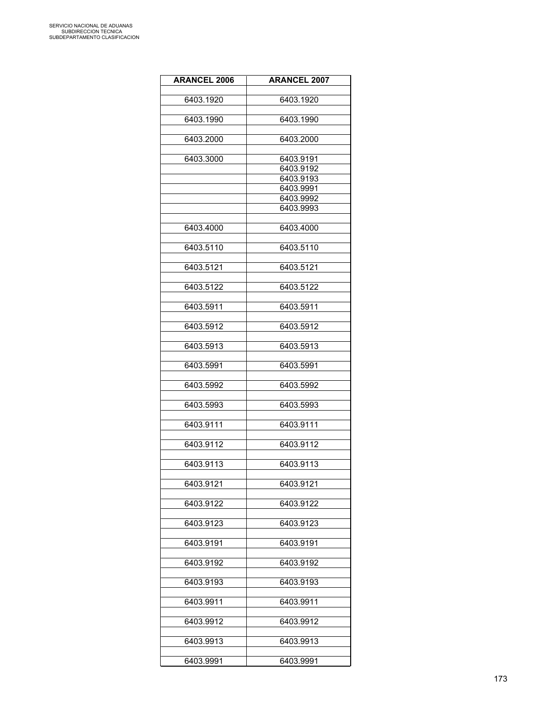| <b>ARANCEL 2006</b> | <b>ARANCEL 2007</b> |
|---------------------|---------------------|
| 6403.1920           | 6403.1920           |
|                     |                     |
| 6403.1990           | 6403.1990           |
| 6403.2000           | 6403.2000           |
|                     |                     |
| 6403.3000           | 6403.9191           |
|                     | 6403.9192           |
|                     | 6403.9193           |
|                     | 6403.9991           |
|                     | 6403.9992           |
|                     | 6403.9993           |
| 6403.4000           | 6403.4000           |
| 6403.5110           | 6403.5110           |
|                     |                     |
| 6403.5121           | 6403.5121           |
| 6403.5122           | 6403.5122           |
|                     |                     |
| 6403.5911           | 6403.5911           |
| 6403.5912           | 6403.5912           |
|                     |                     |
| 6403.5913           | 6403.5913           |
| 6403.5991           | 6403.5991           |
| 6403.5992           | 6403.5992           |
| 6403.5993           | 6403.5993           |
| 6403.9111           | 6403.9111           |
| 6403.9112           | 6403.9112           |
| 6403.9113           | 6403.9113           |
| 6403.9121           | 6403.9121           |
| 6403.9122           | 6403.9122           |
|                     |                     |
| 6403.9123           | 6403.9123           |
| 6403.9191           | 6403.9191           |
| 6403.9192           | 6403.9192           |
| 6403.9193           | 6403.9193           |
| 6403.9911           | 6403.9911           |
| 6403.9912           | 6403.9912           |
|                     |                     |
| 6403.9913           | 6403.9913           |
| 6403.9991           | 6403.9991           |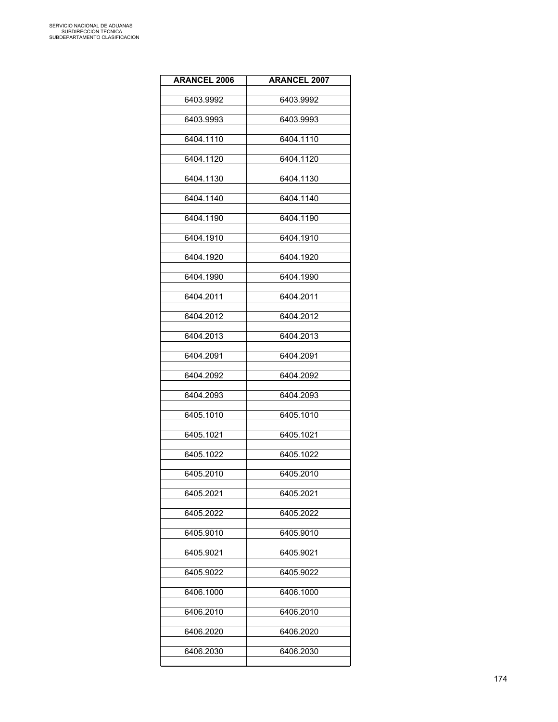| <b>ARANCEL 2006</b> | <b>ARANCEL 2007</b> |
|---------------------|---------------------|
| 6403.9992           | 6403.9992           |
| 6403.9993           | 6403.9993           |
| 6404.1110           | 6404.1110           |
| 6404.1120           | 6404.1120           |
| 6404.1130           | 6404.1130           |
| 6404.1140           | 6404.1140           |
| 6404.1190           | 6404.1190           |
| 6404.1910           | 6404.1910           |
| 6404.1920           | 6404.1920           |
| 6404.1990           | 6404.1990           |
| 6404.2011           | 6404.2011           |
| 6404.2012           | 6404.2012           |
| 6404.2013           | 6404.2013           |
| 6404.2091           | 6404.2091           |
| 6404.2092           | 6404.2092           |
| 6404.2093           | 6404.2093           |
| 6405.1010           | 6405.1010           |
| 6405.1021           | 6405.1021           |
| 6405.1022           | 6405.1022           |
| 6405.2010           | 6405.2010           |
| 6405.2021           | 6405.2021           |
| 6405.2022           | 6405.2022           |
| 6405.9010           | 6405.9010           |
| 6405.9021           | 6405.9021           |
| 6405.9022           | 6405.9022           |
| 6406.1000           | 6406.1000           |
| 6406.2010           | 6406.2010           |
| 6406.2020           | 6406.2020           |
| 6406.2030           | 6406.2030           |
|                     |                     |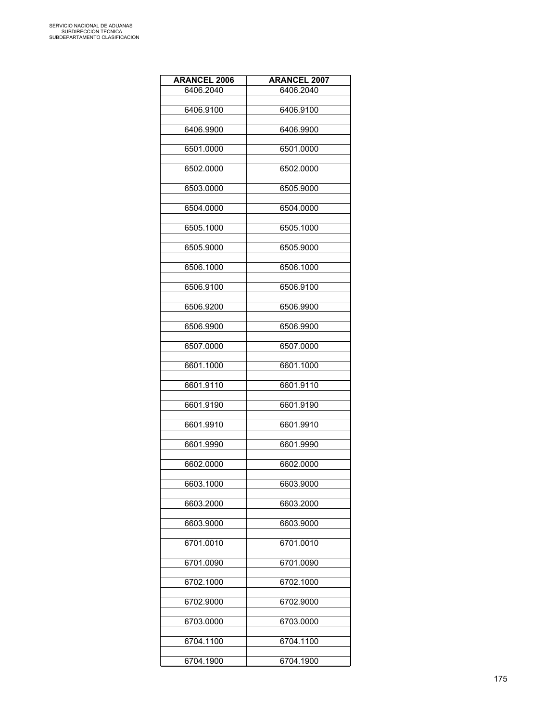| <b>ARANCEL 2006</b> | <b>ARANCEL 2007</b> |
|---------------------|---------------------|
| 6406.2040           | 6406.2040           |
|                     |                     |
| 6406.9100           | 6406.9100           |
| 6406.9900           | 6406.9900           |
| 6501.0000           | 6501.0000           |
| 6502.0000           | 6502.0000           |
| 6503.0000           | 6505.9000           |
| 6504.0000           | 6504.0000           |
| 6505.1000           | 6505.1000           |
| 6505.9000           | 6505.9000           |
| 6506.1000           | 6506.1000           |
| 6506.9100           | 6506.9100           |
| 6506.9200           | 6506.9900           |
| 6506.9900           | 6506.9900           |
| 6507.0000           | 6507.0000           |
| 6601.1000           | 6601.1000           |
| 6601.9110           | 6601.9110           |
| 6601.9190           | 6601.9190           |
| 6601.9910           | 6601.9910           |
| 6601.9990           | 6601.9990           |
| 6602.0000           | 6602.0000           |
| 6603.1000           | 6603.9000           |
| 6603.2000           | 6603.2000           |
| 6603.9000           | 6603.9000           |
| 6701.0010           | 6701.0010           |
| 6701.0090           | 6701.0090           |
| 6702.1000           | 6702.1000           |
| 6702.9000           | 6702.9000           |
| 6703.0000           | 6703.0000           |
| 6704.1100           | 6704.1100           |
| 6704.1900           | 6704.1900           |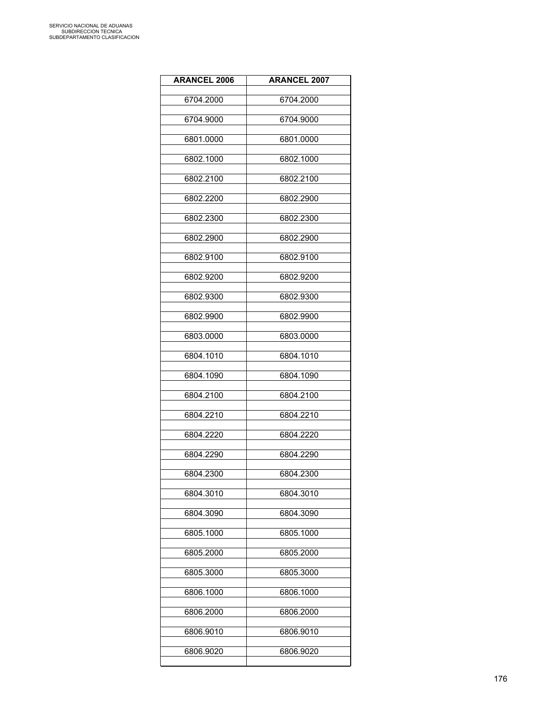| <b>ARANCEL 2006</b> | <b>ARANCEL 2007</b> |
|---------------------|---------------------|
| 6704.2000           | 6704.2000           |
| 6704.9000           | 6704.9000           |
| 6801.0000           | 6801.0000           |
| 6802.1000           | 6802.1000           |
| 6802.2100           | 6802.2100           |
| 6802.2200           | 6802.2900           |
| 6802.2300           | 6802.2300           |
| 6802.2900           | 6802.2900           |
| 6802.9100           | 6802.9100           |
| 6802.9200           | 6802.9200           |
| 6802.9300           | 6802.9300           |
| 6802.9900           | 6802.9900           |
| 6803.0000           | 6803.0000           |
| 6804.1010           | 6804.1010           |
| 6804.1090           | 6804.1090           |
| 6804.2100           | 6804.2100           |
| 6804.2210           | 6804.2210           |
| 6804.2220           | 6804.2220           |
| 6804.2290           | 6804.2290           |
| 6804.2300           | 6804.2300           |
| 6804.3010           | 6804.3010           |
| 6804.3090           | 6804.3090           |
| 6805.1000           | 6805.1000           |
| 6805.2000           | 6805.2000           |
| 6805.3000           | 6805.3000           |
| 6806.1000           | 6806.1000           |
| 6806.2000           | 6806.2000           |
| 6806.9010           | 6806.9010           |
| 6806.9020           | 6806.9020           |
|                     |                     |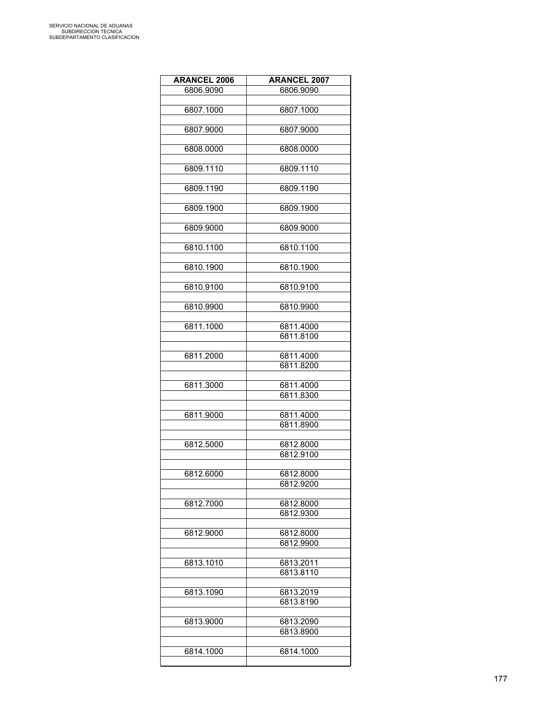| <b>ARANCEL 2006</b> | <b>ARANCEL 2007</b> |
|---------------------|---------------------|
| 6806.9090           | 6806.9090           |
|                     |                     |
| 6807.1000           | 6807.1000           |
|                     |                     |
| 6807.9000           | 6807.9000           |
|                     |                     |
| 6808.0000           | 6808.0000           |
|                     |                     |
| 6809.1110           | 6809.1110           |
|                     |                     |
|                     | 6809.1190           |
| 6809.1190           |                     |
|                     |                     |
| 6809.1900           | 6809.1900           |
|                     |                     |
| 6809.9000           | 6809.9000           |
|                     |                     |
| 6810.1100           | 6810.1100           |
|                     |                     |
| 6810.1900           | 6810.1900           |
|                     |                     |
| 6810.9100           | 6810.9100           |
|                     |                     |
| 6810.9900           | 6810.9900           |
|                     |                     |
| 6811.1000           | 6811.4000           |
|                     | 6811.8100           |
|                     |                     |
| 6811.2000           | 6811.4000           |
|                     | 6811.8200           |
|                     |                     |
| 6811.3000           | 6811.4000           |
|                     | 6811.8300           |
|                     |                     |
| 6811.9000           | 6811.4000           |
|                     | 6811.8900           |
|                     |                     |
| 6812.5000           | 6812.8000           |
|                     | 6812.9100           |
|                     |                     |
| 6812.6000           | 6812.8000           |
|                     |                     |
|                     | 6812.9200           |
|                     |                     |
| 6812.7000           | 6812.8000           |
|                     | 6812.9300           |
|                     |                     |
| 6812.9000           | 6812.8000           |
|                     | 6812.9900           |
|                     |                     |
| 6813.1010           | 6813.2011           |
|                     | 6813.8110           |
|                     |                     |
| 6813.1090           | 6813.2019           |
|                     | 6813.8190           |
|                     |                     |
| 6813.9000           | 6813.2090           |
|                     | 6813.8900           |
|                     |                     |
| 6814.1000           | 6814.1000           |
|                     |                     |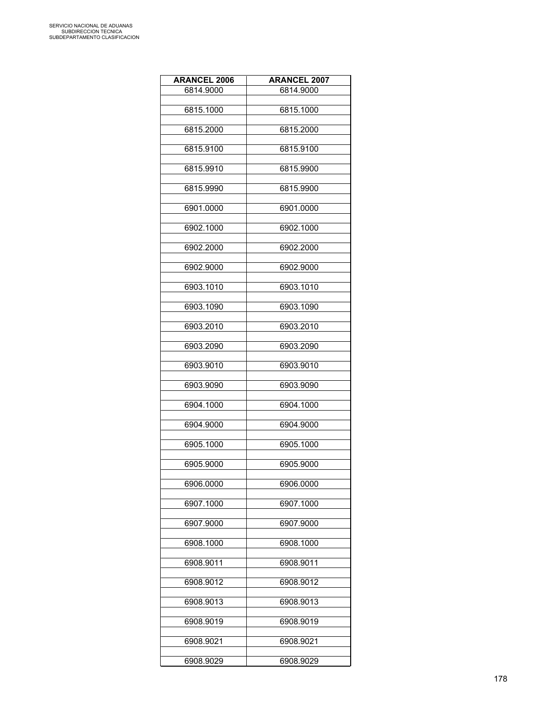| <b>ARANCEL 2006</b> | <b>ARANCEL 2007</b> |
|---------------------|---------------------|
| 6814.9000           | 6814.9000           |
|                     |                     |
| 6815.1000           | 6815.1000           |
| 6815.2000           | 6815.2000           |
| 6815.9100           | 6815.9100           |
| 6815.9910           | 6815.9900           |
| 6815.9990           | 6815.9900           |
| 6901.0000           | 6901.0000           |
| 6902.1000           | 6902.1000           |
| 6902.2000           | 6902.2000           |
| 6902.9000           | 6902.9000           |
| 6903.1010           | 6903.1010           |
| 6903.1090           | 6903.1090           |
| 6903.2010           | 6903.2010           |
| 6903.2090           | 6903.2090           |
| 6903.9010           | 6903.9010           |
| 6903.9090           | 6903.9090           |
| 6904.1000           | 6904.1000           |
| 6904.9000           | 6904.9000           |
| 6905.1000           | 6905.1000           |
| 6905.9000           | 6905.9000           |
| 6906.0000           | 6906.0000           |
| 6907.1000           | 6907.1000           |
| 6907.9000           | 6907.9000           |
| 6908.1000           | 6908.1000           |
| 6908.9011           | 6908.9011           |
| 6908.9012           | 6908.9012           |
| 6908.9013           | 6908.9013           |
| 6908.9019           | 6908.9019           |
| 6908.9021           | 6908.9021           |
| 6908.9029           | 6908.9029           |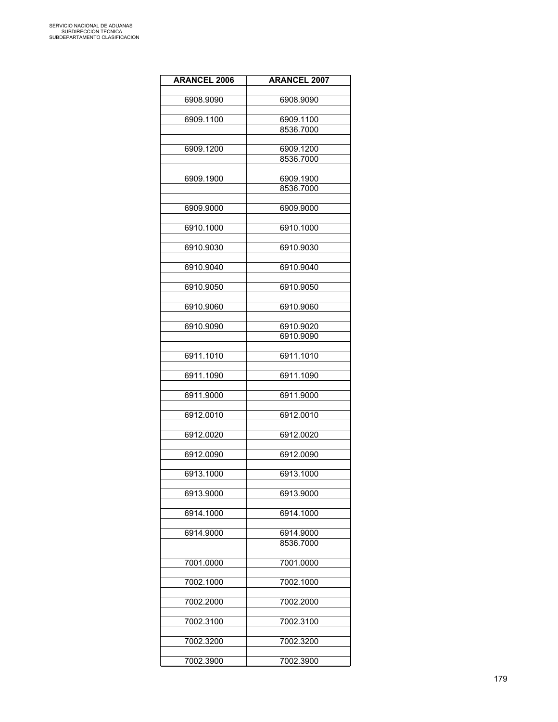| <b>ARANCEL 2006</b> | <b>ARANCEL 2007</b> |
|---------------------|---------------------|
|                     |                     |
| 6908.9090           | 6908.9090           |
|                     |                     |
| 6909.1100           | 6909.1100           |
|                     | 8536.7000           |
| 6909.1200           | 6909.1200           |
|                     | 8536.7000           |
|                     |                     |
| 6909.1900           | 6909.1900           |
|                     | 8536.7000           |
|                     |                     |
| 6909.9000           | 6909.9000           |
|                     |                     |
| 6910.1000           | 6910.1000           |
| 6910.9030           | 6910.9030           |
|                     |                     |
| 6910.9040           | 6910.9040           |
|                     |                     |
| 6910.9050           | 6910.9050           |
|                     |                     |
| 6910.9060           | 6910.9060           |
|                     |                     |
| 6910.9090           | 6910.9020           |
|                     | 6910.9090           |
| 6911.1010           | 6911.1010           |
|                     |                     |
| 6911.1090           | 6911.1090           |
|                     |                     |
| 6911.9000           | 6911.9000           |
| 6912.0010           | 6912.0010           |
|                     |                     |
| 6912.0020           | 6912.0020           |
|                     |                     |
| 6912.0090           | 6912.0090           |
|                     |                     |
| 6913.1000           | 6913.1000           |
|                     | 6913.9000           |
| 6913.9000           |                     |
| 6914.1000           | 6914.1000           |
|                     |                     |
| 6914.9000           | 6914.9000           |
|                     | 8536.7000           |
|                     |                     |
| 7001.0000           | 7001.0000           |
| 7002.1000           | 7002.1000           |
|                     |                     |
| 7002.2000           | 7002.2000           |
|                     |                     |
| 7002.3100           | 7002.3100           |
|                     |                     |
| 7002.3200           | 7002.3200           |
|                     |                     |
| 7002.3900           | 7002.3900           |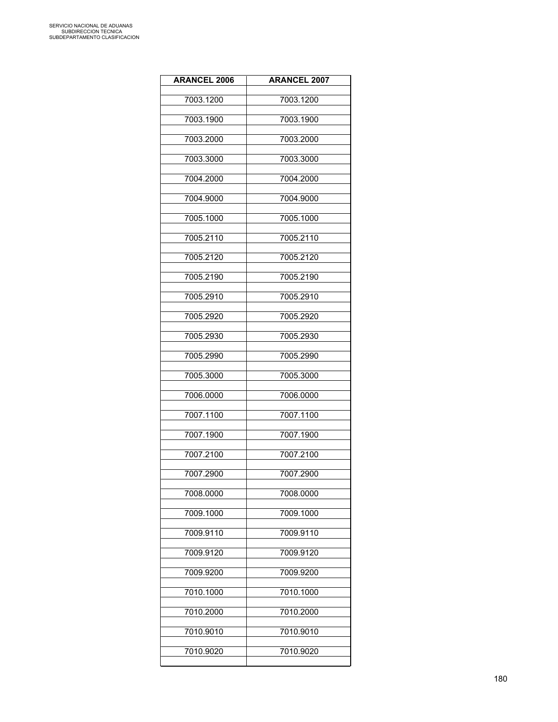| <b>ARANCEL 2006</b> | <b>ARANCEL 2007</b> |
|---------------------|---------------------|
| 7003.1200           | 7003.1200           |
| 7003.1900           | 7003.1900           |
| 7003.2000           | 7003.2000           |
| 7003.3000           | 7003.3000           |
| 7004.2000           | 7004.2000           |
| 7004.9000           | 7004.9000           |
| 7005.1000           | 7005.1000           |
| 7005.2110           | 7005.2110           |
| 7005.2120           | 7005.2120           |
| 7005.2190           | 7005.2190           |
| 7005.2910           | 7005.2910           |
| 7005.2920           | 7005.2920           |
| 7005.2930           | 7005.2930           |
| 7005.2990           | 7005.2990           |
| 7005.3000           | 7005.3000           |
| 7006.0000           | 7006.0000           |
| 7007.1100           | 7007.1100           |
| 7007.1900           | 7007.1900           |
| 7007.2100           | 7007.2100           |
| 7007.2900           | 7007.2900           |
| 7008.0000           | 7008.0000           |
| 7009.1000           | 7009.1000           |
| 7009.9110           | 7009.9110           |
| 7009.9120           | 7009.9120           |
| 7009.9200           | 7009.9200           |
| 7010.1000           | 7010.1000           |
| 7010.2000           | 7010.2000           |
| 7010.9010           | 7010.9010           |
| 7010.9020           | 7010.9020           |
|                     |                     |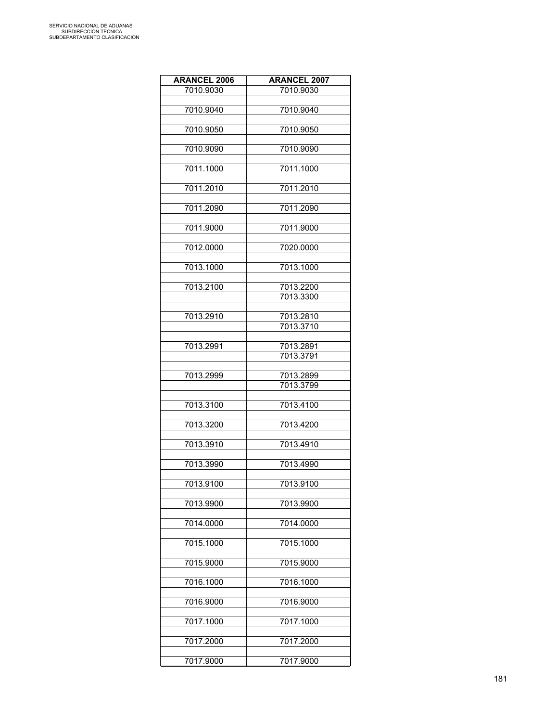| <b>ARANCEL 2006</b> | <b>ARANCEL 2007</b>    |
|---------------------|------------------------|
| 7010.9030           | 7010.9030              |
|                     |                        |
| 7010.9040           | 7010.9040              |
| 7010.9050           | 7010.9050              |
|                     |                        |
| 7010.9090           | 7010.9090              |
|                     |                        |
| 7011.1000           | 7011.1000              |
| 7011.2010           | 7011.2010              |
|                     |                        |
| 7011.2090           | 7011.2090              |
|                     |                        |
| 7011.9000           | 7011.9000              |
| 7012.0000           | 7020.0000              |
|                     |                        |
| 7013.1000           | 7013.1000              |
|                     |                        |
| 7013.2100           | 7013.2200<br>7013.3300 |
|                     |                        |
| 7013.2910           | 7013.2810              |
|                     | 7013.3710              |
|                     |                        |
| 7013.2991           | 7013.2891<br>7013.3791 |
|                     |                        |
| 7013.2999           | 7013.2899              |
|                     | 7013.3799              |
|                     |                        |
| 7013.3100           | 7013.4100              |
| 7013.3200           | 7013.4200              |
|                     |                        |
| 7013.3910           | 7013.4910              |
|                     |                        |
| 7013.3990           | 7013.4990              |
| 7013.9100           | 7013.9100              |
|                     |                        |
| 7013.9900           | 7013.9900              |
|                     |                        |
| 7014.0000           | 7014.0000              |
| 7015.1000           | 7015.1000              |
|                     |                        |
| 7015.9000           | 7015.9000              |
|                     |                        |
| 7016.1000           | 7016.1000              |
| 7016.9000           | 7016.9000              |
|                     |                        |
| 7017.1000           | 7017.1000              |
|                     |                        |
| 7017.2000           | 7017.2000              |
| 7017.9000           | 7017.9000              |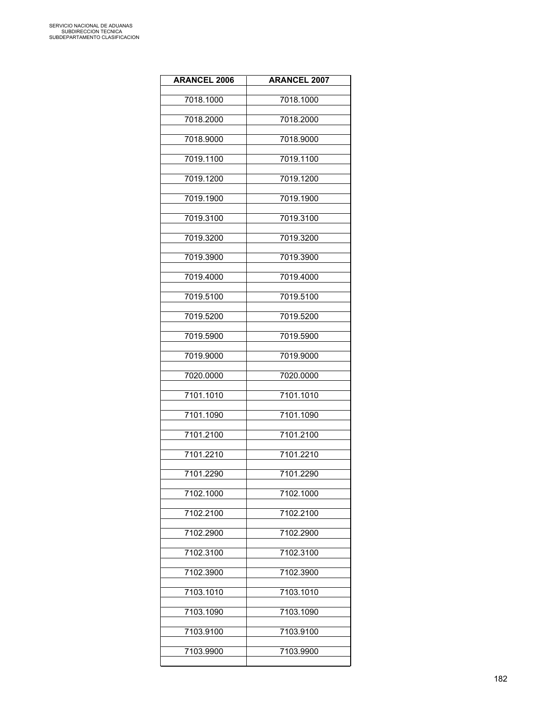| <b>ARANCEL 2006</b> | <b>ARANCEL 2007</b> |
|---------------------|---------------------|
| 7018.1000           | 7018.1000           |
| 7018.2000           | 7018.2000           |
| 7018.9000           | 7018.9000           |
| 7019.1100           | 7019.1100           |
| 7019.1200           | 7019.1200           |
| 7019.1900           | 7019.1900           |
| 7019.3100           | 7019.3100           |
| 7019.3200           | 7019.3200           |
| 7019.3900           | 7019.3900           |
| 7019.4000           | 7019.4000           |
| 7019.5100           | 7019.5100           |
| 7019.5200           | 7019.5200           |
| 7019.5900           | 7019.5900           |
| 7019.9000           | 7019.9000           |
| 7020.0000           | 7020.0000           |
| 7101.1010           | 7101.1010           |
| 7101.1090           | 7101.1090           |
| 7101.2100           | 7101.2100           |
| 7101.2210           | 7101.2210           |
| 7101.2290           | 7101.2290           |
| 7102.1000           | 7102.1000           |
| 7102.2100           | 7102.2100           |
| 7102.2900           | 7102.2900           |
| 7102.3100           | 7102.3100           |
| 7102.3900           | 7102.3900           |
| 7103.1010           | 7103.1010           |
| 7103.1090           | 7103.1090           |
| 7103.9100           | 7103.9100           |
| 7103.9900           | 7103.9900           |
|                     |                     |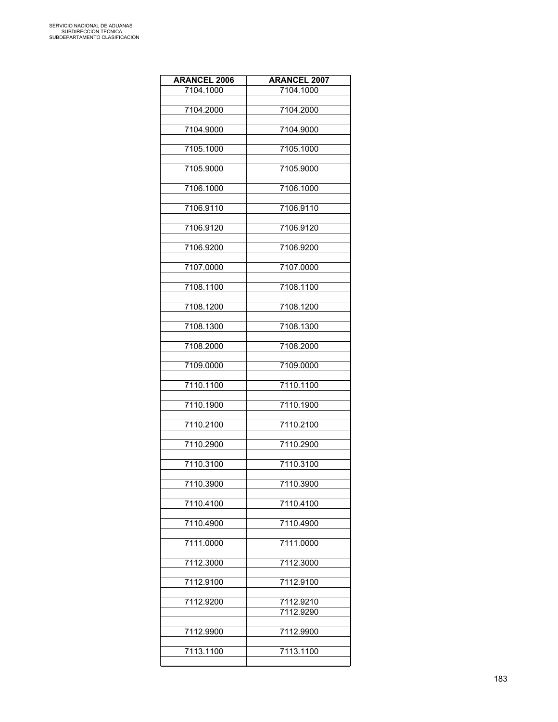| <b>ARANCEL 2006</b> | <b>ARANCEL 2007</b> |
|---------------------|---------------------|
| 7104.1000           | 7104.1000           |
| 7104.2000           | 7104.2000           |
|                     |                     |
| 7104.9000           | 7104.9000           |
|                     |                     |
| 7105.1000           | 7105.1000           |
| 7105.9000           | 7105.9000           |
|                     |                     |
| 7106.1000           | 7106.1000           |
| 7106.9110           | 7106.9110           |
|                     |                     |
| 7106.9120           | 7106.9120           |
| 7106.9200           | 7106.9200           |
|                     |                     |
| 7107.0000           | 7107.0000           |
| 7108.1100           | 7108.1100           |
|                     |                     |
| 7108.1200           | 7108.1200           |
|                     |                     |
| 7108.1300           | 7108.1300           |
| 7108.2000           | 7108.2000           |
|                     |                     |
| 7109.0000           | 7109.0000           |
| 7110.1100           | 7110.1100           |
|                     |                     |
| 7110.1900           | 7110.1900           |
| 7110.2100           | 7110.2100           |
|                     |                     |
| 7110.2900           | 7110.2900           |
| 7110.3100           | 7110.3100           |
|                     |                     |
| 7110.3900           | 7110.3900           |
| 7110.4100           | 7110.4100           |
|                     |                     |
| 7110.4900           | 7110.4900           |
| 7111.0000           | 7111.0000           |
|                     |                     |
| 7112.3000           | 7112.3000           |
|                     |                     |
| 7112.9100           | 7112.9100           |
| 7112.9200           | 7112.9210           |
|                     | 7112.9290           |
| 7112.9900           | 7112.9900           |
|                     |                     |
| 7113.1100           | 7113.1100           |
|                     |                     |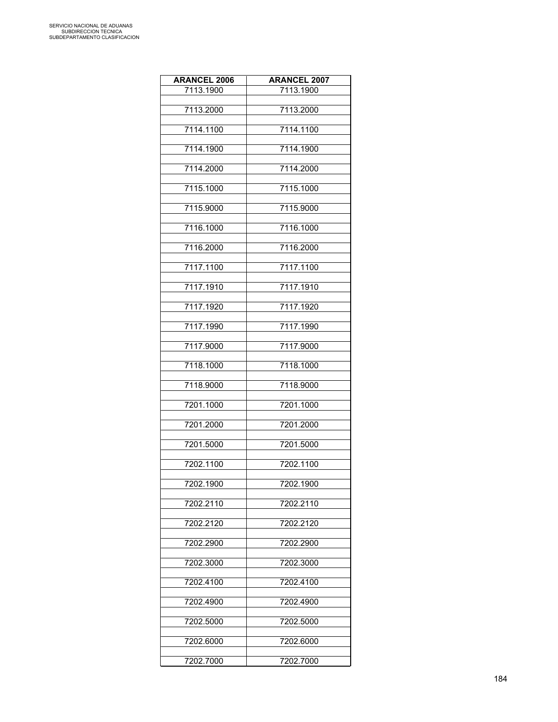| <b>ARANCEL 2006</b> | <b>ARANCEL 2007</b> |
|---------------------|---------------------|
| 7113.1900           | 7113.1900           |
|                     |                     |
| 7113.2000           | 7113.2000           |
| 7114.1100           | 7114.1100           |
|                     |                     |
| 7114.1900           | 7114.1900           |
| 7114.2000           | 7114.2000           |
|                     |                     |
| 7115.1000           | 7115.1000           |
| 7115.9000           | 7115.9000           |
|                     |                     |
| 7116.1000           | 7116.1000           |
|                     |                     |
| 7116.2000           | 7116.2000           |
| 7117.1100           | 7117.1100           |
|                     |                     |
| 7117.1910           | 7117.1910           |
| 7117.1920           | 7117.1920           |
|                     |                     |
| 7117.1990           | 7117.1990           |
|                     |                     |
| 7117.9000           | 7117.9000           |
| 7118.1000           | 7118.1000           |
|                     |                     |
| 7118.9000           | 7118.9000           |
| 7201.1000           | 7201.1000           |
|                     |                     |
| 7201.2000           | 7201.2000           |
| 7201.5000           | 7201.5000           |
|                     |                     |
| 7202.1100           | 7202.1100           |
|                     |                     |
| 7202.1900           | 7202.1900           |
| 7202.2110           | 7202.2110           |
|                     |                     |
| 7202.2120           | 7202.2120           |
| 7202.2900           | 7202.2900           |
|                     |                     |
| 7202.3000           | 7202.3000           |
| 7202.4100           | 7202.4100           |
|                     |                     |
| 7202.4900           | 7202.4900           |
|                     |                     |
| 7202.5000           | 7202.5000           |
| 7202.6000           | 7202.6000           |
|                     |                     |
| 7202.7000           | 7202.7000           |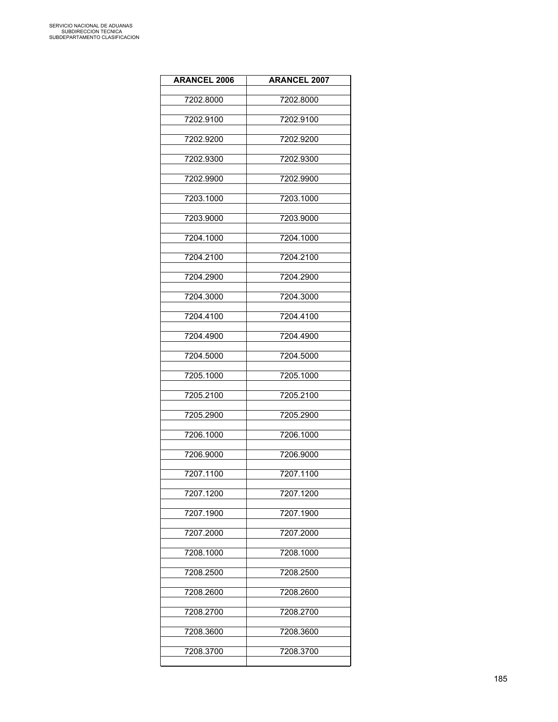| <b>ARANCEL 2006</b> | <b>ARANCEL 2007</b> |
|---------------------|---------------------|
| 7202.8000           | 7202.8000           |
| 7202.9100           | 7202.9100           |
| 7202.9200           | 7202.9200           |
| 7202.9300           | 7202.9300           |
| 7202.9900           | 7202.9900           |
| 7203.1000           | 7203.1000           |
| 7203.9000           | 7203.9000           |
| 7204.1000           | 7204.1000           |
| 7204.2100           | 7204.2100           |
| 7204.2900           | 7204.2900           |
| 7204.3000           | 7204.3000           |
| 7204.4100           | 7204.4100           |
| 7204.4900           | 7204.4900           |
| 7204.5000           | 7204.5000           |
| 7205.1000           | 7205.1000           |
| 7205.2100           | 7205.2100           |
| 7205.2900           | 7205.2900           |
| 7206.1000           | 7206.1000           |
| 7206.9000           | 7206.9000           |
| 7207.1100           | 7207.1100           |
| 7207.1200           | 7207.1200           |
| 7207.1900           | 7207.1900           |
| 7207.2000           | 7207.2000           |
| 7208.1000           | 7208.1000           |
| 7208.2500           | 7208.2500           |
| 7208.2600           | 7208.2600           |
| 7208.2700           | 7208.2700           |
| 7208.3600           | 7208.3600           |
| 7208.3700           | 7208.3700           |
|                     |                     |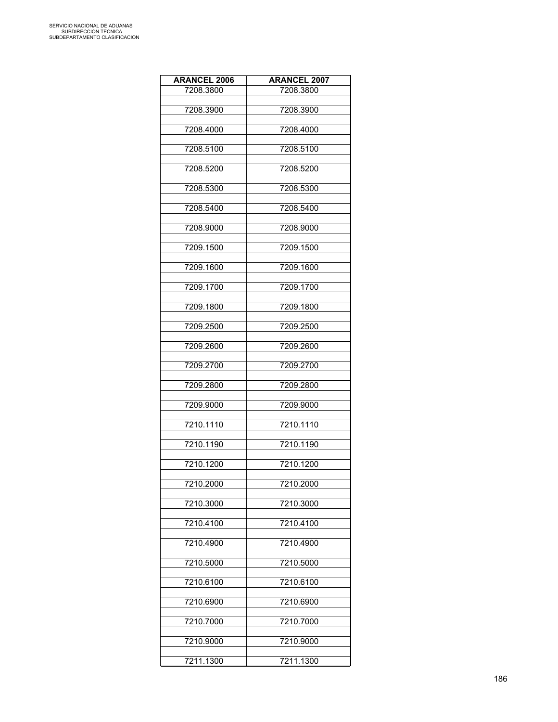| <b>ARANCEL 2006</b> | <b>ARANCEL 2007</b> |
|---------------------|---------------------|
| 7208.3800           | 7208.3800           |
|                     |                     |
| 7208.3900           | 7208.3900           |
| 7208.4000           | 7208.4000           |
|                     |                     |
| 7208.5100           | 7208.5100           |
| 7208.5200           | 7208.5200           |
|                     |                     |
| 7208.5300           | 7208.5300           |
|                     |                     |
| 7208.5400           | 7208.5400           |
| 7208.9000           | 7208.9000           |
|                     |                     |
| 7209.1500           | 7209.1500           |
| 7209.1600           | 7209.1600           |
|                     |                     |
| 7209.1700           | 7209.1700           |
| 7209.1800           | 7209.1800           |
|                     |                     |
| 7209.2500           | 7209.2500           |
|                     |                     |
| 7209.2600           | 7209.2600           |
| 7209.2700           | 7209.2700           |
|                     |                     |
| 7209.2800           | 7209.2800           |
| 7209.9000           | 7209.9000           |
|                     |                     |
| 7210.1110           | 7210.1110           |
| 7210.1190           | 7210.1190           |
|                     |                     |
| 7210.1200           | 7210.1200           |
|                     |                     |
| 7210.2000           | 7210.2000           |
| 7210.3000           | 7210.3000           |
|                     |                     |
| 7210.4100           | 7210.4100           |
| 7210.4900           | 7210.4900           |
|                     |                     |
| 7210.5000           | 7210.5000           |
| 7210.6100           | 7210.6100           |
|                     |                     |
| 7210.6900           | 7210.6900           |
|                     |                     |
| 7210.7000           | 7210.7000           |
| 7210.9000           | 7210.9000           |
|                     |                     |
| 7211.1300           | 7211.1300           |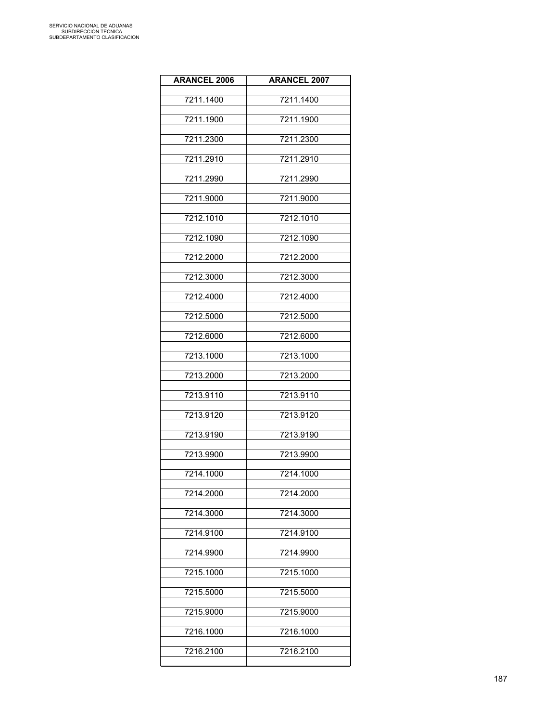| <b>ARANCEL 2006</b> | <b>ARANCEL 2007</b> |
|---------------------|---------------------|
| 7211.1400           | 7211.1400           |
| 7211.1900           | 7211.1900           |
| 7211.2300           | 7211.2300           |
| 7211.2910           | 7211.2910           |
| 7211.2990           | 7211.2990           |
| 7211.9000           | 7211.9000           |
| 7212.1010           | 7212.1010           |
| 7212.1090           | 7212.1090           |
| 7212.2000           | 7212.2000           |
| 7212.3000           | 7212.3000           |
| 7212.4000           | 7212.4000           |
| 7212.5000           | 7212.5000           |
| 7212.6000           | 7212.6000           |
| 7213.1000           | 7213.1000           |
| 7213.2000           | 7213.2000           |
| 7213.9110           | 7213.9110           |
| 7213.9120           | 7213.9120           |
| 7213.9190           | 7213.9190           |
| 7213.9900           | 7213.9900           |
| 7214.1000           | 7214.1000           |
| 7214.2000           | 7214.2000           |
| 7214.3000           | 7214.3000           |
| 7214.9100           | 7214.9100           |
| 7214.9900           | 7214.9900           |
| 7215.1000           | 7215.1000           |
| 7215.5000           | 7215.5000           |
| 7215.9000           | 7215.9000           |
| 7216.1000           | 7216.1000           |
| 7216.2100           | 7216.2100           |
|                     |                     |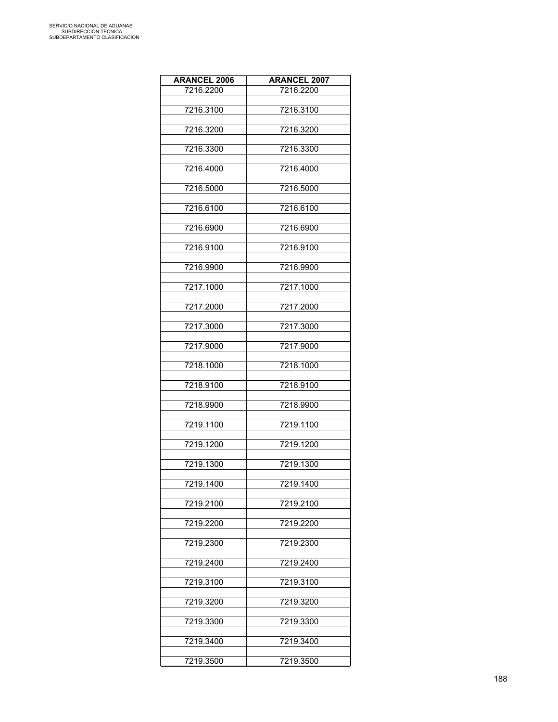| <b>ARANCEL 2006</b> | <b>ARANCEL 2007</b> |
|---------------------|---------------------|
| 7216.2200           | 7216.2200           |
|                     |                     |
| 7216.3100           | 7216.3100           |
| 7216.3200           | 7216.3200           |
|                     |                     |
| 7216.3300           | 7216.3300           |
|                     |                     |
| 7216.4000           | 7216.4000           |
| 7216.5000           | 7216.5000           |
|                     |                     |
| 7216.6100           | 7216.6100           |
|                     |                     |
| 7216.6900           | 7216.6900           |
|                     |                     |
| 7216.9100           | 7216.9100           |
| 7216.9900           | 7216.9900           |
|                     |                     |
| 7217.1000           | 7217.1000           |
|                     |                     |
| 7217.2000           | 7217.2000           |
| 7217.3000           | 7217.3000           |
|                     |                     |
| 7217.9000           | 7217.9000           |
|                     |                     |
| 7218.1000           | 7218.1000           |
| 7218.9100           | 7218.9100           |
|                     |                     |
| 7218.9900           | 7218.9900           |
|                     |                     |
| 7219.1100           | 7219.1100           |
| 7219.1200           | 7219.1200           |
|                     |                     |
| 7219.1300           | 7219.1300           |
|                     |                     |
| 7219.1400           | 7219.1400           |
| 7219.2100           | 7219.2100           |
|                     |                     |
| 7219.2200           | 7219.2200           |
|                     |                     |
| 7219.2300           | 7219.2300           |
|                     |                     |
| 7219.2400           | 7219.2400           |
| 7219.3100           | 7219.3100           |
|                     |                     |
| 7219.3200           | 7219.3200           |
|                     |                     |
| 7219.3300           | 7219.3300           |
| 7219.3400           | 7219.3400           |
|                     |                     |
| 7219.3500           | 7219.3500           |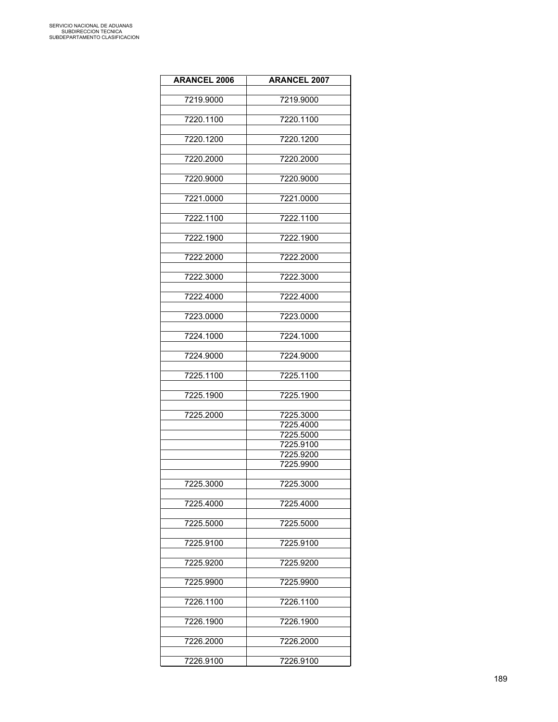| <b>ARANCEL 2006</b> | <b>ARANCEL 2007</b> |
|---------------------|---------------------|
|                     |                     |
| 7219.9000           | 7219.9000           |
| 7220.1100           | 7220.1100           |
|                     |                     |
| 7220.1200           | 7220.1200           |
|                     |                     |
| 7220.2000           | 7220.2000           |
| 7220.9000           | 7220.9000           |
|                     |                     |
| 7221.0000           | 7221.0000           |
|                     |                     |
| 7222.1100           | 7222.1100           |
| 7222.1900           | 7222.1900           |
|                     |                     |
| 7222.2000           | 7222.2000           |
|                     |                     |
| 7222.3000           | 7222.3000           |
| 7222.4000           | 7222.4000           |
|                     |                     |
| 7223.0000           | 7223.0000           |
|                     |                     |
| 7224.1000           | 7224.1000           |
| 7224.9000           | 7224.9000           |
|                     |                     |
| 7225.1100           | 7225.1100           |
|                     |                     |
| 7225.1900           | 7225.1900           |
| 7225.2000           | 7225.3000           |
|                     | 7225.4000           |
|                     | 7225.5000           |
|                     | 7225.9100           |
|                     | 7225.9200           |
|                     | 7225.9900           |
|                     |                     |
| 7225.3000           | 7225.3000           |
|                     |                     |
| 7225.4000           | 7225.4000           |
|                     |                     |
| 7225.5000           | 7225.5000           |
| 7225.9100           | 7225.9100           |
|                     |                     |
| 7225.9200           | 7225.9200           |
|                     |                     |
| 7225.9900           | 7225.9900           |
| 7226.1100           | 7226.1100           |
|                     |                     |
| 7226.1900           | 7226.1900           |
|                     |                     |
| 7226.2000           | 7226.2000           |
| 7226.9100           | 7226.9100           |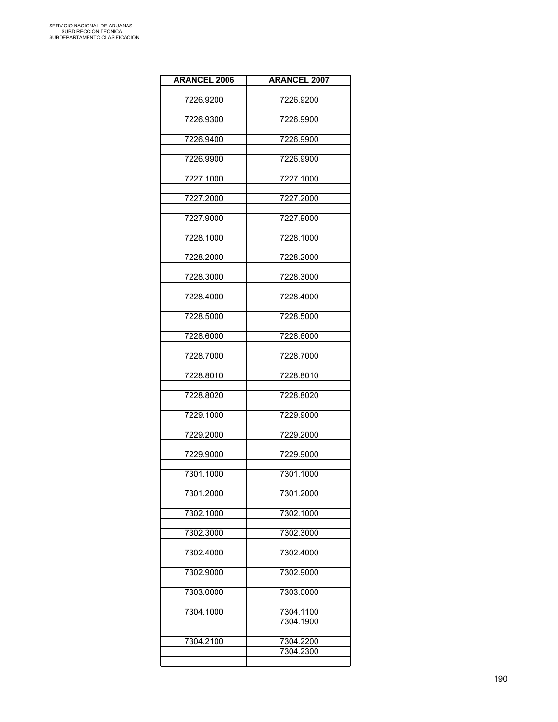| <b>ARANCEL 2006</b> | <b>ARANCEL 2007</b>    |
|---------------------|------------------------|
| 7226.9200           | 7226.9200              |
| 7226.9300           | 7226.9900              |
| 7226.9400           | 7226.9900              |
| 7226.9900           | 7226.9900              |
| 7227.1000           | 7227.1000              |
| 7227.2000           | 7227.2000              |
| 7227.9000           | 7227.9000              |
| 7228.1000           | 7228.1000              |
| 7228.2000           | 7228.2000              |
| 7228.3000           | 7228.3000              |
| 7228.4000           | 7228.4000              |
| 7228.5000           | 7228.5000              |
| 7228.6000           | 7228.6000              |
| 7228.7000           | 7228.7000              |
| 7228.8010           | 7228.8010              |
| 7228.8020           | 7228.8020              |
| 7229.1000           | 7229.9000              |
| 7229.2000           | 7229.2000              |
| 7229.9000           | 7229.9000              |
| 7301.1000           | 7301.1000              |
| 7301.2000           | 7301.2000              |
| 7302.1000           | 7302.1000              |
| 7302.3000           | 7302.3000              |
| 7302.4000           | 7302.4000              |
| 7302.9000           | 7302.9000              |
| 7303.0000           | 7303.0000              |
| 7304.1000           | 7304.1100              |
|                     | 7304.1900              |
| 7304.2100           | 7304.2200<br>7304.2300 |
|                     |                        |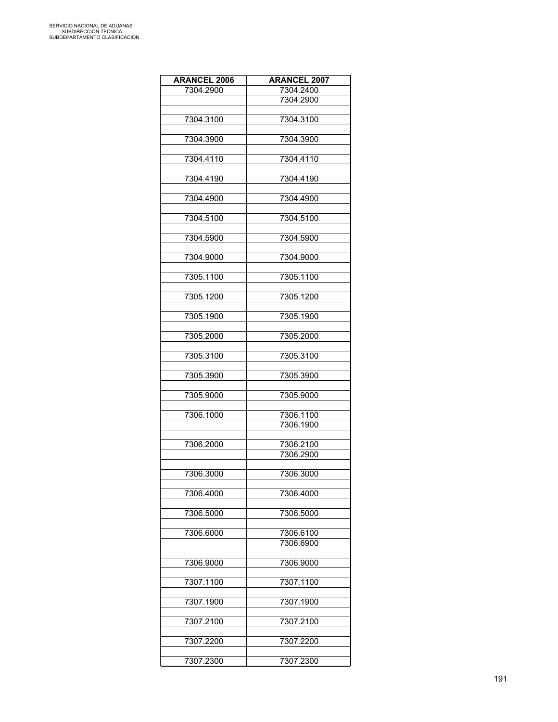| <b>ARANCEL 2006</b> | <b>ARANCEL 2007</b> |
|---------------------|---------------------|
| 7304.2900           | 7304.2400           |
|                     | 7304.2900           |
|                     |                     |
| 7304.3100           | 7304.3100           |
|                     |                     |
| 7304.3900           | 7304.3900           |
|                     |                     |
| 7304.4110           | 7304.4110           |
|                     |                     |
| 7304.4190           | 7304.4190           |
|                     |                     |
| 7304.4900           | 7304.4900           |
|                     |                     |
| 7304.5100           | 7304.5100           |
|                     |                     |
| 7304.5900           | 7304.5900           |
|                     |                     |
|                     |                     |
| 7304.9000           | 7304.9000           |
|                     |                     |
| 7305.1100           | 7305.1100           |
|                     |                     |
| 7305.1200           | 7305.1200           |
|                     |                     |
| 7305.1900           | 7305.1900           |
|                     |                     |
| 7305.2000           | 7305.2000           |
|                     |                     |
| 7305.3100           | 7305.3100           |
|                     |                     |
| 7305.3900           | 7305.3900           |
|                     |                     |
| 7305.9000           | 7305.9000           |
|                     |                     |
| 7306.1000           | 7306.1100           |
|                     | 7306.1900           |
|                     |                     |
| 7306.2000           | 7306.2100           |
|                     | 7306.2900           |
|                     |                     |
| 7306.3000           | 7306.3000           |
|                     |                     |
| 7306.4000           | 7306.4000           |
|                     |                     |
| 7306.5000           | 7306.5000           |
|                     |                     |
| 7306.6000           | 7306.6100           |
|                     | 7306.6900           |
|                     |                     |
| 7306.9000           | 7306.9000           |
|                     |                     |
| 7307.1100           | 7307.1100           |
|                     |                     |
| 7307.1900           | 7307.1900           |
|                     |                     |
| 7307.2100           | 7307.2100           |
|                     |                     |
| 7307.2200           | 7307.2200           |
|                     |                     |
| 7307.2300           | 7307.2300           |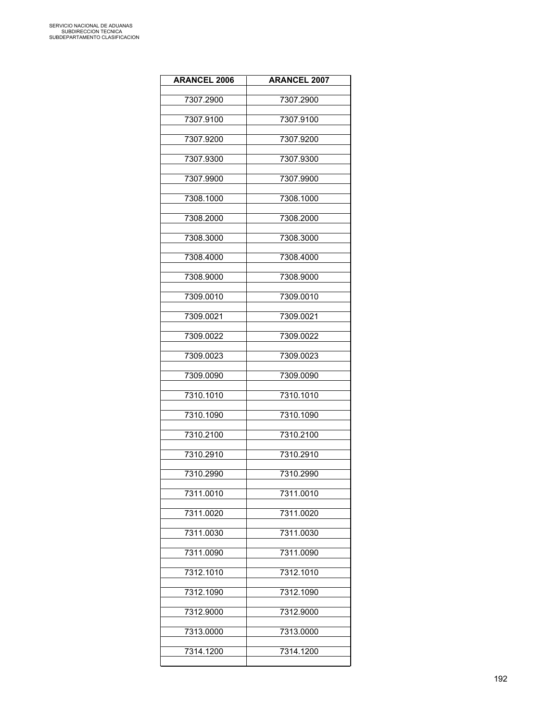| <b>ARANCEL 2006</b> | <b>ARANCEL 2007</b> |
|---------------------|---------------------|
| 7307.2900           | 7307.2900           |
| 7307.9100           | 7307.9100           |
| 7307.9200           | 7307.9200           |
| 7307.9300           | 7307.9300           |
| 7307.9900           | 7307.9900           |
| 7308.1000           | 7308.1000           |
| 7308.2000           | 7308.2000           |
| 7308.3000           | 7308.3000           |
| 7308.4000           | 7308.4000           |
| 7308.9000           | 7308.9000           |
| 7309.0010           | 7309.0010           |
| 7309.0021           | 7309.0021           |
| 7309.0022           | 7309.0022           |
| 7309.0023           | 7309.0023           |
| 7309.0090           | 7309.0090           |
| 7310.1010           | 7310.1010           |
| 7310.1090           | 7310.1090           |
| 7310.2100           | 7310.2100           |
| 7310.2910           | 7310.2910           |
| 7310.2990           | 7310.2990           |
| 7311.0010           | 7311.0010           |
| 7311.0020           | 7311.0020           |
| 7311.0030           | 7311.0030           |
| 7311.0090           | 7311.0090           |
| 7312.1010           | 7312.1010           |
| 7312.1090           | 7312.1090           |
| 7312.9000           | 7312.9000           |
| 7313.0000           | 7313.0000           |
| 7314.1200           | 7314.1200           |
|                     |                     |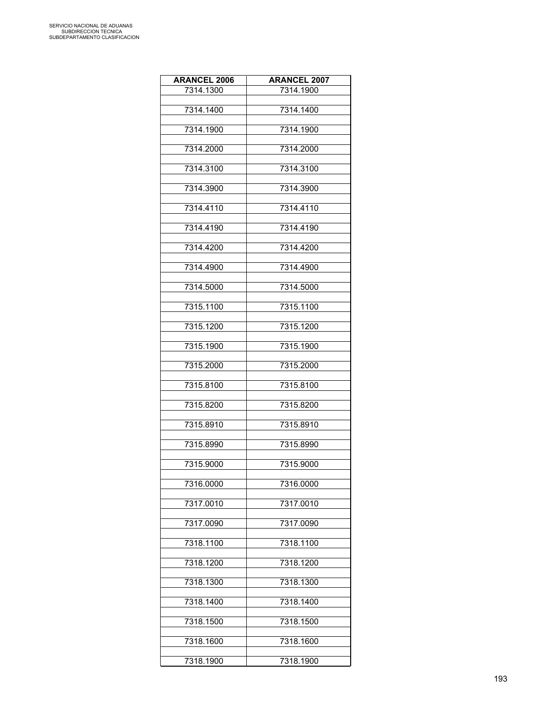| <b>ARANCEL 2006</b> | <b>ARANCEL 2007</b> |
|---------------------|---------------------|
| 7314.1300           | 7314.1900           |
|                     |                     |
| 7314.1400           | 7314.1400           |
| 7314.1900           | 7314.1900           |
|                     |                     |
| 7314.2000           | 7314.2000           |
| 7314.3100           | 7314.3100           |
| 7314.3900           | 7314.3900           |
|                     |                     |
| 7314.4110           | 7314.4110           |
| 7314.4190           | 7314.4190           |
| 7314.4200           | 7314.4200           |
| 7314.4900           | 7314.4900           |
| 7314.5000           | 7314.5000           |
|                     |                     |
| 7315.1100           | 7315.1100           |
| 7315.1200           | 7315.1200           |
| 7315.1900           | 7315.1900           |
| 7315.2000           | 7315.2000           |
| 7315.8100           | 7315.8100           |
| 7315.8200           | 7315.8200           |
| 7315.8910           | 7315.8910           |
| 7315.8990           | 7315.8990           |
|                     |                     |
| 7315.9000           | 7315.9000           |
| 7316.0000           | 7316.0000           |
| 7317.0010           | 7317.0010           |
| 7317.0090           | 7317.0090           |
| 7318.1100           | 7318.1100           |
| 7318.1200           | 7318.1200           |
| 7318.1300           | 7318.1300           |
|                     |                     |
| 7318.1400           | 7318.1400           |
| 7318.1500           | 7318.1500           |
| 7318.1600           | 7318.1600           |
| 7318.1900           | 7318.1900           |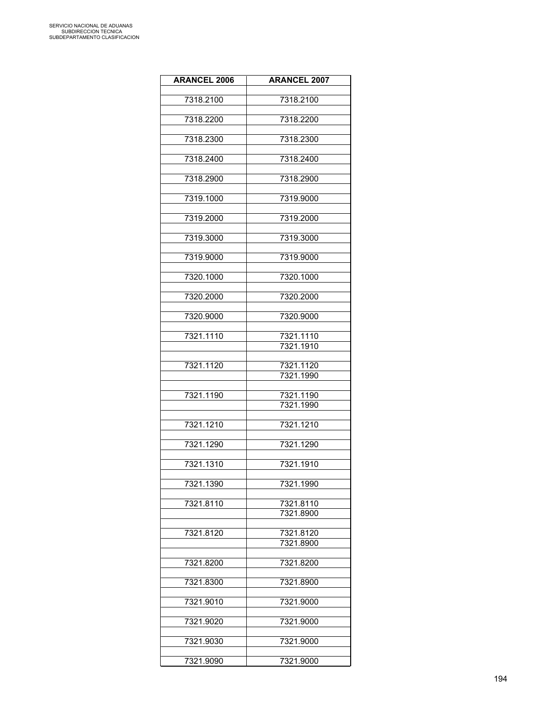| <b>ARANCEL 2006</b> | <b>ARANCEL 2007</b>    |
|---------------------|------------------------|
| 7318.2100           | 7318.2100              |
|                     |                        |
| 7318.2200           | 7318.2200              |
| 7318.2300           | 7318.2300              |
| 7318.2400           | 7318.2400              |
|                     |                        |
| 7318.2900           | 7318.2900              |
| 7319.1000           | 7319.9000              |
| 7319.2000           | 7319.2000              |
| 7319.3000           | 7319.3000              |
| 7319.9000           | 7319.9000              |
|                     |                        |
| 7320.1000           | 7320.1000              |
| 7320.2000           | 7320.2000              |
| 7320.9000           | 7320.9000              |
|                     |                        |
| 7321.1110           | 7321.1110<br>7321.1910 |
|                     |                        |
| 7321.1120           | 7321.1120              |
|                     | 7321.1990              |
| 7321.1190           | 7321.1190              |
|                     | 7321.1990              |
| 7321.1210           | 7321.1210              |
|                     |                        |
| 7321.1290           | 7321.1290              |
| 7321.1310           | 7321.1910              |
| 7321.1390           | 7321.1990              |
|                     |                        |
| 7321.8110           | 7321.8110<br>7321.8900 |
|                     |                        |
| 7321.8120           | 7321.8120<br>7321.8900 |
|                     |                        |
| 7321.8200           | 7321.8200              |
| 7321.8300           | 7321.8900              |
|                     |                        |
| 7321.9010           | 7321.9000              |
| 7321.9020           | 7321.9000              |
| 7321.9030           | 7321.9000              |
|                     |                        |
| 7321.9090           | 7321.9000              |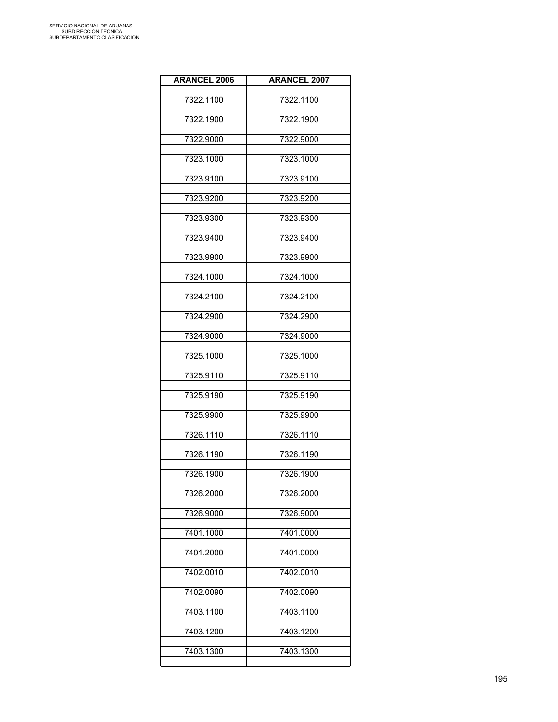| <b>ARANCEL 2006</b> | <b>ARANCEL 2007</b> |
|---------------------|---------------------|
| 7322.1100           | 7322.1100           |
| 7322.1900           | 7322.1900           |
| 7322.9000           | 7322.9000           |
| 7323.1000           | 7323.1000           |
| 7323.9100           | 7323.9100           |
| 7323.9200           | 7323.9200           |
| 7323.9300           | 7323.9300           |
| 7323.9400           | 7323.9400           |
| 7323.9900           | 7323.9900           |
| 7324.1000           | 7324.1000           |
| 7324.2100           | 7324.2100           |
| 7324.2900           | 7324.2900           |
| 7324.9000           | 7324.9000           |
| 7325.1000           | 7325.1000           |
| 7325.9110           | 7325.9110           |
| 7325.9190           | 7325.9190           |
| 7325.9900           | 7325.9900           |
| 7326.1110           | 7326.1110           |
| 7326.1190           | 7326.1190           |
| 7326.1900           | 7326.1900           |
| 7326.2000           | 7326.2000           |
| 7326.9000           | 7326.9000           |
| 7401.1000           | 7401.0000           |
| 7401.2000           | 7401.0000           |
| 7402.0010           | 7402.0010           |
| 7402.0090           | 7402.0090           |
| 7403.1100           | 7403.1100           |
| 7403.1200           | 7403.1200           |
| 7403.1300           | 7403.1300           |
|                     |                     |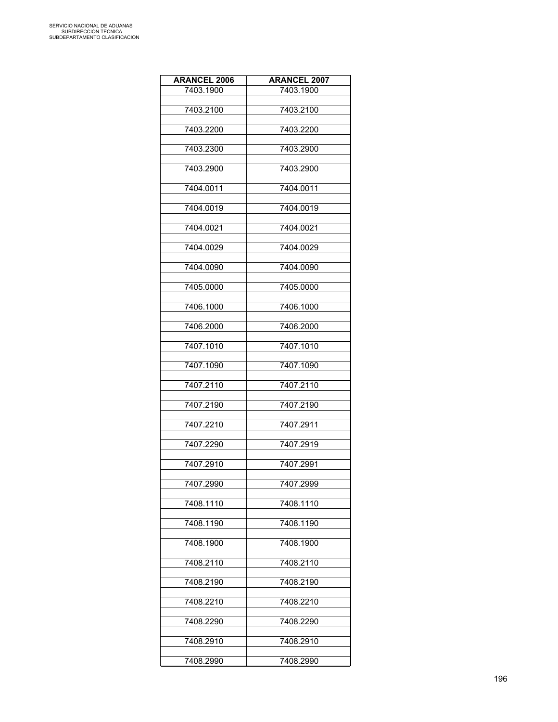| <b>ARANCEL 2006</b> | <b>ARANCEL 2007</b> |
|---------------------|---------------------|
| 7403.1900           | 7403.1900           |
|                     |                     |
| 7403.2100           | 7403.2100           |
| 7403.2200           | 7403.2200           |
|                     |                     |
| 7403.2300           | 7403.2900           |
| 7403.2900           | 7403.2900           |
|                     |                     |
| 7404.0011           | 7404.0011           |
|                     |                     |
| 7404.0019           | 7404.0019           |
| 7404.0021           | 7404.0021           |
|                     |                     |
| 7404.0029           | 7404.0029           |
|                     |                     |
| 7404.0090           | 7404.0090           |
| 7405.0000           | 7405.0000           |
|                     |                     |
| 7406.1000           | 7406.1000           |
| 7406.2000           | 7406.2000           |
|                     |                     |
| 7407.1010           | 7407.1010           |
|                     |                     |
| 7407.1090           | 7407.1090           |
| 7407.2110           | 7407.2110           |
|                     |                     |
| 7407.2190           | 7407.2190           |
|                     |                     |
| 7407.2210           | 7407.2911           |
| 7407.2290           | 7407.2919           |
|                     |                     |
| 7407.2910           | 7407.2991           |
| 7407.2990           | 7407.2999           |
|                     |                     |
| 7408.1110           | 7408.1110           |
|                     |                     |
| 7408.1190           | 7408.1190           |
| 7408.1900           | 7408.1900           |
|                     |                     |
| 7408.2110           | 7408.2110           |
| 7408.2190           | 7408.2190           |
|                     |                     |
| 7408.2210           | 7408.2210           |
|                     |                     |
| 7408.2290           | 7408.2290           |
| 7408.2910           | 7408.2910           |
|                     |                     |
| 7408.2990           | 7408.2990           |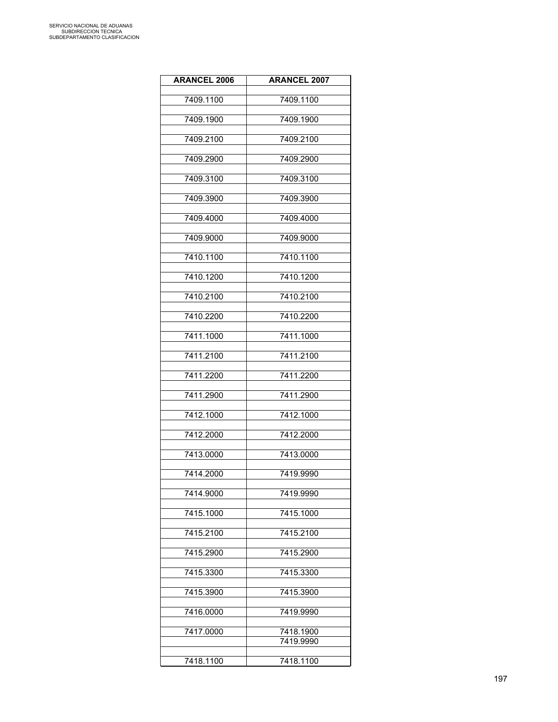| <b>ARANCEL 2006</b> | <b>ARANCEL 2007</b>    |
|---------------------|------------------------|
| 7409.1100           | 7409.1100              |
| 7409.1900           | 7409.1900              |
| 7409.2100           | 7409.2100              |
| 7409.2900           | 7409.2900              |
| 7409.3100           | 7409.3100              |
| 7409.3900           | 7409.3900              |
| 7409.4000           | 7409.4000              |
| 7409.9000           | 7409.9000              |
| 7410.1100           | 7410.1100              |
| 7410.1200           | 7410.1200              |
| 7410.2100           | 7410.2100              |
| 7410.2200           | 7410.2200              |
| 7411.1000           | 7411.1000              |
| 7411.2100           | 7411.2100              |
| 7411.2200           | 7411.2200              |
| 7411.2900           | 7411.2900              |
| 7412.1000           | 7412.1000              |
| 7412.2000           | 7412.2000              |
| 7413.0000           | 7413.0000              |
| 7414.2000           | 7419.9990              |
| 7414.9000           | 7419.9990              |
| 7415.1000           | 7415.1000              |
| 7415.2100           | 7415.2100              |
| 7415.2900           | 7415.2900              |
| 7415.3300           | 7415.3300              |
|                     |                        |
| 7415.3900           | 7415.3900              |
| 7416.0000           | 7419.9990              |
| 7417.0000           | 7418.1900<br>7419.9990 |
| 7418.1100           | 7418.1100              |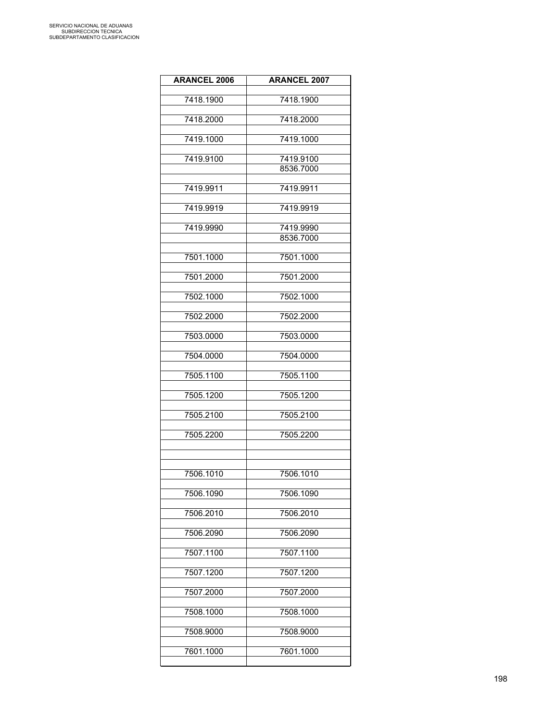| <b>ARANCEL 2006</b> | <b>ARANCEL 2007</b>    |
|---------------------|------------------------|
| 7418.1900           | 7418.1900              |
| 7418.2000           | 7418.2000              |
| 7419.1000           | 7419.1000              |
| 7419.9100           | 7419.9100              |
|                     | 8536.7000              |
| 7419.9911           | 7419.9911              |
| 7419.9919           | 7419.9919              |
| 7419.9990           | 7419.9990<br>8536.7000 |
| 7501.1000           | 7501.1000              |
| 7501.2000           | 7501.2000              |
| 7502.1000           | 7502.1000              |
| 7502.2000           | 7502.2000              |
| 7503.0000           | 7503.0000              |
| 7504.0000           | 7504.0000              |
| 7505.1100           | 7505.1100              |
| 7505.1200           | 7505.1200              |
| 7505.2100           | 7505.2100              |
| 7505.2200           | 7505.2200              |
|                     |                        |
| 7506.1010           | 7506.1010              |
| 7506.1090           | 7506.1090              |
| 7506.2010           | 7506.2010              |
| 7506.2090           | 7506.2090              |
| 7507.1100           | 7507.1100              |
| 7507.1200           | 7507.1200              |
| 7507.2000           | 7507.2000              |
| 7508.1000           | 7508.1000              |
| 7508.9000           | 7508.9000              |
| 7601.1000           | 7601.1000              |
|                     |                        |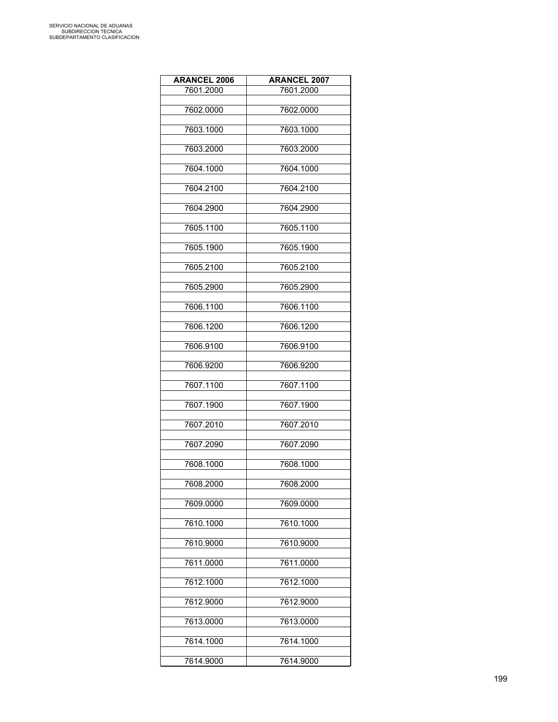| <b>ARANCEL 2006</b> | <b>ARANCEL 2007</b> |
|---------------------|---------------------|
| 7601.2000           | 7601.2000           |
|                     |                     |
| 7602.0000           | 7602.0000           |
| 7603.1000           | 7603.1000           |
|                     |                     |
| 7603.2000           | 7603.2000           |
|                     | 7604.1000           |
| 7604.1000           |                     |
| 7604.2100           | 7604.2100           |
|                     |                     |
| 7604.2900           | 7604.2900           |
| 7605.1100           | 7605.1100           |
|                     |                     |
| 7605.1900           | 7605.1900           |
|                     |                     |
| 7605.2100           | 7605.2100           |
| 7605.2900           | 7605.2900           |
|                     |                     |
| 7606.1100           | 7606.1100           |
|                     |                     |
| 7606.1200           | 7606.1200           |
| 7606.9100           | 7606.9100           |
|                     |                     |
| 7606.9200           | 7606.9200           |
|                     |                     |
| 7607.1100           | 7607.1100           |
| 7607.1900           | 7607.1900           |
|                     |                     |
| 7607.2010           | 7607.2010           |
| 7607.2090           | 7607.2090           |
|                     |                     |
| 7608.1000           | 7608.1000           |
|                     |                     |
| 7608.2000           | 7608.2000           |
| 7609.0000           | 7609.0000           |
|                     |                     |
| 7610.1000           | 7610.1000           |
|                     |                     |
| 7610.9000           | 7610.9000           |
| 7611.0000           | 7611.0000           |
|                     |                     |
| 7612.1000           | 7612.1000           |
|                     |                     |
| 7612.9000           | 7612.9000           |
| 7613.0000           | 7613.0000           |
|                     |                     |
| 7614.1000           | 7614.1000           |
| 7614.9000           | 7614.9000           |
|                     |                     |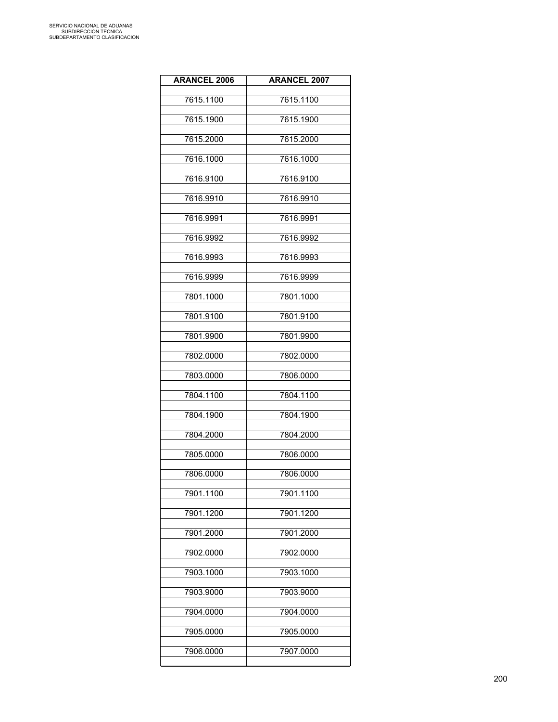| <b>ARANCEL 2006</b> | <b>ARANCEL 2007</b> |
|---------------------|---------------------|
| 7615.1100           | 7615.1100           |
| 7615.1900           | 7615.1900           |
| 7615.2000           | 7615.2000           |
| 7616.1000           | 7616.1000           |
| 7616.9100           | 7616.9100           |
| 7616.9910           | 7616.9910           |
| 7616.9991           | 7616.9991           |
| 7616.9992           | 7616.9992           |
| 7616.9993           | 7616.9993           |
| 7616.9999           | 7616.9999           |
| 7801.1000           | 7801.1000           |
| 7801.9100           | 7801.9100           |
| 7801.9900           | 7801.9900           |
| 7802.0000           | 7802.0000           |
| 7803.0000           | 7806.0000           |
| 7804.1100           | 7804.1100           |
| 7804.1900           | 7804.1900           |
| 7804.2000           | 7804.2000           |
| 7805.0000           | 7806.0000           |
| 7806.0000           | 7806.0000           |
| 7901.1100           | 7901.1100           |
| 7901.1200           | 7901.1200           |
| 7901.2000           | 7901.2000           |
| 7902.0000           | 7902.0000           |
| 7903.1000           | 7903.1000           |
| 7903.9000           | 7903.9000           |
| 7904.0000           | 7904.0000           |
| 7905.0000           | 7905.0000           |
| 7906.0000           | 7907.0000           |
|                     |                     |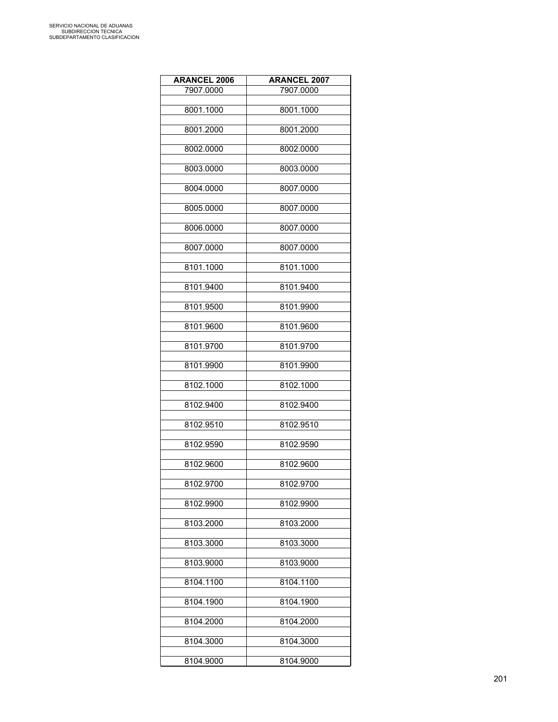| <b>ARANCEL 2006</b> | <b>ARANCEL 2007</b> |
|---------------------|---------------------|
| 7907.0000           | 7907.0000           |
|                     |                     |
| 8001.1000           | 8001.1000           |
| 8001.2000           | 8001.2000           |
| 8002.0000           | 8002.0000           |
| 8003.0000           | 8003.0000           |
|                     |                     |
| 8004.0000           | 8007.0000           |
| 8005.0000           | 8007.0000           |
| 8006.0000           | 8007.0000           |
| 8007.0000           | 8007.0000           |
| 8101.1000           | 8101.1000           |
| 8101.9400           | 8101.9400           |
| 8101.9500           | 8101.9900           |
| 8101.9600           | 8101.9600           |
| 8101.9700           | 8101.9700           |
| 8101.9900           | 8101.9900           |
| 8102.1000           | 8102.1000           |
| 8102.9400           | 8102.9400           |
| 8102.9510           | 8102.9510           |
| 8102.9590           | 8102.9590           |
| 8102.9600           | 8102.9600           |
| 8102.9700           | 8102.9700           |
| 8102.9900           | 8102.9900           |
| 8103.2000           | 8103.2000           |
| 8103.3000           | 8103.3000           |
| 8103.9000           | 8103.9000           |
| 8104.1100           | 8104.1100           |
| 8104.1900           | 8104.1900           |
| 8104.2000           | 8104.2000           |
| 8104.3000           | 8104.3000           |
| 8104.9000           | 8104.9000           |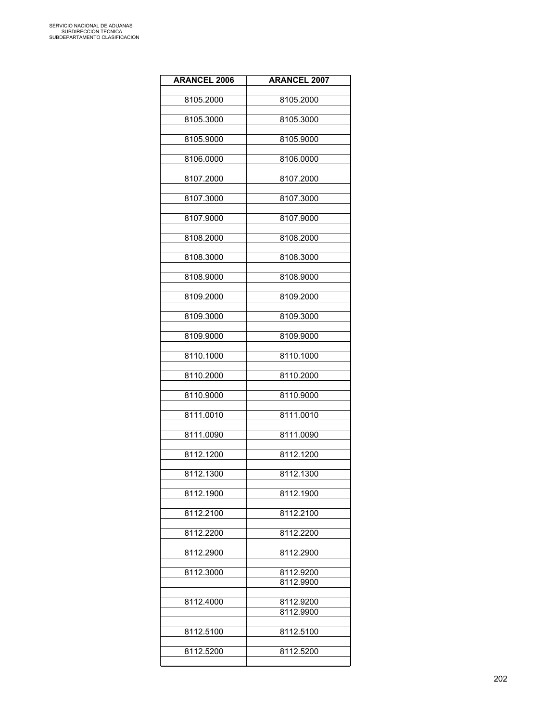| <b>ARANCEL 2006</b> | <b>ARANCEL 2007</b> |
|---------------------|---------------------|
| 8105.2000           | 8105.2000           |
| 8105.3000           | 8105.3000           |
| 8105.9000           | 8105.9000           |
| 8106.0000           | 8106.0000           |
| 8107.2000           | 8107.2000           |
| 8107.3000           | 8107.3000           |
| 8107.9000           | 8107.9000           |
| 8108.2000           | 8108.2000           |
| 8108.3000           | 8108.3000           |
| 8108.9000           | 8108.9000           |
| 8109.2000           | 8109.2000           |
| 8109.3000           | 8109.3000           |
| 8109.9000           | 8109.9000           |
| 8110.1000           | 8110.1000           |
| 8110.2000           | 8110.2000           |
| 8110.9000           | 8110.9000           |
| 8111.0010           | 8111.0010           |
| 8111.0090           | 8111.0090           |
| 8112.1200           | 8112.1200           |
| 8112.1300           | 8112.1300           |
| 8112.1900           | 8112.1900           |
| 8112.2100           | 8112.2100           |
| 8112.2200           | 8112.2200           |
| 8112.2900           | 8112.2900           |
| 8112.3000           | 8112.9200           |
|                     | 8112.9900           |
| 8112.4000           | 8112.9200           |
|                     | 8112.9900           |
| 8112.5100           | 8112.5100           |
| 8112.5200           | 8112.5200           |
|                     |                     |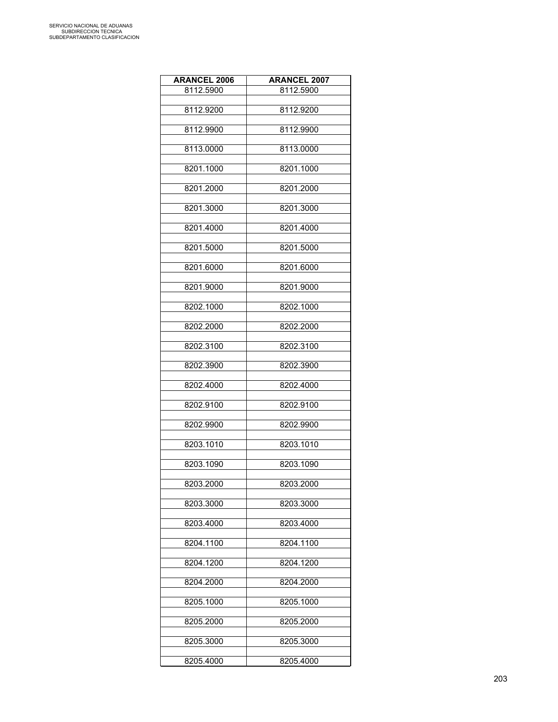| <b>ARANCEL 2006</b> | <b>ARANCEL 2007</b> |
|---------------------|---------------------|
| 8112.5900           | 8112.5900           |
|                     |                     |
| 8112.9200           | 8112.9200           |
| 8112.9900           | 8112.9900           |
|                     |                     |
| 8113.0000           | 8113.0000           |
|                     |                     |
| 8201.1000           | 8201.1000           |
| 8201.2000           | 8201.2000           |
|                     |                     |
| 8201.3000           | 8201.3000           |
| 8201.4000           | 8201.4000           |
|                     |                     |
| 8201.5000           | 8201.5000           |
|                     |                     |
| 8201.6000           | 8201.6000           |
| 8201.9000           | 8201.9000           |
|                     |                     |
| 8202.1000           | 8202.1000           |
| 8202.2000           | 8202.2000           |
|                     |                     |
| 8202.3100           | 8202.3100           |
|                     |                     |
| 8202.3900           | 8202.3900           |
| 8202.4000           | 8202.4000           |
|                     |                     |
| 8202.9100           | 8202.9100           |
| 8202.9900           | 8202.9900           |
|                     |                     |
| 8203.1010           | 8203.1010           |
|                     |                     |
| 8203.1090           | 8203.1090           |
| 8203.2000           | 8203.2000           |
|                     |                     |
| 8203.3000           | 8203.3000           |
|                     |                     |
| 8203.4000           | 8203.4000           |
| 8204.1100           | 8204.1100           |
|                     |                     |
| 8204.1200           | 8204.1200           |
| 8204.2000           | 8204.2000           |
|                     |                     |
| 8205.1000           | 8205.1000           |
|                     |                     |
| 8205.2000           | 8205.2000           |
| 8205.3000           | 8205.3000           |
|                     |                     |
| 8205.4000           | 8205.4000           |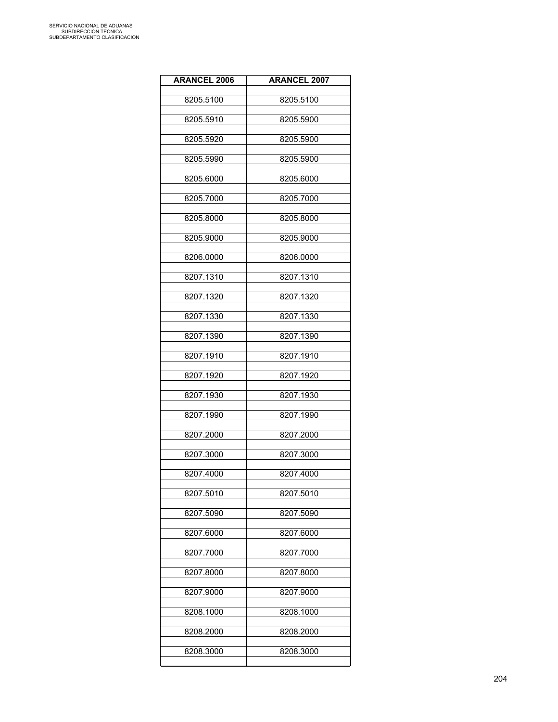| <b>ARANCEL 2006</b> | <b>ARANCEL 2007</b> |
|---------------------|---------------------|
| 8205.5100           | 8205.5100           |
| 8205.5910           | 8205.5900           |
| 8205.5920           | 8205.5900           |
| 8205.5990           | 8205.5900           |
| 8205.6000           | 8205.6000           |
| 8205.7000           | 8205.7000           |
| 8205.8000           | 8205.8000           |
| 8205.9000           | 8205.9000           |
| 8206.0000           | 8206.0000           |
| 8207.1310           | 8207.1310           |
| 8207.1320           | 8207.1320           |
| 8207.1330           | 8207.1330           |
| 8207.1390           | 8207.1390           |
| 8207.1910           | 8207.1910           |
| 8207.1920           | 8207.1920           |
| 8207.1930           | 8207.1930           |
| 8207.1990           | 8207.1990           |
| 8207.2000           | 8207.2000           |
| 8207.3000           | 8207.3000           |
| 8207.4000           | 8207.4000           |
| 8207.5010           | 8207.5010           |
| 8207.5090           | 8207.5090           |
| 8207.6000           | 8207.6000           |
| 8207.7000           | 8207.7000           |
| 8207.8000           | 8207.8000           |
| 8207.9000           | 8207.9000           |
| 8208.1000           | 8208.1000           |
| 8208.2000           | 8208.2000           |
| 8208.3000           | 8208.3000           |
|                     |                     |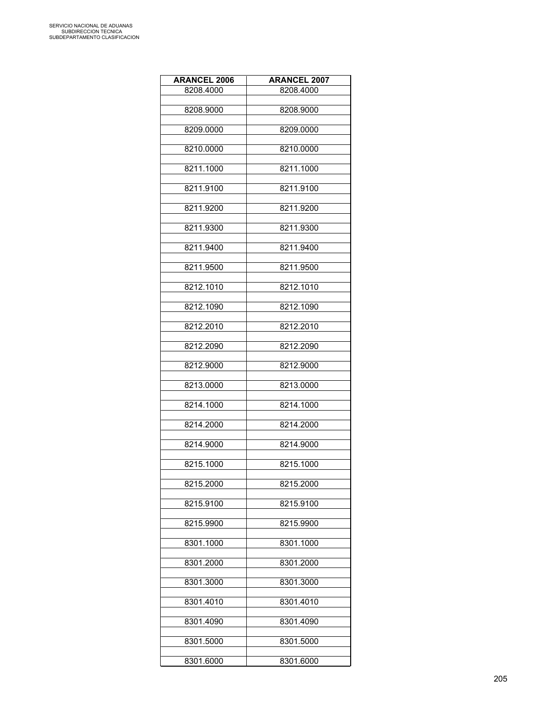| <b>ARANCEL 2006</b> | <b>ARANCEL 2007</b> |
|---------------------|---------------------|
| 8208.4000           | 8208.4000           |
|                     |                     |
| 8208.9000           | 8208.9000           |
| 8209.0000           | 8209.0000           |
|                     |                     |
| 8210.0000           | 8210.0000           |
|                     |                     |
| 8211.1000           | 8211.1000           |
| 8211.9100           | 8211.9100           |
|                     |                     |
| 8211.9200           | 8211.9200           |
|                     |                     |
| 8211.9300           | 8211.9300           |
| 8211.9400           | 8211.9400           |
|                     |                     |
| 8211.9500           | 8211.9500           |
|                     |                     |
| 8212.1010           | 8212.1010           |
| 8212.1090           | 8212.1090           |
|                     |                     |
| 8212.2010           | 8212.2010           |
|                     |                     |
| 8212.2090           | 8212.2090           |
| 8212.9000           | 8212.9000           |
|                     |                     |
| 8213.0000           | 8213.0000           |
|                     |                     |
| 8214.1000           | 8214.1000           |
| 8214.2000           | 8214.2000           |
|                     |                     |
| 8214.9000           | 8214.9000           |
|                     |                     |
| 8215.1000           | 8215.1000           |
|                     |                     |
| 8215.2000           | 8215.2000           |
| 8215.9100           | 8215.9100           |
|                     |                     |
| 8215.9900           | 8215.9900           |
|                     |                     |
| 8301.1000           | 8301.1000           |
| 8301.2000           | 8301.2000           |
|                     |                     |
| 8301.3000           | 8301.3000           |
|                     |                     |
| 8301.4010           | 8301.4010           |
| 8301.4090           | 8301.4090           |
|                     |                     |
| 8301.5000           | 8301.5000           |
|                     |                     |
| 8301.6000           | 8301.6000           |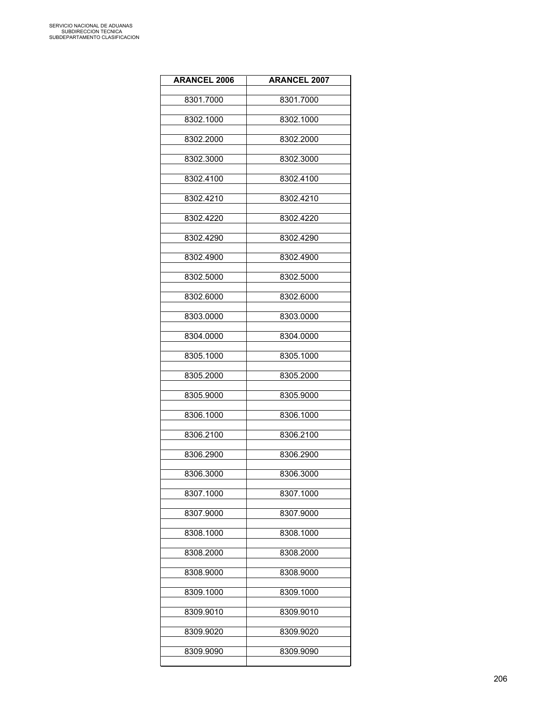| <b>ARANCEL 2006</b> | <b>ARANCEL 2007</b> |
|---------------------|---------------------|
| 8301.7000           | 8301.7000           |
| 8302.1000           | 8302.1000           |
| 8302.2000           | 8302.2000           |
| 8302.3000           | 8302.3000           |
| 8302.4100           | 8302.4100           |
| 8302.4210           | 8302.4210           |
| 8302.4220           | 8302.4220           |
| 8302.4290           | 8302.4290           |
| 8302.4900           | 8302.4900           |
| 8302.5000           | 8302.5000           |
| 8302.6000           | 8302.6000           |
| 8303.0000           | 8303.0000           |
| 8304.0000           | 8304.0000           |
| 8305.1000           | 8305.1000           |
| 8305.2000           | 8305.2000           |
| 8305.9000           | 8305.9000           |
| 8306.1000           | 8306.1000           |
| 8306.2100           | 8306.2100           |
| 8306.2900           | 8306.2900           |
| 8306.3000           | 8306.3000           |
| 8307.1000           | 8307.1000           |
| 8307.9000           | 8307.9000           |
| 8308.1000           | 8308.1000           |
| 8308.2000           | 8308.2000           |
| 8308.9000           | 8308.9000           |
| 8309.1000           | 8309.1000           |
| 8309.9010           | 8309.9010           |
| 8309.9020           | 8309.9020           |
| 8309.9090           | 8309.9090           |
|                     |                     |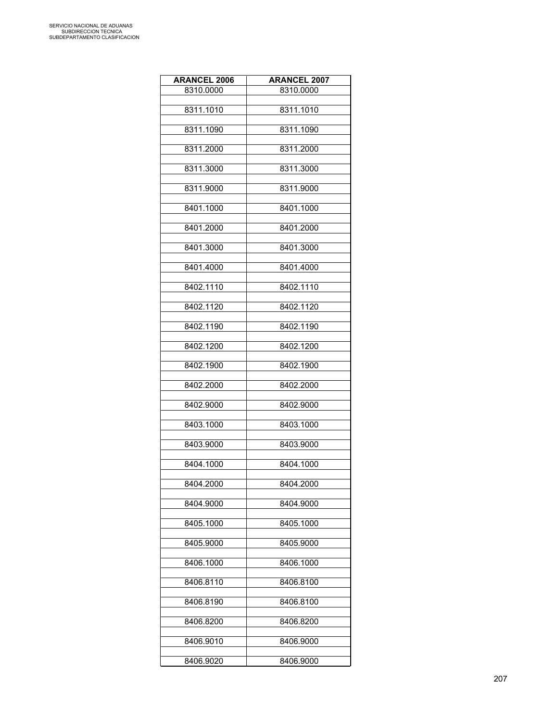| <b>ARANCEL 2006</b> | <b>ARANCEL 2007</b> |
|---------------------|---------------------|
| 8310.0000           | 8310.0000           |
|                     |                     |
| 8311.1010           | 8311.1010           |
| 8311.1090           | 8311.1090           |
|                     |                     |
| 8311.2000           | 8311.2000           |
| 8311.3000           | 8311.3000           |
|                     |                     |
| 8311.9000           | 8311.9000           |
|                     |                     |
| 8401.1000           | 8401.1000           |
| 8401.2000           | 8401.2000           |
|                     |                     |
| 8401.3000           | 8401.3000           |
| 8401.4000           | 8401.4000           |
|                     |                     |
| 8402.1110           | 8402.1110           |
| 8402.1120           | 8402.1120           |
|                     |                     |
| 8402.1190           | 8402.1190           |
|                     |                     |
| 8402.1200           | 8402.1200           |
| 8402.1900           | 8402.1900           |
|                     |                     |
| 8402.2000           | 8402.2000           |
| 8402.9000           | 8402.9000           |
|                     |                     |
| 8403.1000           | 8403.1000           |
|                     |                     |
| 8403.9000           | 8403.9000           |
| 8404.1000           | 8404.1000           |
|                     |                     |
| 8404.2000           | 8404.2000           |
| 8404.9000           | 8404.9000           |
|                     |                     |
| 8405.1000           | 8405.1000           |
| 8405.9000           | 8405.9000           |
|                     |                     |
| 8406.1000           | 8406.1000           |
|                     |                     |
| 8406.8110           | 8406.8100           |
| 8406.8190           | 8406.8100           |
|                     |                     |
| 8406.8200           | 8406.8200           |
| 8406.9010           | 8406.9000           |
|                     |                     |
| 8406.9020           | 8406.9000           |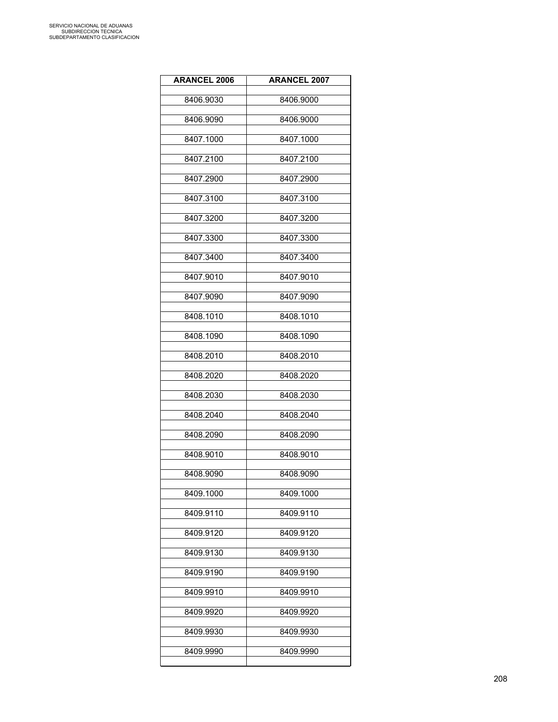| <b>ARANCEL 2006</b> | <b>ARANCEL 2007</b> |
|---------------------|---------------------|
| 8406.9030           | 8406.9000           |
| 8406.9090           | 8406.9000           |
| 8407.1000           | 8407.1000           |
| 8407.2100           | 8407.2100           |
| 8407.2900           | 8407.2900           |
| 8407.3100           | 8407.3100           |
| 8407.3200           | 8407.3200           |
| 8407.3300           | 8407.3300           |
| 8407.3400           | 8407.3400           |
| 8407.9010           | 8407.9010           |
| 8407.9090           | 8407.9090           |
| 8408.1010           | 8408.1010           |
| 8408.1090           | 8408.1090           |
| 8408.2010           | 8408.2010           |
| 8408.2020           | 8408.2020           |
| 8408.2030           | 8408.2030           |
| 8408.2040           | 8408.2040           |
| 8408.2090           | 8408.2090           |
| 8408.9010           | 8408.9010           |
| 8408.9090           | 8408.9090           |
| 8409.1000           | 8409.1000           |
| 8409.9110           | 8409.9110           |
| 8409.9120           | 8409.9120           |
| 8409.9130           | 8409.9130           |
| 8409.9190           | 8409.9190           |
| 8409.9910           | 8409.9910           |
| 8409.9920           | 8409.9920           |
| 8409.9930           | 8409.9930           |
| 8409.9990           | 8409.9990           |
|                     |                     |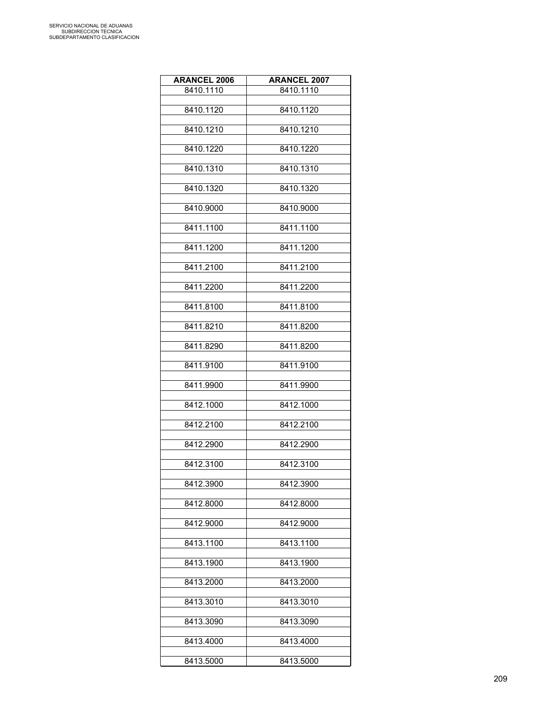| <b>ARANCEL 2006</b> | <b>ARANCEL 2007</b> |
|---------------------|---------------------|
| 8410.1110           | 8410.1110           |
|                     |                     |
| 8410.1120           | 8410.1120           |
| 8410.1210           | 8410.1210           |
|                     |                     |
| 8410.1220           | 8410.1220           |
| 8410.1310           | 8410.1310           |
|                     |                     |
| 8410.1320           | 8410.1320           |
|                     |                     |
| 8410.9000           | 8410.9000           |
| 8411.1100           | 8411.1100           |
|                     |                     |
| 8411.1200           | 8411.1200           |
|                     |                     |
| 8411.2100           | 8411.2100           |
| 8411.2200           | 8411.2200           |
|                     |                     |
| 8411.8100           | 8411.8100           |
| 8411.8210           | 8411.8200           |
|                     |                     |
| 8411.8290           | 8411.8200           |
|                     |                     |
| 8411.9100           | 8411.9100           |
| 8411.9900           | 8411.9900           |
|                     |                     |
| 8412.1000           | 8412.1000           |
|                     |                     |
| 8412.2100           | 8412.2100           |
| 8412.2900           | 8412.2900           |
|                     |                     |
| 8412.3100           | 8412.3100           |
| 8412.3900           | 8412.3900           |
|                     |                     |
| 8412.8000           | 8412.8000           |
|                     |                     |
| 8412.9000           | 8412.9000           |
| 8413.1100           | 8413.1100           |
|                     |                     |
| 8413.1900           | 8413.1900           |
| 8413.2000           | 8413.2000           |
|                     |                     |
| 8413.3010           | 8413.3010           |
|                     |                     |
| 8413.3090           | 8413.3090           |
| 8413.4000           | 8413.4000           |
|                     |                     |
| 8413.5000           | 8413.5000           |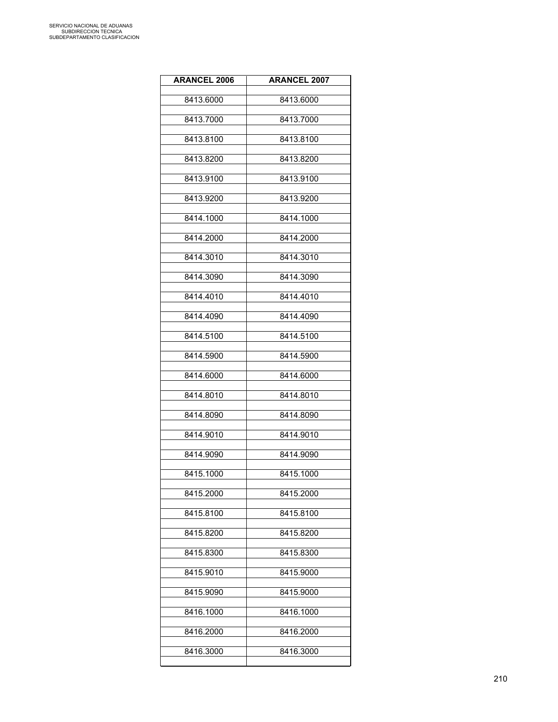| <b>ARANCEL 2006</b> | <b>ARANCEL 2007</b> |
|---------------------|---------------------|
| 8413.6000           | 8413.6000           |
| 8413.7000           | 8413.7000           |
| 8413.8100           | 8413.8100           |
| 8413.8200           | 8413.8200           |
| 8413.9100           | 8413.9100           |
| 8413.9200           | 8413.9200           |
| 8414.1000           | 8414.1000           |
| 8414.2000           | 8414.2000           |
| 8414.3010           | 8414.3010           |
| 8414.3090           | 8414.3090           |
| 8414.4010           | 8414.4010           |
| 8414.4090           | 8414.4090           |
| 8414.5100           | 8414.5100           |
| 8414.5900           | 8414.5900           |
| 8414.6000           | 8414.6000           |
| 8414.8010           | 8414.8010           |
| 8414.8090           | 8414.8090           |
| 8414.9010           | 8414.9010           |
| 8414.9090           | 8414.9090           |
| 8415.1000           | 8415.1000           |
| 8415.2000           | 8415.2000           |
| 8415.8100           | 8415.8100           |
| 8415.8200           | 8415.8200           |
| 8415.8300           | 8415.8300           |
| 8415.9010           | 8415.9000           |
| 8415.9090           | 8415.9000           |
| 8416.1000           | 8416.1000           |
| 8416.2000           | 8416.2000           |
| 8416.3000           | 8416.3000           |
|                     |                     |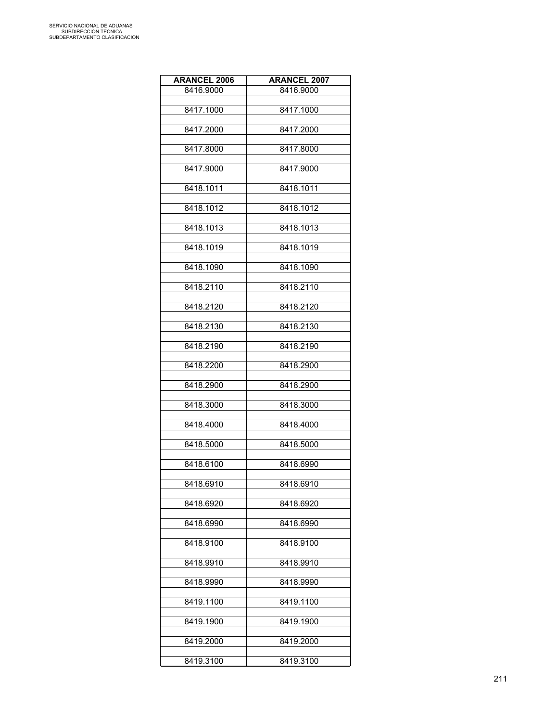| <b>ARANCEL 2006</b> | <b>ARANCEL 2007</b> |
|---------------------|---------------------|
| 8416.9000           | 8416.9000           |
|                     |                     |
| 8417.1000           | 8417.1000           |
| 8417.2000           | 8417.2000           |
|                     |                     |
| 8417.8000           | 8417.8000           |
|                     |                     |
| 8417.9000           | 8417.9000           |
| 8418.1011           | 8418.1011           |
|                     |                     |
| 8418.1012           | 8418.1012           |
| 8418.1013           | 8418.1013           |
|                     |                     |
| 8418.1019           | 8418.1019           |
|                     |                     |
| 8418.1090           | 8418.1090           |
| 8418.2110           | 8418.2110           |
|                     |                     |
| 8418.2120           | 8418.2120           |
|                     |                     |
| 8418.2130           | 8418.2130           |
| 8418.2190           | 8418.2190           |
|                     |                     |
| 8418.2200           | 8418.2900           |
|                     |                     |
| 8418.2900           | 8418.2900           |
| 8418.3000           | 8418.3000           |
|                     |                     |
| 8418.4000           | 8418.4000           |
|                     |                     |
| 8418.5000           | 8418.5000           |
| 8418.6100           | 8418.6990           |
|                     |                     |
| 8418.6910           | 8418.6910           |
| 8418.6920           | 8418.6920           |
|                     |                     |
| 8418.6990           | 8418.6990           |
|                     |                     |
| 8418.9100           | 8418.9100           |
| 8418.9910           | 8418.9910           |
|                     |                     |
| 8418.9990           | 8418.9990           |
|                     |                     |
| 8419.1100           | 8419.1100           |
| 8419.1900           | 8419.1900           |
|                     |                     |
| 8419.2000           | 8419.2000           |
| 8419.3100           | 8419.3100           |
|                     |                     |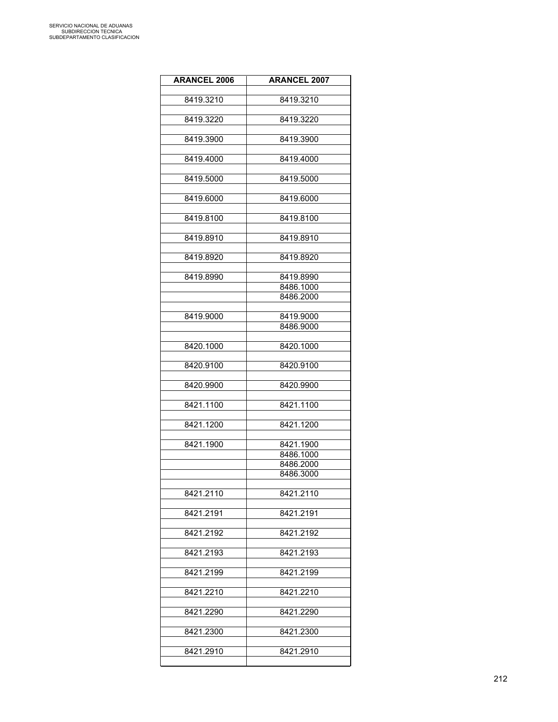| <b>ARANCEL 2006</b> | <b>ARANCEL 2007</b> |
|---------------------|---------------------|
| 8419.3210           | 8419.3210           |
| 8419.3220           | 8419.3220           |
| 8419.3900           | 8419.3900           |
| 8419.4000           | 8419.4000           |
| 8419.5000           | 8419.5000           |
| 8419.6000           | 8419.6000           |
| 8419.8100           | 8419.8100           |
| 8419.8910           | 8419.8910           |
| 8419.8920           | 8419.8920           |
|                     |                     |
| 8419.8990           | 8419.8990           |
|                     | 8486.1000           |
|                     | 8486.2000           |
| 8419.9000           | 8419.9000           |
|                     | 8486.9000           |
|                     |                     |
| 8420.1000           | 8420.1000           |
| 8420.9100           | 8420.9100           |
| 8420.9900           | 8420.9900           |
| 8421.1100           | 8421.1100           |
| 8421.1200           | 8421.1200           |
|                     |                     |
| 8421.1900           | 8421.1900           |
|                     | 8486.1000           |
|                     | 8486.2000           |
|                     | 8486.3000           |
| 8421.2110           | 8421.2110           |
|                     |                     |
| 8421.2191           | 8421.2191           |
| 8421.2192           | 8421.2192           |
| 8421.2193           | 8421.2193           |
| 8421.2199           | 8421.2199           |
| 8421.2210           | 8421.2210           |
| 8421.2290           | 8421.2290           |
| 8421.2300           | 8421.2300           |
| 8421.2910           | 8421.2910           |
|                     |                     |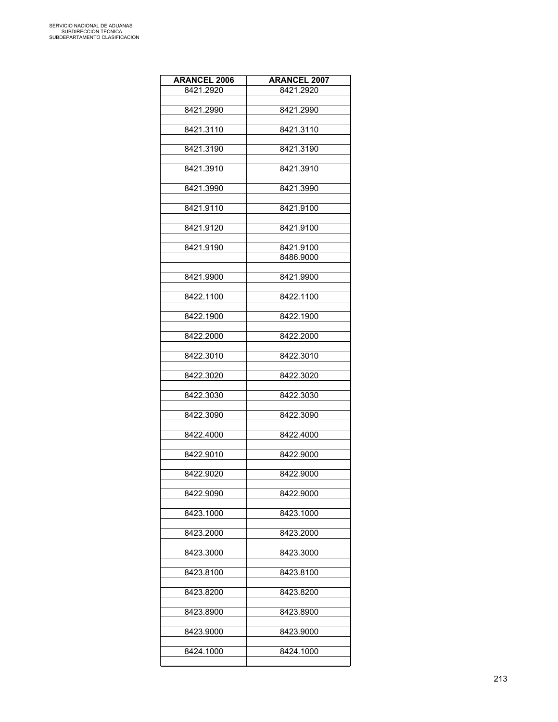| <b>ARANCEL 2006</b> | <b>ARANCEL 2007</b>    |
|---------------------|------------------------|
| 8421.2920           | 8421.2920              |
| 8421.2990           | 8421.2990              |
|                     |                        |
| 8421.3110           | 8421.3110              |
|                     |                        |
| 8421.3190           | 8421.3190              |
| 8421.3910           | 8421.3910              |
|                     |                        |
| 8421.3990           | 8421.3990              |
| 8421.9110           | 8421.9100              |
|                     |                        |
| 8421.9120           | 8421.9100              |
|                     |                        |
| 8421.9190           | 8421.9100<br>8486.9000 |
|                     |                        |
| 8421.9900           | 8421.9900              |
|                     |                        |
| 8422.1100           | 8422.1100              |
| 8422.1900           | 8422.1900              |
| 8422.2000           | 8422.2000              |
| 8422.3010           | 8422.3010              |
|                     |                        |
| 8422.3020           | 8422.3020              |
| 8422.3030           | 8422.3030              |
| 8422.3090           | 8422.3090              |
|                     |                        |
| 8422.4000           | 8422.4000              |
|                     |                        |
| 8422.9010           | 8422.9000              |
| 8422.9020           | 8422.9000              |
|                     |                        |
| 8422.9090           | 8422.9000              |
| 8423.1000           | 8423.1000              |
|                     |                        |
| 8423.2000           | 8423.2000              |
| 8423.3000           | 8423.3000              |
|                     |                        |
| 8423.8100           | 8423.8100              |
|                     |                        |
| 8423.8200           | 8423.8200              |
| 8423.8900           | 8423.8900              |
|                     |                        |
| 8423.9000           | 8423.9000              |
| 8424.1000           | 8424.1000              |
|                     |                        |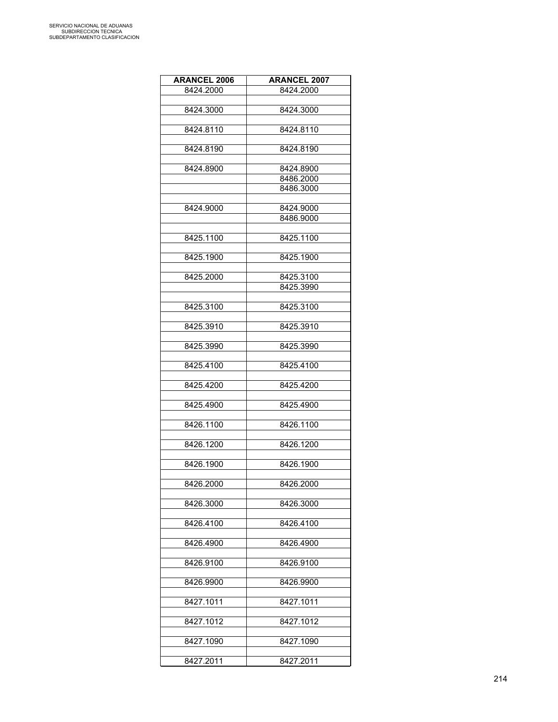| <b>ARANCEL 2006</b> | <b>ARANCEL 2007</b> |
|---------------------|---------------------|
| 8424.2000           | 8424.2000           |
|                     |                     |
| 8424.3000           | 8424.3000           |
|                     |                     |
| 8424.8110           | 8424.8110           |
|                     |                     |
| 8424.8190           | 8424.8190           |
| 8424.8900           | 8424.8900           |
|                     | 8486.2000           |
|                     | 8486.3000           |
|                     |                     |
| 8424.9000           | 8424.9000           |
|                     | 8486.9000           |
|                     |                     |
| 8425.1100           | 8425.1100           |
|                     |                     |
| 8425.1900           | 8425.1900           |
| 8425.2000           | 8425.3100           |
|                     | 8425.3990           |
|                     |                     |
| 8425.3100           | 8425.3100           |
|                     |                     |
| 8425.3910           | 8425.3910           |
|                     |                     |
| 8425.3990           | 8425.3990           |
|                     |                     |
| 8425.4100           | 8425.4100           |
| 8425.4200           | 8425.4200           |
|                     |                     |
| 8425.4900           | 8425.4900           |
|                     |                     |
| 8426.1100           | 8426.1100           |
|                     |                     |
| 8426.1200           | 8426.1200           |
|                     |                     |
| 8426.1900           | 8426.1900           |
|                     |                     |
| 8426.2000           | 8426.2000           |
| 8426.3000           | 8426.3000           |
|                     |                     |
| 8426.4100           | 8426.4100           |
|                     |                     |
| 8426.4900           | 8426.4900           |
|                     |                     |
| 8426.9100           | 8426.9100           |
|                     |                     |
| 8426.9900           | 8426.9900           |
| 8427.1011           | 8427.1011           |
|                     |                     |
| 8427.1012           | 8427.1012           |
|                     |                     |
| 8427.1090           | 8427.1090           |
|                     |                     |
| 8427.2011           | 8427.2011           |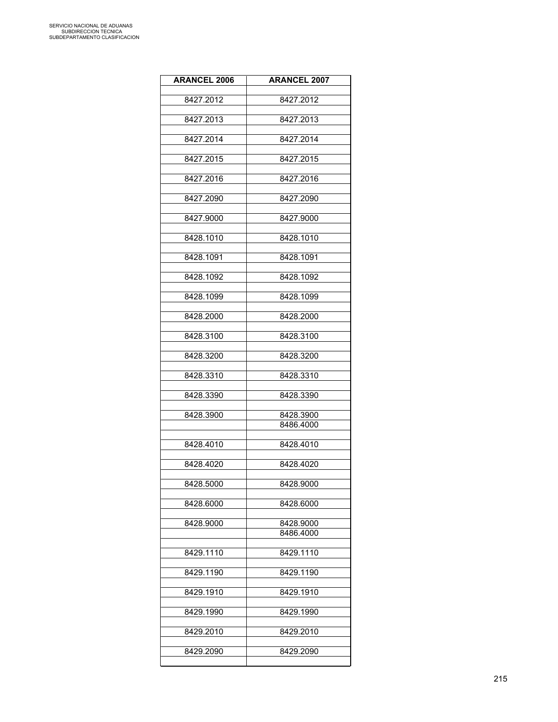| <b>ARANCEL 2006</b> | <b>ARANCEL 2007</b>    |
|---------------------|------------------------|
| 8427.2012           | 8427.2012              |
|                     |                        |
| 8427.2013           | 8427.2013              |
| 8427.2014           | 8427.2014              |
|                     |                        |
| 8427.2015           | 8427.2015              |
| 8427.2016           | 8427.2016              |
| 8427.2090           | 8427.2090              |
|                     |                        |
| 8427.9000           | 8427.9000              |
| 8428.1010           | 8428.1010              |
|                     |                        |
| 8428.1091           | 8428.1091              |
| 8428.1092           | 8428.1092              |
| 8428.1099           | 8428.1099              |
|                     |                        |
| 8428.2000           | 8428.2000              |
| 8428.3100           | 8428.3100              |
|                     |                        |
| 8428.3200           | 8428.3200              |
| 8428.3310           | 8428.3310              |
| 8428.3390           | 8428.3390              |
|                     |                        |
| 8428.3900           | 8428.3900              |
|                     | 8486.4000              |
| 8428.4010           | 8428.4010              |
| 8428.4020           | 8428.4020              |
|                     |                        |
| 8428.5000           | 8428.9000              |
| 8428.6000           | 8428.6000              |
|                     |                        |
| 8428.9000           | 8428.9000<br>8486.4000 |
|                     |                        |
| 8429.1110           | 8429.1110              |
| 8429.1190           | 8429.1190              |
|                     |                        |
| 8429.1910           | 8429.1910              |
| 8429.1990           | 8429.1990              |
| 8429.2010           | 8429.2010              |
|                     |                        |
| 8429.2090           | 8429.2090              |
|                     |                        |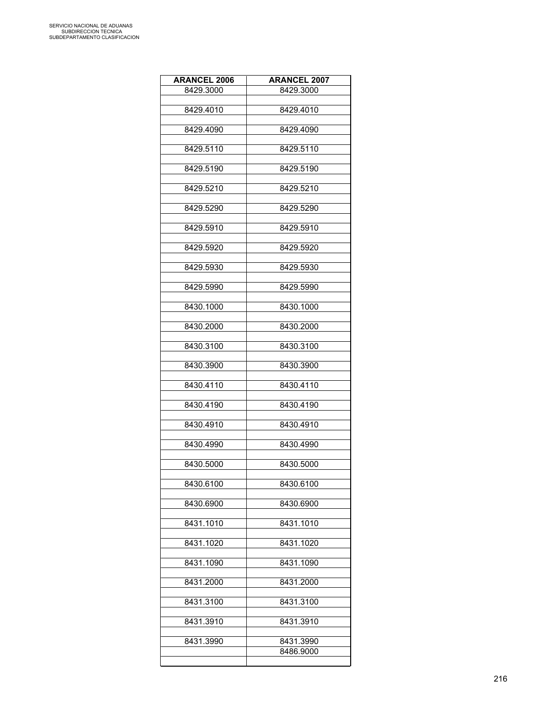| <b>ARANCEL 2006</b> | <b>ARANCEL 2007</b>    |
|---------------------|------------------------|
| 8429.3000           | 8429.3000              |
|                     |                        |
| 8429.4010           | 8429.4010              |
| 8429.4090           | 8429.4090              |
|                     |                        |
| 8429.5110           | 8429.5110              |
| 8429.5190           | 8429.5190              |
|                     |                        |
| 8429.5210           | 8429.5210              |
|                     |                        |
| 8429.5290           | 8429.5290              |
| 8429.5910           | 8429.5910              |
|                     |                        |
| 8429.5920           | 8429.5920              |
| 8429.5930           | 8429.5930              |
|                     |                        |
| 8429.5990           | 8429.5990              |
|                     |                        |
| 8430.1000           | 8430.1000              |
| 8430.2000           | 8430.2000              |
|                     |                        |
| 8430.3100           | 8430.3100              |
| 8430.3900           | 8430.3900              |
|                     |                        |
| 8430.4110           | 8430.4110              |
| 8430.4190           | 8430.4190              |
|                     |                        |
| 8430.4910           | 8430.4910              |
|                     |                        |
| 8430.4990           | 8430.4990              |
| 8430.5000           | 8430.5000              |
|                     |                        |
| 8430.6100           | 8430.6100              |
| 8430.6900           | 8430.6900              |
|                     |                        |
| 8431.1010           | 8431.1010              |
|                     |                        |
| 8431.1020           | 8431.1020              |
| 8431.1090           | 8431.1090              |
|                     |                        |
| 8431.2000           | 8431.2000              |
| 8431.3100           | 8431.3100              |
|                     |                        |
| 8431.3910           | 8431.3910              |
|                     |                        |
| 8431.3990           | 8431.3990<br>8486.9000 |
|                     |                        |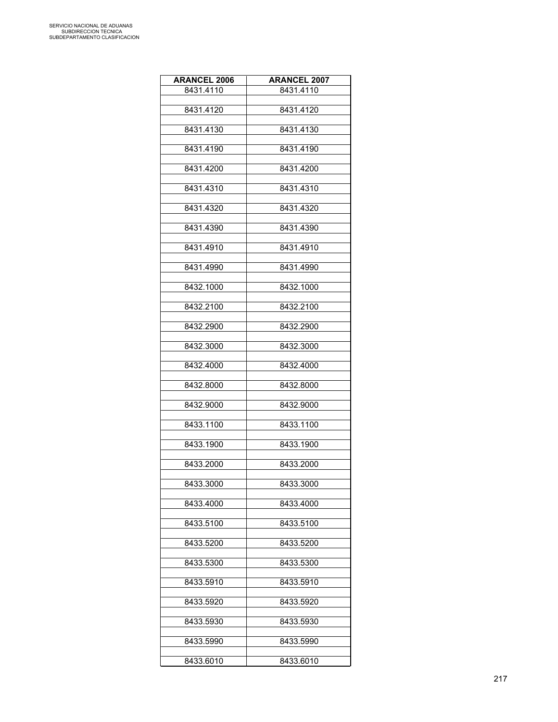| <b>ARANCEL 2006</b> | <b>ARANCEL 2007</b> |
|---------------------|---------------------|
| 8431.4110           | 8431.4110           |
|                     |                     |
| 8431.4120           | 8431.4120           |
| 8431.4130           | 8431.4130           |
|                     |                     |
| 8431.4190           | 8431.4190           |
|                     |                     |
| 8431.4200           | 8431.4200           |
| 8431.4310           | 8431.4310           |
|                     |                     |
| 8431.4320           | 8431.4320           |
|                     |                     |
| 8431.4390           | 8431.4390           |
| 8431.4910           | 8431.4910           |
|                     |                     |
| 8431.4990           | 8431.4990           |
|                     |                     |
| 8432.1000           | 8432.1000           |
| 8432.2100           | 8432.2100           |
|                     |                     |
| 8432.2900           | 8432.2900           |
|                     |                     |
| 8432.3000           | 8432.3000           |
| 8432.4000           | 8432.4000           |
|                     |                     |
| 8432.8000           | 8432.8000           |
|                     |                     |
| 8432.9000           | 8432.9000           |
| 8433.1100           | 8433.1100           |
|                     |                     |
| 8433.1900           | 8433.1900           |
| 8433.2000           |                     |
|                     | 8433.2000           |
| 8433.3000           | 8433.3000           |
|                     |                     |
| 8433.4000           | 8433.4000           |
| 8433.5100           | 8433.5100           |
|                     |                     |
| 8433.5200           | 8433.5200           |
|                     |                     |
| 8433.5300           | 8433.5300           |
| 8433.5910           | 8433.5910           |
|                     |                     |
| 8433.5920           | 8433.5920           |
|                     |                     |
| 8433.5930           | 8433.5930           |
| 8433.5990           | 8433.5990           |
|                     |                     |
| 8433.6010           | 8433.6010           |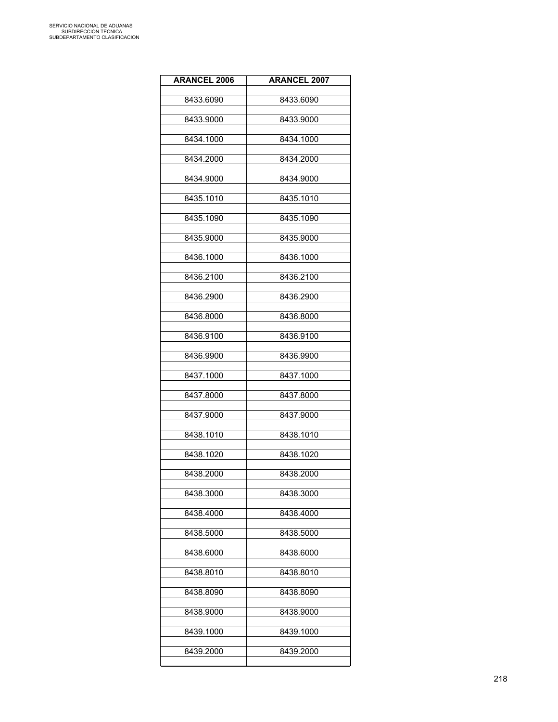| <b>ARANCEL 2006</b> | <b>ARANCEL 2007</b> |
|---------------------|---------------------|
| 8433.6090           | 8433.6090           |
| 8433.9000           | 8433.9000           |
| 8434.1000           | 8434.1000           |
| 8434.2000           | 8434.2000           |
| 8434.9000           | 8434.9000           |
| 8435.1010           | 8435.1010           |
| 8435.1090           | 8435.1090           |
| 8435.9000           | 8435.9000           |
| 8436.1000           | 8436.1000           |
| 8436.2100           | 8436.2100           |
| 8436.2900           | 8436.2900           |
| 8436.8000           | 8436.8000           |
| 8436.9100           | 8436.9100           |
| 8436.9900           | 8436.9900           |
| 8437.1000           | 8437.1000           |
| 8437.8000           | 8437.8000           |
| 8437.9000           | 8437.9000           |
| 8438.1010           | 8438.1010           |
| 8438.1020           | 8438.1020           |
| 8438.2000           | 8438.2000           |
| 8438.3000           | 8438.3000           |
| 8438.4000           | 8438.4000           |
| 8438.5000           | 8438.5000           |
| 8438.6000           | 8438.6000           |
| 8438.8010           | 8438.8010           |
| 8438.8090           | 8438.8090           |
| 8438.9000           | 8438.9000           |
| 8439.1000           | 8439.1000           |
| 8439.2000           | 8439.2000           |
|                     |                     |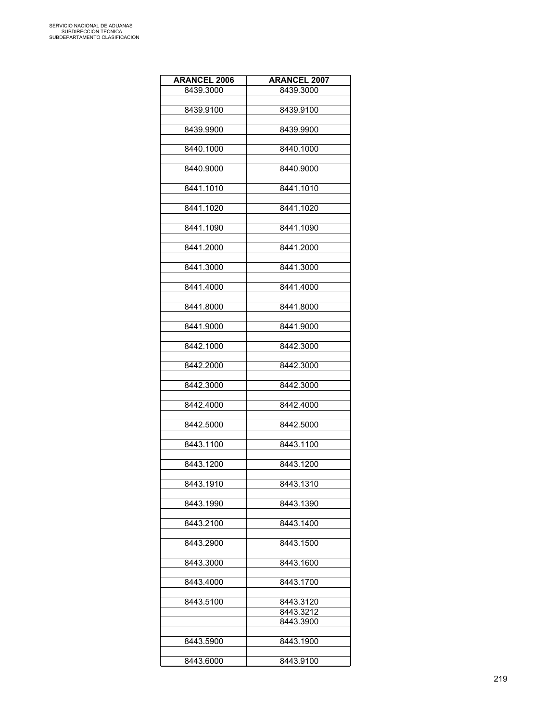| <b>ARANCEL 2006</b> | <b>ARANCEL 2007</b> |
|---------------------|---------------------|
| 8439.3000           | 8439.3000           |
|                     |                     |
| 8439.9100           | 8439.9100           |
|                     |                     |
| 8439.9900           | 8439.9900           |
|                     |                     |
| 8440.1000           | 8440.1000           |
|                     |                     |
| 8440.9000           | 8440.9000           |
|                     |                     |
| 8441.1010           | 8441.1010           |
|                     |                     |
| 8441.1020           | 8441.1020           |
|                     |                     |
| 8441.1090           | 8441.1090           |
|                     |                     |
| 8441.2000           | 8441.2000           |
|                     |                     |
| 8441.3000           | 8441.3000           |
|                     |                     |
| 8441.4000           | 8441.4000           |
|                     |                     |
| 8441.8000           | 8441.8000           |
|                     |                     |
| 8441.9000           | 8441.9000           |
|                     |                     |
| 8442.1000           | 8442.3000           |
|                     |                     |
| 8442.2000           | 8442.3000           |
|                     |                     |
| 8442.3000           | 8442.3000           |
|                     |                     |
| 8442.4000           | 8442.4000           |
|                     | 8442.5000           |
| 8442.5000           |                     |
|                     | 8443.1100           |
| 8443.1100           |                     |
| 8443.1200           | 8443.1200           |
|                     |                     |
| 8443.1910           | 8443.1310           |
|                     |                     |
| 8443.1990           | 8443.1390           |
|                     |                     |
| 8443.2100           | 8443.1400           |
|                     |                     |
| 8443.2900           | 8443.1500           |
|                     |                     |
| 8443.3000           | 8443.1600           |
|                     |                     |
| 8443.4000           | 8443.1700           |
|                     |                     |
| 8443.5100           | 8443.3120           |
|                     | 8443.3212           |
|                     | 8443.3900           |
|                     |                     |
|                     |                     |
| 8443.5900           | 8443.1900           |
|                     |                     |
| 8443.6000           | 8443.9100           |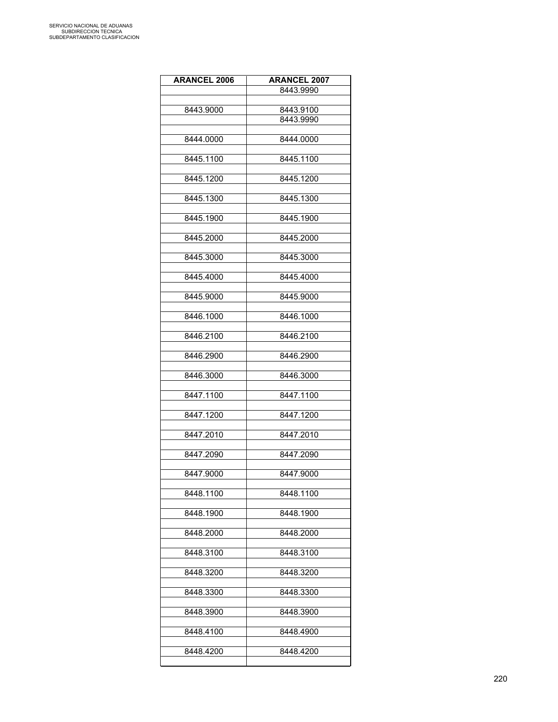| <b>ARANCEL 2006</b> | <b>ARANCEL 2007</b> |
|---------------------|---------------------|
|                     | 8443.9990           |
|                     |                     |
| 8443.9000           | 8443.9100           |
|                     | 8443.9990           |
|                     |                     |
| 8444.0000           | 8444.0000           |
|                     |                     |
| 8445.1100           | 8445.1100           |
|                     |                     |
| 8445.1200           | 8445.1200           |
|                     |                     |
| 8445.1300           | 8445.1300           |
|                     |                     |
| 8445.1900           | 8445.1900           |
|                     |                     |
| 8445.2000           | 8445.2000           |
|                     |                     |
| 8445.3000           | 8445.3000           |
|                     |                     |
| 8445.4000           | 8445.4000           |
|                     |                     |
| 8445.9000           | 8445.9000           |
|                     |                     |
| 8446.1000           | 8446.1000           |
|                     |                     |
| 8446.2100           | 8446.2100           |
|                     |                     |
| 8446.2900           | 8446.2900           |
|                     |                     |
| 8446.3000           | 8446.3000           |
|                     |                     |
| 8447.1100           | 8447.1100           |
|                     |                     |
| 8447.1200           | 8447.1200           |
|                     |                     |
| 8447.2010           | 8447.2010           |
|                     |                     |
| 8447.2090           | 8447.2090           |
|                     |                     |
| 8447.9000           | 8447.9000           |
|                     |                     |
| 8448.1100           | 8448.1100           |
|                     |                     |
| 8448.1900           | 8448.1900           |
|                     |                     |
| 8448.2000           | 8448.2000           |
|                     |                     |
| 8448.3100           | 8448.3100           |
|                     |                     |
| 8448.3200           | 8448.3200           |
|                     |                     |
| 8448.3300           | 8448.3300           |
|                     |                     |
| 8448.3900           | 8448.3900           |
|                     |                     |
| 8448.4100           | 8448.4900           |
|                     |                     |
| 8448.4200           | 8448.4200           |
|                     |                     |
|                     |                     |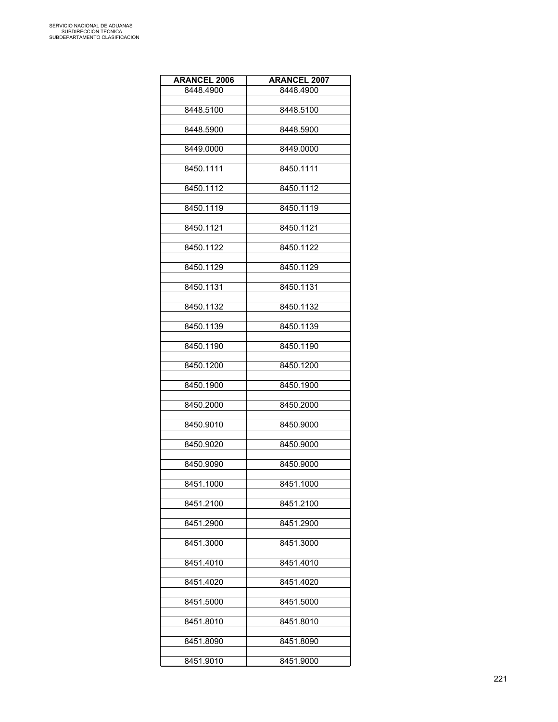| <b>ARANCEL 2006</b> | <b>ARANCEL 2007</b> |
|---------------------|---------------------|
| 8448.4900           | 8448.4900           |
|                     |                     |
| 8448.5100           | 8448.5100           |
|                     |                     |
| 8448.5900           | 8448.5900           |
| 8449.0000           | 8449.0000           |
|                     |                     |
| 8450.1111           | 8450.1111           |
|                     |                     |
| 8450.1112           | 8450.1112           |
|                     |                     |
| 8450.1119           | 8450.1119           |
| 8450.1121           | 8450.1121           |
|                     |                     |
| 8450.1122           | 8450.1122           |
|                     |                     |
| 8450.1129           | 8450.1129           |
|                     |                     |
| 8450.1131           | 8450.1131           |
| 8450.1132           | 8450.1132           |
|                     |                     |
| 8450.1139           | 8450.1139           |
|                     |                     |
| 8450.1190           | 8450.1190           |
|                     |                     |
| 8450.1200           | 8450.1200           |
|                     |                     |
| 8450.1900           | 8450.1900           |
| 8450.2000           | 8450.2000           |
|                     |                     |
| 8450.9010           | 8450.9000           |
|                     |                     |
| 8450.9020           | 8450.9000           |
|                     |                     |
| 8450.9090           | 8450.9000           |
| 8451.1000           | 8451.1000           |
|                     |                     |
| 8451.2100           | 8451.2100           |
|                     |                     |
| 8451.2900           | 8451.2900           |
|                     |                     |
| 8451.3000           | 8451.3000           |
| 8451.4010           | 8451.4010           |
|                     |                     |
| 8451.4020           | 8451.4020           |
|                     |                     |
| 8451.5000           | 8451.5000           |
|                     |                     |
| 8451.8010           | 8451.8010           |
|                     |                     |
| 8451.8090           | 8451.8090           |
| 8451.9010           | 8451.9000           |
|                     |                     |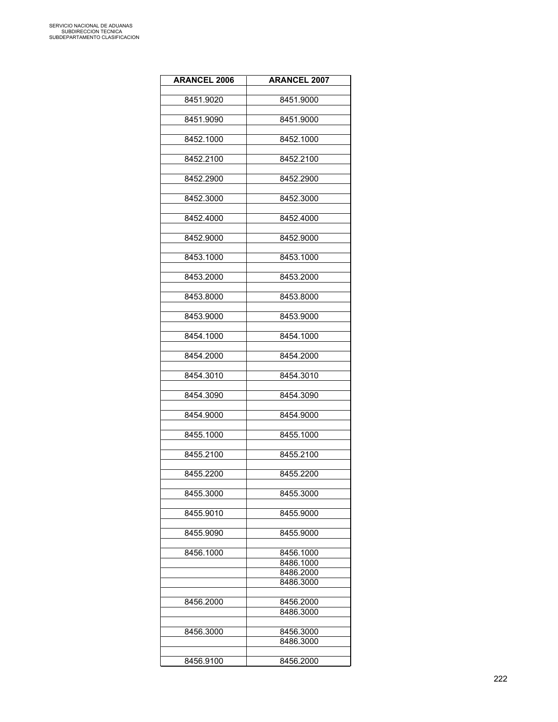| <b>ARANCEL 2006</b> | <b>ARANCEL 2007</b>    |
|---------------------|------------------------|
|                     |                        |
| 8451.9020           | 8451.9000              |
| 8451.9090           | 8451.9000              |
|                     |                        |
| 8452.1000           | 8452.1000              |
| 8452.2100           | 8452.2100              |
|                     |                        |
| 8452.2900           | 8452.2900              |
|                     |                        |
| 8452.3000           | 8452.3000              |
| 8452.4000           | 8452.4000              |
|                     |                        |
| 8452.9000           | 8452.9000              |
| 8453.1000           | 8453.1000              |
|                     |                        |
| 8453.2000           | 8453.2000              |
|                     |                        |
| 8453.8000           | 8453.8000              |
| 8453.9000           | 8453.9000              |
|                     |                        |
| 8454.1000           | 8454.1000              |
|                     |                        |
| 8454.2000           | 8454.2000              |
| 8454.3010           | 8454.3010              |
|                     |                        |
| 8454.3090           | 8454.3090              |
| 8454.9000           | 8454.9000              |
|                     |                        |
| 8455.1000           | 8455.1000              |
| 8455.2100           |                        |
|                     | 8455.2100              |
| 8455.2200           | 8455.2200              |
|                     |                        |
| 8455.3000           | 8455.3000              |
| 8455.9010           | 8455.9000              |
|                     |                        |
| 8455.9090           | 8455.9000              |
|                     |                        |
| 8456.1000           | 8456.1000<br>8486.1000 |
|                     | 8486.2000              |
|                     | 8486.3000              |
|                     |                        |
| 8456.2000           | 8456.2000<br>8486.3000 |
|                     |                        |
| 8456.3000           | 8456.3000              |
|                     | 8486.3000              |
|                     | 8456.2000              |
| 8456.9100           |                        |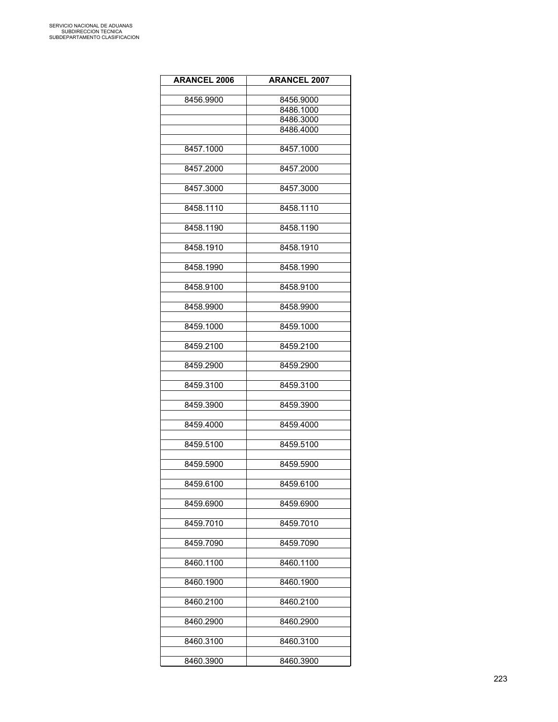| <b>ARANCEL 2006</b> | <b>ARANCEL 2007</b> |
|---------------------|---------------------|
|                     |                     |
| 8456.9900           | 8456.9000           |
|                     | 8486.1000           |
|                     | 8486.3000           |
|                     | 8486.4000           |
| 8457.1000           | 8457.1000           |
|                     |                     |
| 8457.2000           | 8457.2000           |
|                     |                     |
| 8457.3000           | 8457.3000           |
| 8458.1110           | 8458.1110           |
|                     |                     |
| 8458.1190           | 8458.1190           |
| 8458.1910           | 8458.1910           |
|                     |                     |
| 8458.1990           | 8458.1990           |
| 8458.9100           | 8458.9100           |
|                     |                     |
| 8458.9900           | 8458.9900           |
| 8459.1000           | 8459.1000           |
|                     |                     |
| 8459.2100           | 8459.2100           |
| 8459.2900           | 8459.2900           |
|                     |                     |
| 8459.3100           | 8459.3100           |
| 8459.3900           | 8459.3900           |
|                     |                     |
| 8459.4000           | 8459.4000           |
| 8459.5100           | 8459.5100           |
|                     |                     |
| 8459.5900           | 8459.5900           |
| 8459.6100           | 8459.6100           |
|                     |                     |
| 8459.6900           | 8459.6900           |
| 8459.7010           | 8459.7010           |
|                     |                     |
| 8459.7090           | 8459.7090           |
| 8460.1100           | 8460.1100           |
|                     | 8460.1900           |
| 8460.1900           |                     |
| 8460.2100           | 8460.2100           |
| 8460.2900           | 8460.2900           |
|                     |                     |
| 8460.3100           | 8460.3100           |
|                     |                     |
| 8460.3900           | 8460.3900           |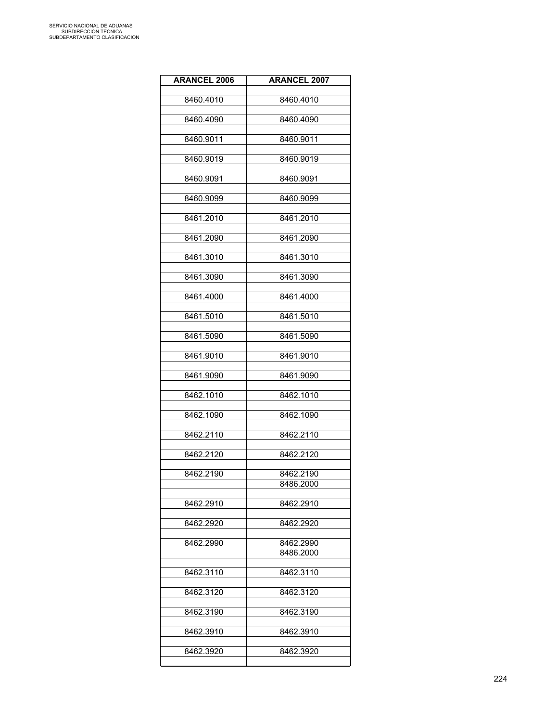| <b>ARANCEL 2006</b> | <b>ARANCEL 2007</b>    |
|---------------------|------------------------|
| 8460.4010           | 8460.4010              |
|                     |                        |
| 8460.4090           | 8460.4090              |
| 8460.9011           | 8460.9011              |
| 8460.9019           | 8460.9019              |
| 8460.9091           | 8460.9091              |
| 8460.9099           | 8460.9099              |
| 8461.2010           | 8461.2010              |
| 8461.2090           | 8461.2090              |
| 8461.3010           | 8461.3010              |
| 8461.3090           | 8461.3090              |
| 8461.4000           | 8461.4000              |
| 8461.5010           | 8461.5010              |
| 8461.5090           | 8461.5090              |
|                     |                        |
| 8461.9010           | 8461.9010              |
| 8461.9090           | 8461.9090              |
| 8462.1010           | 8462.1010              |
| 8462.1090           | 8462.1090              |
| 8462.2110           | 8462.2110              |
|                     |                        |
| 8462.2120           | 8462.2120              |
| 8462.2190           | 8462.2190              |
|                     | 8486.2000              |
| 8462.2910           | 8462.2910              |
| 8462.2920           | 8462.2920              |
|                     |                        |
| 8462.2990           | 8462.2990<br>8486.2000 |
|                     |                        |
| 8462.3110           | 8462.3110              |
| 8462.3120           | 8462.3120              |
| 8462.3190           | 8462.3190              |
| 8462.3910           | 8462.3910              |
| 8462.3920           | 8462.3920              |
|                     |                        |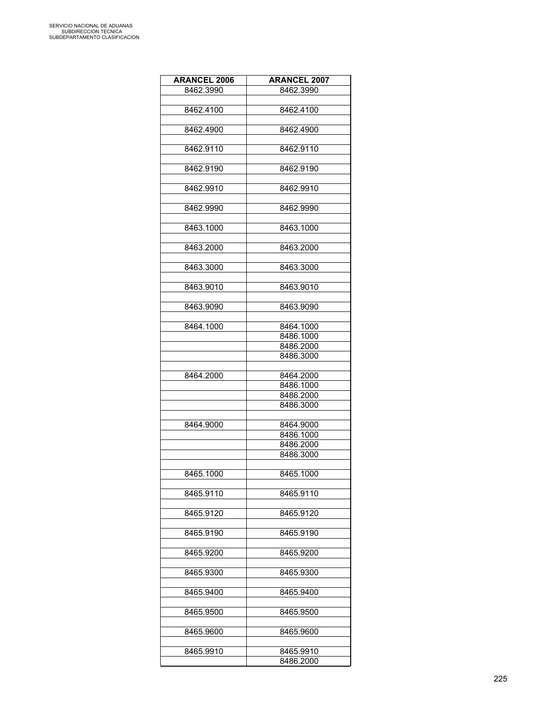| <b>ARANCEL 2006</b> | <b>ARANCEL 2007</b> |
|---------------------|---------------------|
| 8462.3990           | 8462.3990           |
|                     |                     |
| 8462.4100           | 8462.4100           |
|                     |                     |
| 8462.4900           | 8462.4900           |
|                     |                     |
| 8462.9110           | 8462.9110           |
|                     |                     |
| 8462.9190           | 8462.9190           |
|                     |                     |
|                     |                     |
| 8462.9910           | 8462.9910           |
|                     |                     |
| 8462.9990           | 8462.9990           |
|                     |                     |
| 8463.1000           | 8463.1000           |
|                     |                     |
| 8463.2000           | 8463.2000           |
|                     |                     |
| 8463.3000           | 8463.3000           |
|                     |                     |
| 8463.9010           | 8463.9010           |
|                     |                     |
| 8463.9090           | 8463.9090           |
|                     |                     |
| 8464.1000           | 8464.1000           |
|                     | 8486.1000           |
|                     | 8486.2000           |
|                     | 8486.3000           |
|                     |                     |
| 8464.2000           | 8464.2000           |
|                     | 8486.1000           |
|                     | 8486.2000           |
|                     | 8486.3000           |
|                     |                     |
| 8464.9000           | 8464.9000           |
|                     | 8486.1000           |
|                     | 8486.2000           |
|                     | 8486.3000           |
|                     |                     |
| 8465.1000           | 8465.1000           |
|                     |                     |
| 8465.9110           | 8465.9110           |
|                     |                     |
| 8465.9120           | 8465.9120           |
|                     |                     |
| 8465.9190           | 8465.9190           |
|                     |                     |
| 8465.9200           | 8465.9200           |
|                     |                     |
| 8465.9300           | 8465.9300           |
|                     |                     |
| 8465.9400           | 8465.9400           |
|                     |                     |
| 8465.9500           | 8465.9500           |
|                     |                     |
|                     |                     |
| 8465.9600           | 8465.9600           |
|                     |                     |
| 8465.9910           | 8465.9910           |
|                     | 8486.2000           |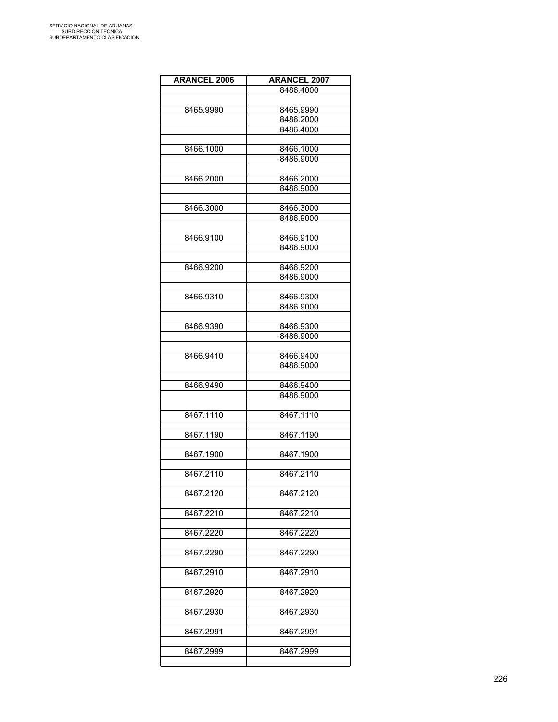| <b>ARANCEL 2006</b> | <b>ARANCEL 2007</b>    |
|---------------------|------------------------|
|                     | 8486.4000              |
|                     |                        |
| 8465.9990           | 8465.9990              |
|                     | 8486.2000              |
|                     | 8486.4000              |
|                     |                        |
| 8466.1000           | 8466.1000              |
|                     | 8486.9000              |
|                     |                        |
| 8466.2000           | 8466.2000              |
|                     | 8486.9000              |
|                     |                        |
|                     |                        |
| 8466.3000           | 8466.3000<br>8486.9000 |
|                     |                        |
|                     |                        |
| 8466.9100           | 8466.9100              |
|                     | 8486.9000              |
|                     |                        |
| 8466.9200           | 8466.9200              |
|                     | 8486.9000              |
|                     |                        |
| 8466.9310           | 8466.9300              |
|                     | 8486.9000              |
|                     |                        |
| 8466.9390           | 8466.9300              |
|                     | 8486.9000              |
|                     |                        |
| 8466.9410           | 8466.9400              |
|                     | 8486.9000              |
|                     |                        |
| 8466.9490           | 8466.9400              |
|                     | 8486.9000              |
|                     |                        |
| 8467.1110           | 8467.1110              |
|                     |                        |
| 8467.1190           | 8467.1190              |
|                     |                        |
| 8467.1900           | 8467.1900              |
|                     |                        |
| 8467.2110           | 8467.2110              |
|                     |                        |
| 8467.2120           | 8467.2120              |
|                     |                        |
| 8467.2210           | 8467.2210              |
|                     |                        |
| 8467.2220           | 8467.2220              |
|                     |                        |
| 8467.2290           | 8467.2290              |
|                     |                        |
| 8467.2910           | 8467.2910              |
|                     |                        |
| 8467.2920           | 8467.2920              |
|                     |                        |
| 8467.2930           | 8467.2930              |
|                     |                        |
| 8467.2991           | 8467.2991              |
|                     |                        |
| 8467.2999           | 8467.2999              |
|                     |                        |
|                     |                        |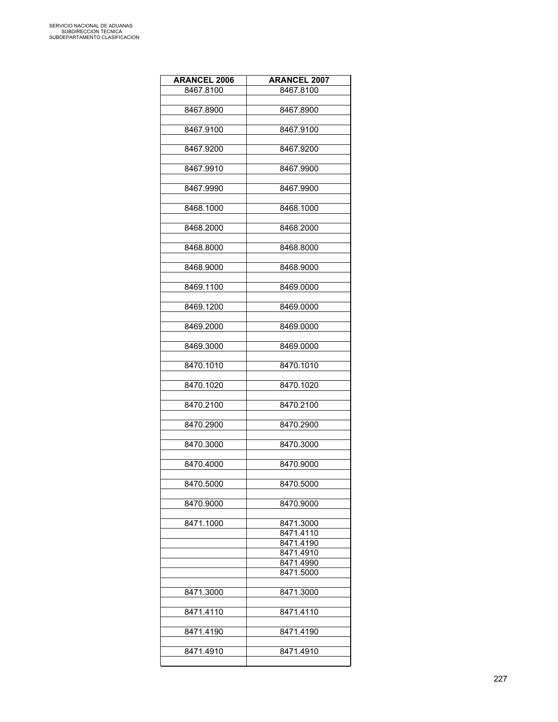| <b>ARANCEL 2006</b> | <b>ARANCEL 2007</b>    |
|---------------------|------------------------|
| 8467.8100           | 8467.8100              |
|                     |                        |
| 8467.8900           | 8467.8900              |
|                     |                        |
| 8467.9100           | 8467.9100              |
|                     |                        |
| 8467.9200           | 8467.9200              |
| 8467.9910           | 8467.9900              |
|                     |                        |
| 8467.9990           | 8467.9900              |
|                     |                        |
| 8468.1000           | 8468.1000              |
|                     |                        |
| 8468.2000           | 8468.2000              |
|                     |                        |
| 8468.8000           | 8468.8000              |
| 8468.9000           | 8468.9000              |
|                     |                        |
| 8469.1100           | 8469.0000              |
|                     |                        |
| 8469.1200           | 8469.0000              |
|                     |                        |
| 8469.2000           | 8469.0000              |
|                     |                        |
| 8469.3000           | 8469.0000              |
| 8470.1010           | 8470.1010              |
|                     |                        |
| 8470.1020           | 8470.1020              |
|                     |                        |
| 8470.2100           | 8470.2100              |
|                     |                        |
| 8470.2900           | 8470.2900              |
|                     |                        |
| 8470.3000           | 8470.3000              |
| 8470.4000           | 8470.9000              |
|                     |                        |
| 8470.5000           | 8470.5000              |
|                     |                        |
| 8470.9000           | 8470.9000              |
|                     |                        |
| 8471.1000           | 8471.3000              |
|                     | 8471.4110<br>8471.4190 |
|                     | 8471.4910              |
|                     | 8471.4990              |
|                     | 8471.5000              |
|                     |                        |
| 8471.3000           | 8471.3000              |
|                     |                        |
| 8471.4110           | 8471.4110              |
|                     |                        |
| 8471.4190           | 8471.4190              |
| 8471.4910           | 8471.4910              |
|                     |                        |
|                     |                        |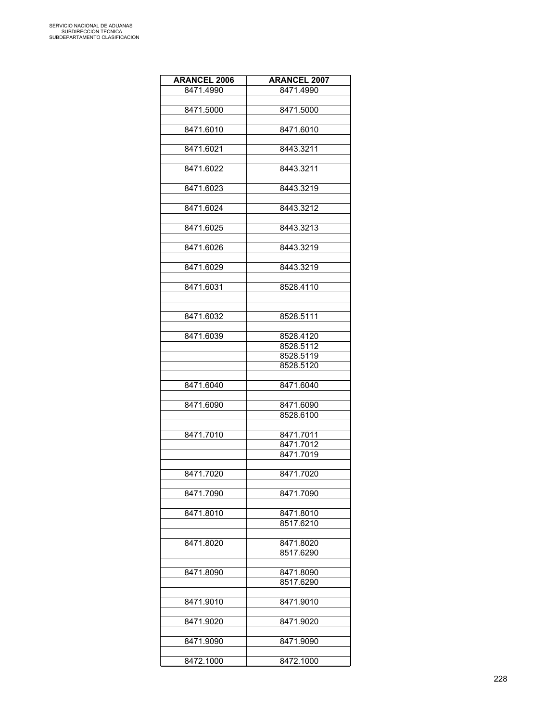| <b>ARANCEL 2006</b> | <b>ARANCEL 2007</b> |
|---------------------|---------------------|
| 8471.4990           | 8471.4990           |
|                     |                     |
| 8471.5000           | 8471.5000           |
|                     |                     |
| 8471.6010           | 8471.6010           |
|                     |                     |
| 8471.6021           | 8443.3211           |
|                     |                     |
| 8471.6022           | 8443.3211           |
|                     |                     |
| 8471.6023           | 8443.3219           |
|                     |                     |
| 8471.6024           | 8443.3212           |
|                     |                     |
| 8471.6025           | 8443.3213           |
|                     |                     |
| 8471.6026           | 8443.3219           |
|                     |                     |
| 8471.6029           | 8443.3219           |
|                     |                     |
| 8471.6031           | 8528.4110           |
|                     |                     |
|                     |                     |
| 8471.6032           | 8528.5111           |
|                     |                     |
| 8471.6039           | 8528.4120           |
|                     | 8528.5112           |
|                     | 8528.5119           |
|                     | 8528.5120           |
|                     |                     |
| 8471.6040           | 8471.6040           |
|                     |                     |
| 8471.6090           | 8471.6090           |
|                     | 8528.6100           |
|                     |                     |
| 8471.7010           | 8471.7011           |
|                     | 8471.7012           |
|                     | 8471.7019           |
|                     |                     |
| 8471.7020           | 8471.7020           |
|                     |                     |
| 8471.7090           | 8471.7090           |
|                     |                     |
| 8471.8010           | 8471.8010           |
|                     | 8517.6210           |
|                     |                     |
| 8471.8020           | 8471.8020           |
|                     | 8517.6290           |
|                     |                     |
| 8471.8090           | 8471.8090           |
|                     | 8517.6290           |
|                     |                     |
| 8471.9010           | 8471.9010           |
|                     |                     |
| 8471.9020           | 8471.9020           |
|                     |                     |
| 8471.9090           | 8471.9090           |
|                     |                     |
| 8472.1000           | 8472.1000           |
|                     |                     |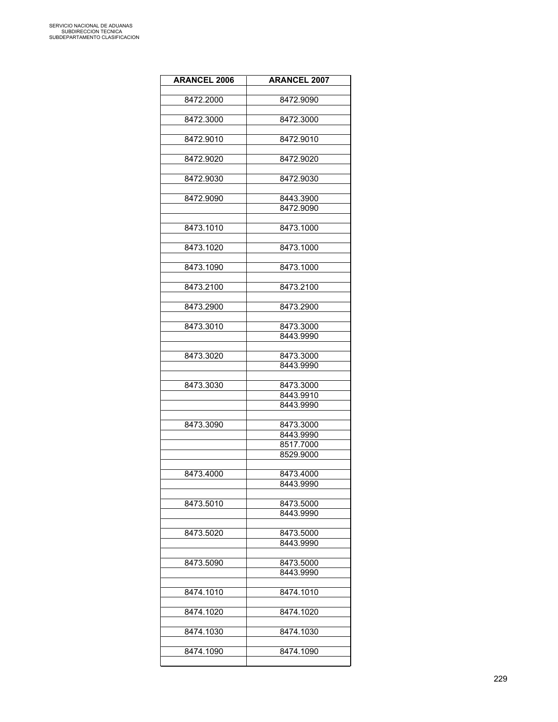| <b>ARANCEL 2006</b> | <b>ARANCEL 2007</b>    |
|---------------------|------------------------|
| 8472.2000           | 8472.9090              |
|                     |                        |
| 8472.3000           | 8472.3000              |
| 8472.9010           | 8472.9010              |
|                     |                        |
| 8472.9020           | 8472.9020              |
| 8472.9030           | 8472.9030              |
|                     |                        |
| 8472.9090           | 8443.3900              |
|                     | 8472.9090              |
| 8473.1010           | 8473.1000              |
|                     |                        |
| 8473.1020           | 8473.1000              |
| 8473.1090           | 8473.1000              |
|                     |                        |
| 8473.2100           | 8473.2100              |
| 8473.2900           | 8473.2900              |
|                     |                        |
| 8473.3010           | 8473.3000              |
|                     | 8443.9990              |
| 8473.3020           | 8473.3000              |
|                     | 8443.9990              |
|                     |                        |
| 8473.3030           | 8473.3000              |
|                     | 8443.9910<br>8443.9990 |
|                     |                        |
| 8473.3090           | 8473.3000              |
|                     | 8443.9990              |
|                     | 8517.7000<br>8529.9000 |
|                     |                        |
| 8473.4000           | 8473.4000              |
|                     | 8443.9990              |
|                     |                        |
| 8473.5010           | 8473.5000<br>8443.9990 |
|                     |                        |
| 8473.5020           | 8473.5000              |
|                     | 8443.9990              |
| 8473.5090           | 8473.5000              |
|                     | 8443.9990              |
|                     |                        |
| 8474.1010           | 8474.1010              |
| 8474.1020           | 8474.1020              |
|                     |                        |
| 8474.1030           | 8474.1030              |
| 8474.1090           | 8474.1090              |
|                     |                        |
|                     |                        |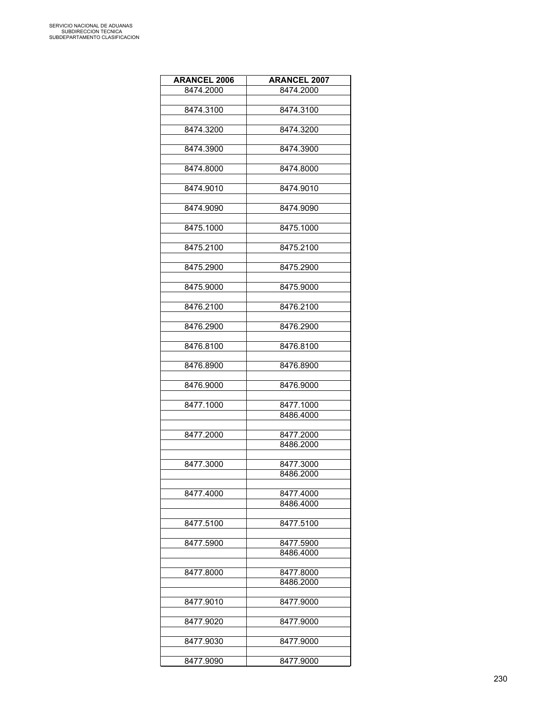| <b>ARANCEL 2006</b> | <b>ARANCEL 2007</b>    |
|---------------------|------------------------|
| 8474.2000           | 8474.2000              |
|                     |                        |
| 8474.3100           | 8474.3100              |
|                     |                        |
| 8474.3200           | 8474.3200              |
|                     |                        |
| 8474.3900           | 8474.3900              |
|                     |                        |
| 8474.8000           | 8474.8000              |
|                     |                        |
| 8474.9010           | 8474.9010              |
|                     |                        |
| 8474.9090           | 8474.9090              |
|                     |                        |
| 8475.1000           | 8475.1000              |
|                     |                        |
| 8475.2100           | 8475.2100              |
|                     |                        |
| 8475.2900           | 8475.2900              |
|                     |                        |
| 8475.9000           | 8475.9000              |
|                     |                        |
| 8476.2100           | 8476.2100              |
|                     |                        |
| 8476.2900           | 8476.2900              |
|                     |                        |
|                     | 8476.8100              |
| 8476.8100           |                        |
|                     | 8476.8900              |
| 8476.8900           |                        |
|                     |                        |
| 8476.9000           | 8476.9000              |
|                     |                        |
| 8477.1000           | 8477.1000<br>8486.4000 |
|                     |                        |
|                     |                        |
| 8477.2000           | 8477.2000              |
|                     | 8486.2000              |
|                     |                        |
| 8477.3000           | 8477.3000              |
|                     | 8486.2000              |
|                     |                        |
| 8477.4000           | 8477.4000              |
|                     | 8486.4000              |
|                     |                        |
| 8477.5100           | 8477.5100              |
|                     |                        |
| 8477.5900           | 8477.5900              |
|                     | 8486.4000              |
|                     |                        |
| 8477.8000           | 8477.8000              |
|                     | 8486.2000              |
|                     |                        |
| 8477.9010           | 8477.9000              |
|                     |                        |
| 8477.9020           | 8477.9000              |
|                     |                        |
| 8477.9030           | 8477.9000              |
|                     |                        |
| 8477.9090           | 8477.9000              |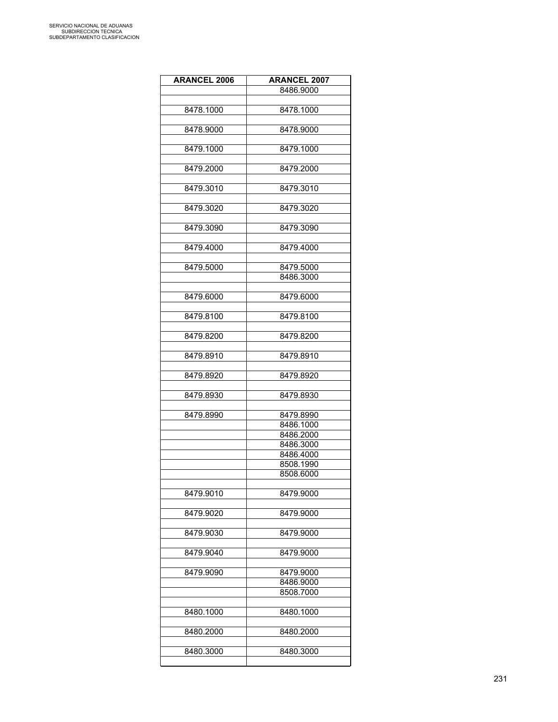| <b>ARANCEL 2006</b> | <b>ARANCEL 2007</b> |
|---------------------|---------------------|
|                     | 8486.9000           |
|                     |                     |
| 8478.1000           | 8478.1000           |
|                     |                     |
| 8478.9000           | 8478.9000           |
|                     |                     |
| 8479.1000           | 8479.1000           |
|                     |                     |
| 8479.2000           | 8479.2000           |
|                     |                     |
| 8479.3010           | 8479.3010           |
|                     |                     |
|                     |                     |
| 8479.3020           | 8479.3020           |
|                     |                     |
| 8479.3090           | 8479.3090           |
|                     |                     |
| 8479.4000           | 8479.4000           |
|                     |                     |
| 8479.5000           | 8479.5000           |
|                     | 8486.3000           |
|                     |                     |
| 8479.6000           | 8479.6000           |
|                     |                     |
| 8479.8100           | 8479.8100           |
|                     |                     |
| 8479.8200           | 8479.8200           |
|                     |                     |
| 8479.8910           | 8479.8910           |
|                     |                     |
| 8479.8920           | 8479.8920           |
|                     |                     |
| 8479.8930           | 8479.8930           |
|                     |                     |
| 8479.8990           | 8479.8990           |
|                     | 8486.1000           |
|                     | 8486.2000           |
|                     | 8486.3000           |
|                     | 8486.4000           |
|                     | 8508.1990           |
|                     | 8508.6000           |
|                     |                     |
| 8479.9010           | 8479.9000           |
|                     |                     |
| 8479.9020           | 8479.9000           |
|                     |                     |
| 8479.9030           | 8479.9000           |
|                     |                     |
| 8479.9040           | 8479.9000           |
|                     |                     |
| 8479.9090           | 8479.9000           |
|                     | 8486.9000           |
|                     | 8508.7000           |
|                     |                     |
| 8480.1000           | 8480.1000           |
|                     |                     |
| 8480.2000           | 8480.2000           |
|                     |                     |
| 8480.3000           | 8480.3000           |
|                     |                     |
|                     |                     |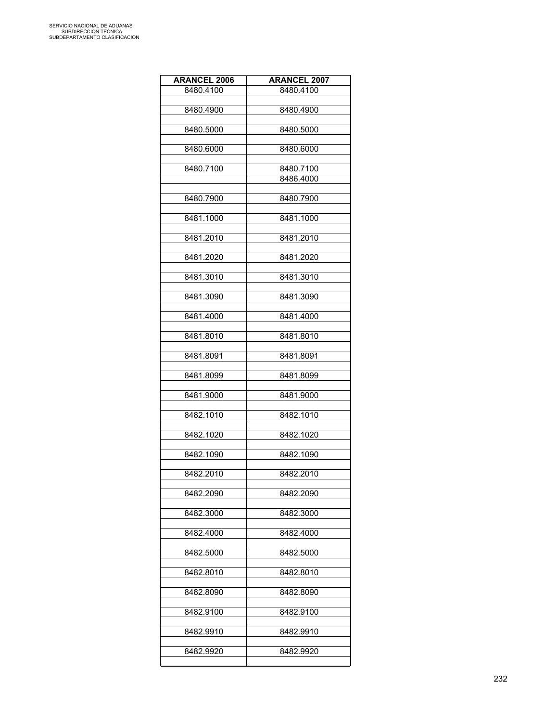| <b>ARANCEL 2006</b> | <b>ARANCEL 2007</b>    |
|---------------------|------------------------|
| 8480.4100           | 8480.4100              |
|                     |                        |
| 8480.4900           | 8480.4900              |
| 8480.5000           | 8480.5000              |
|                     |                        |
| 8480.6000           | 8480.6000              |
|                     |                        |
| 8480.7100           | 8480.7100<br>8486.4000 |
|                     |                        |
| 8480.7900           | 8480.7900              |
|                     |                        |
| 8481.1000           | 8481.1000              |
| 8481.2010           | 8481.2010              |
|                     |                        |
| 8481.2020           | 8481.2020              |
| 8481.3010           | 8481.3010              |
|                     |                        |
| 8481.3090           | 8481.3090              |
|                     |                        |
| 8481.4000           | 8481.4000              |
| 8481.8010           | 8481.8010              |
|                     |                        |
| 8481.8091           | 8481.8091              |
|                     |                        |
| 8481.8099           | 8481.8099              |
| 8481.9000           | 8481.9000              |
|                     |                        |
| 8482.1010           | 8482.1010              |
| 8482.1020           | 8482.1020              |
|                     |                        |
| 8482.1090           | 8482.1090              |
|                     |                        |
| 8482.2010           | 8482.2010              |
| 8482.2090           | 8482.2090              |
|                     |                        |
| 8482.3000           | 8482.3000              |
|                     |                        |
| 8482.4000           | 8482.4000              |
| 8482.5000           | 8482.5000              |
|                     |                        |
| 8482.8010           | 8482.8010              |
| 8482.8090           | 8482.8090              |
|                     |                        |
| 8482.9100           | 8482.9100              |
|                     |                        |
| 8482.9910           | 8482.9910              |
| 8482.9920           | 8482.9920              |
|                     |                        |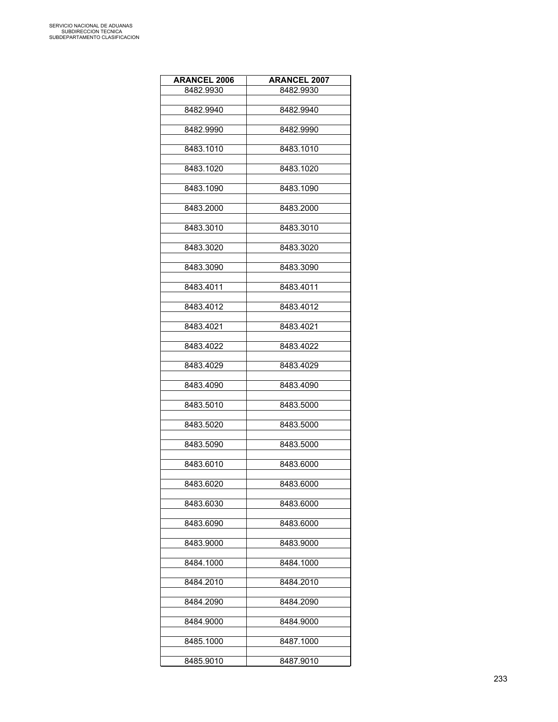| <b>ARANCEL 2006</b> | <b>ARANCEL 2007</b> |
|---------------------|---------------------|
| 8482.9930           | 8482.9930           |
|                     |                     |
| 8482.9940           | 8482.9940           |
|                     |                     |
| 8482.9990           | 8482.9990           |
|                     |                     |
| 8483.1010           | 8483.1010           |
|                     |                     |
| 8483.1020           | 8483.1020           |
| 8483.1090           | 8483.1090           |
|                     |                     |
| 8483.2000           | 8483.2000           |
|                     |                     |
| 8483.3010           | 8483.3010           |
|                     |                     |
| 8483.3020           | 8483.3020           |
|                     |                     |
| 8483.3090           | 8483.3090           |
|                     |                     |
| 8483.4011           | 8483.4011           |
|                     |                     |
| 8483.4012           | 8483.4012           |
|                     |                     |
| 8483.4021           | 8483.4021           |
| 8483.4022           | 8483.4022           |
|                     |                     |
| 8483.4029           | 8483.4029           |
|                     |                     |
| 8483.4090           | 8483.4090           |
|                     |                     |
| 8483.5010           | 8483.5000           |
|                     |                     |
| 8483.5020           | 8483.5000           |
|                     |                     |
| 8483.5090           | 8483.5000           |
|                     |                     |
| 8483.6010           | 8483.6000           |
| 8483.6020           | 8483.6000           |
|                     |                     |
| 8483.6030           | 8483.6000           |
|                     |                     |
| 8483.6090           | 8483.6000           |
|                     |                     |
| 8483.9000           | 8483.9000           |
|                     |                     |
| 8484.1000           | 8484.1000           |
|                     |                     |
| 8484.2010           | 8484.2010           |
|                     |                     |
| 8484.2090           | 8484.2090           |
|                     |                     |
| 8484.9000           | 8484.9000           |
| 8485.1000           | 8487.1000           |
|                     |                     |
| 8485.9010           | 8487.9010           |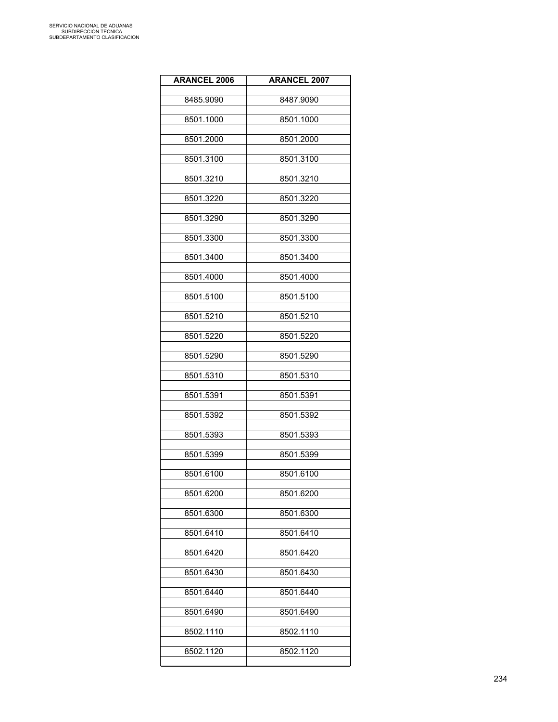| <b>ARANCEL 2006</b> | <b>ARANCEL 2007</b> |
|---------------------|---------------------|
| 8485.9090           | 8487.9090           |
| 8501.1000           | 8501.1000           |
| 8501.2000           | 8501.2000           |
| 8501.3100           | 8501.3100           |
| 8501.3210           | 8501.3210           |
| 8501.3220           | 8501.3220           |
| 8501.3290           | 8501.3290           |
| 8501.3300           | 8501.3300           |
| 8501.3400           | 8501.3400           |
| 8501.4000           | 8501.4000           |
| 8501.5100           | 8501.5100           |
| 8501.5210           | 8501.5210           |
| 8501.5220           | 8501.5220           |
| 8501.5290           | 8501.5290           |
| 8501.5310           | 8501.5310           |
| 8501.5391           | 8501.5391           |
| 8501.5392           | 8501.5392           |
| 8501.5393           | 8501.5393           |
| 8501.5399           | 8501.5399           |
| 8501.6100           | 8501.6100           |
| 8501.6200           | 8501.6200           |
| 8501.6300           | 8501.6300           |
| 8501.6410           | 8501.6410           |
| 8501.6420           | 8501.6420           |
| 8501.6430           | 8501.6430           |
| 8501.6440           | 8501.6440           |
| 8501.6490           | 8501.6490           |
| 8502.1110           | 8502.1110           |
| 8502.1120           | 8502.1120           |
|                     |                     |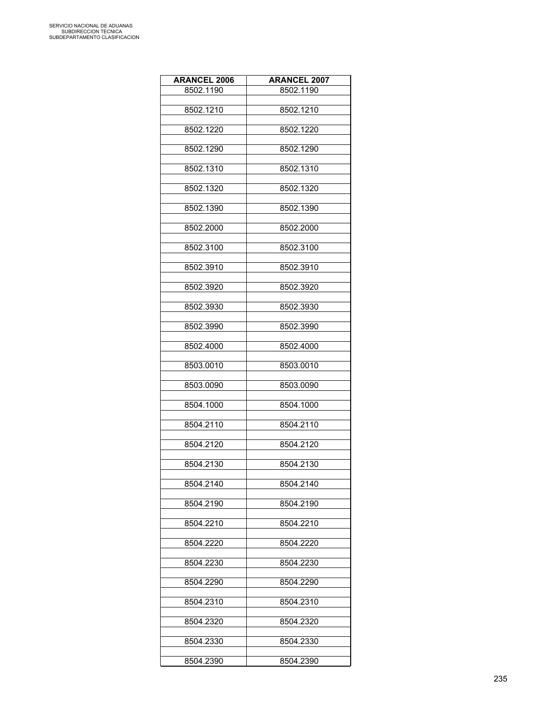| <b>ARANCEL 2006</b> | <b>ARANCEL 2007</b> |
|---------------------|---------------------|
| 8502.1190           | 8502.1190           |
|                     |                     |
| 8502.1210           | 8502.1210           |
| 8502.1220           | 8502.1220           |
|                     |                     |
| 8502.1290           | 8502.1290           |
| 8502.1310           | 8502.1310           |
|                     |                     |
| 8502.1320           | 8502.1320           |
|                     |                     |
| 8502.1390           | 8502.1390           |
| 8502.2000           | 8502.2000           |
|                     |                     |
| 8502.3100           | 8502.3100           |
|                     |                     |
| 8502.3910           | 8502.3910           |
| 8502.3920           | 8502.3920           |
|                     |                     |
| 8502.3930           | 8502.3930           |
| 8502.3990           | 8502.3990           |
|                     |                     |
| 8502.4000           | 8502.4000           |
|                     |                     |
| 8503.0010           | 8503.0010           |
| 8503.0090           | 8503.0090           |
|                     |                     |
| 8504.1000           | 8504.1000           |
|                     |                     |
| 8504.2110           | 8504.2110           |
| 8504.2120           | 8504.2120           |
|                     |                     |
| 8504.2130           | 8504.2130           |
| 8504.2140           | 8504.2140           |
|                     |                     |
| 8504.2190           | 8504.2190           |
|                     |                     |
| 8504.2210           | 8504.2210           |
| 8504.2220           | 8504.2220           |
|                     |                     |
| 8504.2230           | 8504.2230           |
| 8504.2290           | 8504.2290           |
|                     |                     |
| 8504.2310           | 8504.2310           |
|                     |                     |
| 8504.2320           | 8504.2320           |
| 8504.2330           | 8504.2330           |
|                     |                     |
| 8504.2390           | 8504.2390           |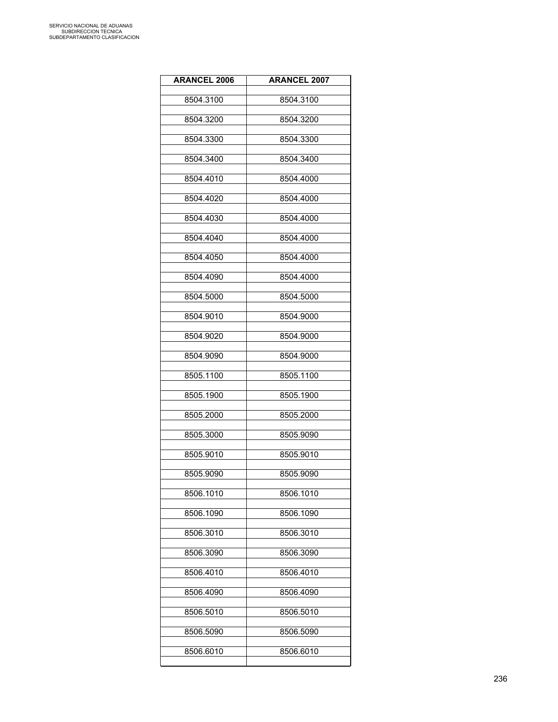| <b>ARANCEL 2006</b> | <b>ARANCEL 2007</b> |
|---------------------|---------------------|
| 8504.3100           | 8504.3100           |
| 8504.3200           | 8504.3200           |
| 8504.3300           | 8504.3300           |
| 8504.3400           | 8504.3400           |
| 8504.4010           | 8504.4000           |
| 8504.4020           | 8504.4000           |
| 8504.4030           | 8504.4000           |
| 8504.4040           | 8504.4000           |
| 8504.4050           | 8504.4000           |
| 8504.4090           | 8504.4000           |
| 8504.5000           | 8504.5000           |
| 8504.9010           | 8504.9000           |
| 8504.9020           | 8504.9000           |
| 8504.9090           | 8504.9000           |
| 8505.1100           | 8505.1100           |
| 8505.1900           | 8505.1900           |
| 8505.2000           | 8505.2000           |
| 8505.3000           | 8505.9090           |
| 8505.9010           | 8505.9010           |
| 8505.9090           | 8505.9090           |
| 8506.1010           | 8506.1010           |
| 8506.1090           | 8506.1090           |
| 8506.3010           | 8506.3010           |
| 8506.3090           | 8506.3090           |
| 8506.4010           | 8506.4010           |
| 8506.4090           | 8506.4090           |
| 8506.5010           | 8506.5010           |
| 8506.5090           | 8506.5090           |
| 8506.6010           | 8506.6010           |
|                     |                     |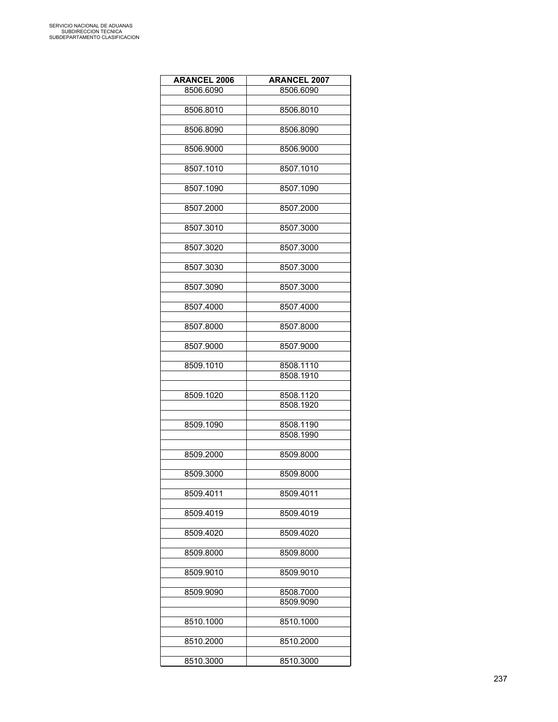| <b>ARANCEL 2006</b> | <b>ARANCEL 2007</b> |
|---------------------|---------------------|
| 8506.6090           | 8506.6090           |
|                     |                     |
| 8506.8010           | 8506.8010           |
|                     |                     |
| 8506.8090           | 8506.8090           |
|                     |                     |
| 8506.9000           | 8506.9000           |
|                     |                     |
| 8507.1010           | 8507.1010           |
|                     |                     |
| 8507.1090           | 8507.1090           |
|                     |                     |
| 8507.2000           | 8507.2000           |
|                     |                     |
| 8507.3010           | 8507.3000           |
|                     |                     |
| 8507.3020           | 8507.3000           |
| 8507.3030           | 8507.3000           |
|                     |                     |
| 8507.3090           | 8507.3000           |
|                     |                     |
| 8507.4000           | 8507.4000           |
|                     |                     |
| 8507.8000           | 8507.8000           |
|                     |                     |
| 8507.9000           | 8507.9000           |
|                     |                     |
| 8509.1010           | 8508.1110           |
|                     | 8508.1910           |
|                     |                     |
| 8509.1020           | 8508.1120           |
|                     | 8508.1920           |
|                     |                     |
| 8509.1090           | 8508.1190           |
|                     | 8508.1990           |
|                     |                     |
| 8509.2000           | 8509.8000           |
|                     |                     |
| 8509.3000           | 8509.8000           |
|                     | 8509.4011           |
| 8509.4011           |                     |
| 8509.4019           | 8509.4019           |
|                     |                     |
| 8509.4020           | 8509.4020           |
|                     |                     |
| 8509.8000           | 8509.8000           |
|                     |                     |
| 8509.9010           | 8509.9010           |
|                     |                     |
| 8509.9090           | 8508.7000           |
|                     | 8509.9090           |
|                     |                     |
| 8510.1000           | 8510.1000           |
|                     |                     |
| 8510.2000           | 8510.2000           |
|                     |                     |
| 8510.3000           | 8510.3000           |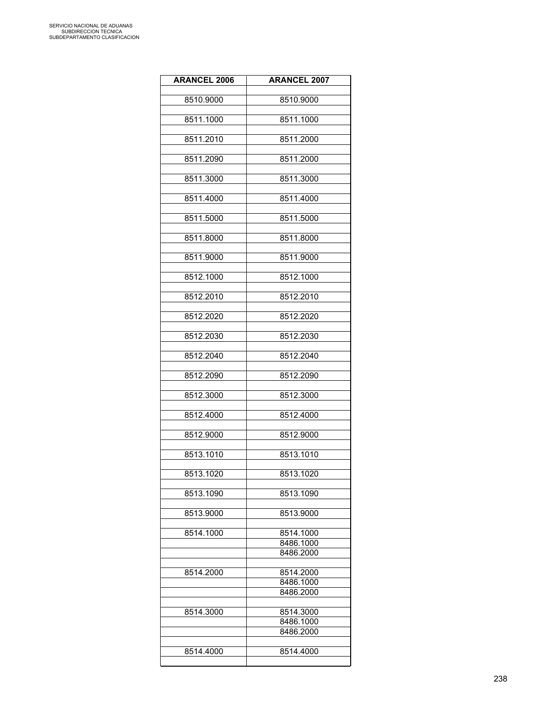| <b>ARANCEL 2006</b> | <b>ARANCEL 2007</b>    |
|---------------------|------------------------|
| 8510.9000           | 8510.9000              |
| 8511.1000           | 8511.1000              |
| 8511.2010           | 8511.2000              |
| 8511.2090           | 8511.2000              |
| 8511.3000           | 8511.3000              |
| 8511.4000           | 8511.4000              |
| 8511.5000           | 8511.5000              |
| 8511.8000           | 8511.8000              |
| 8511.9000           | 8511.9000              |
| 8512.1000           | 8512.1000              |
| 8512.2010           | 8512.2010              |
| 8512.2020           | 8512.2020              |
| 8512.2030           | 8512.2030              |
| 8512.2040           | 8512.2040              |
| 8512.2090           | 8512.2090              |
| 8512.3000           | 8512.3000              |
| 8512.4000           | 8512.4000              |
| 8512.9000           | 8512.9000              |
| 8513.1010           | 8513.1010              |
| 8513.1020           | 8513.1020              |
| 8513.1090           | 8513.1090              |
| 8513.9000           | 8513.9000              |
| 8514.1000           | 8514.1000              |
|                     | 8486.1000<br>8486.2000 |
| 8514.2000           | 8514.2000              |
|                     | 8486.1000<br>8486.2000 |
| 8514.3000           | 8514.3000              |
|                     | 8486.1000<br>8486.2000 |
| 8514.4000           | 8514.4000              |
|                     |                        |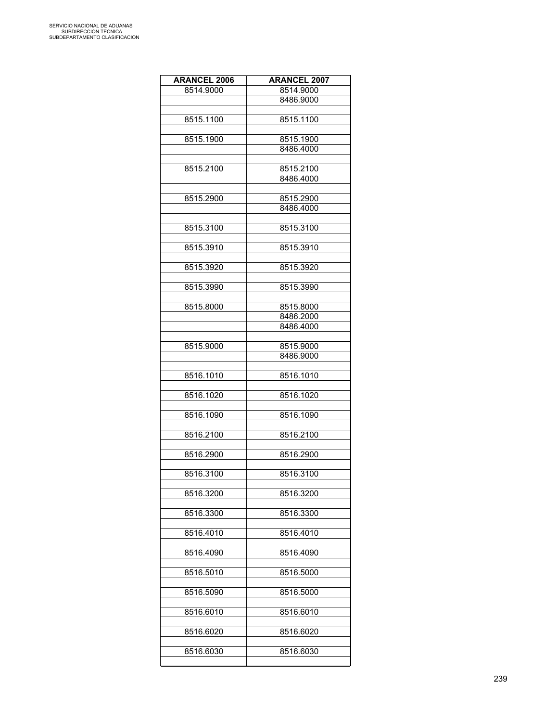| <b>ARANCEL 2006</b> | <b>ARANCEL 2007</b> |
|---------------------|---------------------|
| 8514.9000           | 8514.9000           |
|                     | 8486.9000           |
|                     |                     |
| 8515.1100           | 8515.1100           |
|                     |                     |
| 8515.1900           | 8515.1900           |
|                     | 8486.4000           |
|                     |                     |
| 8515.2100           | 8515.2100           |
|                     | 8486.4000           |
|                     |                     |
| 8515.2900           | 8515.2900           |
|                     | 8486.4000           |
|                     |                     |
| 8515.3100           | 8515.3100           |
|                     |                     |
| 8515.3910           | 8515.3910           |
|                     |                     |
| 8515.3920           | 8515.3920           |
|                     |                     |
| 8515.3990           | 8515.3990           |
|                     |                     |
| 8515.8000           | 8515.8000           |
|                     | 8486.2000           |
|                     | 8486.4000           |
|                     |                     |
| 8515.9000           | 8515.9000           |
|                     | 8486.9000           |
|                     |                     |
| 8516.1010           | 8516.1010           |
|                     |                     |
| 8516.1020           | 8516.1020           |
|                     |                     |
| 8516.1090           | 8516.1090           |
|                     |                     |
| 8516.2100           | 8516.2100           |
|                     |                     |
| 8516.2900           | 8516.2900           |
|                     |                     |
| 8516.3100           | 8516.3100           |
|                     |                     |
| 8516.3200           | 8516.3200           |
|                     |                     |
| 8516.3300           | 8516.3300           |
|                     |                     |
| 8516.4010           | 8516.4010           |
|                     |                     |
| 8516.4090           | 8516.4090           |
|                     |                     |
| 8516.5010           | 8516.5000           |
|                     |                     |
| 8516.5090           | 8516.5000           |
|                     |                     |
| 8516.6010           | 8516.6010           |
|                     |                     |
| 8516.6020           | 8516.6020           |
|                     |                     |
| 8516.6030           | 8516.6030           |
|                     |                     |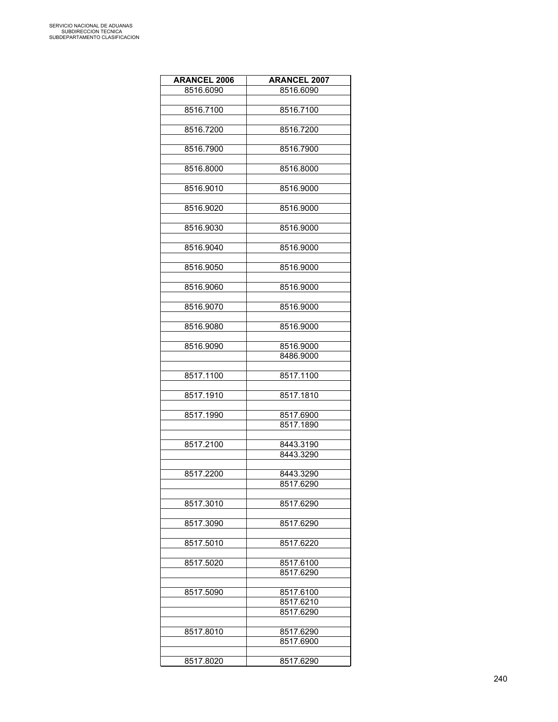| <b>ARANCEL 2006</b> | <b>ARANCEL 2007</b> |
|---------------------|---------------------|
| 8516.6090           | 8516.6090           |
|                     |                     |
| 8516.7100           | 8516.7100           |
|                     |                     |
| 8516.7200           | 8516.7200           |
|                     |                     |
|                     |                     |
| 8516.7900           | 8516.7900           |
|                     | 8516.8000           |
| 8516.8000           |                     |
|                     |                     |
| 8516.9010           | 8516.9000           |
|                     |                     |
| 8516.9020           | 8516.9000           |
|                     |                     |
| 8516.9030           | 8516.9000           |
|                     |                     |
| 8516.9040           | 8516.9000           |
|                     |                     |
| 8516.9050           | 8516.9000           |
|                     |                     |
| 8516.9060           | 8516.9000           |
|                     |                     |
| 8516.9070           | 8516.9000           |
|                     |                     |
| 8516.9080           | 8516.9000           |
|                     |                     |
| 8516.9090           | 8516.9000           |
|                     | 8486.9000           |
|                     |                     |
| 8517.1100           | 8517.1100           |
|                     |                     |
|                     |                     |
| 8517.1910           | 8517.1810           |
|                     |                     |
| 8517.1990           | 8517.6900           |
|                     | 8517.1890           |
|                     |                     |
| 8517.2100           | 8443.3190           |
|                     | 8443.3290           |
|                     |                     |
| 8517.2200           | 8443.3290           |
|                     | 8517.6290           |
|                     |                     |
| 8517.3010           | 8517.6290           |
|                     |                     |
| 8517.3090           | 8517.6290           |
|                     |                     |
| 8517.5010           | 8517.6220           |
|                     |                     |
| 8517.5020           | 8517.6100           |
|                     | 8517.6290           |
|                     |                     |
| 8517.5090           |                     |
|                     | 8517.6100           |
|                     | 8517.6210           |
|                     | 8517.6290           |
|                     |                     |
| 8517.8010           | 8517.6290           |
|                     | 8517.6900           |
|                     |                     |
| 8517.8020           | 8517.6290           |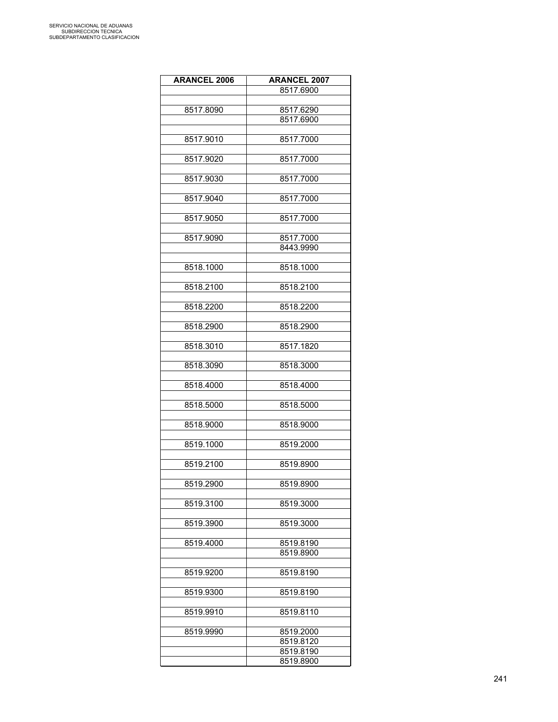| <b>ARANCEL 2006</b> | <b>ARANCEL 2007</b> |
|---------------------|---------------------|
|                     | 8517.6900           |
|                     |                     |
|                     |                     |
| 8517.8090           | 8517.6290           |
|                     | 8517.6900           |
|                     |                     |
| 8517.9010           | 8517.7000           |
|                     |                     |
| 8517.9020           | 8517.7000           |
|                     |                     |
| 8517.9030           | 8517.7000           |
|                     |                     |
| 8517.9040           | 8517.7000           |
|                     |                     |
| 8517.9050           | 8517.7000           |
|                     |                     |
| 8517.9090           | 8517.7000           |
|                     | 8443.9990           |
|                     |                     |
| 8518.1000           | 8518.1000           |
|                     |                     |
| 8518.2100           | 8518.2100           |
|                     |                     |
| 8518.2200           | 8518.2200           |
|                     |                     |
| 8518.2900           | 8518.2900           |
|                     |                     |
| 8518.3010           | 8517.1820           |
|                     |                     |
| 8518.3090           | 8518.3000           |
|                     |                     |
| 8518.4000           | 8518.4000           |
|                     |                     |
| 8518.5000           | 8518.5000           |
|                     |                     |
| 8518.9000           | 8518.9000           |
|                     |                     |
| 8519.1000           | 8519.2000           |
|                     |                     |
| 8519.2100           | 8519.8900           |
|                     |                     |
| 8519.2900           | 8519.8900           |
|                     |                     |
| 8519.3100           | 8519.3000           |
|                     |                     |
| 8519.3900           | 8519.3000           |
|                     |                     |
| 8519.4000           | 8519.8190           |
|                     | 8519.8900           |
|                     |                     |
| 8519.9200           | 8519.8190           |
|                     |                     |
| 8519.9300           | 8519.8190           |
|                     |                     |
| 8519.9910           | 8519.8110           |
|                     |                     |
| 8519.9990           | 8519.2000           |
|                     | 8519.8120           |
|                     | 8519.8190           |
|                     | 8519.8900           |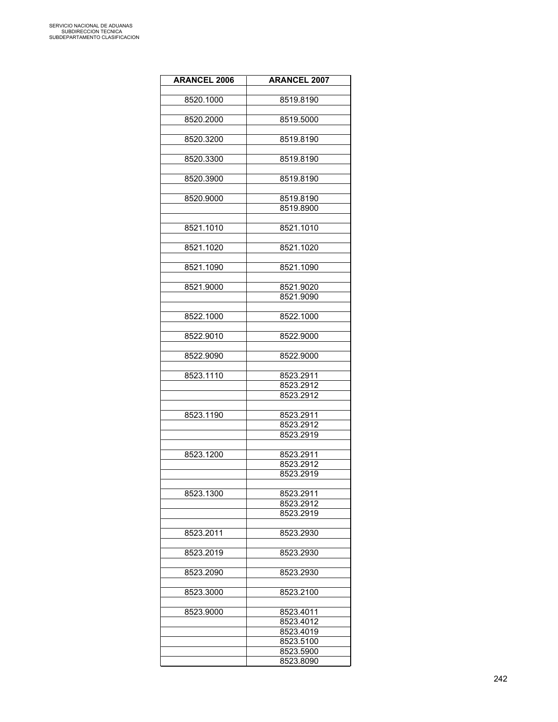| <b>ARANCEL 2006</b> | <b>ARANCEL 2007</b> |
|---------------------|---------------------|
|                     |                     |
| 8520.1000           | 8519.8190           |
|                     |                     |
| 8520.2000           | 8519.5000           |
| 8520.3200           |                     |
|                     | 8519.8190           |
| 8520.3300           | 8519.8190           |
|                     |                     |
| 8520.3900           | 8519.8190           |
|                     |                     |
| 8520.9000           | 8519.8190           |
|                     | 8519.8900           |
| 8521.1010           | 8521.1010           |
|                     |                     |
| 8521.1020           | 8521.1020           |
|                     |                     |
| 8521.1090           | 8521.1090           |
|                     |                     |
| 8521.9000           | 8521.9020           |
|                     | 8521.9090           |
|                     |                     |
| 8522.1000           | 8522.1000           |
| 8522.9010           | 8522.9000           |
|                     |                     |
| 8522.9090           | 8522.9000           |
|                     |                     |
| 8523.1110           | 8523.2911           |
|                     | 8523.2912           |
|                     | 8523.2912           |
| 8523.1190           | 8523.2911           |
|                     | 8523.2912           |
|                     | 8523.2919           |
|                     |                     |
| 8523.1200           | 8523.2911           |
|                     | 8523.2912           |
|                     | 8523.2919           |
|                     |                     |
| 8523.1300           | 8523.2911           |
|                     | 8523.2912           |
|                     | 8523.2919           |
|                     |                     |
| 8523.2011           | 8523.2930           |
| 8523.2019           | 8523.2930           |
|                     |                     |
| 8523.2090           | 8523.2930           |
|                     |                     |
| 8523.3000           | 8523.2100           |
|                     |                     |
| 8523.9000           | 8523.4011           |
|                     | 8523.4012           |
|                     | 8523.4019           |
|                     | 8523.5100           |
|                     | 8523.5900           |
|                     | 8523.8090           |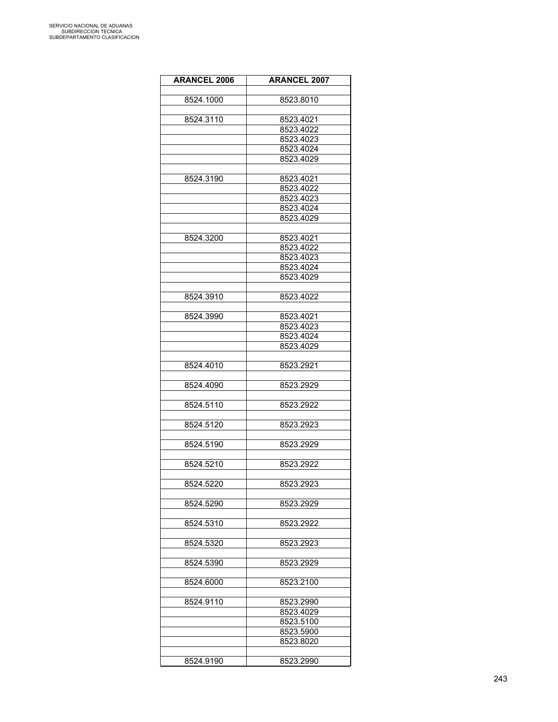| <b>ARANCEL 2006</b> | <b>ARANCEL 2007</b> |
|---------------------|---------------------|
|                     |                     |
| 8524.1000           | 8523.8010           |
| 8524.3110           | 8523.4021           |
|                     | 8523.4022           |
|                     | 8523.4023           |
|                     | 8523.4024           |
|                     | 8523.4029           |
|                     |                     |
| 8524.3190           | 8523.4021           |
|                     | 8523.4022           |
|                     | 8523.4023           |
|                     | 8523.4024           |
|                     | 8523.4029           |
|                     |                     |
| 8524.3200           | 8523.4021           |
|                     | 8523.4022           |
|                     | 8523.4023           |
|                     | 8523.4024           |
|                     | 8523.4029           |
| 8524.3910           | 8523.4022           |
|                     |                     |
| 8524.3990           | 8523.4021           |
|                     | 8523.4023           |
|                     | 8523.4024           |
|                     | 8523.4029           |
|                     |                     |
| 8524.4010           | 8523.2921           |
|                     |                     |
| 8524.4090           | 8523.2929           |
|                     |                     |
| 8524.5110           | 8523.2922           |
|                     |                     |
| 8524.5120           | 8523.2923           |
| 8524.5190           | 8523.2929           |
|                     |                     |
| 8524.5210           | 8523.2922           |
|                     |                     |
| 8524.5220           | 8523.2923           |
|                     |                     |
| 8524.5290           | 8523.2929           |
|                     |                     |
| 8524.5310           | 8523.2922           |
|                     |                     |
| 8524.5320           | 8523.2923           |
|                     |                     |
| 8524.5390           | 8523.2929           |
| 8524.6000           | 8523.2100           |
|                     |                     |
| 8524.9110           | 8523.2990           |
|                     | 8523.4029           |
|                     | 8523.5100           |
|                     | 8523.5900           |
|                     | 8523.8020           |
|                     |                     |
| 8524.9190           | 8523.2990           |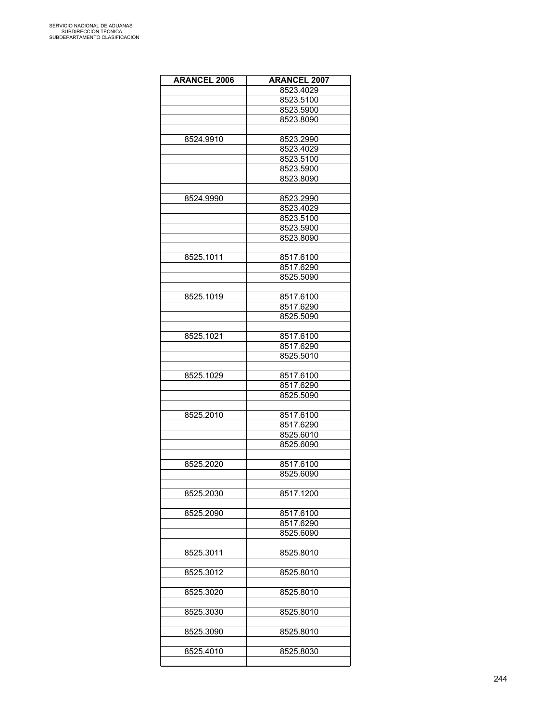| <b>ARANCEL 2006</b> | <b>ARANCEL 2007</b> |
|---------------------|---------------------|
|                     | 8523.4029           |
|                     | 8523.5100           |
|                     | 8523.5900           |
|                     | 8523.8090           |
|                     |                     |
|                     |                     |
| 8524.9910           | 8523.2990           |
|                     | 8523.4029           |
|                     | 8523.5100           |
|                     | 8523.5900           |
|                     | 8523.8090           |
|                     |                     |
| 8524.9990           | 8523.2990           |
|                     | 8523.4029           |
|                     | 8523.5100           |
|                     | 8523.5900           |
|                     | 8523.8090           |
|                     |                     |
| 8525.1011           | 8517.6100           |
|                     | 8517.6290           |
|                     | 8525.5090           |
|                     |                     |
| 8525.1019           | 8517.6100           |
|                     | 8517.6290           |
|                     |                     |
|                     | 8525.5090           |
|                     |                     |
| 8525.1021           | 8517.6100           |
|                     | 8517.6290           |
|                     | 8525.5010           |
|                     |                     |
| 8525.1029           | 8517.6100           |
|                     | 8517.6290           |
|                     | 8525.5090           |
|                     |                     |
| 8525.2010           | 8517.6100           |
|                     | 8517.6290           |
|                     | 8525.6010           |
|                     | 8525.6090           |
|                     |                     |
| 8525.2020           | 8517.6100           |
|                     | 8525.6090           |
|                     |                     |
| 8525.2030           | 8517.1200           |
|                     |                     |
|                     |                     |
| 8525.2090           | 8517.6100           |
|                     | 8517.6290           |
|                     | 8525.6090           |
|                     |                     |
| 8525.3011           | 8525.8010           |
|                     |                     |
| 8525.3012           | 8525.8010           |
|                     |                     |
| 8525.3020           | 8525.8010           |
|                     |                     |
| 8525.3030           | 8525.8010           |
|                     |                     |
| 8525.3090           | 8525.8010           |
|                     |                     |
| 8525.4010           | 8525.8030           |
|                     |                     |
|                     |                     |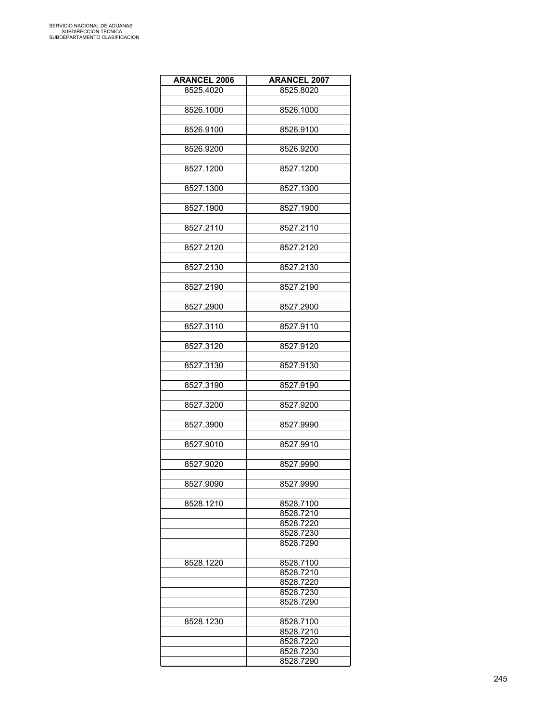| <b>ARANCEL 2006</b> | <b>ARANCEL 2007</b>    |
|---------------------|------------------------|
| 8525.4020           | 8525.8020              |
|                     |                        |
| 8526.1000           | 8526.1000              |
|                     |                        |
| 8526.9100           | 8526.9100              |
|                     |                        |
| 8526.9200           | 8526.9200              |
| 8527.1200           | 8527.1200              |
|                     |                        |
| 8527.1300           | 8527.1300              |
|                     |                        |
| 8527.1900           | 8527.1900              |
|                     |                        |
| 8527.2110           | 8527.2110              |
|                     |                        |
| 8527.2120           | 8527.2120              |
| 8527.2130           | 8527.2130              |
|                     |                        |
| 8527.2190           | 8527.2190              |
|                     |                        |
| 8527.2900           | 8527.2900              |
|                     |                        |
| 8527.3110           | 8527.9110              |
|                     |                        |
| 8527.3120           | 8527.9120              |
| 8527.3130           | 8527.9130              |
|                     |                        |
| 8527.3190           | 8527.9190              |
|                     |                        |
| 8527.3200           | 8527.9200              |
|                     |                        |
| 8527.3900           | 8527.9990              |
| 8527.9010           | 8527.9910              |
|                     |                        |
| 8527.9020           | 8527.9990              |
|                     |                        |
| 8527.9090           | 8527.9990              |
|                     |                        |
| 8528.1210           | 8528.7100              |
|                     | 8528.7210<br>8528.7220 |
|                     | 8528.7230              |
|                     | 8528.7290              |
|                     |                        |
| 8528.1220           | 8528.7100              |
|                     | 8528.7210              |
|                     | 8528.7220              |
|                     | 8528.7230              |
|                     | 8528.7290              |
| 8528.1230           | 8528.7100              |
|                     | 8528.7210              |
|                     | 8528.7220              |
|                     | 8528.7230              |
|                     | 8528.7290              |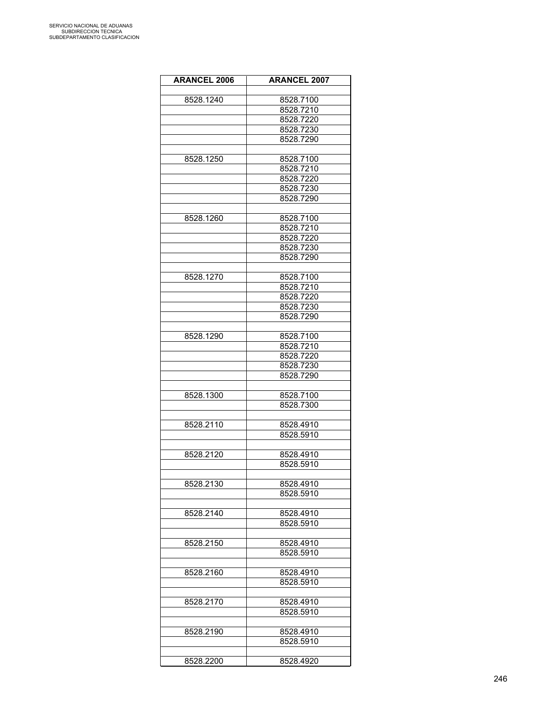| <b>ARANCEL 2006</b> | <b>ARANCEL 2007</b> |
|---------------------|---------------------|
|                     |                     |
| 8528.1240           | 8528.7100           |
|                     | 8528.7210           |
|                     | 8528.7220           |
|                     | 8528.7230           |
|                     | 8528.7290           |
|                     |                     |
| 8528.1250           | 8528.7100           |
|                     | 8528.7210           |
|                     | 8528.7220           |
|                     | 8528.7230           |
|                     | 8528.7290           |
|                     |                     |
| 8528.1260           | 8528.7100           |
|                     | 8528.7210           |
|                     | 8528.7220           |
|                     | 8528.7230           |
|                     | 8528.7290           |
|                     |                     |
| 8528.1270           | 8528.7100           |
|                     | 8528.7210           |
|                     | 8528.7220           |
|                     | 8528.7230           |
|                     | 8528.7290           |
|                     |                     |
| 8528.1290           | 8528.7100           |
|                     | 8528.7210           |
|                     | 8528.7220           |
|                     | 8528.7230           |
|                     | 8528.7290           |
|                     |                     |
| 8528.1300           | 8528.7100           |
|                     | 8528.7300           |
|                     |                     |
| 8528.2110           | 8528.4910           |
|                     | 8528.5910           |
|                     |                     |
| 8528.2120           | 8528.4910           |
|                     | 8528.5910           |
|                     |                     |
| 8528.2130           | 8528.4910           |
|                     | 8528.5910           |
|                     |                     |
| 8528.2140           | 8528.4910           |
|                     | 8528.5910           |
|                     |                     |
| 8528.2150           | 8528.4910           |
|                     | 8528.5910           |
|                     |                     |
| 8528.2160           | 8528.4910           |
|                     | 8528.5910           |
|                     |                     |
| 8528.2170           | 8528.4910           |
|                     | 8528.5910           |
|                     |                     |
| 8528.2190           | 8528.4910           |
|                     | 8528.5910           |
|                     |                     |
| 8528.2200           | 8528.4920           |
|                     |                     |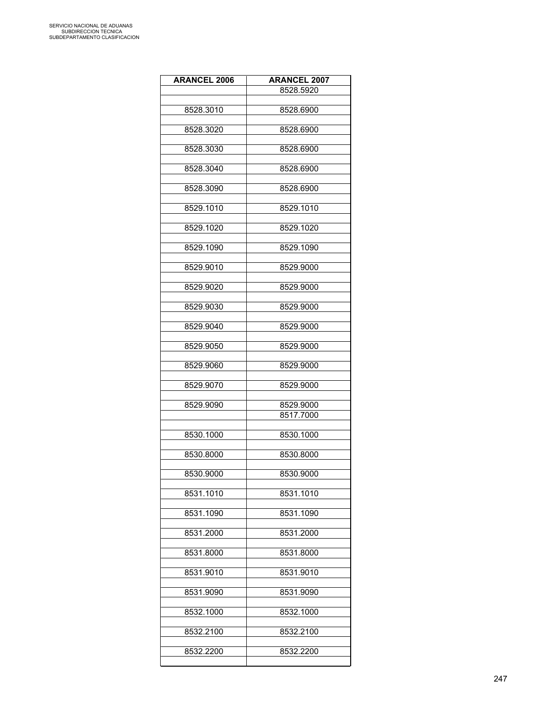| <b>ARANCEL 2006</b> | <b>ARANCEL 2007</b> |
|---------------------|---------------------|
|                     | 8528.5920           |
|                     |                     |
| 8528.3010           | 8528.6900           |
| 8528.3020           | 8528.6900           |
|                     |                     |
| 8528.3030           | 8528.6900           |
|                     |                     |
| 8528.3040           | 8528.6900           |
| 8528.3090           | 8528.6900           |
|                     |                     |
| 8529.1010           | 8529.1010           |
|                     |                     |
| 8529.1020           | 8529.1020           |
| 8529.1090           | 8529.1090           |
|                     |                     |
| 8529.9010           | 8529.9000           |
|                     |                     |
| 8529.9020           | 8529.9000           |
| 8529.9030           | 8529.9000           |
|                     |                     |
| 8529.9040           | 8529.9000           |
|                     |                     |
| 8529.9050           | 8529.9000           |
| 8529.9060           | 8529.9000           |
|                     |                     |
| 8529.9070           | 8529.9000           |
| 8529.9090           | 8529.9000           |
|                     | 8517.7000           |
|                     |                     |
| 8530.1000           | 8530.1000           |
| 8530.8000           |                     |
|                     | 8530.8000           |
| 8530.9000           | 8530.9000           |
|                     |                     |
| 8531.1010           | 8531.1010           |
| 8531.1090           | 8531.1090           |
|                     |                     |
| 8531.2000           | 8531.2000           |
|                     |                     |
| 8531.8000           | 8531.8000           |
| 8531.9010           | 8531.9010           |
|                     |                     |
| 8531.9090           | 8531.9090           |
|                     |                     |
| 8532.1000           | 8532.1000           |
| 8532.2100           | 8532.2100           |
|                     |                     |
| 8532.2200           | 8532.2200           |
|                     |                     |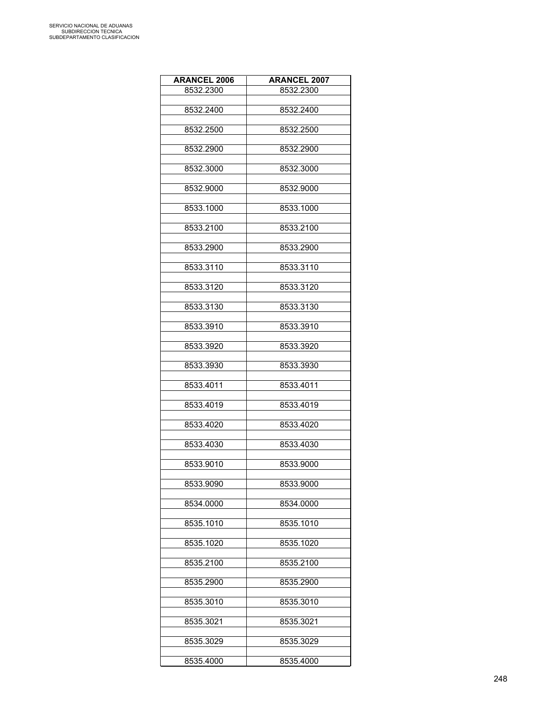| <b>ARANCEL 2006</b> | <b>ARANCEL 2007</b> |
|---------------------|---------------------|
| 8532.2300           | 8532.2300           |
|                     |                     |
| 8532.2400           | 8532.2400           |
|                     |                     |
| 8532.2500           | 8532.2500           |
|                     |                     |
| 8532.2900           | 8532.2900           |
| 8532.3000           | 8532.3000           |
|                     |                     |
| 8532.9000           | 8532.9000           |
|                     |                     |
| 8533.1000           | 8533.1000           |
|                     |                     |
| 8533.2100           | 8533.2100           |
|                     |                     |
| 8533.2900           | 8533.2900           |
| 8533.3110           | 8533.3110           |
|                     |                     |
| 8533.3120           | 8533.3120           |
|                     |                     |
| 8533.3130           | 8533.3130           |
|                     |                     |
| 8533.3910           | 8533.3910           |
|                     |                     |
| 8533.3920           | 8533.3920           |
|                     |                     |
| 8533.3930           | 8533.3930           |
|                     |                     |
| 8533.4011           | 8533.4011           |
| 8533.4019           | 8533.4019           |
|                     |                     |
| 8533.4020           | 8533.4020           |
|                     |                     |
| 8533.4030           | 8533.4030           |
|                     |                     |
| 8533.9010           | 8533.9000           |
|                     |                     |
| 8533.9090           | 8533.9000           |
|                     |                     |
| 8534.0000           | 8534.0000           |
| 8535.1010           | 8535.1010           |
|                     |                     |
| 8535.1020           | 8535.1020           |
|                     |                     |
| 8535.2100           | 8535.2100           |
|                     |                     |
| 8535.2900           | 8535.2900           |
|                     |                     |
| 8535.3010           | 8535.3010           |
| 8535.3021           | 8535.3021           |
|                     |                     |
| 8535.3029           | 8535.3029           |
|                     |                     |
| 8535.4000           | 8535.4000           |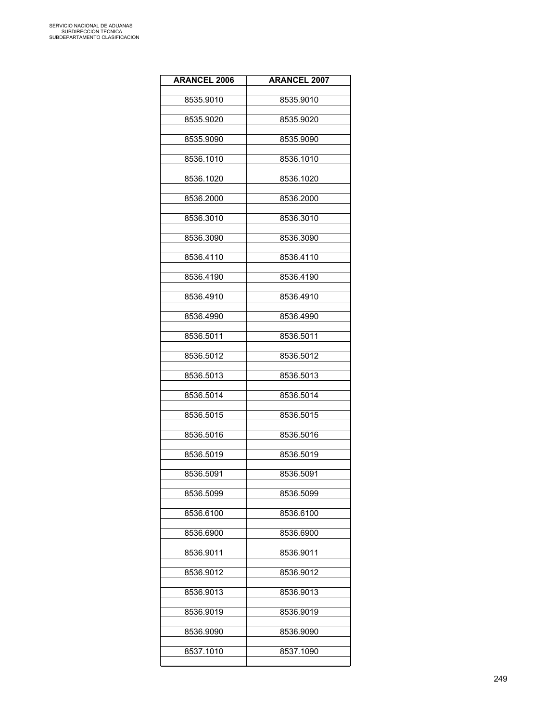| <b>ARANCEL 2006</b> | <b>ARANCEL 2007</b> |
|---------------------|---------------------|
| 8535.9010           | 8535.9010           |
| 8535.9020           | 8535.9020           |
| 8535.9090           | 8535.9090           |
| 8536.1010           | 8536.1010           |
| 8536.1020           | 8536.1020           |
| 8536.2000           | 8536.2000           |
| 8536.3010           | 8536.3010           |
| 8536.3090           | 8536.3090           |
| 8536.4110           | 8536.4110           |
| 8536.4190           | 8536.4190           |
| 8536.4910           | 8536.4910           |
| 8536.4990           | 8536.4990           |
| 8536.5011           | 8536.5011           |
| 8536.5012           | 8536.5012           |
| 8536.5013           | 8536.5013           |
| 8536.5014           | 8536.5014           |
| 8536.5015           | 8536.5015           |
| 8536.5016           | 8536.5016           |
| 8536.5019           | 8536.5019           |
| 8536.5091           | 8536.5091           |
| 8536.5099           | 8536.5099           |
| 8536.6100           | 8536.6100           |
| 8536.6900           | 8536.6900           |
| 8536.9011           | 8536.9011           |
| 8536.9012           | 8536.9012           |
| 8536.9013           | 8536.9013           |
| 8536.9019           | 8536.9019           |
| 8536.9090           | 8536.9090           |
| 8537.1010           | 8537.1090           |
|                     |                     |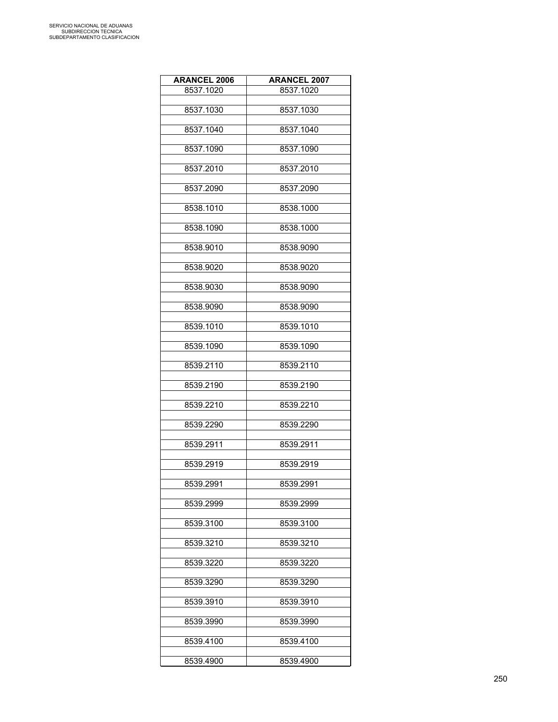| <b>ARANCEL 2006</b> | <b>ARANCEL 2007</b> |
|---------------------|---------------------|
| 8537.1020           | 8537.1020           |
|                     |                     |
| 8537.1030           | 8537.1030           |
|                     |                     |
| 8537.1040           | 8537.1040           |
| 8537.1090           | 8537.1090           |
|                     |                     |
| 8537.2010           | 8537.2010           |
|                     |                     |
| 8537.2090           | 8537.2090           |
|                     |                     |
| 8538.1010           | 8538.1000           |
| 8538.1090           | 8538.1000           |
|                     |                     |
| 8538.9010           | 8538.9090           |
|                     |                     |
| 8538.9020           | 8538.9020           |
|                     |                     |
| 8538.9030           | 8538.9090           |
| 8538.9090           | 8538.9090           |
|                     |                     |
| 8539.1010           | 8539.1010           |
|                     |                     |
| 8539.1090           | 8539.1090           |
|                     |                     |
| 8539.2110           | 8539.2110           |
| 8539.2190           | 8539.2190           |
|                     |                     |
| 8539.2210           | 8539.2210           |
|                     |                     |
| 8539.2290           | 8539.2290           |
|                     |                     |
| 8539.2911           | 8539.2911           |
| 8539.2919           | 8539.2919           |
|                     |                     |
| 8539.2991           | 8539.2991           |
|                     |                     |
| 8539.2999           | 8539.2999           |
|                     |                     |
| 8539.3100           | 8539.3100           |
|                     |                     |
| 8539.3210           | 8539.3210           |
| 8539.3220           | 8539.3220           |
|                     |                     |
| 8539.3290           | 8539.3290           |
|                     |                     |
| 8539.3910           | 8539.3910           |
|                     |                     |
| 8539.3990           | 8539.3990           |
| 8539.4100           | 8539.4100           |
|                     |                     |
| 8539.4900           | 8539.4900           |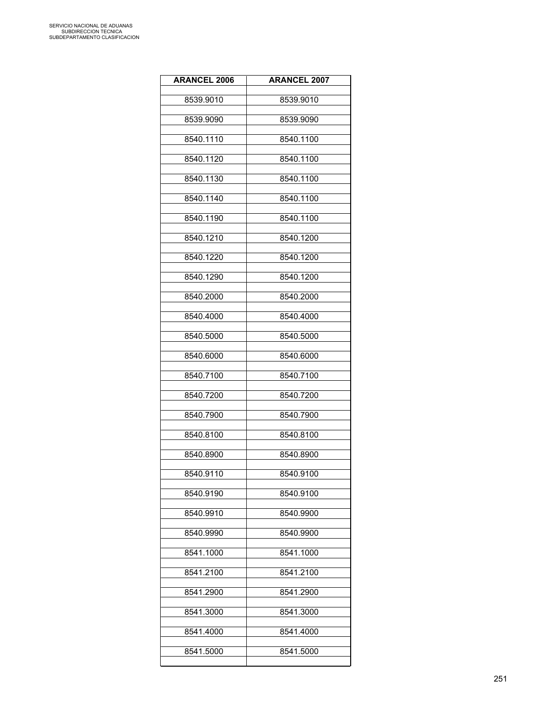| <b>ARANCEL 2006</b> | <b>ARANCEL 2007</b> |
|---------------------|---------------------|
| 8539.9010           | 8539.9010           |
| 8539.9090           | 8539.9090           |
| 8540.1110           | 8540.1100           |
| 8540.1120           | 8540.1100           |
| 8540.1130           | 8540.1100           |
| 8540.1140           | 8540.1100           |
| 8540.1190           | 8540.1100           |
| 8540.1210           | 8540.1200           |
| 8540.1220           | 8540.1200           |
| 8540.1290           | 8540.1200           |
| 8540.2000           | 8540.2000           |
| 8540.4000           | 8540.4000           |
| 8540.5000           | 8540.5000           |
| 8540.6000           | 8540.6000           |
| 8540.7100           | 8540.7100           |
| 8540.7200           | 8540.7200           |
| 8540.7900           | 8540.7900           |
| 8540.8100           | 8540.8100           |
| 8540.8900           | 8540.8900           |
| 8540.9110           | 8540.9100           |
| 8540.9190           | 8540.9100           |
| 8540.9910           | 8540.9900           |
| 8540.9990           | 8540.9900           |
| 8541.1000           | 8541.1000           |
| 8541.2100           | 8541.2100           |
| 8541.2900           | 8541.2900           |
| 8541.3000           | 8541.3000           |
| 8541.4000           | 8541.4000           |
| 8541.5000           | 8541.5000           |
|                     |                     |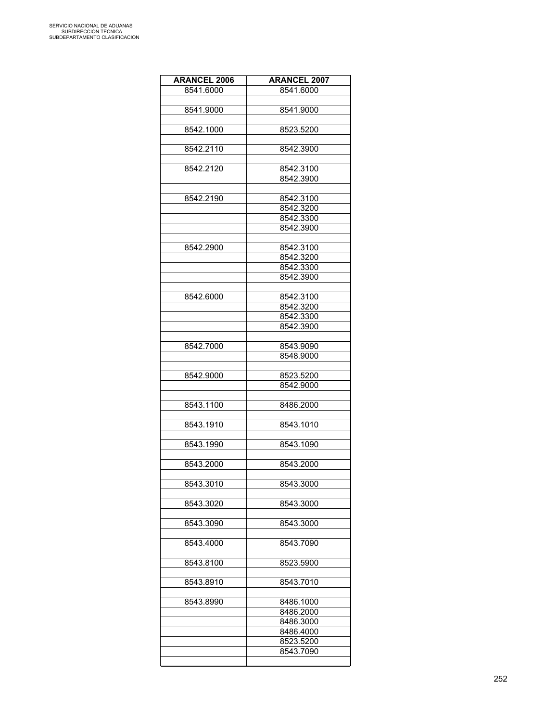| <b>ARANCEL 2006</b> | <b>ARANCEL 2007</b> |
|---------------------|---------------------|
| 8541.6000           | 8541.6000           |
|                     |                     |
| 8541.9000           | 8541.9000           |
|                     |                     |
| 8542.1000           | 8523.5200           |
|                     |                     |
| 8542.2110           | 8542.3900           |
|                     |                     |
| 8542.2120           | 8542.3100           |
|                     | 8542.3900           |
|                     |                     |
| 8542.2190           | 8542.3100           |
|                     | 8542.3200           |
|                     | 8542.3300           |
|                     | 8542.3900           |
|                     |                     |
| 8542.2900           | 8542.3100           |
|                     | 8542.3200           |
|                     | 8542.3300           |
|                     | 8542.3900           |
|                     |                     |
| 8542.6000           | 8542.3100           |
|                     | 8542.3200           |
|                     | 8542.3300           |
|                     | 8542.3900           |
|                     |                     |
| 8542.7000           | 8543.9090           |
|                     | 8548.9000           |
|                     |                     |
| 8542.9000           | 8523.5200           |
|                     | 8542.9000           |
|                     |                     |
| 8543.1100           | 8486.2000           |
|                     |                     |
| 8543.1910           | 8543.1010           |
|                     |                     |
| 8543.1990           | 8543.1090           |
|                     |                     |
| 8543.2000           | 8543.2000           |
|                     |                     |
| 8543.3010           | 8543.3000           |
|                     |                     |
| 8543.3020           | 8543.3000           |
|                     |                     |
| 8543.3090           | 8543.3000           |
|                     |                     |
| 8543.4000           | 8543.7090           |
|                     |                     |
| 8543.8100           | 8523.5900           |
|                     |                     |
| 8543.8910           | 8543.7010           |
|                     |                     |
| 8543.8990           | 8486.1000           |
|                     | 8486.2000           |
|                     | 8486.3000           |
|                     | 8486.4000           |
|                     | 8523.5200           |
|                     | 8543.7090           |
|                     |                     |
|                     |                     |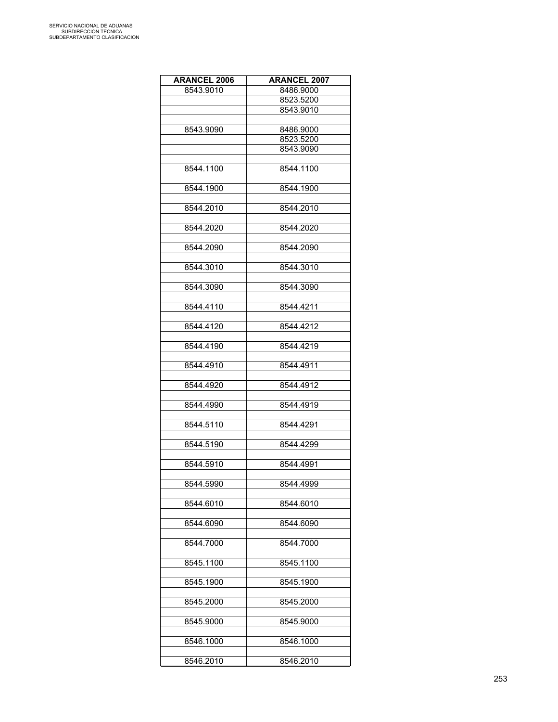| <b>ARANCEL 2006</b> | <b>ARANCEL 2007</b> |
|---------------------|---------------------|
| 8543.9010           | 8486.9000           |
|                     | 8523.5200           |
|                     | 8543.9010           |
|                     |                     |
|                     |                     |
| 8543.9090           | 8486.9000           |
|                     | 8523.5200           |
|                     | 8543.9090           |
|                     |                     |
| 8544.1100           | 8544.1100           |
|                     |                     |
| 8544.1900           | 8544.1900           |
|                     |                     |
| 8544.2010           | 8544.2010           |
|                     |                     |
| 8544.2020           | 8544.2020           |
|                     |                     |
| 8544.2090           | 8544.2090           |
|                     |                     |
| 8544.3010           | 8544.3010           |
|                     |                     |
| 8544.3090           | 8544.3090           |
|                     |                     |
| 8544.4110           | 8544.4211           |
|                     |                     |
| 8544.4120           | 8544.4212           |
|                     |                     |
| 8544.4190           | 8544.4219           |
|                     |                     |
| 8544.4910           | 8544.4911           |
|                     |                     |
| 8544.4920           | 8544.4912           |
|                     |                     |
| 8544.4990           | 8544.4919           |
|                     |                     |
| 8544.5110           | 8544.4291           |
|                     |                     |
| 8544.5190           |                     |
|                     | 8544.4299           |
|                     |                     |
| 8544.5910           | 8544.4991           |
|                     |                     |
| 8544.5990           | 8544.4999           |
|                     |                     |
| 8544.6010           | 8544.6010           |
|                     |                     |
| 8544.6090           | 8544.6090           |
|                     |                     |
| 8544.7000           | 8544.7000           |
|                     |                     |
| 8545.1100           | 8545.1100           |
|                     |                     |
| 8545.1900           | 8545.1900           |
|                     |                     |
| 8545.2000           | 8545.2000           |
|                     |                     |
| 8545.9000           | 8545.9000           |
|                     |                     |
| 8546.1000           | 8546.1000           |
|                     |                     |
| 8546.2010           | 8546.2010           |
|                     |                     |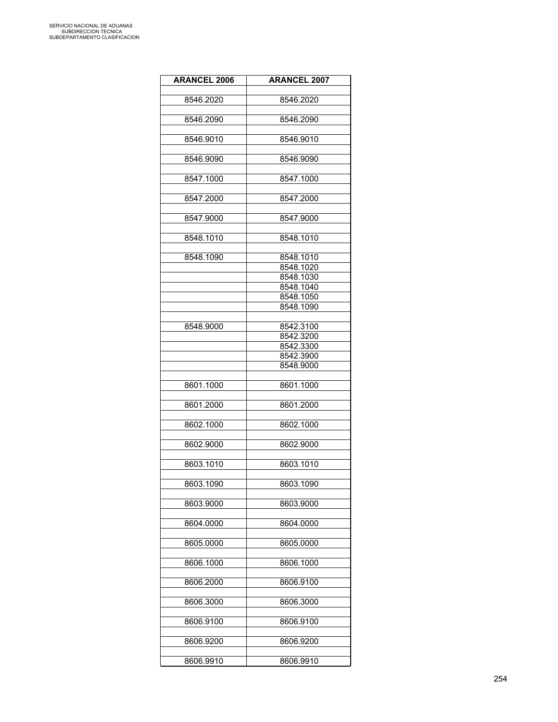| <b>ARANCEL 2006</b> | <b>ARANCEL 2007</b> |
|---------------------|---------------------|
| 8546.2020           | 8546.2020           |
|                     |                     |
| 8546.2090           | 8546.2090           |
| 8546.9010           | 8546.9010           |
|                     |                     |
| 8546.9090           | 8546.9090           |
| 8547.1000           | 8547.1000           |
| 8547.2000           | 8547.2000           |
| 8547.9000           | 8547.9000           |
|                     |                     |
| 8548.1010           | 8548.1010           |
| 8548.1090           | 8548.1010           |
|                     | 8548.1020           |
|                     | 8548.1030           |
|                     | 8548.1040           |
|                     | 8548.1050           |
|                     | 8548.1090           |
|                     |                     |
| 8548.9000           | 8542.3100           |
|                     |                     |
|                     | 8542.3200           |
|                     | 8542.3300           |
|                     | 8542.3900           |
|                     | 8548.9000           |
|                     |                     |
| 8601.1000           | 8601.1000           |
| 8601.2000           | 8601.2000           |
|                     |                     |
| 8602.1000           | 8602.1000           |
| 8602.9000           | 8602.9000           |
|                     |                     |
| 8603.1010           | 8603.1010           |
| 8603.1090           | 8603.1090           |
|                     |                     |
| 8603.9000           | 8603.9000           |
| 8604.0000           | 8604.0000           |
| 8605.0000           | 8605.0000           |
|                     |                     |
| 8606.1000           | 8606.1000           |
| 8606.2000           | 8606.9100           |
| 8606.3000           | 8606.3000           |
|                     |                     |
| 8606.9100           | 8606.9100           |
| 8606.9200           | 8606.9200           |
|                     |                     |
| 8606.9910           | 8606.9910           |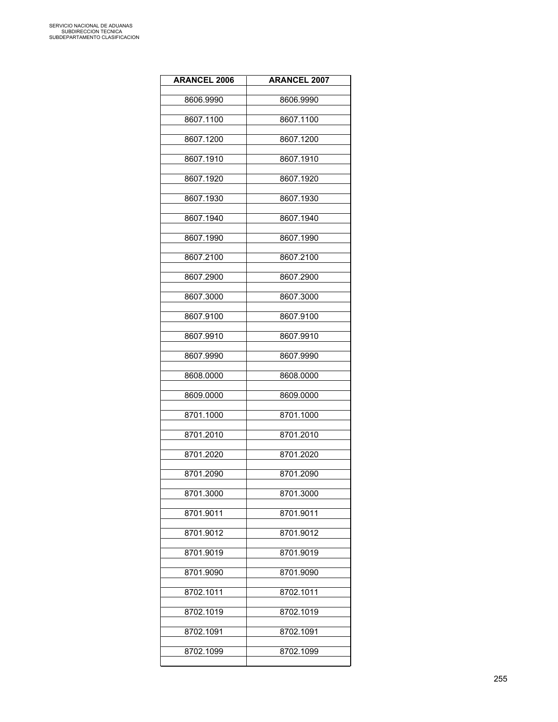| <b>ARANCEL 2006</b> | <b>ARANCEL 2007</b> |
|---------------------|---------------------|
| 8606.9990           | 8606.9990           |
| 8607.1100           | 8607.1100           |
| 8607.1200           | 8607.1200           |
| 8607.1910           | 8607.1910           |
| 8607.1920           | 8607.1920           |
| 8607.1930           | 8607.1930           |
| 8607.1940           | 8607.1940           |
| 8607.1990           | 8607.1990           |
| 8607.2100           | 8607.2100           |
| 8607.2900           | 8607.2900           |
| 8607.3000           | 8607.3000           |
| 8607.9100           | 8607.9100           |
| 8607.9910           | 8607.9910           |
| 8607.9990           | 8607.9990           |
| 8608.0000           | 8608.0000           |
| 8609.0000           | 8609.0000           |
| 8701.1000           | 8701.1000           |
| 8701.2010           | 8701.2010           |
| 8701.2020           | 8701.2020           |
| 8701.2090           | 8701.2090           |
| 8701.3000           | 8701.3000           |
| 8701.9011           | 8701.9011           |
| 8701.9012           | 8701.9012           |
| 8701.9019           | 8701.9019           |
| 8701.9090           | 8701.9090           |
| 8702.1011           | 8702.1011           |
| 8702.1019           | 8702.1019           |
| 8702.1091           | 8702.1091           |
| 8702.1099           | 8702.1099           |
|                     |                     |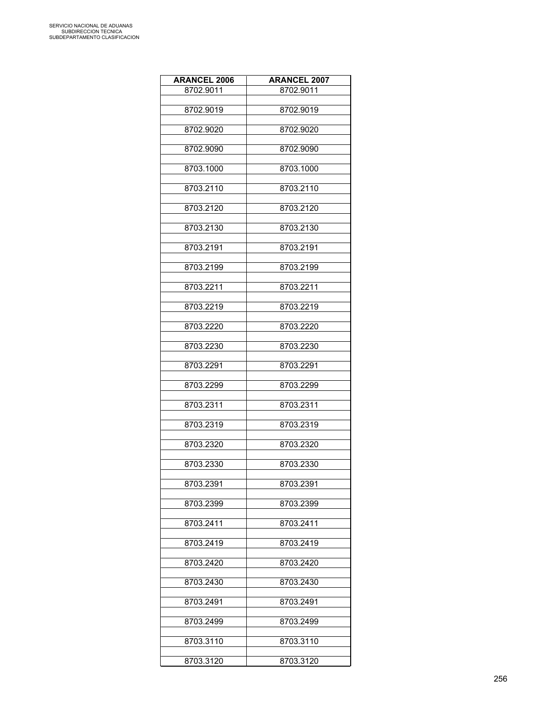| <b>ARANCEL 2006</b> | <b>ARANCEL 2007</b> |
|---------------------|---------------------|
| 8702.9011           | 8702.9011           |
|                     |                     |
| 8702.9019           | 8702.9019           |
|                     |                     |
| 8702.9020           | 8702.9020           |
| 8702.9090           | 8702.9090           |
|                     |                     |
| 8703.1000           | 8703.1000           |
|                     |                     |
| 8703.2110           | 8703.2110           |
| 8703.2120           | 8703.2120           |
|                     |                     |
| 8703.2130           | 8703.2130           |
|                     |                     |
| 8703.2191           | 8703.2191           |
|                     |                     |
| 8703.2199           | 8703.2199           |
| 8703.2211           | 8703.2211           |
|                     |                     |
| 8703.2219           | 8703.2219           |
|                     |                     |
| 8703.2220           | 8703.2220           |
| 8703.2230           | 8703.2230           |
|                     |                     |
| 8703.2291           | 8703.2291           |
|                     |                     |
| 8703.2299           | 8703.2299           |
|                     |                     |
| 8703.2311           | 8703.2311           |
| 8703.2319           | 8703.2319           |
|                     |                     |
| 8703.2320           | 8703.2320           |
|                     |                     |
| 8703.2330           | 8703.2330           |
| 8703.2391           | 8703.2391           |
|                     |                     |
| 8703.2399           | 8703.2399           |
|                     |                     |
| 8703.2411           | 8703.2411           |
|                     |                     |
| 8703.2419           | 8703.2419           |
| 8703.2420           | 8703.2420           |
|                     |                     |
| 8703.2430           | 8703.2430           |
|                     |                     |
| 8703.2491           | 8703.2491           |
| 8703.2499           | 8703.2499           |
|                     |                     |
| 8703.3110           | 8703.3110           |
|                     |                     |
| 8703.3120           | 8703.3120           |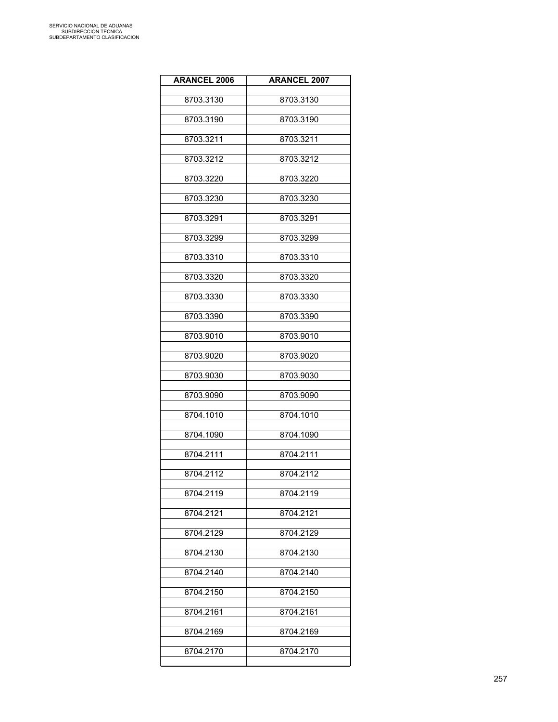| <b>ARANCEL 2006</b> | <b>ARANCEL 2007</b> |
|---------------------|---------------------|
| 8703.3130           | 8703.3130           |
| 8703.3190           | 8703.3190           |
| 8703.3211           | 8703.3211           |
| 8703.3212           | 8703.3212           |
| 8703.3220           | 8703.3220           |
| 8703.3230           | 8703.3230           |
| 8703.3291           | 8703.3291           |
| 8703.3299           | 8703.3299           |
| 8703.3310           | 8703.3310           |
| 8703.3320           | 8703.3320           |
| 8703.3330           | 8703.3330           |
| 8703.3390           | 8703.3390           |
| 8703.9010           | 8703.9010           |
| 8703.9020           | 8703.9020           |
| 8703.9030           | 8703.9030           |
| 8703.9090           | 8703.9090           |
| 8704.1010           | 8704.1010           |
| 8704.1090           | 8704.1090           |
| 8704.2111           | 8704.2111           |
| 8704.2112           | 8704.2112           |
| 8704.2119           | 8704.2119           |
| 8704.2121           | 8704.2121           |
| 8704.2129           | 8704.2129           |
| 8704.2130           | 8704.2130           |
| 8704.2140           | 8704.2140           |
| 8704.2150           | 8704.2150           |
| 8704.2161           | 8704.2161           |
| 8704.2169           | 8704.2169           |
| 8704.2170           | 8704.2170           |
|                     |                     |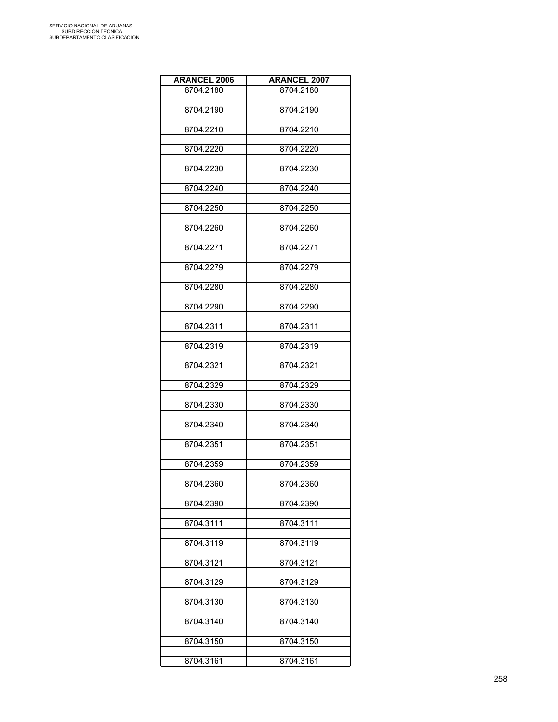| <b>ARANCEL 2006</b> | <b>ARANCEL 2007</b> |
|---------------------|---------------------|
| 8704.2180           | 8704.2180           |
|                     |                     |
| 8704.2190           | 8704.2190           |
| 8704.2210           | 8704.2210           |
|                     |                     |
| 8704.2220           | 8704.2220           |
|                     |                     |
| 8704.2230           | 8704.2230           |
| 8704.2240           | 8704.2240           |
|                     |                     |
| 8704.2250           | 8704.2250           |
|                     |                     |
| 8704.2260           | 8704.2260           |
| 8704.2271           | 8704.2271           |
|                     |                     |
| 8704.2279           | 8704.2279           |
|                     |                     |
| 8704.2280           | 8704.2280           |
| 8704.2290           | 8704.2290           |
|                     |                     |
| 8704.2311           | 8704.2311           |
|                     |                     |
| 8704.2319           | 8704.2319           |
| 8704.2321           | 8704.2321           |
|                     |                     |
| 8704.2329           | 8704.2329           |
|                     |                     |
| 8704.2330           | 8704.2330           |
| 8704.2340           | 8704.2340           |
|                     |                     |
| 8704.2351           | 8704.2351           |
| 8704.2359           | 8704.2359           |
|                     |                     |
| 8704.2360           | 8704.2360           |
|                     |                     |
| 8704.2390           | 8704.2390           |
| 8704.3111           | 8704.3111           |
|                     |                     |
| 8704.3119           | 8704.3119           |
|                     |                     |
| 8704.3121           | 8704.3121           |
| 8704.3129           | 8704.3129           |
|                     |                     |
| 8704.3130           | 8704.3130           |
|                     |                     |
| 8704.3140           | 8704.3140           |
| 8704.3150           | 8704.3150           |
|                     |                     |
| 8704.3161           | 8704.3161           |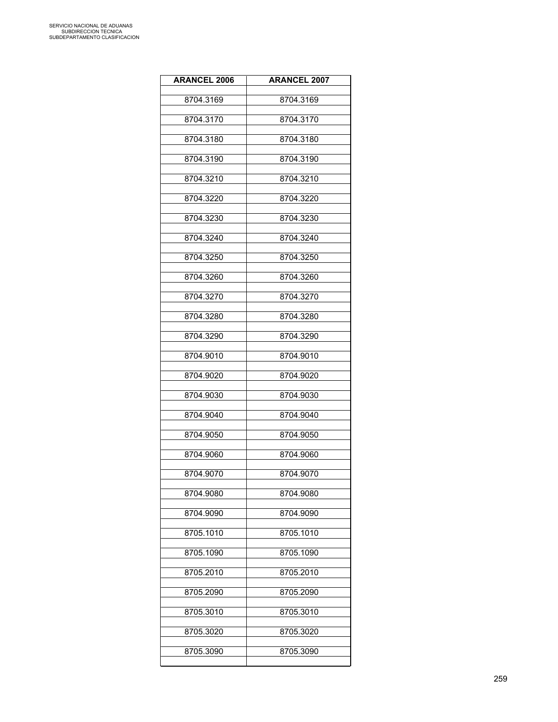| <b>ARANCEL 2006</b> | <b>ARANCEL 2007</b> |
|---------------------|---------------------|
| 8704.3169           | 8704.3169           |
| 8704.3170           | 8704.3170           |
| 8704.3180           | 8704.3180           |
| 8704.3190           | 8704.3190           |
| 8704.3210           | 8704.3210           |
| 8704.3220           | 8704.3220           |
| 8704.3230           | 8704.3230           |
| 8704.3240           | 8704.3240           |
| 8704.3250           | 8704.3250           |
| 8704.3260           | 8704.3260           |
| 8704.3270           | 8704.3270           |
| 8704.3280           | 8704.3280           |
| 8704.3290           | 8704.3290           |
| 8704.9010           | 8704.9010           |
| 8704.9020           | 8704.9020           |
| 8704.9030           | 8704.9030           |
| 8704.9040           | 8704.9040           |
| 8704.9050           | 8704.9050           |
| 8704.9060           | 8704.9060           |
| 8704.9070           | 8704.9070           |
| 8704.9080           | 8704.9080           |
| 8704.9090           | 8704.9090           |
| 8705.1010           | 8705.1010           |
| 8705.1090           | 8705.1090           |
| 8705.2010           | 8705.2010           |
| 8705.2090           | 8705.2090           |
| 8705.3010           | 8705.3010           |
| 8705.3020           | 8705.3020           |
| 8705.3090           | 8705.3090           |
|                     |                     |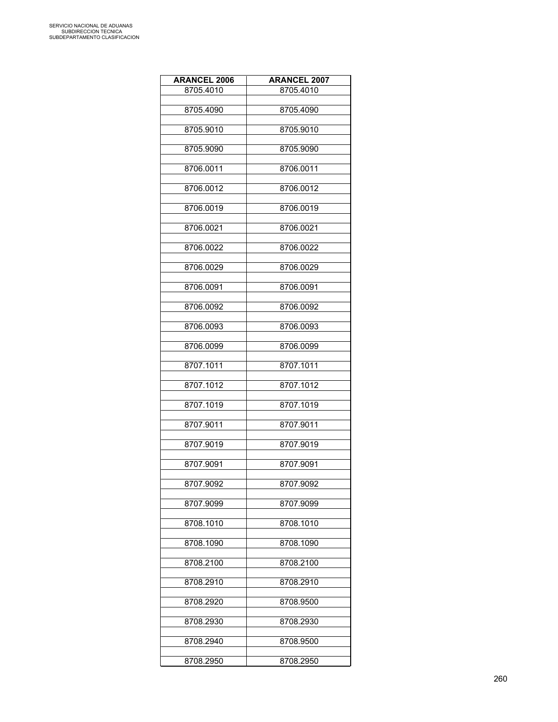| <b>ARANCEL 2006</b> | <b>ARANCEL 2007</b> |
|---------------------|---------------------|
| 8705.4010           | 8705.4010           |
|                     |                     |
| 8705.4090           | 8705.4090           |
| 8705.9010           | 8705.9010           |
|                     |                     |
| 8705.9090           | 8705.9090           |
|                     |                     |
| 8706.0011           | 8706.0011           |
| 8706.0012           | 8706.0012           |
|                     |                     |
| 8706.0019           | 8706.0019           |
|                     |                     |
| 8706.0021           | 8706.0021           |
| 8706.0022           | 8706.0022           |
|                     |                     |
| 8706.0029           | 8706.0029           |
| 8706.0091           |                     |
|                     | 8706.0091           |
| 8706.0092           | 8706.0092           |
|                     |                     |
| 8706.0093           | 8706.0093           |
|                     | 8706.0099           |
| 8706.0099           |                     |
| 8707.1011           | 8707.1011           |
|                     |                     |
| 8707.1012           | 8707.1012           |
| 8707.1019           | 8707.1019           |
|                     |                     |
| 8707.9011           | 8707.9011           |
|                     |                     |
| 8707.9019           | 8707.9019           |
| 8707.9091           | 8707.9091           |
|                     |                     |
| 8707.9092           | 8707.9092           |
|                     |                     |
| 8707.9099           | 8707.9099           |
| 8708.1010           | 8708.1010           |
|                     |                     |
| 8708.1090           | 8708.1090           |
| 8708.2100           | 8708.2100           |
|                     |                     |
| 8708.2910           | 8708.2910           |
|                     |                     |
| 8708.2920           | 8708.9500           |
| 8708.2930           | 8708.2930           |
|                     |                     |
| 8708.2940           | 8708.9500           |
|                     |                     |
| 8708.2950           | 8708.2950           |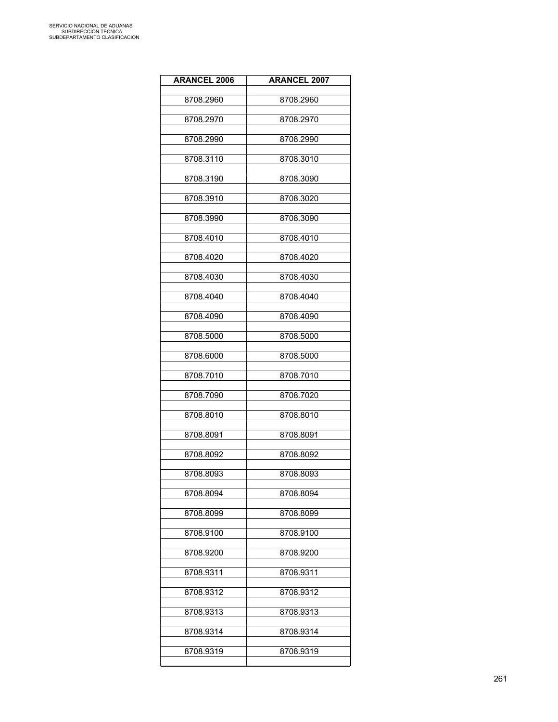| <b>ARANCEL 2006</b> | <b>ARANCEL 2007</b> |
|---------------------|---------------------|
| 8708.2960           | 8708.2960           |
| 8708.2970           | 8708.2970           |
| 8708.2990           | 8708.2990           |
| 8708.3110           | 8708.3010           |
| 8708.3190           | 8708.3090           |
| 8708.3910           | 8708.3020           |
| 8708.3990           | 8708.3090           |
| 8708.4010           | 8708.4010           |
| 8708.4020           | 8708.4020           |
| 8708.4030           | 8708.4030           |
| 8708.4040           | 8708.4040           |
| 8708.4090           | 8708.4090           |
| 8708.5000           | 8708.5000           |
| 8708.6000           | 8708.5000           |
| 8708.7010           | 8708.7010           |
| 8708.7090           | 8708.7020           |
| 8708.8010           | 8708.8010           |
| 8708.8091           | 8708.8091           |
| 8708.8092           | 8708.8092           |
| 8708.8093           | 8708.8093           |
| 8708.8094           | 8708.8094           |
| 8708.8099           | 8708.8099           |
| 8708.9100           | 8708.9100           |
| 8708.9200           | 8708.9200           |
| 8708.9311           | 8708.9311           |
| 8708.9312           | 8708.9312           |
| 8708.9313           | 8708.9313           |
| 8708.9314           | 8708.9314           |
| 8708.9319           | 8708.9319           |
|                     |                     |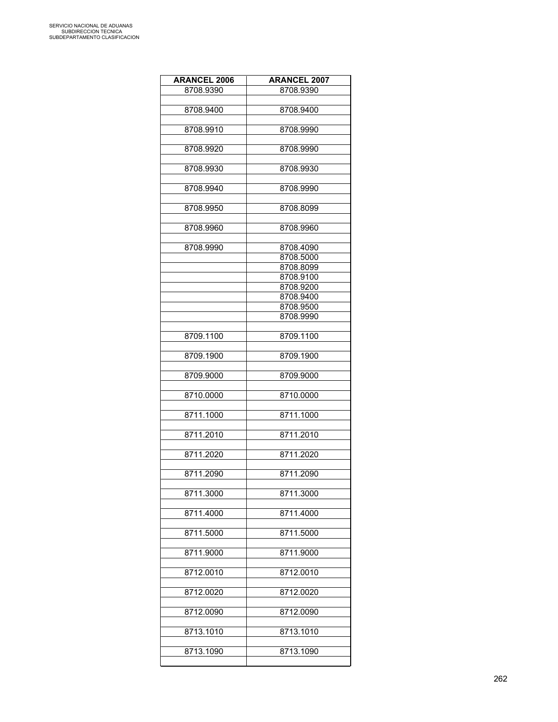| <b>ARANCEL 2006</b> | <b>ARANCEL 2007</b> |
|---------------------|---------------------|
| 8708.9390           | 8708.9390           |
|                     |                     |
| 8708.9400           | 8708.9400           |
|                     |                     |
| 8708.9910           | 8708.9990           |
|                     |                     |
| 8708.9920           | 8708.9990           |
|                     |                     |
| 8708.9930           | 8708.9930           |
|                     |                     |
| 8708.9940           | 8708.9990           |
|                     |                     |
| 8708.9950           | 8708.8099           |
|                     |                     |
| 8708.9960           | 8708.9960           |
|                     |                     |
| 8708.9990           | 8708.4090           |
|                     | 8708.5000           |
|                     | 8708.8099           |
|                     | 8708.9100           |
|                     | 8708.9200           |
|                     | 8708.9400           |
|                     | 8708.9500           |
|                     | 8708.9990           |
|                     |                     |
| 8709.1100           | 8709.1100           |
|                     |                     |
|                     |                     |
| 8709.1900           | 8709.1900           |
|                     |                     |
| 8709.9000           | 8709.9000           |
|                     |                     |
| 8710.0000           | 8710.0000           |
| 8711.1000           | 8711.1000           |
|                     |                     |
|                     |                     |
| 8711.2010           | 8711.2010           |
|                     |                     |
| 8711.2020           | 8711.2020           |
|                     |                     |
| 8711.2090           | 8711.2090           |
|                     |                     |
| 8711.3000           | 8711.3000           |
|                     |                     |
| 8711.4000           | 8711.4000           |
|                     |                     |
| 8711.5000           | 8711.5000           |
|                     |                     |
| 8711.9000           | 8711.9000           |
|                     |                     |
| 8712.0010           | 8712.0010           |
|                     |                     |
| 8712.0020           | 8712.0020           |
|                     |                     |
| 8712.0090           | 8712.0090           |
|                     |                     |
| 8713.1010           | 8713.1010           |
|                     |                     |
| 8713.1090           | 8713.1090           |
|                     |                     |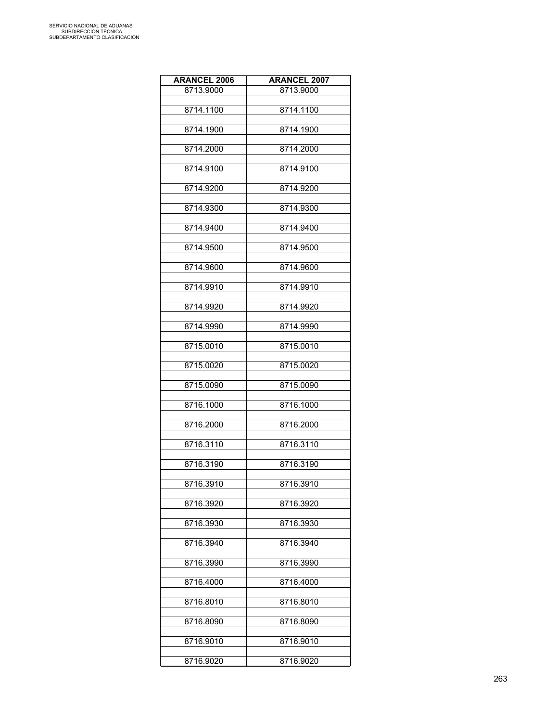| <b>ARANCEL 2006</b> | <b>ARANCEL 2007</b> |
|---------------------|---------------------|
| 8713.9000           | 8713.9000           |
| 8714.1100           | 8714.1100           |
|                     |                     |
| 8714.1900           | 8714.1900           |
| 8714.2000           | 8714.2000           |
| 8714.9100           | 8714.9100           |
| 8714.9200           | 8714.9200           |
| 8714.9300           | 8714.9300           |
| 8714.9400           | 8714.9400           |
| 8714.9500           | 8714.9500           |
| 8714.9600           | 8714.9600           |
| 8714.9910           | 8714.9910           |
| 8714.9920           | 8714.9920           |
| 8714.9990           | 8714.9990           |
| 8715.0010           | 8715.0010           |
| 8715.0020           | 8715.0020           |
| 8715.0090           | 8715.0090           |
| 8716.1000           | 8716.1000           |
| 8716.2000           | 8716.2000           |
| 8716.3110           | 8716.3110           |
| 8716.3190           | 8716.3190           |
| 8716.3910           | 8716.3910           |
| 8716.3920           | 8716.3920           |
| 8716.3930           | 8716.3930           |
| 8716.3940           | 8716.3940           |
| 8716.3990           | 8716.3990           |
| 8716.4000           | 8716.4000           |
| 8716.8010           | 8716.8010           |
| 8716.8090           | 8716.8090           |
| 8716.9010           | 8716.9010           |
| 8716.9020           | 8716.9020           |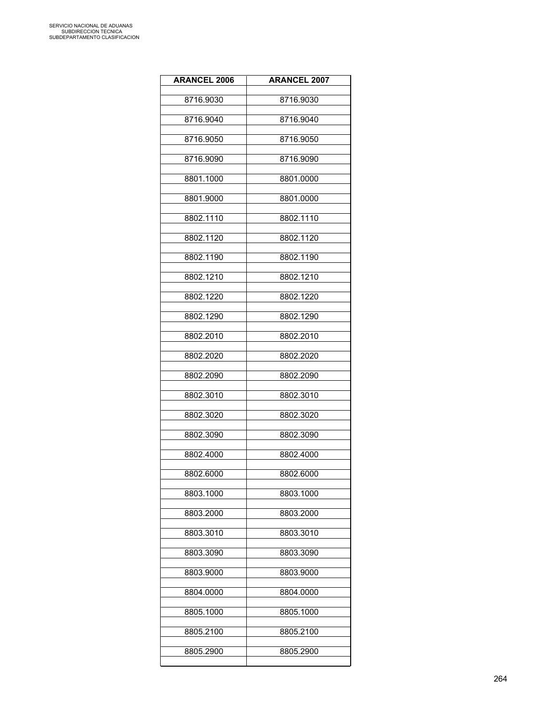| <b>ARANCEL 2006</b> | <b>ARANCEL 2007</b> |
|---------------------|---------------------|
| 8716.9030           | 8716.9030           |
| 8716.9040           | 8716.9040           |
| 8716.9050           | 8716.9050           |
| 8716.9090           | 8716.9090           |
| 8801.1000           | 8801.0000           |
| 8801.9000           | 8801.0000           |
| 8802.1110           | 8802.1110           |
| 8802.1120           | 8802.1120           |
| 8802.1190           | 8802.1190           |
| 8802.1210           | 8802.1210           |
| 8802.1220           | 8802.1220           |
| 8802.1290           | 8802.1290           |
| 8802.2010           | 8802.2010           |
| 8802.2020           | 8802.2020           |
| 8802.2090           | 8802.2090           |
| 8802.3010           | 8802.3010           |
| 8802.3020           | 8802.3020           |
| 8802.3090           | 8802.3090           |
| 8802.4000           | 8802.4000           |
| 8802.6000           | 8802.6000           |
| 8803.1000           | 8803.1000           |
| 8803.2000           | 8803.2000           |
| 8803.3010           | 8803.3010           |
| 8803.3090           | 8803.3090           |
| 8803.9000           | 8803.9000           |
| 8804.0000           | 8804.0000           |
| 8805.1000           | 8805.1000           |
| 8805.2100           | 8805.2100           |
| 8805.2900           | 8805.2900           |
|                     |                     |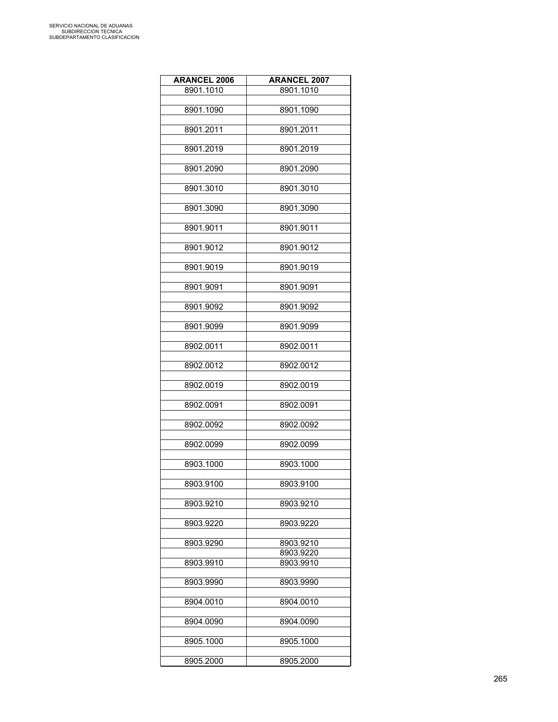| <b>ARANCEL 2006</b> | <b>ARANCEL 2007</b> |
|---------------------|---------------------|
| 8901.1010           | 8901.1010           |
|                     |                     |
| 8901.1090           | 8901.1090           |
|                     |                     |
| 8901.2011           | 8901.2011           |
| 8901.2019           | 8901.2019           |
|                     |                     |
| 8901.2090           | 8901.2090           |
|                     |                     |
| 8901.3010           | 8901.3010           |
|                     |                     |
| 8901.3090           | 8901.3090           |
| 8901.9011           | 8901.9011           |
|                     |                     |
| 8901.9012           | 8901.9012           |
|                     |                     |
| 8901.9019           | 8901.9019           |
|                     |                     |
| 8901.9091           | 8901.9091           |
| 8901.9092           | 8901.9092           |
|                     |                     |
| 8901.9099           | 8901.9099           |
|                     |                     |
| 8902.0011           | 8902.0011           |
|                     |                     |
| 8902.0012           | 8902.0012           |
| 8902.0019           | 8902.0019           |
|                     |                     |
| 8902.0091           | 8902.0091           |
|                     |                     |
| 8902.0092           | 8902.0092           |
|                     |                     |
| 8902.0099           | 8902.0099           |
| 8903.1000           | 8903.1000           |
|                     |                     |
| 8903.9100           | 8903.9100           |
|                     |                     |
| 8903.9210           | 8903.9210           |
| 8903.9220           | 8903.9220           |
|                     |                     |
| 8903.9290           | 8903.9210           |
|                     | 8903.9220           |
| 8903.9910           | 8903.9910           |
|                     |                     |
| 8903.9990           | 8903.9990           |
| 8904.0010           | 8904.0010           |
|                     |                     |
| 8904.0090           | 8904.0090           |
|                     |                     |
| 8905.1000           | 8905.1000           |
|                     |                     |
| 8905.2000           | 8905.2000           |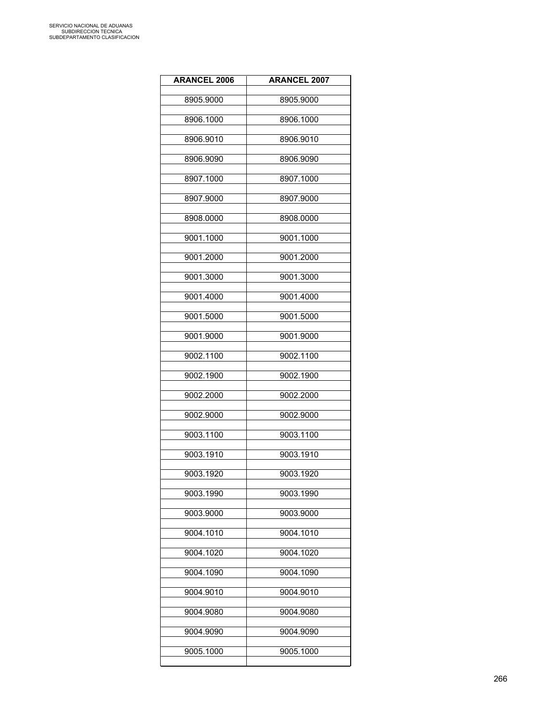| <b>ARANCEL 2006</b> | <b>ARANCEL 2007</b> |
|---------------------|---------------------|
| 8905.9000           | 8905.9000           |
| 8906.1000           | 8906.1000           |
| 8906.9010           | 8906.9010           |
| 8906.9090           | 8906.9090           |
| 8907.1000           | 8907.1000           |
| 8907.9000           | 8907.9000           |
| 8908.0000           | 8908.0000           |
| 9001.1000           | 9001.1000           |
| 9001.2000           | 9001.2000           |
| 9001.3000           | 9001.3000           |
| 9001.4000           | 9001.4000           |
| 9001.5000           | 9001.5000           |
| 9001.9000           | 9001.9000           |
| 9002.1100           | 9002.1100           |
| 9002.1900           | 9002.1900           |
| 9002.2000           | 9002.2000           |
| 9002.9000           | 9002.9000           |
| 9003.1100           | 9003.1100           |
| 9003.1910           | 9003.1910           |
| 9003.1920           | 9003.1920           |
| 9003.1990           | 9003.1990           |
| 9003.9000           | 9003.9000           |
| 9004.1010           | 9004.1010           |
| 9004.1020           | 9004.1020           |
| 9004.1090           | 9004.1090           |
| 9004.9010           | 9004.9010           |
| 9004.9080           | 9004.9080           |
| 9004.9090           | 9004.9090           |
| 9005.1000           | 9005.1000           |
|                     |                     |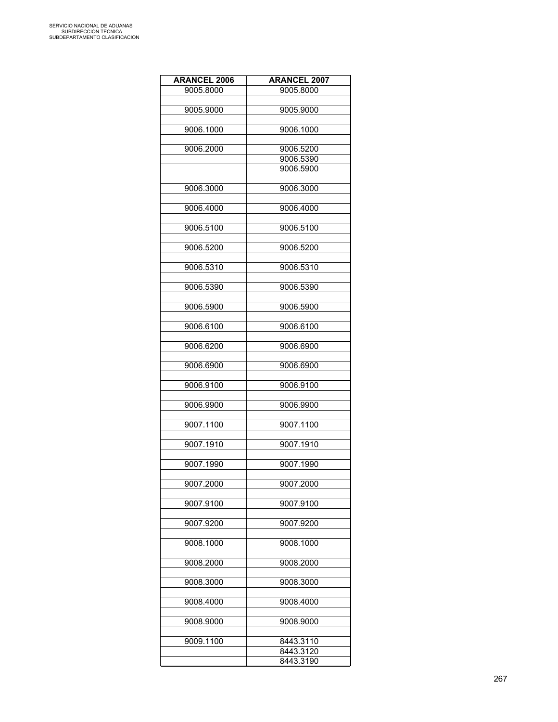| <b>ARANCEL 2006</b> | <b>ARANCEL 2007</b> |
|---------------------|---------------------|
| 9005.8000           | 9005.8000           |
|                     |                     |
| 9005.9000           | 9005.9000           |
|                     |                     |
| 9006.1000           | 9006.1000           |
|                     |                     |
| 9006.2000           | 9006.5200           |
|                     | 9006.5390           |
|                     | 9006.5900           |
|                     |                     |
| 9006.3000           | 9006.3000           |
|                     |                     |
| 9006.4000           | 9006.4000           |
| 9006.5100           | 9006.5100           |
|                     |                     |
| 9006.5200           | 9006.5200           |
|                     |                     |
| 9006.5310           | 9006.5310           |
|                     |                     |
| 9006.5390           | 9006.5390           |
|                     |                     |
| 9006.5900           | 9006.5900           |
|                     |                     |
| 9006.6100           | 9006.6100           |
|                     |                     |
| 9006.6200           | 9006.6900           |
|                     |                     |
| 9006.6900           | 9006.6900           |
|                     |                     |
| 9006.9100           | 9006.9100           |
|                     |                     |
| 9006.9900           | 9006.9900           |
| 9007.1100           | 9007.1100           |
|                     |                     |
| 9007.1910           | 9007.1910           |
|                     |                     |
| 9007.1990           | 9007.1990           |
|                     |                     |
| 9007.2000           | 9007.2000           |
|                     |                     |
| 9007.9100           | 9007.9100           |
|                     |                     |
| 9007.9200           | 9007.9200           |
|                     |                     |
| 9008.1000           | 9008.1000           |
|                     |                     |
| 9008.2000           | 9008.2000           |
|                     |                     |
| 9008.3000           | 9008.3000           |
|                     |                     |
| 9008.4000           | 9008.4000           |
| 9008.9000           | 9008.9000           |
|                     |                     |
| 9009.1100           | 8443.3110           |
|                     | 8443.3120           |
|                     | 8443.3190           |
|                     |                     |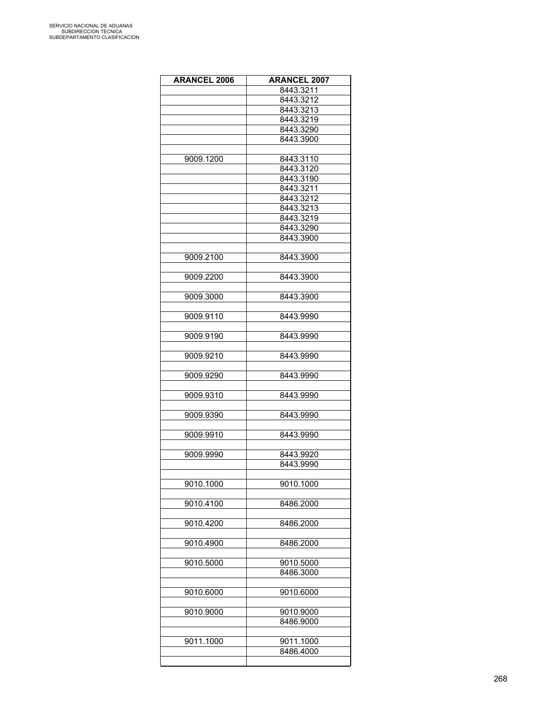| <b>ARANCEL 2006</b> | <b>ARANCEL 2007</b> |
|---------------------|---------------------|
|                     | 8443.3211           |
|                     | 8443.3212           |
|                     | 8443.3213           |
|                     | 8443.3219           |
|                     | 8443.3290           |
|                     | 8443.3900           |
|                     |                     |
| 9009.1200           | 8443.3110           |
|                     | 8443.3120           |
|                     | 8443.3190           |
|                     | 8443.3211           |
|                     | 8443.3212           |
|                     | 8443.3213           |
|                     | 8443.3219           |
|                     | 8443.3290           |
|                     |                     |
|                     | 8443.3900           |
|                     |                     |
| 9009.2100           | 8443.3900           |
|                     |                     |
| 9009.2200           | 8443.3900           |
|                     |                     |
| 9009.3000           | 8443.3900           |
|                     |                     |
| 9009.9110           | 8443.9990           |
|                     |                     |
| 9009.9190           | 8443.9990           |
|                     |                     |
| 9009.9210           | 8443.9990           |
|                     |                     |
| 9009.9290           | 8443.9990           |
|                     |                     |
| 9009.9310           | 8443.9990           |
|                     |                     |
| 9009.9390           | 8443.9990           |
|                     |                     |
| 9009.9910           | 8443.9990           |
|                     |                     |
| 9009.9990           | 8443.9920           |
|                     | 8443.9990           |
|                     |                     |
| 9010.1000           | 9010.1000           |
|                     |                     |
| 9010.4100           | 8486.2000           |
|                     |                     |
| 9010.4200           | 8486.2000           |
|                     |                     |
| 9010.4900           | 8486.2000           |
|                     |                     |
| 9010.5000           | 9010.5000           |
|                     | 8486.3000           |
|                     |                     |
| 9010.6000           | 9010.6000           |
|                     |                     |
| 9010.9000           | 9010.9000           |
|                     | 8486.9000           |
|                     |                     |
| 9011.1000           | 9011.1000           |
|                     | 8486.4000           |
|                     |                     |
|                     |                     |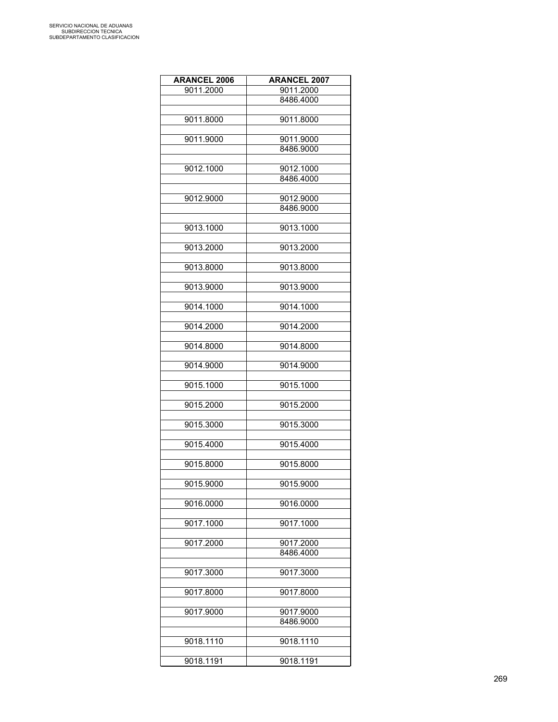| <b>ARANCEL 2006</b> | <b>ARANCEL 2007</b> |
|---------------------|---------------------|
| 9011.2000           | 9011.2000           |
|                     | 8486.4000           |
|                     |                     |
| 9011.8000           | 9011.8000           |
|                     |                     |
| 9011.9000           | 9011.9000           |
|                     | 8486.9000           |
|                     |                     |
| 9012.1000           | 9012.1000           |
|                     | 8486.4000           |
|                     |                     |
| 9012.9000           | 9012.9000           |
|                     | 8486.9000           |
|                     |                     |
| 9013.1000           | 9013.1000           |
|                     |                     |
| 9013.2000           | 9013.2000           |
|                     |                     |
| 9013.8000           | 9013.8000           |
|                     |                     |
| 9013.9000           | 9013.9000           |
|                     |                     |
| 9014.1000           | 9014.1000           |
|                     |                     |
| 9014.2000           | 9014.2000           |
|                     |                     |
| 9014.8000           | 9014.8000           |
|                     |                     |
| 9014.9000           | 9014.9000           |
|                     |                     |
| 9015.1000           | 9015.1000           |
|                     |                     |
| 9015.2000           | 9015.2000           |
|                     |                     |
| 9015.3000           | 9015.3000           |
|                     |                     |
| 9015.4000           | 9015.4000           |
|                     |                     |
| 9015.8000           | 9015.8000           |
|                     |                     |
| 9015.9000           | 9015.9000           |
|                     |                     |
| 9016.0000           | 9016.0000           |
|                     |                     |
| 9017.1000           | 9017.1000           |
|                     |                     |
| 9017.2000           | 9017.2000           |
|                     | 8486.4000           |
|                     |                     |
| 9017.3000           | 9017.3000           |
|                     |                     |
| 9017.8000           | 9017.8000           |
|                     |                     |
| 9017.9000           | 9017.9000           |
|                     | 8486.9000           |
|                     |                     |
| 9018.1110           | 9018.1110           |
|                     |                     |
| 9018.1191           | 9018.1191           |
|                     |                     |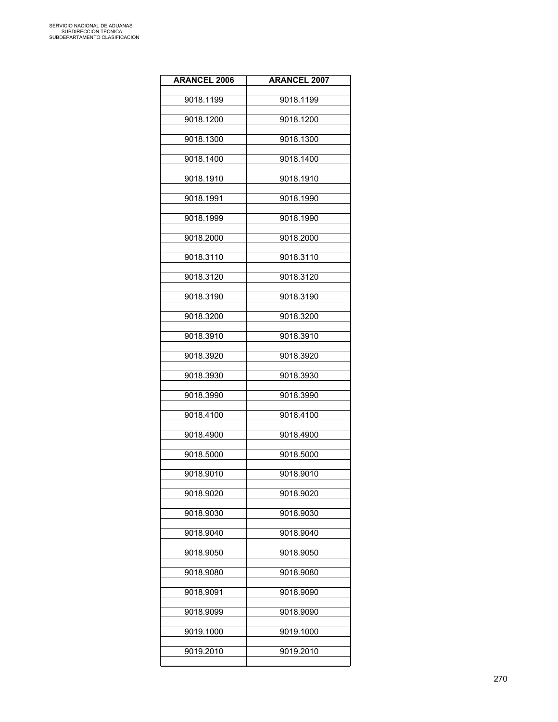| <b>ARANCEL 2006</b> | <b>ARANCEL 2007</b> |
|---------------------|---------------------|
| 9018.1199           | 9018.1199           |
| 9018.1200           | 9018.1200           |
| 9018.1300           | 9018.1300           |
| 9018.1400           | 9018.1400           |
| 9018.1910           | 9018.1910           |
| 9018.1991           | 9018.1990           |
| 9018.1999           | 9018.1990           |
| 9018.2000           | 9018.2000           |
| 9018.3110           | 9018.3110           |
| 9018.3120           | 9018.3120           |
| 9018.3190           | 9018.3190           |
| 9018.3200           | 9018.3200           |
| 9018.3910           | 9018.3910           |
| 9018.3920           | 9018.3920           |
| 9018.3930           | 9018.3930           |
| 9018.3990           | 9018.3990           |
| 9018.4100           | 9018.4100           |
| 9018.4900           | 9018.4900           |
| 9018.5000           | 9018.5000           |
| 9018.9010           | 9018.9010           |
| 9018.9020           | 9018.9020           |
| 9018.9030           | 9018.9030           |
| 9018.9040           | 9018.9040           |
| 9018.9050           | 9018.9050           |
| 9018.9080           | 9018.9080           |
| 9018.9091           | 9018.9090           |
| 9018.9099           | 9018.9090           |
| 9019.1000           | 9019.1000           |
| 9019.2010           | 9019.2010           |
|                     |                     |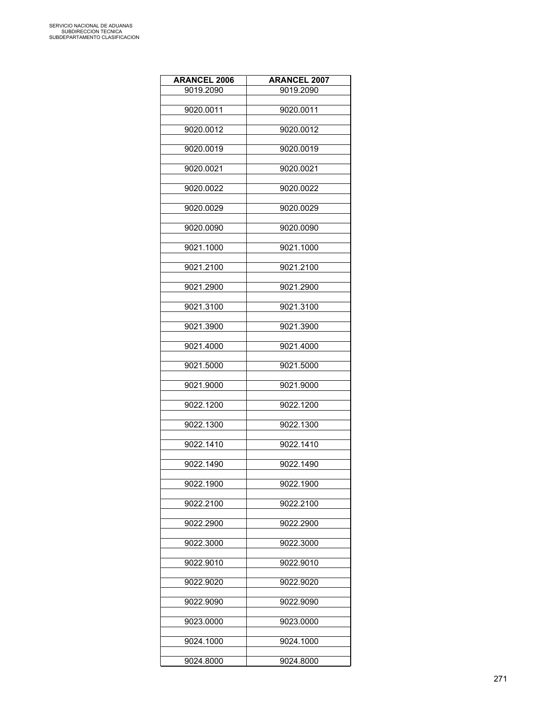| <b>ARANCEL 2006</b> | <b>ARANCEL 2007</b> |
|---------------------|---------------------|
| 9019.2090           | 9019.2090           |
|                     |                     |
| 9020.0011           | 9020.0011           |
| 9020.0012           | 9020.0012           |
| 9020.0019           | 9020.0019           |
| 9020.0021           | 9020.0021           |
| 9020.0022           | 9020.0022           |
| 9020.0029           | 9020.0029           |
| 9020.0090           | 9020.0090           |
| 9021.1000           | 9021.1000           |
| 9021.2100           | 9021.2100           |
| 9021.2900           | 9021.2900           |
| 9021.3100           | 9021.3100           |
| 9021.3900           | 9021.3900           |
| 9021.4000           | 9021.4000           |
| 9021.5000           | 9021.5000           |
| 9021.9000           | 9021.9000           |
| 9022.1200           | 9022.1200           |
| 9022.1300           | 9022.1300           |
| 9022.1410           | 9022.1410           |
| 9022.1490           | 9022.1490           |
| 9022.1900           | 9022.1900           |
| 9022.2100           | 9022.2100           |
| 9022.2900           | 9022.2900           |
| 9022.3000           | 9022.3000           |
| 9022.9010           | 9022.9010           |
| 9022.9020           | 9022.9020           |
| 9022.9090           | 9022.9090           |
| 9023.0000           | 9023.0000           |
| 9024.1000           | 9024.1000           |
| 9024.8000           | 9024.8000           |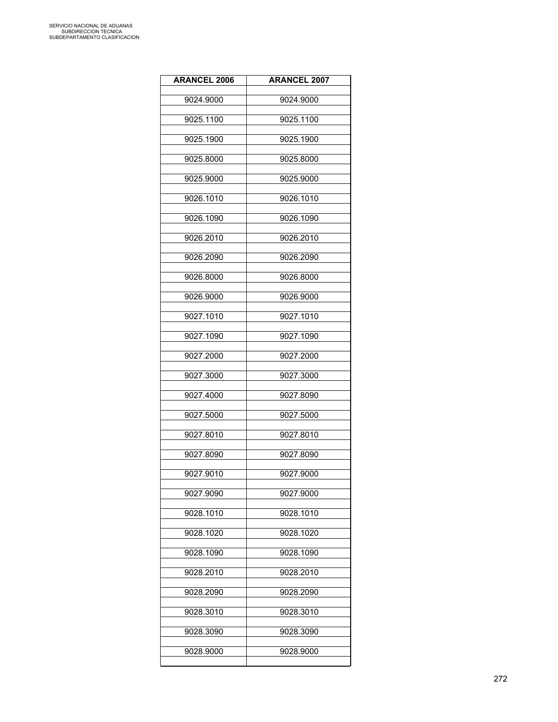| <b>ARANCEL 2006</b> | <b>ARANCEL 2007</b> |
|---------------------|---------------------|
| 9024.9000           | 9024.9000           |
| 9025.1100           | 9025.1100           |
| 9025.1900           | 9025.1900           |
| 9025.8000           | 9025.8000           |
| 9025.9000           | 9025.9000           |
| 9026.1010           | 9026.1010           |
| 9026.1090           | 9026.1090           |
| 9026.2010           | 9026.2010           |
| 9026.2090           | 9026.2090           |
| 9026.8000           | 9026.8000           |
| 9026.9000           | 9026.9000           |
| 9027.1010           | 9027.1010           |
| 9027.1090           | 9027.1090           |
| 9027.2000           | 9027.2000           |
| 9027.3000           | 9027.3000           |
| 9027.4000           | 9027.8090           |
| 9027.5000           | 9027.5000           |
| 9027.8010           | 9027.8010           |
| 9027.8090           | 9027.8090           |
| 9027.9010           | 9027.9000           |
| 9027.9090           | 9027.9000           |
| 9028.1010           | 9028.1010           |
| 9028.1020           | 9028.1020           |
| 9028.1090           | 9028.1090           |
| 9028.2010           | 9028.2010           |
| 9028.2090           | 9028.2090           |
| 9028.3010           | 9028.3010           |
| 9028.3090           | 9028.3090           |
| 9028.9000           | 9028.9000           |
|                     |                     |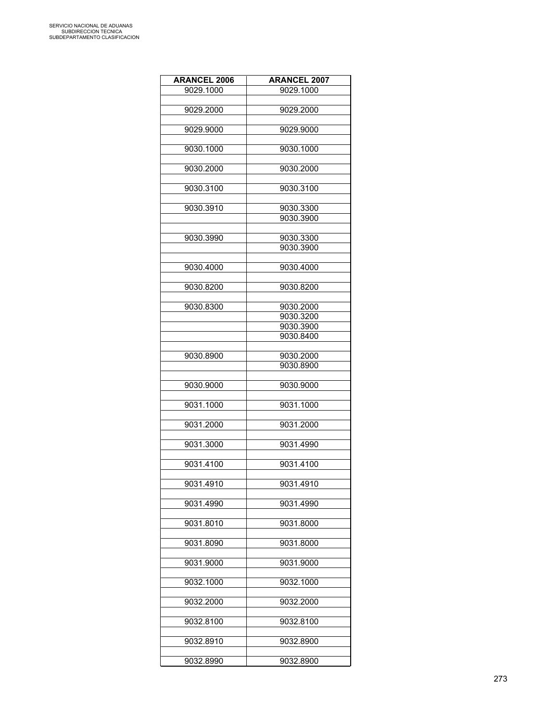| <b>ARANCEL 2006</b> | <b>ARANCEL 2007</b>    |
|---------------------|------------------------|
| 9029.1000           | 9029.1000              |
|                     |                        |
| 9029.2000           | 9029.2000              |
|                     |                        |
| 9029.9000           | 9029.9000              |
|                     |                        |
| 9030.1000           | 9030.1000              |
| 9030.2000           | 9030.2000              |
|                     |                        |
| 9030.3100           | 9030.3100              |
|                     |                        |
| 9030.3910           | 9030.3300              |
|                     | 9030.3900              |
|                     |                        |
| 9030.3990           | 9030.3300              |
|                     | 9030.3900              |
| 9030.4000           | 9030.4000              |
|                     |                        |
| 9030.8200           | 9030.8200              |
|                     |                        |
| 9030.8300           | 9030.2000              |
|                     | 9030.3200              |
|                     | 9030.3900              |
|                     | 9030.8400              |
|                     |                        |
| 9030.8900           | 9030.2000<br>9030.8900 |
|                     |                        |
| 9030.9000           | 9030.9000              |
|                     |                        |
| 9031.1000           | 9031.1000              |
|                     |                        |
| 9031.2000           | 9031.2000              |
|                     |                        |
| 9031.3000           | 9031.4990              |
| 9031.4100           | 9031.4100              |
|                     |                        |
| 9031.4910           | 9031.4910              |
|                     |                        |
| 9031.4990           | 9031.4990              |
|                     |                        |
| 9031.8010           | 9031.8000              |
| 9031.8090           |                        |
|                     | 9031.8000              |
| 9031.9000           | 9031.9000              |
|                     |                        |
| 9032.1000           | 9032.1000              |
|                     |                        |
| 9032.2000           | 9032.2000              |
|                     |                        |
| 9032.8100           | 9032.8100              |
| 9032.8910           | 9032.8900              |
|                     |                        |
| 9032.8990           | 9032.8900              |
|                     |                        |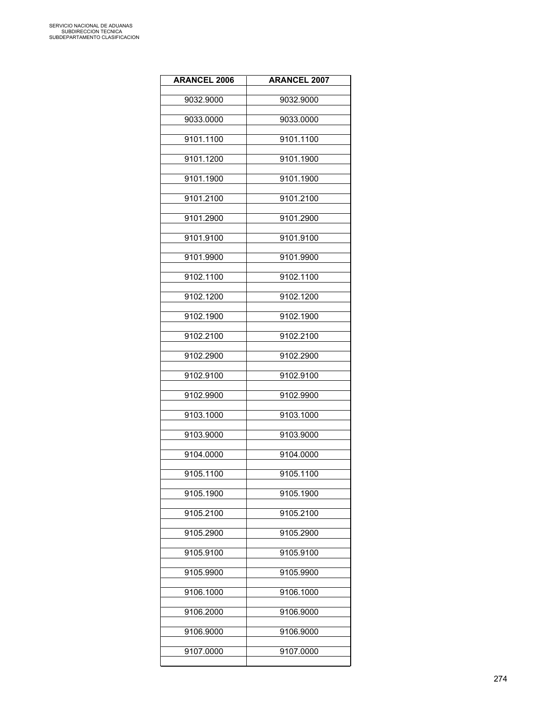| <b>ARANCEL 2006</b> | <b>ARANCEL 2007</b> |
|---------------------|---------------------|
| 9032.9000           | 9032.9000           |
| 9033.0000           | 9033.0000           |
| 9101.1100           | 9101.1100           |
| 9101.1200           | 9101.1900           |
| 9101.1900           | 9101.1900           |
| 9101.2100           | 9101.2100           |
| 9101.2900           | 9101.2900           |
| 9101.9100           | 9101.9100           |
| 9101.9900           | 9101.9900           |
| 9102.1100           | 9102.1100           |
| 9102.1200           | 9102.1200           |
| 9102.1900           | 9102.1900           |
| 9102.2100           | 9102.2100           |
| 9102.2900           | 9102.2900           |
| 9102.9100           | 9102.9100           |
| 9102.9900           | 9102.9900           |
| 9103.1000           | 9103.1000           |
| 9103.9000           | 9103.9000           |
| 9104.0000           | 9104.0000           |
| 9105.1100           | 9105.1100           |
| 9105.1900           | 9105.1900           |
| 9105.2100           | 9105.2100           |
| 9105.2900           | 9105.2900           |
| 9105.9100           | 9105.9100           |
| 9105.9900           | 9105.9900           |
| 9106.1000           | 9106.1000           |
| 9106.2000           | 9106.9000           |
| 9106.9000           | 9106.9000           |
| 9107.0000           | 9107.0000           |
|                     |                     |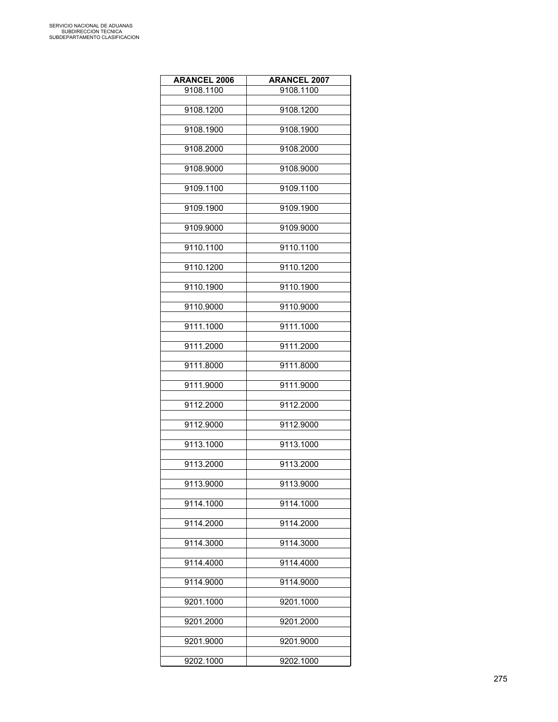| <b>ARANCEL 2006</b> | <b>ARANCEL 2007</b> |
|---------------------|---------------------|
| 9108.1100           | 9108.1100           |
| 9108.1200           | 9108.1200           |
|                     |                     |
| 9108.1900           | 9108.1900           |
| 9108.2000           | 9108.2000           |
| 9108.9000           | 9108.9000           |
| 9109.1100           | 9109.1100           |
| 9109.1900           | 9109.1900           |
| 9109.9000           | 9109.9000           |
| 9110.1100           | 9110.1100           |
| 9110.1200           | 9110.1200           |
| 9110.1900           | 9110.1900           |
| 9110.9000           | 9110.9000           |
| 9111.1000           | 9111.1000           |
| 9111.2000           | 9111.2000           |
| 9111.8000           | 9111.8000           |
| 9111.9000           | 9111.9000           |
| 9112.2000           | 9112.2000           |
| 9112.9000           | 9112.9000           |
| 9113.1000           | 9113.1000           |
| 9113.2000           | 9113.2000           |
| 9113.9000           | 9113.9000           |
| 9114.1000           | 9114.1000           |
| 9114.2000           | 9114.2000           |
| 9114.3000           | 9114.3000           |
| 9114.4000           | 9114.4000           |
| 9114.9000           | 9114.9000           |
| 9201.1000           | 9201.1000           |
| 9201.2000           | 9201.2000           |
| 9201.9000           | 9201.9000           |
| 9202.1000           | 9202.1000           |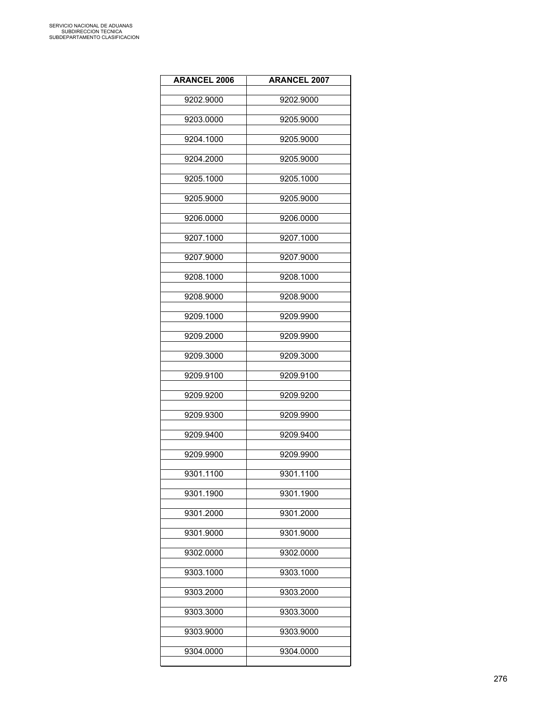| <b>ARANCEL 2006</b> | <b>ARANCEL 2007</b> |
|---------------------|---------------------|
| 9202.9000           | 9202.9000           |
| 9203.0000           | 9205.9000           |
| 9204.1000           | 9205.9000           |
| 9204.2000           | 9205.9000           |
| 9205.1000           | 9205.1000           |
| 9205.9000           | 9205.9000           |
| 9206.0000           | 9206.0000           |
| 9207.1000           | 9207.1000           |
| 9207.9000           | 9207.9000           |
| 9208.1000           | 9208.1000           |
| 9208.9000           | 9208.9000           |
| 9209.1000           | 9209.9900           |
| 9209.2000           | 9209.9900           |
| 9209.3000           | 9209.3000           |
| 9209.9100           | 9209.9100           |
| 9209.9200           | 9209.9200           |
| 9209.9300           | 9209.9900           |
| 9209.9400           | 9209.9400           |
| 9209.9900           | 9209.9900           |
| 9301.1100           | 9301.1100           |
| 9301.1900           | 9301.1900           |
| 9301.2000           | 9301.2000           |
| 9301.9000           | 9301.9000           |
| 9302.0000           | 9302.0000           |
| 9303.1000           | 9303.1000           |
| 9303.2000           | 9303.2000           |
| 9303.3000           | 9303.3000           |
| 9303.9000           | 9303.9000           |
| 9304.0000           | 9304.0000           |
|                     |                     |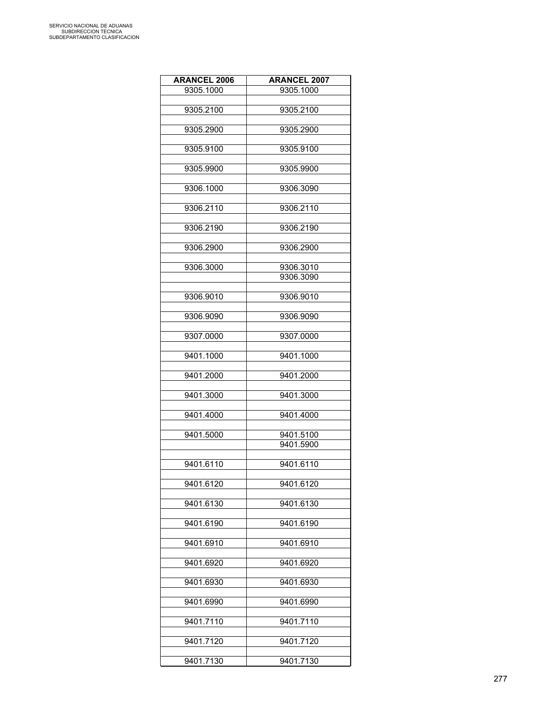| <b>ARANCEL 2006</b> | <b>ARANCEL 2007</b> |
|---------------------|---------------------|
| 9305.1000           | 9305.1000           |
|                     |                     |
| 9305.2100           | 9305.2100           |
|                     |                     |
| 9305.2900           | 9305.2900           |
|                     |                     |
| 9305.9100           | 9305.9100           |
|                     |                     |
| 9305.9900           | 9305.9900           |
|                     |                     |
| 9306.1000           | 9306.3090           |
|                     |                     |
| 9306.2110           | 9306.2110           |
|                     |                     |
| 9306.2190           | 9306.2190           |
|                     |                     |
| 9306.2900           | 9306.2900           |
|                     |                     |
| 9306.3000           | 9306.3010           |
|                     | 9306.3090           |
|                     |                     |
| 9306.9010           | 9306.9010           |
|                     |                     |
| 9306.9090           | 9306.9090           |
|                     |                     |
|                     |                     |
| 9307.0000           | 9307.0000           |
|                     |                     |
| 9401.1000           | 9401.1000           |
|                     |                     |
| 9401.2000           | 9401.2000           |
|                     |                     |
| 9401.3000           | 9401.3000           |
|                     |                     |
| 9401.4000           | 9401.4000           |
|                     |                     |
| 9401.5000           | 9401.5100           |
|                     | 9401.5900           |
|                     |                     |
| 9401.6110           | 9401.6110           |
|                     |                     |
| 9401.6120           | 9401.6120           |
|                     |                     |
| 9401.6130           | 9401.6130           |
|                     |                     |
| 9401.6190           | 9401.6190           |
|                     |                     |
| 9401.6910           | 9401.6910           |
|                     |                     |
| 9401.6920           | 9401.6920           |
|                     |                     |
| 9401.6930           | 9401.6930           |
|                     |                     |
| 9401.6990           | 9401.6990           |
|                     |                     |
| 9401.7110           | 9401.7110           |
|                     |                     |
| 9401.7120           | 9401.7120           |
|                     |                     |
| 9401.7130           | 9401.7130           |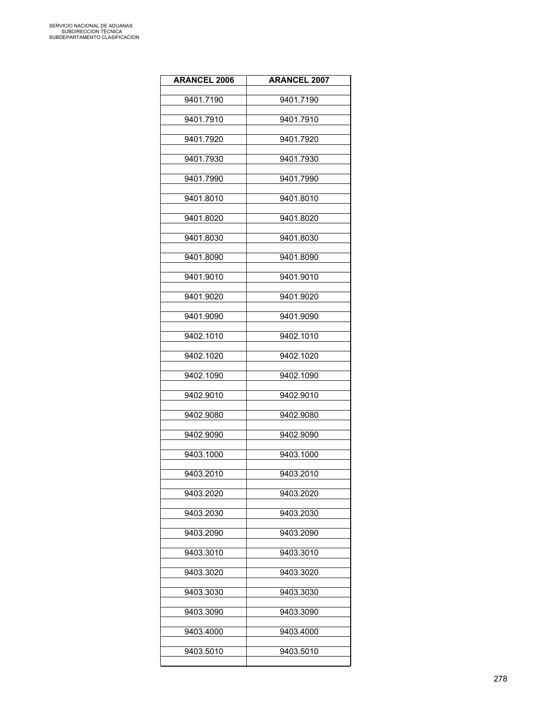| <b>ARANCEL 2006</b> | <b>ARANCEL 2007</b> |
|---------------------|---------------------|
| 9401.7190           | 9401.7190           |
| 9401.7910           | 9401.7910           |
| 9401.7920           | 9401.7920           |
| 9401.7930           | 9401.7930           |
| 9401.7990           | 9401.7990           |
| 9401.8010           | 9401.8010           |
| 9401.8020           | 9401.8020           |
| 9401.8030           | 9401.8030           |
| 9401.8090           | 9401.8090           |
| 9401.9010           | 9401.9010           |
| 9401.9020           | 9401.9020           |
| 9401.9090           | 9401.9090           |
| 9402.1010           | 9402.1010           |
| 9402.1020           | 9402.1020           |
| 9402.1090           | 9402.1090           |
| 9402.9010           | 9402.9010           |
| 9402.9080           | 9402.9080           |
| 9402.9090           | 9402.9090           |
| 9403.1000           | 9403.1000           |
| 9403.2010           | 9403.2010           |
| 9403.2020           | 9403.2020           |
| 9403.2030           | 9403.2030           |
| 9403.2090           | 9403.2090           |
| 9403.3010           | 9403.3010           |
| 9403.3020           | 9403.3020           |
| 9403.3030           | 9403.3030           |
| 9403.3090           | 9403.3090           |
| 9403.4000           | 9403.4000           |
| 9403.5010           | 9403.5010           |
|                     |                     |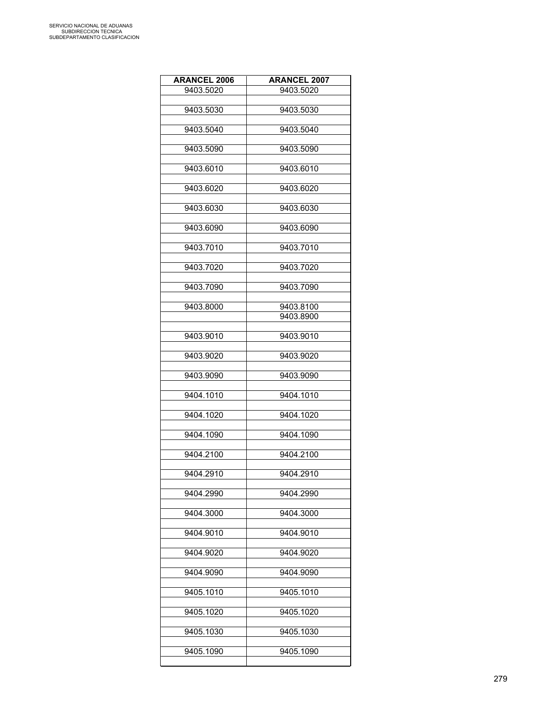| <b>ARANCEL 2006</b> | <b>ARANCEL 2007</b> |
|---------------------|---------------------|
| 9403.5020           | 9403.5020           |
|                     |                     |
| 9403.5030           | 9403.5030           |
| 9403.5040           | 9403.5040           |
|                     |                     |
| 9403.5090           | 9403.5090           |
|                     | 9403.6010           |
| 9403.6010           |                     |
| 9403.6020           | 9403.6020           |
|                     |                     |
| 9403.6030           | 9403.6030           |
| 9403.6090           | 9403.6090           |
|                     |                     |
| 9403.7010           | 9403.7010           |
|                     |                     |
| 9403.7020           | 9403.7020           |
| 9403.7090           | 9403.7090           |
|                     |                     |
| 9403.8000           | 9403.8100           |
|                     | 9403.8900           |
| 9403.9010           | 9403.9010           |
|                     |                     |
| 9403.9020           | 9403.9020           |
|                     |                     |
| 9403.9090           | 9403.9090           |
| 9404.1010           | 9404.1010           |
|                     |                     |
| 9404.1020           | 9404.1020           |
|                     |                     |
| 9404.1090           | 9404.1090           |
| 9404.2100           | 9404.2100           |
|                     |                     |
| 9404.2910           | 9404.2910           |
| 9404.2990           | 9404.2990           |
|                     |                     |
| 9404.3000           | 9404.3000           |
|                     |                     |
| 9404.9010           | 9404.9010           |
| 9404.9020           | 9404.9020           |
|                     |                     |
| 9404.9090           | 9404.9090           |
|                     |                     |
| 9405.1010           | 9405.1010           |
| 9405.1020           | 9405.1020           |
|                     |                     |
| 9405.1030           | 9405.1030           |
|                     |                     |
| 9405.1090           | 9405.1090           |
|                     |                     |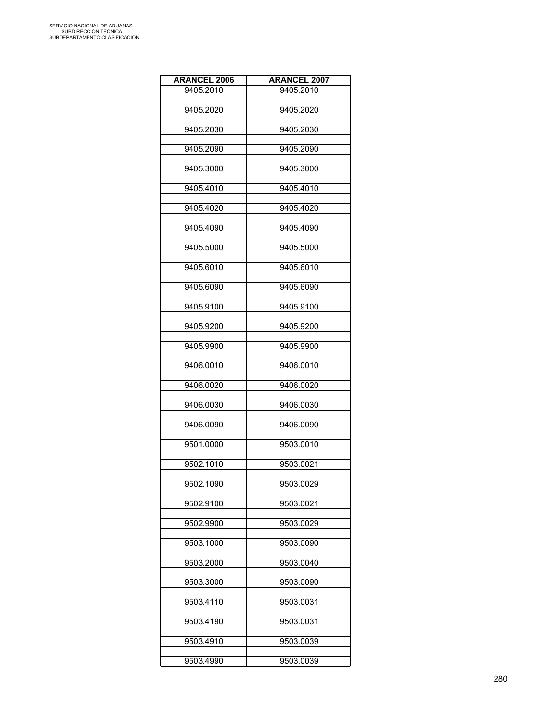| <b>ARANCEL 2006</b> | <b>ARANCEL 2007</b> |
|---------------------|---------------------|
| 9405.2010           | 9405.2010           |
|                     |                     |
| 9405.2020           | 9405.2020           |
|                     |                     |
| 9405.2030           | 9405.2030           |
| 9405.2090           | 9405.2090           |
|                     |                     |
| 9405.3000           | 9405.3000           |
|                     |                     |
| 9405.4010           | 9405.4010           |
|                     |                     |
| 9405.4020           | 9405.4020           |
|                     |                     |
| 9405.4090           | 9405.4090           |
| 9405.5000           | 9405.5000           |
|                     |                     |
| 9405.6010           | 9405.6010           |
|                     |                     |
| 9405.6090           | 9405.6090           |
|                     |                     |
| 9405.9100           | 9405.9100           |
|                     |                     |
| 9405.9200           | 9405.9200           |
|                     |                     |
| 9405.9900           | 9405.9900           |
| 9406.0010           | 9406.0010           |
|                     |                     |
| 9406.0020           | 9406.0020           |
|                     |                     |
| 9406.0030           | 9406.0030           |
|                     |                     |
| 9406.0090           | 9406.0090           |
| 9501.0000           | 9503.0010           |
|                     |                     |
| 9502.1010           | 9503.0021           |
|                     |                     |
| 9502.1090           | 9503.0029           |
|                     |                     |
| 9502.9100           | 9503.0021           |
|                     |                     |
| 9502.9900           | 9503.0029           |
| 9503.1000           | 9503.0090           |
|                     |                     |
| 9503.2000           | 9503.0040           |
|                     |                     |
| 9503.3000           | 9503.0090           |
|                     |                     |
| 9503.4110           | 9503.0031           |
|                     |                     |
| 9503.4190           | 9503.0031           |
| 9503.4910           | 9503.0039           |
|                     |                     |
| 9503.4990           | 9503.0039           |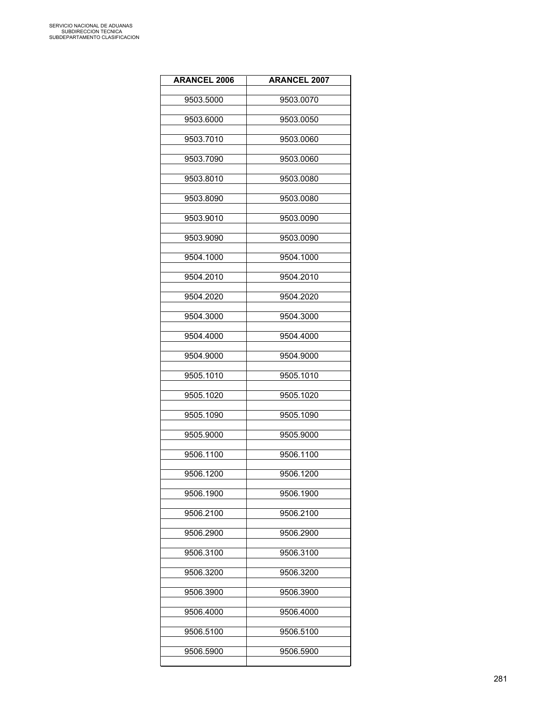| <b>ARANCEL 2006</b> | <b>ARANCEL 2007</b> |
|---------------------|---------------------|
| 9503.5000           | 9503.0070           |
| 9503.6000           | 9503.0050           |
| 9503.7010           | 9503.0060           |
| 9503.7090           | 9503.0060           |
| 9503.8010           | 9503.0080           |
| 9503.8090           | 9503.0080           |
| 9503.9010           | 9503.0090           |
| 9503.9090           | 9503.0090           |
| 9504.1000           | 9504.1000           |
| 9504.2010           | 9504.2010           |
| 9504.2020           | 9504.2020           |
| 9504.3000           | 9504.3000           |
| 9504.4000           | 9504.4000           |
| 9504.9000           | 9504.9000           |
| 9505.1010           | 9505.1010           |
| 9505.1020           | 9505.1020           |
| 9505.1090           | 9505.1090           |
| 9505.9000           | 9505.9000           |
| 9506.1100           | 9506.1100           |
| 9506.1200           | 9506.1200           |
| 9506.1900           | 9506.1900           |
| 9506.2100           | 9506.2100           |
| 9506.2900           | 9506.2900           |
| 9506.3100           | 9506.3100           |
| 9506.3200           | 9506.3200           |
| 9506.3900           | 9506.3900           |
| 9506.4000           | 9506.4000           |
| 9506.5100           | 9506.5100           |
| 9506.5900           | 9506.5900           |
|                     |                     |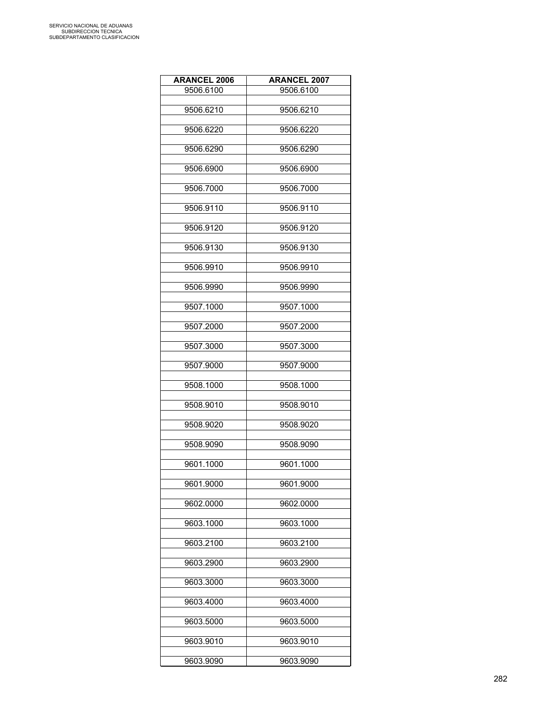| <b>ARANCEL 2006</b> | <b>ARANCEL 2007</b> |
|---------------------|---------------------|
| 9506.6100           | 9506.6100           |
|                     |                     |
| 9506.6210           | 9506.6210           |
|                     |                     |
| 9506.6220           | 9506.6220           |
| 9506.6290           | 9506.6290           |
|                     |                     |
| 9506.6900           | 9506.6900           |
|                     |                     |
| 9506.7000           | 9506.7000           |
|                     |                     |
| 9506.9110           | 9506.9110           |
| 9506.9120           | 9506.9120           |
|                     |                     |
| 9506.9130           | 9506.9130           |
|                     |                     |
| 9506.9910           | 9506.9910           |
|                     |                     |
| 9506.9990           | 9506.9990           |
|                     |                     |
| 9507.1000           | 9507.1000           |
| 9507.2000           | 9507.2000           |
|                     |                     |
| 9507.3000           | 9507.3000           |
|                     |                     |
| 9507.9000           | 9507.9000           |
|                     |                     |
| 9508.1000           | 9508.1000           |
| 9508.9010           | 9508.9010           |
|                     |                     |
| 9508.9020           | 9508.9020           |
|                     |                     |
| 9508.9090           | 9508.9090           |
|                     |                     |
| 9601.1000           | 9601.1000           |
| 9601.9000           | 9601.9000           |
|                     |                     |
| 9602.0000           | 9602.0000           |
|                     |                     |
| 9603.1000           | 9603.1000           |
|                     |                     |
| 9603.2100           | 9603.2100           |
|                     |                     |
| 9603.2900           | 9603.2900           |
| 9603.3000           | 9603.3000           |
|                     |                     |
| 9603.4000           | 9603.4000           |
|                     |                     |
| 9603.5000           | 9603.5000           |
|                     |                     |
| 9603.9010           | 9603.9010           |
| 9603.9090           | 9603.9090           |
|                     |                     |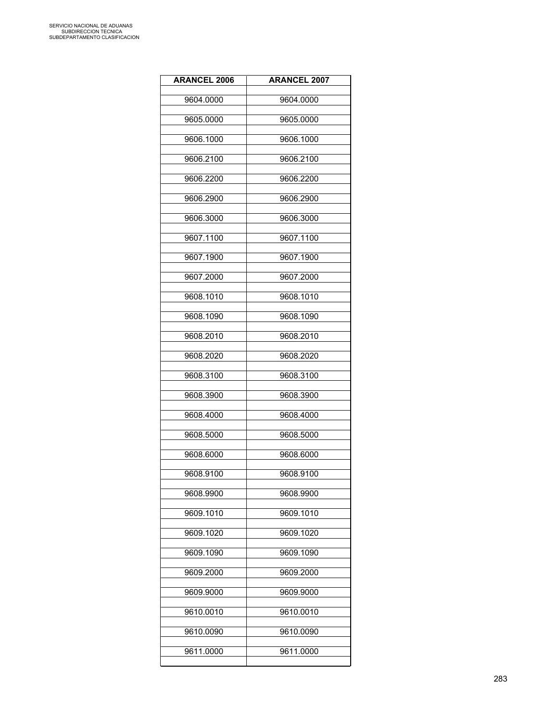| <b>ARANCEL 2006</b> | <b>ARANCEL 2007</b> |
|---------------------|---------------------|
| 9604.0000           | 9604.0000           |
| 9605.0000           | 9605.0000           |
| 9606.1000           | 9606.1000           |
| 9606.2100           | 9606.2100           |
| 9606.2200           | 9606.2200           |
| 9606.2900           | 9606.2900           |
| 9606.3000           | 9606.3000           |
| 9607.1100           | 9607.1100           |
| 9607.1900           | 9607.1900           |
| 9607.2000           | 9607.2000           |
| 9608.1010           | 9608.1010           |
| 9608.1090           | 9608.1090           |
| 9608.2010           | 9608.2010           |
| 9608.2020           | 9608.2020           |
| 9608.3100           | 9608.3100           |
| 9608.3900           | 9608.3900           |
| 9608.4000           | 9608.4000           |
| 9608.5000           | 9608.5000           |
| 9608.6000           | 9608.6000           |
| 9608.9100           | 9608.9100           |
| 9608.9900           | 9608.9900           |
| 9609.1010           | 9609.1010           |
| 9609.1020           | 9609.1020           |
| 9609.1090           | 9609.1090           |
| 9609.2000           | 9609.2000           |
| 9609.9000           | 9609.9000           |
| 9610.0010           | 9610.0010           |
| 9610.0090           | 9610.0090           |
| 9611.0000           | 9611.0000           |
|                     |                     |